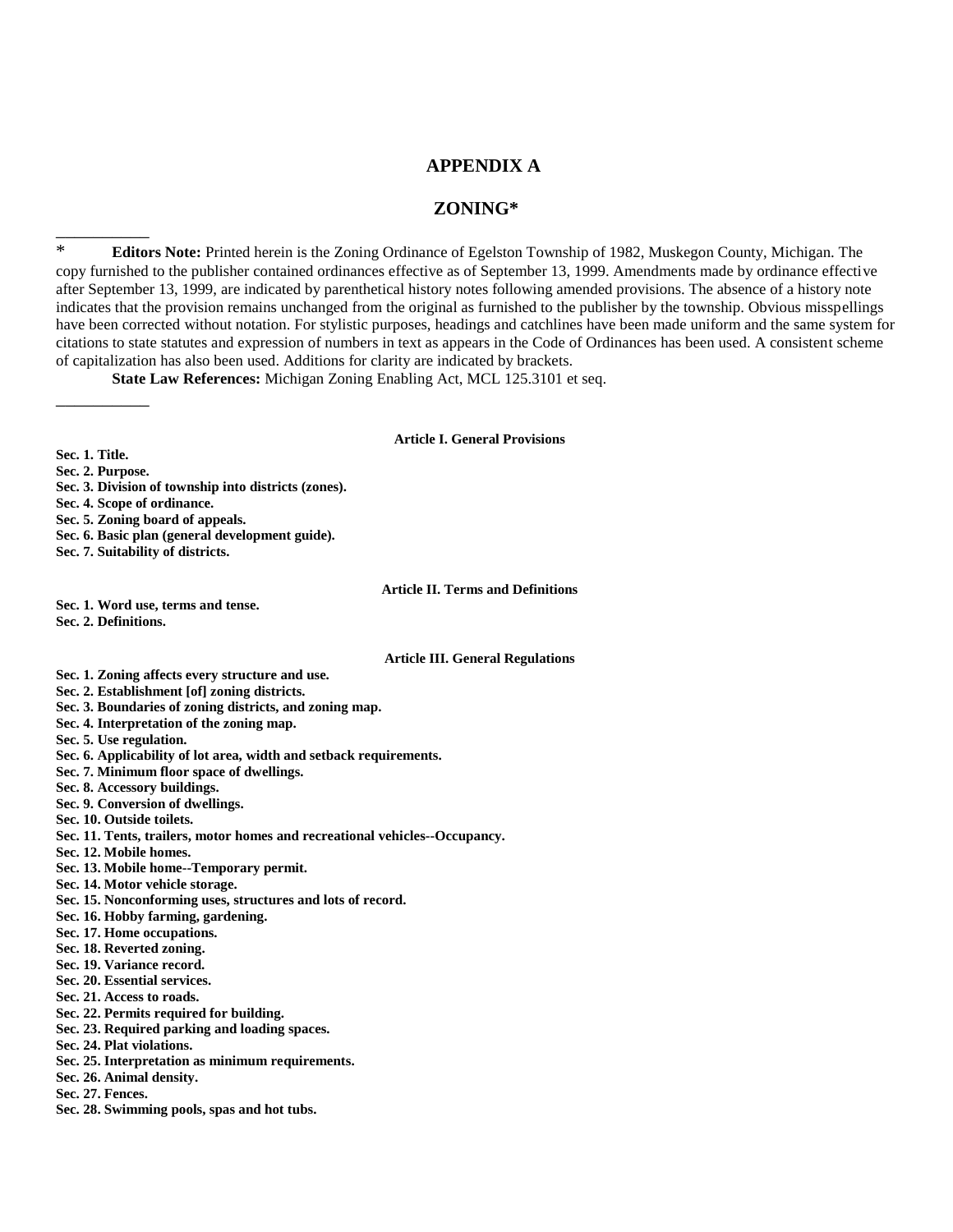## **APPENDIX A**

## **ZONING\***

\* **Editors Note:** Printed herein is the Zoning Ordinance of Egelston Township of 1982, Muskegon County, Michigan. The copy furnished to the publisher contained ordinances effective as of September 13, 1999. Amendments made by ordinance effective after September 13, 1999, are indicated by parenthetical history notes following amended provisions. The absence of a history note indicates that the provision remains unchanged from the original as furnished to the publisher by the township. Obvious misspellings have been corrected without notation. For stylistic purposes, headings and catchlines have been made uniform and the same system for citations to state statutes and expression of numbers in text as appears in the Code of Ordinances has been used. A consistent scheme of capitalization has also been used. Additions for clarity are indicated by brackets.

**State Law References:** Michigan Zoning Enabling Act, MCL 125.3101 et seq.

#### **Article I. General Provisions**

**Sec. 1. Title.**

**Sec. 2. Purpose.**

\_\_\_\_\_\_\_\_\_\_

\_\_\_\_\_\_\_\_\_\_

- **Sec. 3. Division of township into districts (zones).**
- **Sec. 4. Scope of ordinance.**
- **Sec. 5. Zoning board of appeals.**
- **Sec. 6. Basic plan (general development guide).**
- **Sec. 7. Suitability of districts.**

#### **Article II. Terms and Definitions**

**Sec. 1. Word use, terms and tense.**

**Sec. 2. Definitions.**

#### **Article III. General Regulations**

- **Sec. 1. Zoning affects every structure and use. Sec. 2. Establishment [of] zoning districts.**
- **Sec. 3. Boundaries of zoning districts, and zoning map.**
- **Sec. 4. Interpretation of the zoning map.**
- **Sec. 5. Use regulation.**
- **Sec. 6. Applicability of lot area, width and setback requirements.**
- **Sec. 7. Minimum floor space of dwellings.**
- **Sec. 8. Accessory buildings.**
- **Sec. 9. Conversion of dwellings.**
- **Sec. 10. Outside toilets.**
- **Sec. 11. Tents, trailers, motor homes and recreational vehicles--Occupancy.**
- **Sec. 12. Mobile homes.**
- **Sec. 13. Mobile home--Temporary permit.**
- **Sec. 14. Motor vehicle storage.**
- **Sec. 15. Nonconforming uses, structures and lots of record.**
- **Sec. 16. Hobby farming, gardening.**
- **Sec. 17. Home occupations.**
- **Sec. 18. Reverted zoning.**
- **Sec. 19. Variance record.**
- **Sec. 20. Essential services.**
- **Sec. 21. Access to roads.**
- **Sec. 22. Permits required for building.**
- **Sec. 23. Required parking and loading spaces.**
- **Sec. 24. Plat violations.**
- **Sec. 25. Interpretation as minimum requirements.**
- **Sec. 26. Animal density.**
- **Sec. 27. Fences.**
- **Sec. 28. Swimming pools, spas and hot tubs.**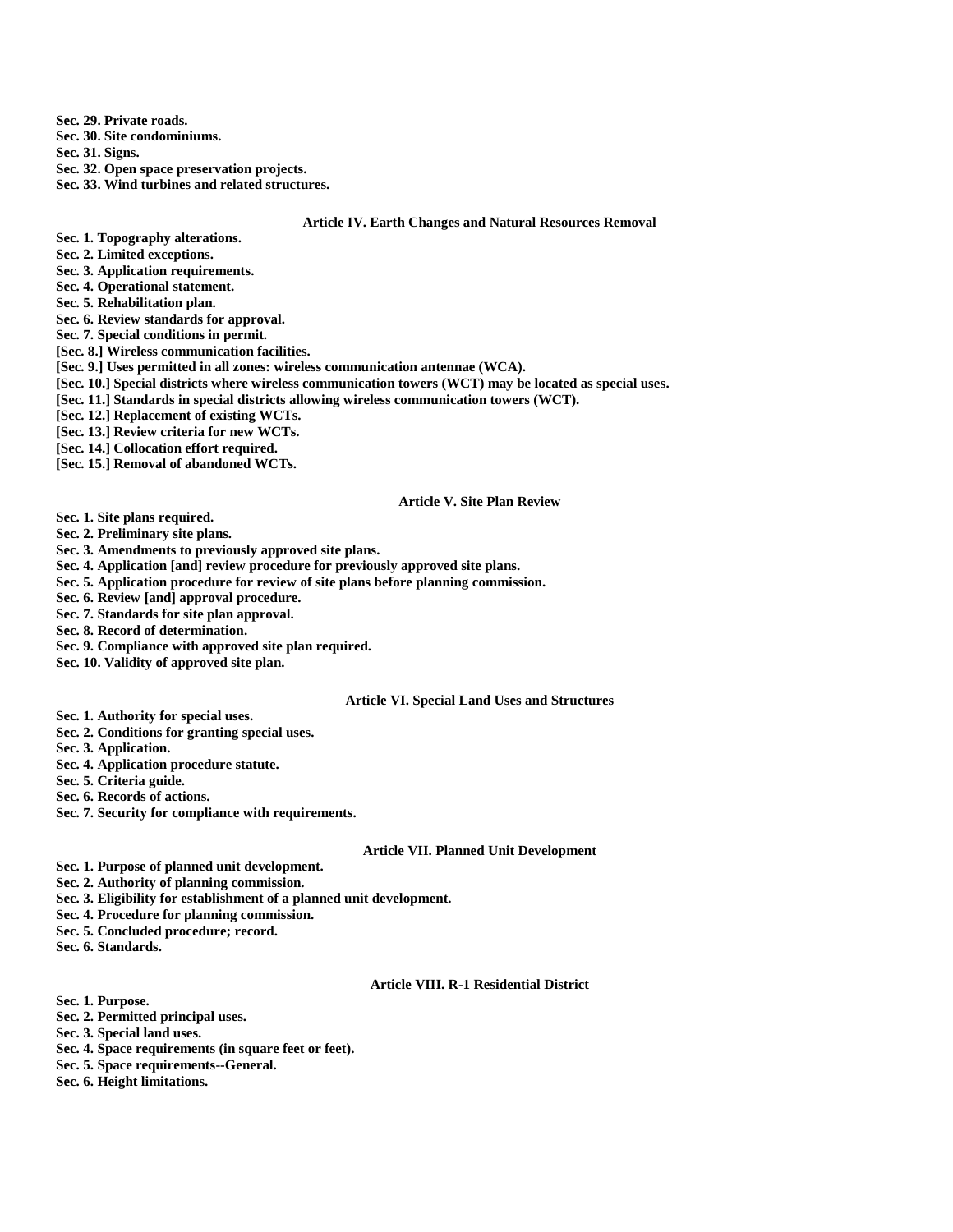**Sec. 29. Private roads.**

**Sec. 30. Site condominiums.**

**Sec. 31. Signs.**

**Sec. 32. Open space preservation projects.**

**Sec. 33. Wind turbines and related structures.**

#### **Article IV. Earth Changes and Natural Resources Removal**

- **Sec. 1. Topography alterations.**
- **Sec. 2. Limited exceptions.**
- **Sec. 3. Application requirements.**
- **Sec. 4. Operational statement.**
- **Sec. 5. Rehabilitation plan.**
- **Sec. 6. Review standards for approval.**
- **Sec. 7. Special conditions in permit.**

**[Sec. 8.] Wireless communication facilities.**

- **[Sec. 9.] Uses permitted in all zones: wireless communication antennae (WCA).**
- **[Sec. 10.] Special districts where wireless communication towers (WCT) may be located as special uses.**
- **[Sec. 11.] Standards in special districts allowing wireless communication towers (WCT).**
- **[Sec. 12.] Replacement of existing WCTs.**
- **[Sec. 13.] Review criteria for new WCTs.**
- **[Sec. 14.] Collocation effort required.**
- **[Sec. 15.] Removal of abandoned WCTs.**

#### **Article V. Site Plan Review**

- **Sec. 1. Site plans required.**
- **Sec. 2. Preliminary site plans.**
- **Sec. 3. Amendments to previously approved site plans.**
- **Sec. 4. Application [and] review procedure for previously approved site plans.**
- **Sec. 5. Application procedure for review of site plans before planning commission.**
- **Sec. 6. Review [and] approval procedure.**
- **Sec. 7. Standards for site plan approval.**
- **Sec. 8. Record of determination.**
- **Sec. 9. Compliance with approved site plan required.**
- **Sec. 10. Validity of approved site plan.**

#### **Article VI. Special Land Uses and Structures**

- **Sec. 1. Authority for special uses.**
- **Sec. 2. Conditions for granting special uses.**
- **Sec. 3. Application.**
- **Sec. 4. Application procedure statute.**
- **Sec. 5. Criteria guide.**
- **Sec. 6. Records of actions.**
- **Sec. 7. Security for compliance with requirements.**

#### **Article VII. Planned Unit Development**

- **Sec. 1. Purpose of planned unit development.**
- **Sec. 2. Authority of planning commission.**
- **Sec. 3. Eligibility for establishment of a planned unit development.**
- **Sec. 4. Procedure for planning commission.**
- **Sec. 5. Concluded procedure; record.**
- **Sec. 6. Standards.**

#### **Article VIII. R-1 Residential District**

- **Sec. 1. Purpose.**
- **Sec. 2. Permitted principal uses.**
- **Sec. 3. Special land uses.**
- **Sec. 4. Space requirements (in square feet or feet).**
- **Sec. 5. Space requirements--General.**
- **Sec. 6. Height limitations.**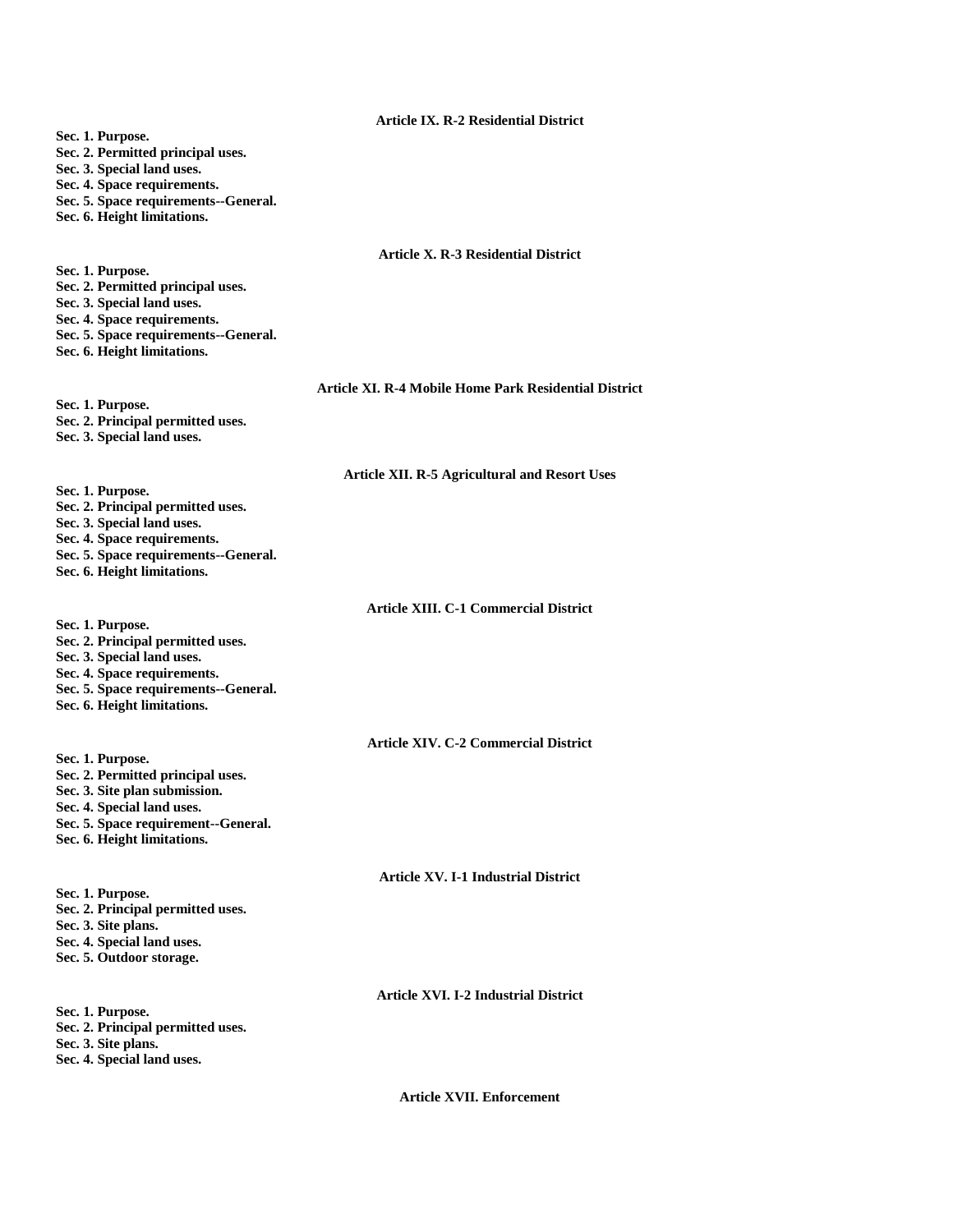#### **Article IX. R-2 Residential District**

- **Sec. 1. Purpose.**
- **Sec. 2. Permitted principal uses.**
- **Sec. 3. Special land uses.**
- **Sec. 4. Space requirements.**
- **Sec. 5. Space requirements--General.**
- **Sec. 6. Height limitations.**

#### **Article X. R-3 Residential District**

**Sec. 1. Purpose. Sec. 2. Permitted principal uses. Sec. 3. Special land uses. Sec. 4. Space requirements. Sec. 5. Space requirements--General. Sec. 6. Height limitations.**

#### **Article XI. R-4 Mobile Home Park Residential District**

**Sec. 1. Purpose. Sec. 2. Principal permitted uses. Sec. 3. Special land uses.**

#### **Article XII. R-5 Agricultural and Resort Uses**

- **Sec. 1. Purpose. Sec. 2. Principal permitted uses.**
- **Sec. 3. Special land uses.**
- **Sec. 4. Space requirements.**
- **Sec. 5. Space requirements--General.**
- **Sec. 6. Height limitations.**

**Article XIII. C-1 Commercial District**

- **Sec. 1. Purpose.**
- **Sec. 2. Principal permitted uses.**
- **Sec. 3. Special land uses.**
- **Sec. 4. Space requirements.**
- **Sec. 5. Space requirements--General.**
- **Sec. 6. Height limitations.**

#### **Article XIV. C-2 Commercial District**

- **Sec. 1. Purpose. Sec. 2. Permitted principal uses. Sec. 3. Site plan submission. Sec. 4. Special land uses. Sec. 5. Space requirement--General.**
- **Sec. 6. Height limitations.**

# **Article XV. I-1 Industrial District**

**Sec. 1. Purpose. Sec. 2. Principal permitted uses. Sec. 3. Site plans. Sec. 4. Special land uses. Sec. 5. Outdoor storage.**

**Sec. 1. Purpose. Sec. 2. Principal permitted uses. Sec. 3. Site plans. Sec. 4. Special land uses.**

**Article XVII. Enforcement**

**Article XVI. I-2 Industrial District**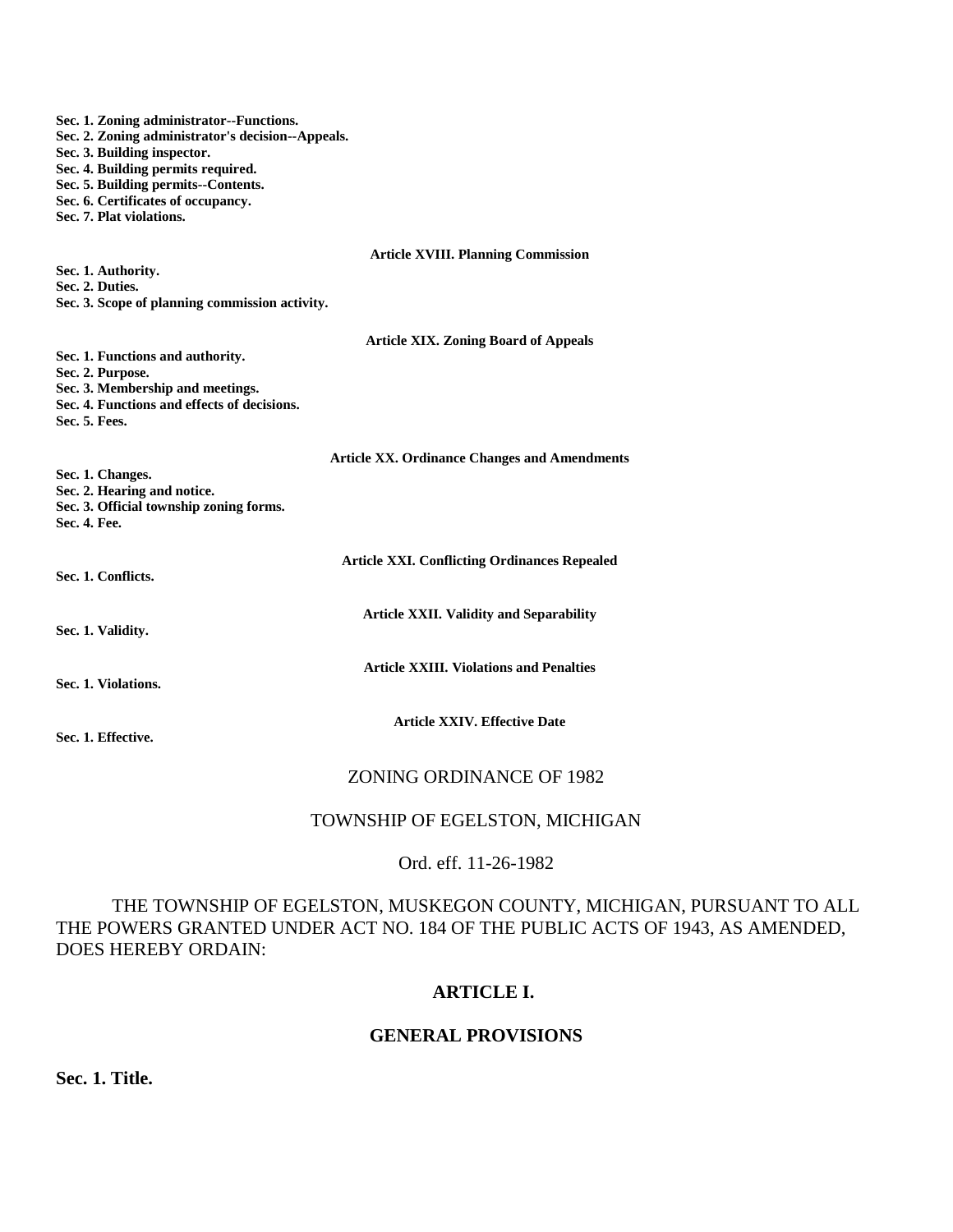**Sec. 1. Zoning administrator--Functions. Sec. 2. Zoning administrator's decision--Appeals. Sec. 3. Building inspector. Sec. 4. Building permits required. Sec. 5. Building permits--Contents. Sec. 6. Certificates of occupancy. Sec. 7. Plat violations. Article XVIII. Planning Commission Sec. 1. Authority. Sec. 2. Duties. Sec. 3. Scope of planning commission activity. Article XIX. Zoning Board of Appeals Sec. 1. Functions and authority. Sec. 2. Purpose. Sec. 3. Membership and meetings. Sec. 4. Functions and effects of decisions. Sec. 5. Fees. Article XX. Ordinance Changes and Amendments Sec. 1. Changes. Sec. 2. Hearing and notice. Sec. 3. Official township zoning forms. Sec. 4. Fee. Article XXI. Conflicting Ordinances Repealed Sec. 1. Conflicts. Article XXII. Validity and Separability Sec. 1. Validity. Article XXIII. Violations and Penalties Sec. 1. Violations. Article XXIV. Effective Date Sec. 1. Effective.** ZONING ORDINANCE OF 1982

# TOWNSHIP OF EGELSTON, MICHIGAN

## Ord. eff. 11-26-1982

THE TOWNSHIP OF EGELSTON, MUSKEGON COUNTY, MICHIGAN, PURSUANT TO ALL THE POWERS GRANTED UNDER ACT NO. 184 OF THE PUBLIC ACTS OF 1943, AS AMENDED, DOES HEREBY ORDAIN:

# **ARTICLE I.**

# **GENERAL PROVISIONS**

**Sec. 1. Title.**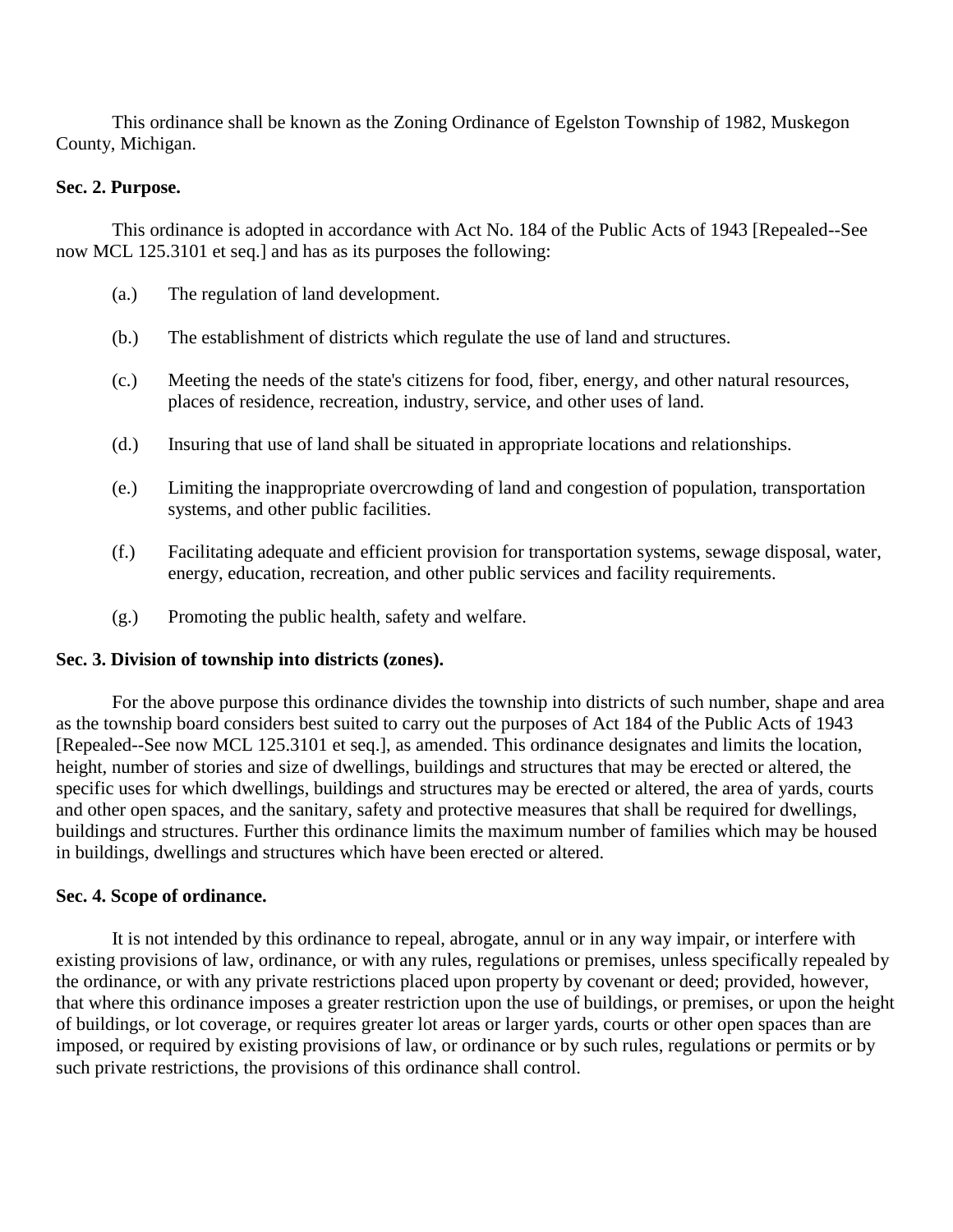This ordinance shall be known as the Zoning Ordinance of Egelston Township of 1982, Muskegon County, Michigan.

# **Sec. 2. Purpose.**

This ordinance is adopted in accordance with Act No. 184 of the Public Acts of 1943 [Repealed--See now MCL 125.3101 et seq.] and has as its purposes the following:

- (a.) The regulation of land development.
- (b.) The establishment of districts which regulate the use of land and structures.
- (c.) Meeting the needs of the state's citizens for food, fiber, energy, and other natural resources, places of residence, recreation, industry, service, and other uses of land.
- (d.) Insuring that use of land shall be situated in appropriate locations and relationships.
- (e.) Limiting the inappropriate overcrowding of land and congestion of population, transportation systems, and other public facilities.
- (f.) Facilitating adequate and efficient provision for transportation systems, sewage disposal, water, energy, education, recreation, and other public services and facility requirements.
- (g.) Promoting the public health, safety and welfare.

## **Sec. 3. Division of township into districts (zones).**

For the above purpose this ordinance divides the township into districts of such number, shape and area as the township board considers best suited to carry out the purposes of Act 184 of the Public Acts of 1943 [Repealed--See now MCL 125.3101 et seq.], as amended. This ordinance designates and limits the location, height, number of stories and size of dwellings, buildings and structures that may be erected or altered, the specific uses for which dwellings, buildings and structures may be erected or altered, the area of yards, courts and other open spaces, and the sanitary, safety and protective measures that shall be required for dwellings, buildings and structures. Further this ordinance limits the maximum number of families which may be housed in buildings, dwellings and structures which have been erected or altered.

## **Sec. 4. Scope of ordinance.**

It is not intended by this ordinance to repeal, abrogate, annul or in any way impair, or interfere with existing provisions of law, ordinance, or with any rules, regulations or premises, unless specifically repealed by the ordinance, or with any private restrictions placed upon property by covenant or deed; provided, however, that where this ordinance imposes a greater restriction upon the use of buildings, or premises, or upon the height of buildings, or lot coverage, or requires greater lot areas or larger yards, courts or other open spaces than are imposed, or required by existing provisions of law, or ordinance or by such rules, regulations or permits or by such private restrictions, the provisions of this ordinance shall control.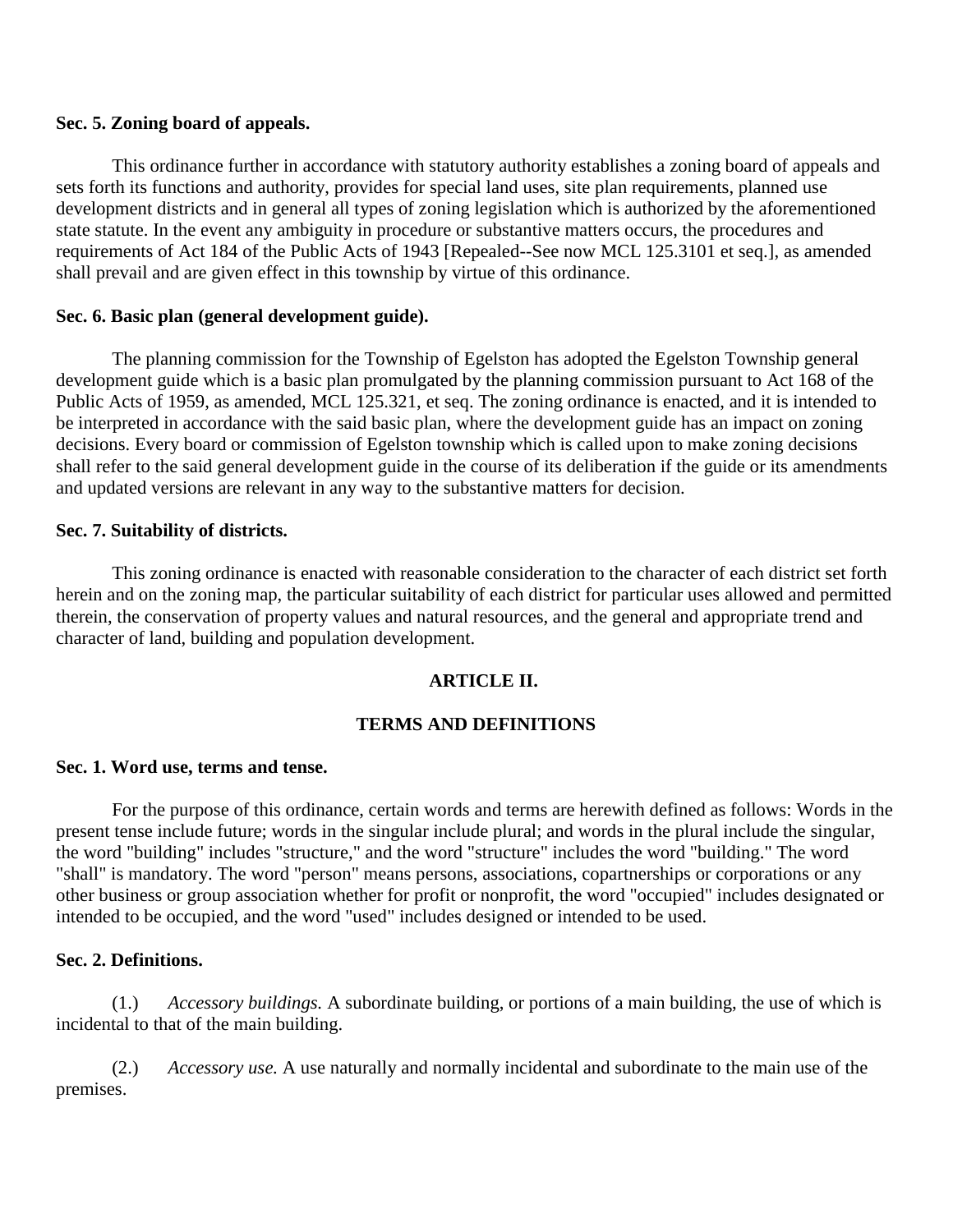## **Sec. 5. Zoning board of appeals.**

This ordinance further in accordance with statutory authority establishes a zoning board of appeals and sets forth its functions and authority, provides for special land uses, site plan requirements, planned use development districts and in general all types of zoning legislation which is authorized by the aforementioned state statute. In the event any ambiguity in procedure or substantive matters occurs, the procedures and requirements of Act 184 of the Public Acts of 1943 [Repealed--See now MCL 125.3101 et seq.], as amended shall prevail and are given effect in this township by virtue of this ordinance.

## **Sec. 6. Basic plan (general development guide).**

The planning commission for the Township of Egelston has adopted the Egelston Township general development guide which is a basic plan promulgated by the planning commission pursuant to Act 168 of the Public Acts of 1959, as amended, MCL 125.321, et seq. The zoning ordinance is enacted, and it is intended to be interpreted in accordance with the said basic plan, where the development guide has an impact on zoning decisions. Every board or commission of Egelston township which is called upon to make zoning decisions shall refer to the said general development guide in the course of its deliberation if the guide or its amendments and updated versions are relevant in any way to the substantive matters for decision.

# **Sec. 7. Suitability of districts.**

This zoning ordinance is enacted with reasonable consideration to the character of each district set forth herein and on the zoning map, the particular suitability of each district for particular uses allowed and permitted therein, the conservation of property values and natural resources, and the general and appropriate trend and character of land, building and population development.

# **ARTICLE II.**

# **TERMS AND DEFINITIONS**

## **Sec. 1. Word use, terms and tense.**

For the purpose of this ordinance, certain words and terms are herewith defined as follows: Words in the present tense include future; words in the singular include plural; and words in the plural include the singular, the word "building" includes "structure," and the word "structure" includes the word "building." The word "shall" is mandatory. The word "person" means persons, associations, copartnerships or corporations or any other business or group association whether for profit or nonprofit, the word "occupied" includes designated or intended to be occupied, and the word "used" includes designed or intended to be used.

# **Sec. 2. Definitions.**

(1.) *Accessory buildings.* A subordinate building, or portions of a main building, the use of which is incidental to that of the main building.

(2.) *Accessory use.* A use naturally and normally incidental and subordinate to the main use of the premises.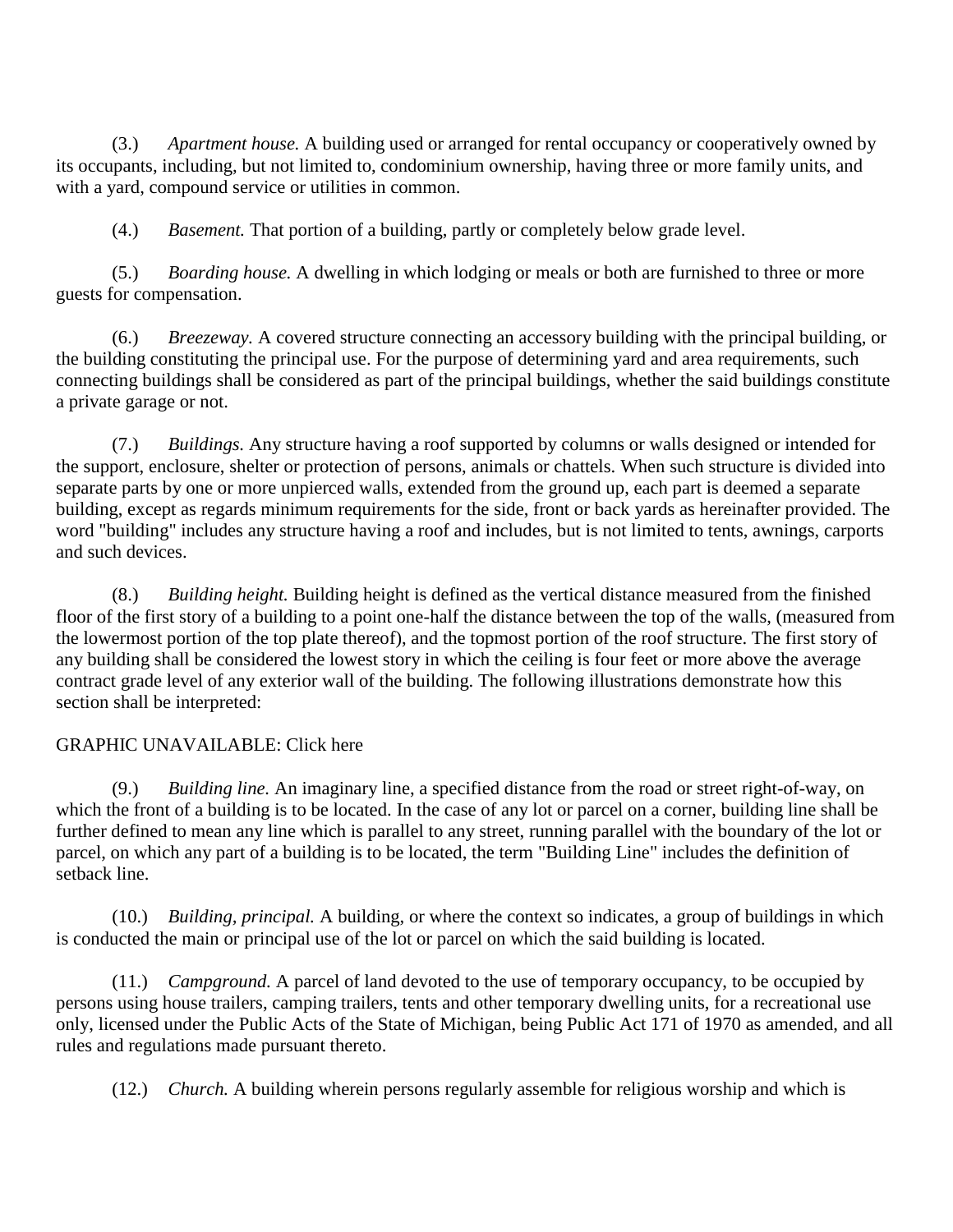(3.) *Apartment house.* A building used or arranged for rental occupancy or cooperatively owned by its occupants, including, but not limited to, condominium ownership, having three or more family units, and with a yard, compound service or utilities in common.

(4.) *Basement.* That portion of a building, partly or completely below grade level.

(5.) *Boarding house.* A dwelling in which lodging or meals or both are furnished to three or more guests for compensation.

(6.) *Breezeway.* A covered structure connecting an accessory building with the principal building, or the building constituting the principal use. For the purpose of determining yard and area requirements, such connecting buildings shall be considered as part of the principal buildings, whether the said buildings constitute a private garage or not.

(7.) *Buildings.* Any structure having a roof supported by columns or walls designed or intended for the support, enclosure, shelter or protection of persons, animals or chattels. When such structure is divided into separate parts by one or more unpierced walls, extended from the ground up, each part is deemed a separate building, except as regards minimum requirements for the side, front or back yards as hereinafter provided. The word "building" includes any structure having a roof and includes, but is not limited to tents, awnings, carports and such devices.

(8.) *Building height.* Building height is defined as the vertical distance measured from the finished floor of the first story of a building to a point one-half the distance between the top of the walls, (measured from the lowermost portion of the top plate thereof), and the topmost portion of the roof structure. The first story of any building shall be considered the lowest story in which the ceiling is four feet or more above the average contract grade level of any exterior wall of the building. The following illustrations demonstrate how this section shall be interpreted:

# GRAPHIC UNAVAILABLE: Click here

(9.) *Building line.* An imaginary line, a specified distance from the road or street right-of-way, on which the front of a building is to be located. In the case of any lot or parcel on a corner, building line shall be further defined to mean any line which is parallel to any street, running parallel with the boundary of the lot or parcel, on which any part of a building is to be located, the term "Building Line" includes the definition of setback line.

(10.) *Building, principal.* A building, or where the context so indicates, a group of buildings in which is conducted the main or principal use of the lot or parcel on which the said building is located.

(11.) *Campground.* A parcel of land devoted to the use of temporary occupancy, to be occupied by persons using house trailers, camping trailers, tents and other temporary dwelling units, for a recreational use only, licensed under the Public Acts of the State of Michigan, being Public Act 171 of 1970 as amended, and all rules and regulations made pursuant thereto.

(12.) *Church.* A building wherein persons regularly assemble for religious worship and which is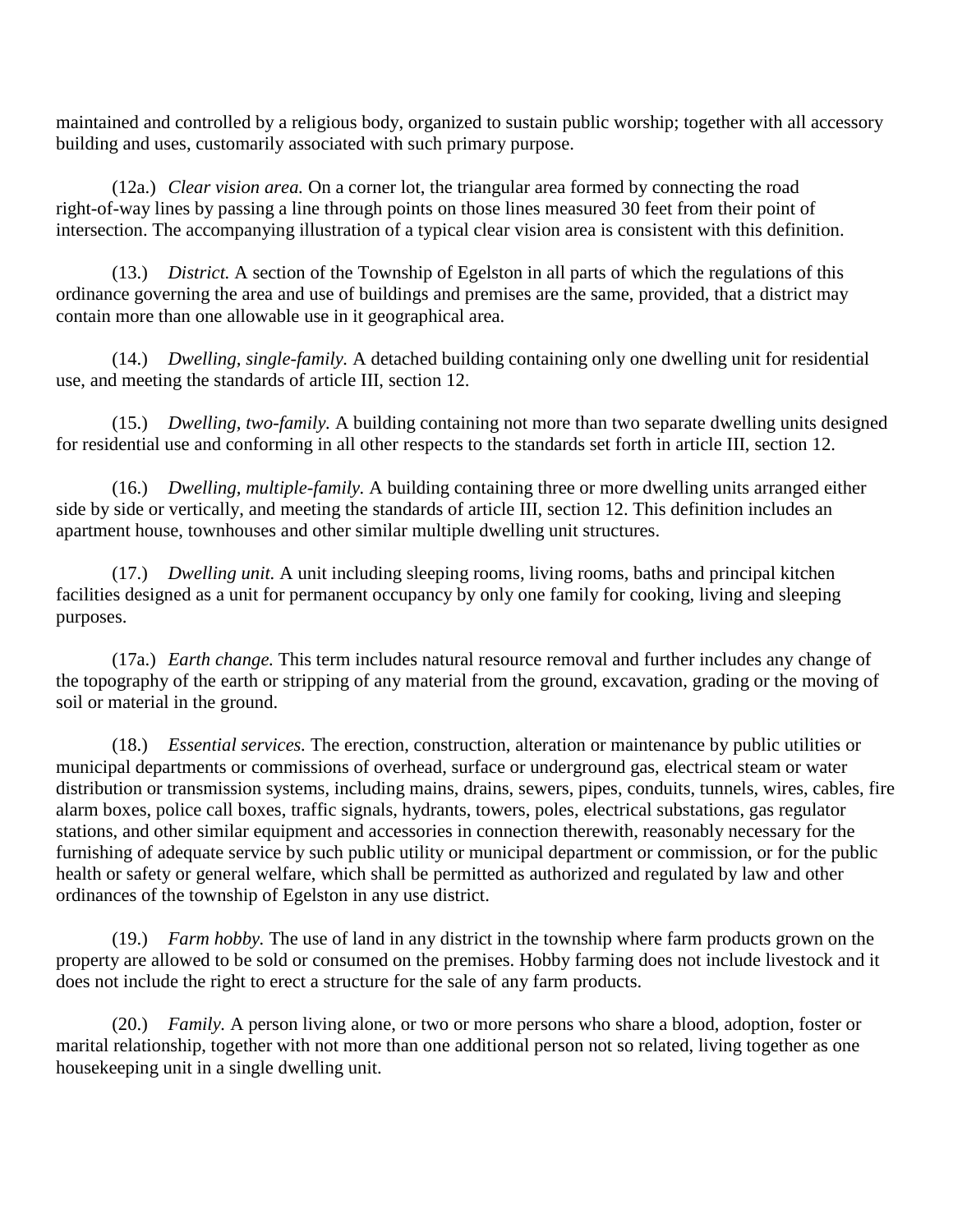maintained and controlled by a religious body, organized to sustain public worship; together with all accessory building and uses, customarily associated with such primary purpose.

(12a.) *Clear vision area.* On a corner lot, the triangular area formed by connecting the road right-of-way lines by passing a line through points on those lines measured 30 feet from their point of intersection. The accompanying illustration of a typical clear vision area is consistent with this definition.

(13.) *District.* A section of the Township of Egelston in all parts of which the regulations of this ordinance governing the area and use of buildings and premises are the same, provided, that a district may contain more than one allowable use in it geographical area.

(14.) *Dwelling, single-family.* A detached building containing only one dwelling unit for residential use, and meeting the standards of article III, section 12.

(15.) *Dwelling, two-family.* A building containing not more than two separate dwelling units designed for residential use and conforming in all other respects to the standards set forth in article III, section 12.

(16.) *Dwelling, multiple-family.* A building containing three or more dwelling units arranged either side by side or vertically, and meeting the standards of article III, section 12. This definition includes an apartment house, townhouses and other similar multiple dwelling unit structures.

(17.) *Dwelling unit.* A unit including sleeping rooms, living rooms, baths and principal kitchen facilities designed as a unit for permanent occupancy by only one family for cooking, living and sleeping purposes.

(17a.) *Earth change.* This term includes natural resource removal and further includes any change of the topography of the earth or stripping of any material from the ground, excavation, grading or the moving of soil or material in the ground.

(18.) *Essential services.* The erection, construction, alteration or maintenance by public utilities or municipal departments or commissions of overhead, surface or underground gas, electrical steam or water distribution or transmission systems, including mains, drains, sewers, pipes, conduits, tunnels, wires, cables, fire alarm boxes, police call boxes, traffic signals, hydrants, towers, poles, electrical substations, gas regulator stations, and other similar equipment and accessories in connection therewith, reasonably necessary for the furnishing of adequate service by such public utility or municipal department or commission, or for the public health or safety or general welfare, which shall be permitted as authorized and regulated by law and other ordinances of the township of Egelston in any use district.

(19.) *Farm hobby.* The use of land in any district in the township where farm products grown on the property are allowed to be sold or consumed on the premises. Hobby farming does not include livestock and it does not include the right to erect a structure for the sale of any farm products.

(20.) *Family.* A person living alone, or two or more persons who share a blood, adoption, foster or marital relationship, together with not more than one additional person not so related, living together as one housekeeping unit in a single dwelling unit.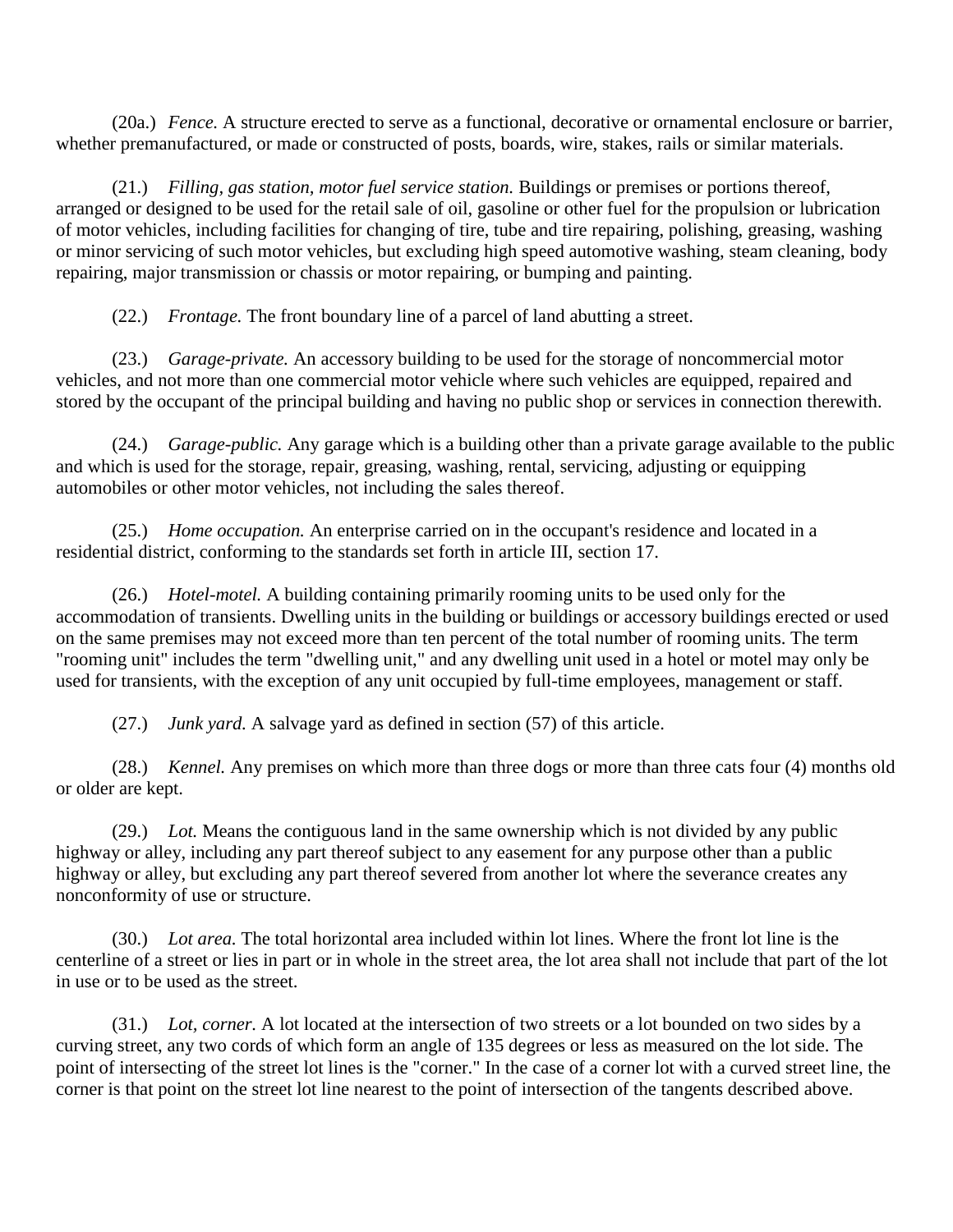(20a.) *Fence.* A structure erected to serve as a functional, decorative or ornamental enclosure or barrier, whether premanufactured, or made or constructed of posts, boards, wire, stakes, rails or similar materials.

(21.) *Filling, gas station, motor fuel service station.* Buildings or premises or portions thereof, arranged or designed to be used for the retail sale of oil, gasoline or other fuel for the propulsion or lubrication of motor vehicles, including facilities for changing of tire, tube and tire repairing, polishing, greasing, washing or minor servicing of such motor vehicles, but excluding high speed automotive washing, steam cleaning, body repairing, major transmission or chassis or motor repairing, or bumping and painting.

(22.) *Frontage.* The front boundary line of a parcel of land abutting a street.

(23.) *Garage-private.* An accessory building to be used for the storage of noncommercial motor vehicles, and not more than one commercial motor vehicle where such vehicles are equipped, repaired and stored by the occupant of the principal building and having no public shop or services in connection therewith.

(24.) *Garage-public.* Any garage which is a building other than a private garage available to the public and which is used for the storage, repair, greasing, washing, rental, servicing, adjusting or equipping automobiles or other motor vehicles, not including the sales thereof.

(25.) *Home occupation.* An enterprise carried on in the occupant's residence and located in a residential district, conforming to the standards set forth in article III, section 17.

(26.) *Hotel-motel.* A building containing primarily rooming units to be used only for the accommodation of transients. Dwelling units in the building or buildings or accessory buildings erected or used on the same premises may not exceed more than ten percent of the total number of rooming units. The term "rooming unit" includes the term "dwelling unit," and any dwelling unit used in a hotel or motel may only be used for transients, with the exception of any unit occupied by full-time employees, management or staff.

(27.) *Junk yard.* A salvage yard as defined in section (57) of this article.

(28.) *Kennel.* Any premises on which more than three dogs or more than three cats four (4) months old or older are kept.

(29.) *Lot.* Means the contiguous land in the same ownership which is not divided by any public highway or alley, including any part thereof subject to any easement for any purpose other than a public highway or alley, but excluding any part thereof severed from another lot where the severance creates any nonconformity of use or structure.

(30.) *Lot area.* The total horizontal area included within lot lines. Where the front lot line is the centerline of a street or lies in part or in whole in the street area, the lot area shall not include that part of the lot in use or to be used as the street.

(31.) *Lot, corner.* A lot located at the intersection of two streets or a lot bounded on two sides by a curving street, any two cords of which form an angle of 135 degrees or less as measured on the lot side. The point of intersecting of the street lot lines is the "corner." In the case of a corner lot with a curved street line, the corner is that point on the street lot line nearest to the point of intersection of the tangents described above.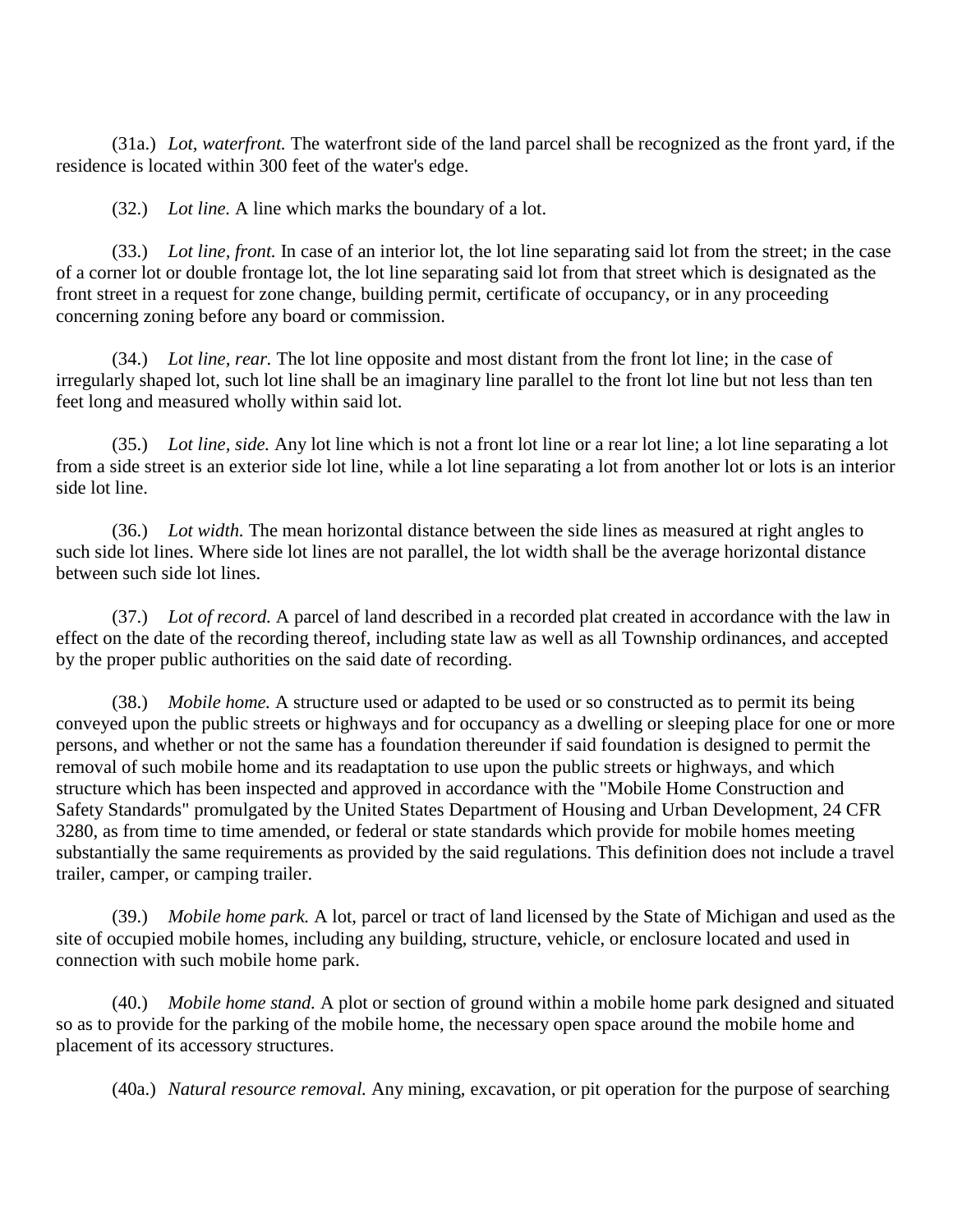(31a.) *Lot, waterfront.* The waterfront side of the land parcel shall be recognized as the front yard, if the residence is located within 300 feet of the water's edge.

(32.) *Lot line.* A line which marks the boundary of a lot.

(33.) *Lot line, front.* In case of an interior lot, the lot line separating said lot from the street; in the case of a corner lot or double frontage lot, the lot line separating said lot from that street which is designated as the front street in a request for zone change, building permit, certificate of occupancy, or in any proceeding concerning zoning before any board or commission.

(34.) *Lot line, rear.* The lot line opposite and most distant from the front lot line; in the case of irregularly shaped lot, such lot line shall be an imaginary line parallel to the front lot line but not less than ten feet long and measured wholly within said lot.

(35.) *Lot line, side.* Any lot line which is not a front lot line or a rear lot line; a lot line separating a lot from a side street is an exterior side lot line, while a lot line separating a lot from another lot or lots is an interior side lot line.

(36.) *Lot width.* The mean horizontal distance between the side lines as measured at right angles to such side lot lines. Where side lot lines are not parallel, the lot width shall be the average horizontal distance between such side lot lines.

(37.) *Lot of record.* A parcel of land described in a recorded plat created in accordance with the law in effect on the date of the recording thereof, including state law as well as all Township ordinances, and accepted by the proper public authorities on the said date of recording.

(38.) *Mobile home.* A structure used or adapted to be used or so constructed as to permit its being conveyed upon the public streets or highways and for occupancy as a dwelling or sleeping place for one or more persons, and whether or not the same has a foundation thereunder if said foundation is designed to permit the removal of such mobile home and its readaptation to use upon the public streets or highways, and which structure which has been inspected and approved in accordance with the "Mobile Home Construction and Safety Standards" promulgated by the United States Department of Housing and Urban Development, 24 CFR 3280, as from time to time amended, or federal or state standards which provide for mobile homes meeting substantially the same requirements as provided by the said regulations. This definition does not include a travel trailer, camper, or camping trailer.

(39.) *Mobile home park.* A lot, parcel or tract of land licensed by the State of Michigan and used as the site of occupied mobile homes, including any building, structure, vehicle, or enclosure located and used in connection with such mobile home park.

(40.) *Mobile home stand.* A plot or section of ground within a mobile home park designed and situated so as to provide for the parking of the mobile home, the necessary open space around the mobile home and placement of its accessory structures.

(40a.) *Natural resource removal.* Any mining, excavation, or pit operation for the purpose of searching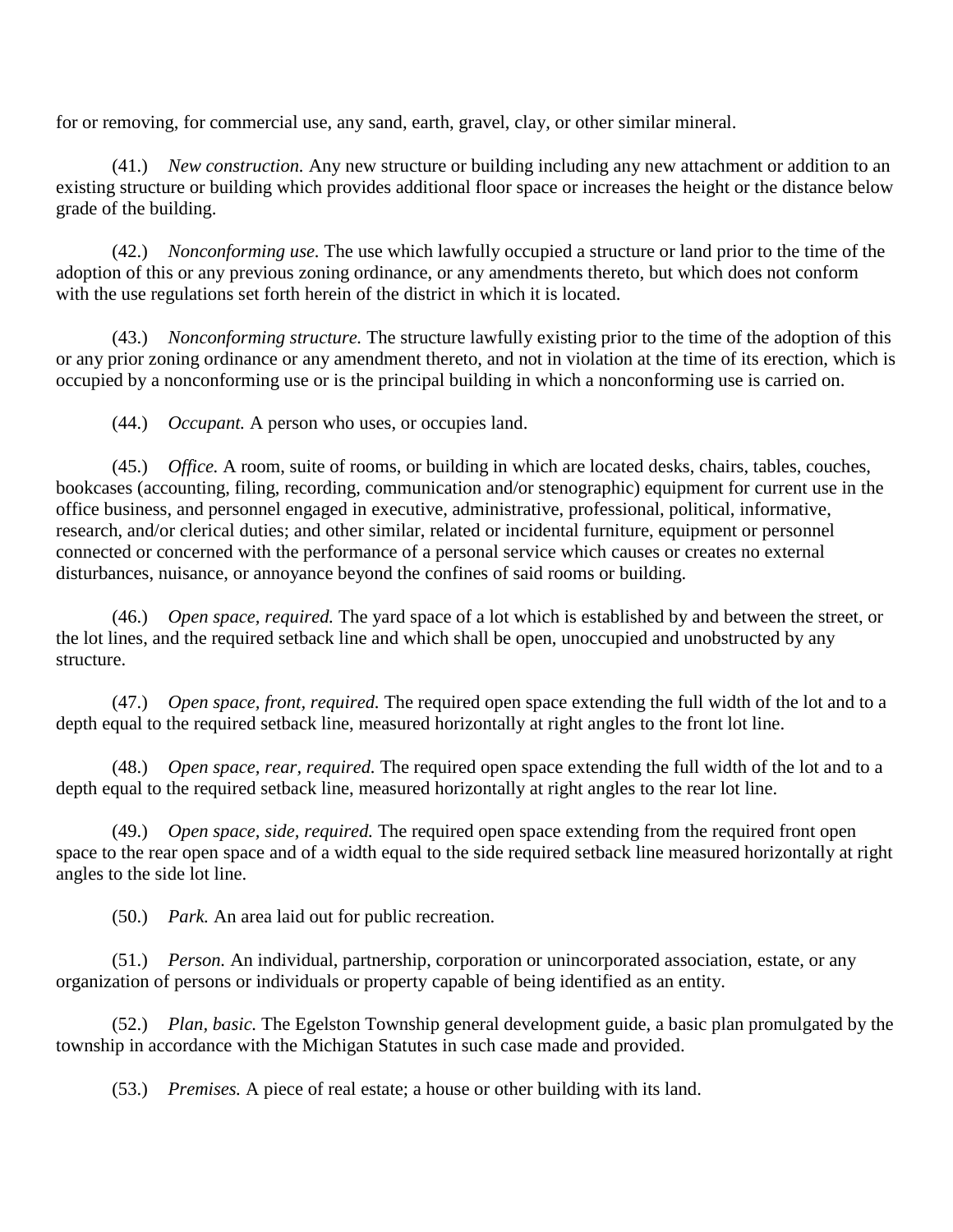for or removing, for commercial use, any sand, earth, gravel, clay, or other similar mineral.

(41.) *New construction.* Any new structure or building including any new attachment or addition to an existing structure or building which provides additional floor space or increases the height or the distance below grade of the building.

(42.) *Nonconforming use.* The use which lawfully occupied a structure or land prior to the time of the adoption of this or any previous zoning ordinance, or any amendments thereto, but which does not conform with the use regulations set forth herein of the district in which it is located.

(43.) *Nonconforming structure.* The structure lawfully existing prior to the time of the adoption of this or any prior zoning ordinance or any amendment thereto, and not in violation at the time of its erection, which is occupied by a nonconforming use or is the principal building in which a nonconforming use is carried on.

(44.) *Occupant.* A person who uses, or occupies land.

(45.) *Office.* A room, suite of rooms, or building in which are located desks, chairs, tables, couches, bookcases (accounting, filing, recording, communication and/or stenographic) equipment for current use in the office business, and personnel engaged in executive, administrative, professional, political, informative, research, and/or clerical duties; and other similar, related or incidental furniture, equipment or personnel connected or concerned with the performance of a personal service which causes or creates no external disturbances, nuisance, or annoyance beyond the confines of said rooms or building.

(46.) *Open space, required.* The yard space of a lot which is established by and between the street, or the lot lines, and the required setback line and which shall be open, unoccupied and unobstructed by any structure.

(47.) *Open space, front, required.* The required open space extending the full width of the lot and to a depth equal to the required setback line, measured horizontally at right angles to the front lot line.

(48.) *Open space, rear, required.* The required open space extending the full width of the lot and to a depth equal to the required setback line, measured horizontally at right angles to the rear lot line.

(49.) *Open space, side, required.* The required open space extending from the required front open space to the rear open space and of a width equal to the side required setback line measured horizontally at right angles to the side lot line.

(50.) *Park.* An area laid out for public recreation.

(51.) *Person.* An individual, partnership, corporation or unincorporated association, estate, or any organization of persons or individuals or property capable of being identified as an entity.

(52.) *Plan, basic.* The Egelston Township general development guide, a basic plan promulgated by the township in accordance with the Michigan Statutes in such case made and provided.

(53.) *Premises.* A piece of real estate; a house or other building with its land.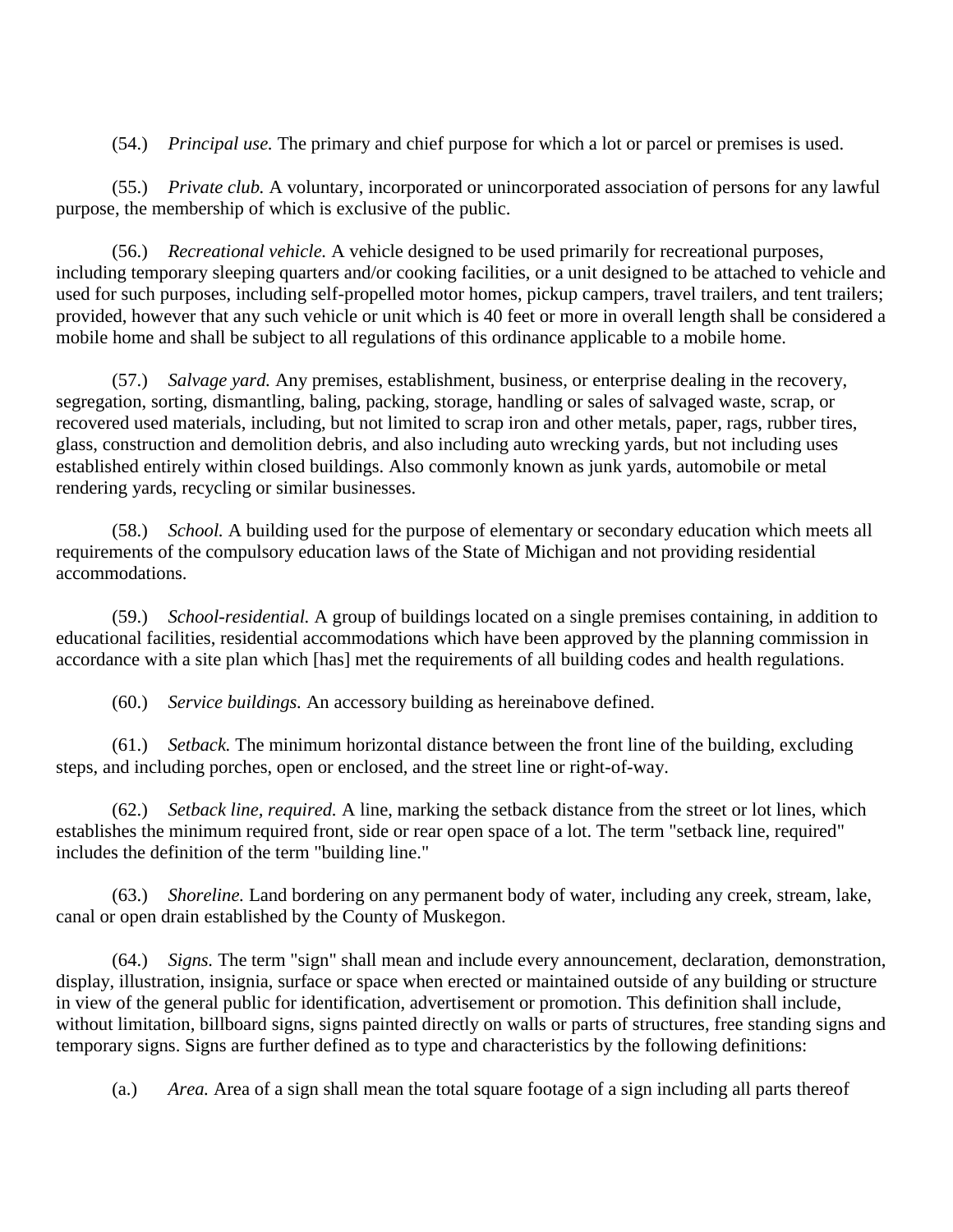(54.) *Principal use.* The primary and chief purpose for which a lot or parcel or premises is used.

(55.) *Private club.* A voluntary, incorporated or unincorporated association of persons for any lawful purpose, the membership of which is exclusive of the public.

(56.) *Recreational vehicle.* A vehicle designed to be used primarily for recreational purposes, including temporary sleeping quarters and/or cooking facilities, or a unit designed to be attached to vehicle and used for such purposes, including self-propelled motor homes, pickup campers, travel trailers, and tent trailers; provided, however that any such vehicle or unit which is 40 feet or more in overall length shall be considered a mobile home and shall be subject to all regulations of this ordinance applicable to a mobile home.

(57.) *Salvage yard.* Any premises, establishment, business, or enterprise dealing in the recovery, segregation, sorting, dismantling, baling, packing, storage, handling or sales of salvaged waste, scrap, or recovered used materials, including, but not limited to scrap iron and other metals, paper, rags, rubber tires, glass, construction and demolition debris, and also including auto wrecking yards, but not including uses established entirely within closed buildings. Also commonly known as junk yards, automobile or metal rendering yards, recycling or similar businesses.

(58.) *School.* A building used for the purpose of elementary or secondary education which meets all requirements of the compulsory education laws of the State of Michigan and not providing residential accommodations.

(59.) *School-residential.* A group of buildings located on a single premises containing, in addition to educational facilities, residential accommodations which have been approved by the planning commission in accordance with a site plan which [has] met the requirements of all building codes and health regulations.

(60.) *Service buildings.* An accessory building as hereinabove defined.

(61.) *Setback.* The minimum horizontal distance between the front line of the building, excluding steps, and including porches, open or enclosed, and the street line or right-of-way.

(62.) *Setback line, required.* A line, marking the setback distance from the street or lot lines, which establishes the minimum required front, side or rear open space of a lot. The term "setback line, required" includes the definition of the term "building line."

(63.) *Shoreline.* Land bordering on any permanent body of water, including any creek, stream, lake, canal or open drain established by the County of Muskegon.

(64.) *Signs.* The term "sign" shall mean and include every announcement, declaration, demonstration, display, illustration, insignia, surface or space when erected or maintained outside of any building or structure in view of the general public for identification, advertisement or promotion. This definition shall include, without limitation, billboard signs, signs painted directly on walls or parts of structures, free standing signs and temporary signs. Signs are further defined as to type and characteristics by the following definitions:

(a.) *Area.* Area of a sign shall mean the total square footage of a sign including all parts thereof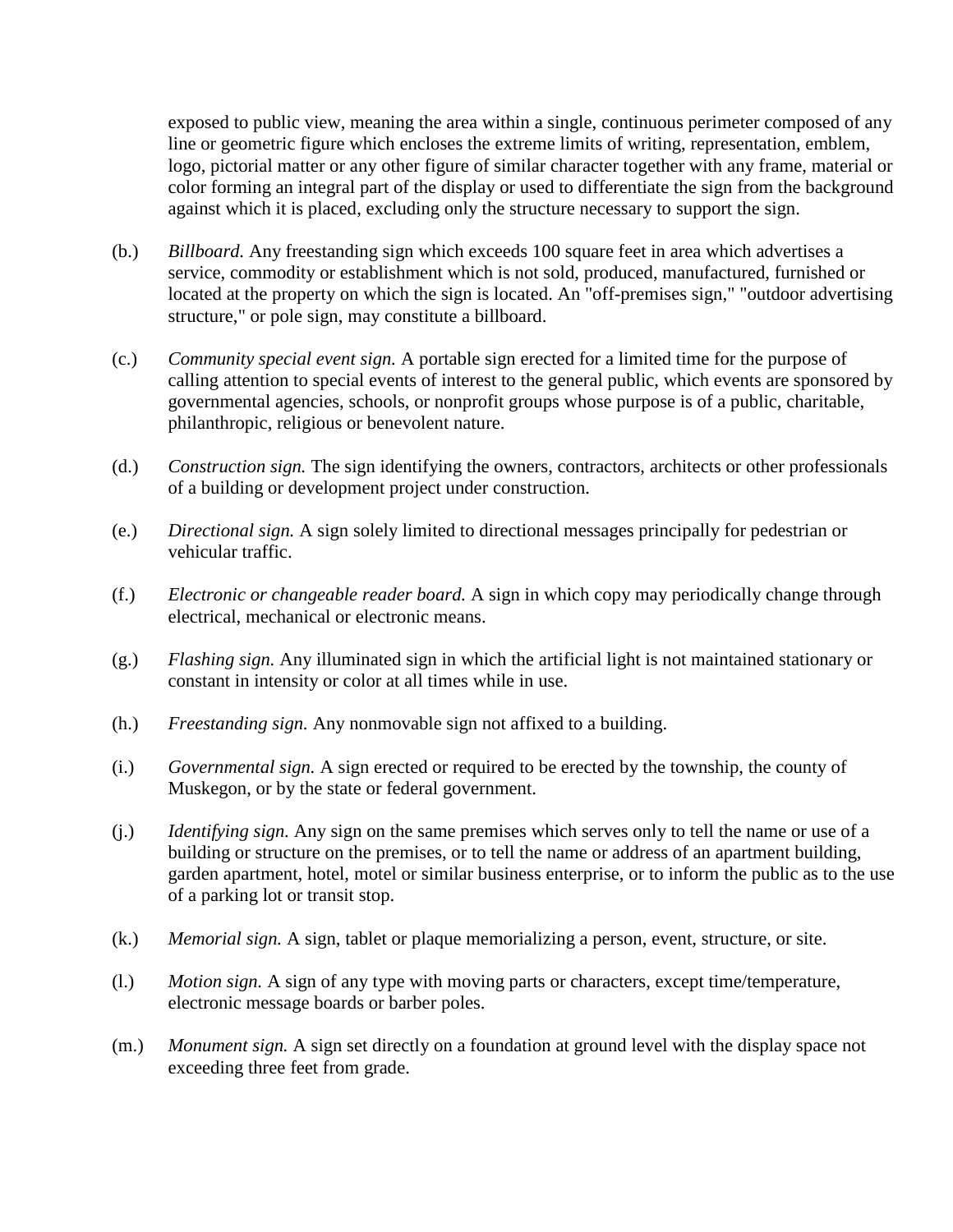exposed to public view, meaning the area within a single, continuous perimeter composed of any line or geometric figure which encloses the extreme limits of writing, representation, emblem, logo, pictorial matter or any other figure of similar character together with any frame, material or color forming an integral part of the display or used to differentiate the sign from the background against which it is placed, excluding only the structure necessary to support the sign.

- (b.) *Billboard.* Any freestanding sign which exceeds 100 square feet in area which advertises a service, commodity or establishment which is not sold, produced, manufactured, furnished or located at the property on which the sign is located. An "off-premises sign," "outdoor advertising structure," or pole sign, may constitute a billboard.
- (c.) *Community special event sign.* A portable sign erected for a limited time for the purpose of calling attention to special events of interest to the general public, which events are sponsored by governmental agencies, schools, or nonprofit groups whose purpose is of a public, charitable, philanthropic, religious or benevolent nature.
- (d.) *Construction sign.* The sign identifying the owners, contractors, architects or other professionals of a building or development project under construction.
- (e.) *Directional sign.* A sign solely limited to directional messages principally for pedestrian or vehicular traffic.
- (f.) *Electronic or changeable reader board.* A sign in which copy may periodically change through electrical, mechanical or electronic means.
- (g.) *Flashing sign.* Any illuminated sign in which the artificial light is not maintained stationary or constant in intensity or color at all times while in use.
- (h.) *Freestanding sign.* Any nonmovable sign not affixed to a building.
- (i.) *Governmental sign.* A sign erected or required to be erected by the township, the county of Muskegon, or by the state or federal government.
- (j.) *Identifying sign.* Any sign on the same premises which serves only to tell the name or use of a building or structure on the premises, or to tell the name or address of an apartment building, garden apartment, hotel, motel or similar business enterprise, or to inform the public as to the use of a parking lot or transit stop.
- (k.) *Memorial sign.* A sign, tablet or plaque memorializing a person, event, structure, or site.
- (l.) *Motion sign.* A sign of any type with moving parts or characters, except time/temperature, electronic message boards or barber poles.
- (m.) *Monument sign.* A sign set directly on a foundation at ground level with the display space not exceeding three feet from grade.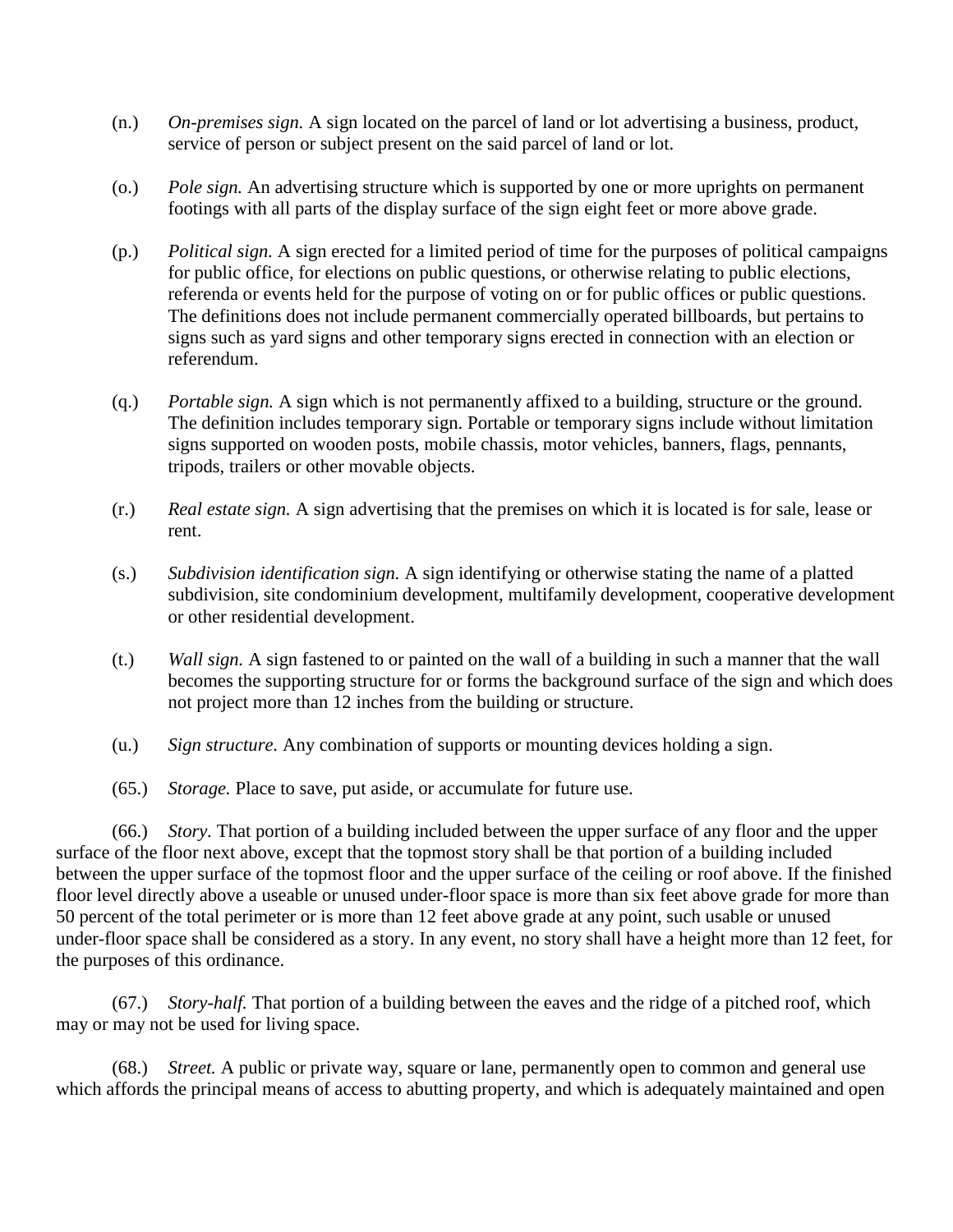- (n.) *On-premises sign.* A sign located on the parcel of land or lot advertising a business, product, service of person or subject present on the said parcel of land or lot.
- (o.) *Pole sign.* An advertising structure which is supported by one or more uprights on permanent footings with all parts of the display surface of the sign eight feet or more above grade.
- (p.) *Political sign.* A sign erected for a limited period of time for the purposes of political campaigns for public office, for elections on public questions, or otherwise relating to public elections, referenda or events held for the purpose of voting on or for public offices or public questions. The definitions does not include permanent commercially operated billboards, but pertains to signs such as yard signs and other temporary signs erected in connection with an election or referendum.
- (q.) *Portable sign.* A sign which is not permanently affixed to a building, structure or the ground. The definition includes temporary sign. Portable or temporary signs include without limitation signs supported on wooden posts, mobile chassis, motor vehicles, banners, flags, pennants, tripods, trailers or other movable objects.
- (r.) *Real estate sign.* A sign advertising that the premises on which it is located is for sale, lease or rent.
- (s.) *Subdivision identification sign.* A sign identifying or otherwise stating the name of a platted subdivision, site condominium development, multifamily development, cooperative development or other residential development.
- (t.) *Wall sign.* A sign fastened to or painted on the wall of a building in such a manner that the wall becomes the supporting structure for or forms the background surface of the sign and which does not project more than 12 inches from the building or structure.
- (u.) *Sign structure.* Any combination of supports or mounting devices holding a sign.
- (65.) *Storage.* Place to save, put aside, or accumulate for future use.

(66.) *Story.* That portion of a building included between the upper surface of any floor and the upper surface of the floor next above, except that the topmost story shall be that portion of a building included between the upper surface of the topmost floor and the upper surface of the ceiling or roof above. If the finished floor level directly above a useable or unused under-floor space is more than six feet above grade for more than 50 percent of the total perimeter or is more than 12 feet above grade at any point, such usable or unused under-floor space shall be considered as a story. In any event, no story shall have a height more than 12 feet, for the purposes of this ordinance.

(67.) *Story-half.* That portion of a building between the eaves and the ridge of a pitched roof, which may or may not be used for living space.

(68.) *Street.* A public or private way, square or lane, permanently open to common and general use which affords the principal means of access to abutting property, and which is adequately maintained and open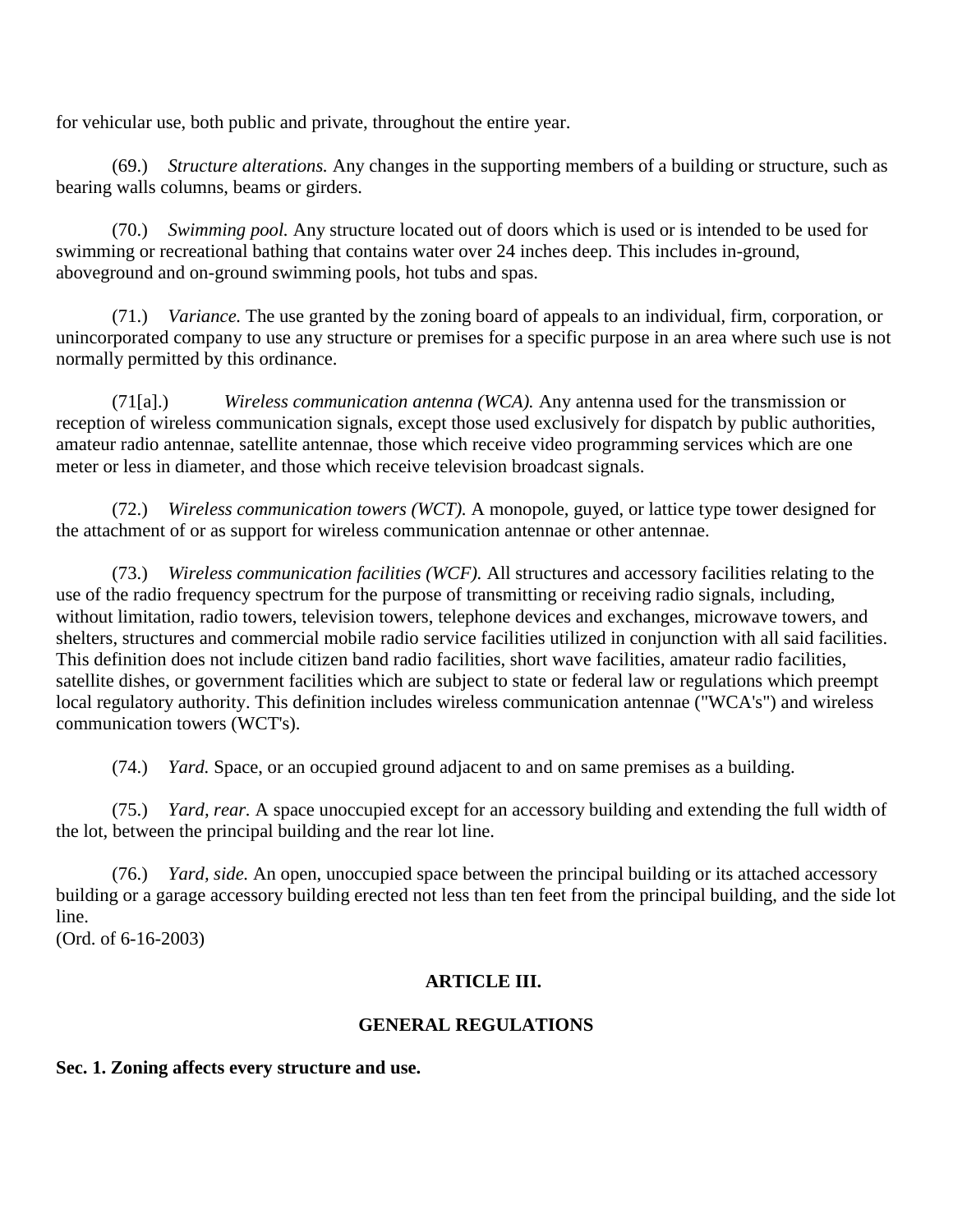for vehicular use, both public and private, throughout the entire year.

(69.) *Structure alterations.* Any changes in the supporting members of a building or structure, such as bearing walls columns, beams or girders.

(70.) *Swimming pool.* Any structure located out of doors which is used or is intended to be used for swimming or recreational bathing that contains water over 24 inches deep. This includes in-ground, aboveground and on-ground swimming pools, hot tubs and spas.

(71.) *Variance.* The use granted by the zoning board of appeals to an individual, firm, corporation, or unincorporated company to use any structure or premises for a specific purpose in an area where such use is not normally permitted by this ordinance.

(71[a].) *Wireless communication antenna (WCA).* Any antenna used for the transmission or reception of wireless communication signals, except those used exclusively for dispatch by public authorities, amateur radio antennae, satellite antennae, those which receive video programming services which are one meter or less in diameter, and those which receive television broadcast signals.

(72.) *Wireless communication towers (WCT).* A monopole, guyed, or lattice type tower designed for the attachment of or as support for wireless communication antennae or other antennae.

(73.) *Wireless communication facilities (WCF).* All structures and accessory facilities relating to the use of the radio frequency spectrum for the purpose of transmitting or receiving radio signals, including, without limitation, radio towers, television towers, telephone devices and exchanges, microwave towers, and shelters, structures and commercial mobile radio service facilities utilized in conjunction with all said facilities. This definition does not include citizen band radio facilities, short wave facilities, amateur radio facilities, satellite dishes, or government facilities which are subject to state or federal law or regulations which preempt local regulatory authority. This definition includes wireless communication antennae ("WCA's") and wireless communication towers (WCT's).

(74.) *Yard.* Space, or an occupied ground adjacent to and on same premises as a building.

(75.) *Yard, rear.* A space unoccupied except for an accessory building and extending the full width of the lot, between the principal building and the rear lot line.

(76.) *Yard, side.* An open, unoccupied space between the principal building or its attached accessory building or a garage accessory building erected not less than ten feet from the principal building, and the side lot line.

(Ord. of 6-16-2003)

# **ARTICLE III.**

# **GENERAL REGULATIONS**

**Sec. 1. Zoning affects every structure and use.**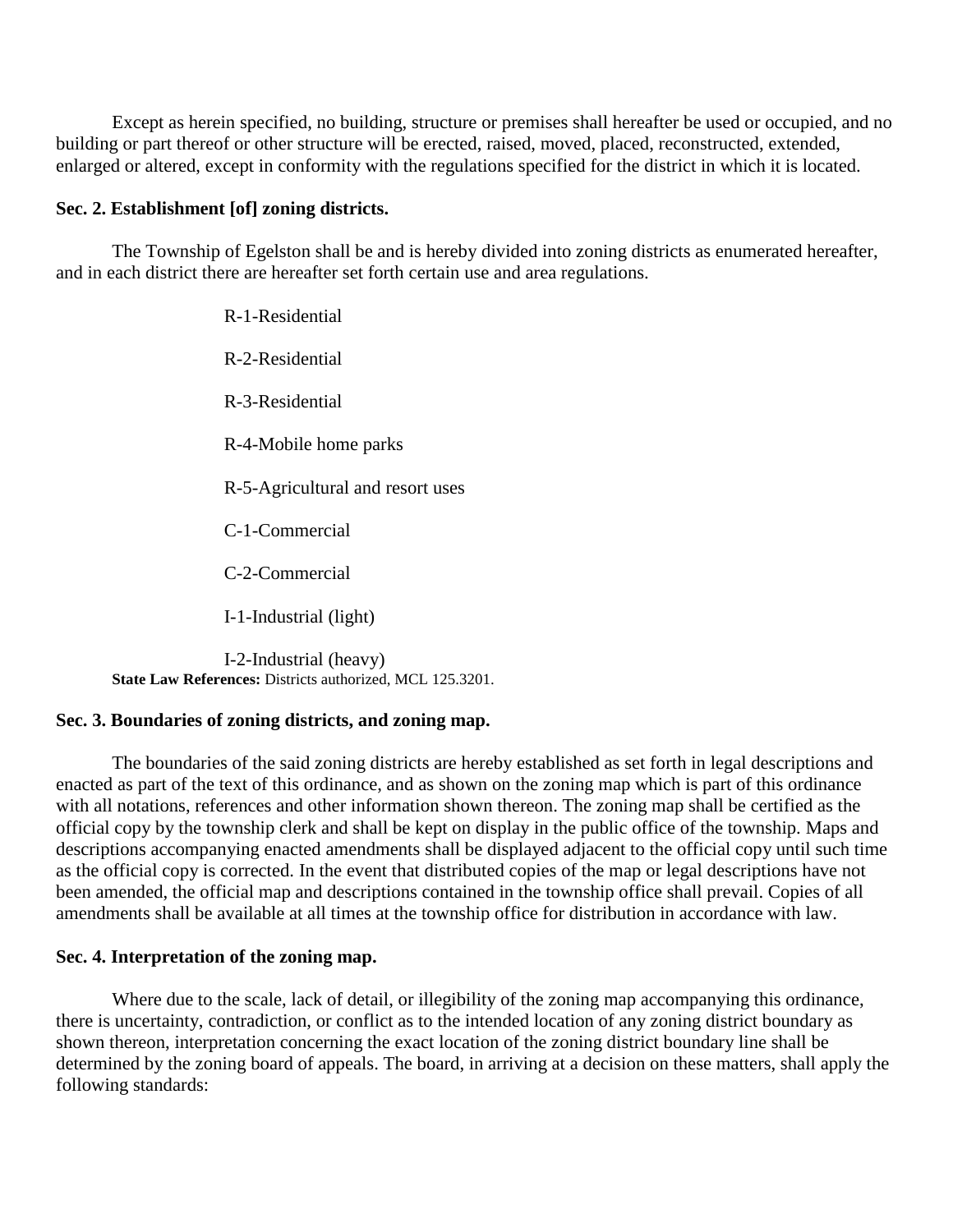Except as herein specified, no building, structure or premises shall hereafter be used or occupied, and no building or part thereof or other structure will be erected, raised, moved, placed, reconstructed, extended, enlarged or altered, except in conformity with the regulations specified for the district in which it is located.

## **Sec. 2. Establishment [of] zoning districts.**

The Township of Egelston shall be and is hereby divided into zoning districts as enumerated hereafter, and in each district there are hereafter set forth certain use and area regulations.

> R-1-Residential R-2-Residential R-3-Residential R-4-Mobile home parks R-5-Agricultural and resort uses C-1-Commercial C-2-Commercial I-1-Industrial (light)

I-2-Industrial (heavy) **State Law References:** Districts authorized, MCL 125.3201.

## **Sec. 3. Boundaries of zoning districts, and zoning map.**

The boundaries of the said zoning districts are hereby established as set forth in legal descriptions and enacted as part of the text of this ordinance, and as shown on the zoning map which is part of this ordinance with all notations, references and other information shown thereon. The zoning map shall be certified as the official copy by the township clerk and shall be kept on display in the public office of the township. Maps and descriptions accompanying enacted amendments shall be displayed adjacent to the official copy until such time as the official copy is corrected. In the event that distributed copies of the map or legal descriptions have not been amended, the official map and descriptions contained in the township office shall prevail. Copies of all amendments shall be available at all times at the township office for distribution in accordance with law.

#### **Sec. 4. Interpretation of the zoning map.**

Where due to the scale, lack of detail, or illegibility of the zoning map accompanying this ordinance, there is uncertainty, contradiction, or conflict as to the intended location of any zoning district boundary as shown thereon, interpretation concerning the exact location of the zoning district boundary line shall be determined by the zoning board of appeals. The board, in arriving at a decision on these matters, shall apply the following standards: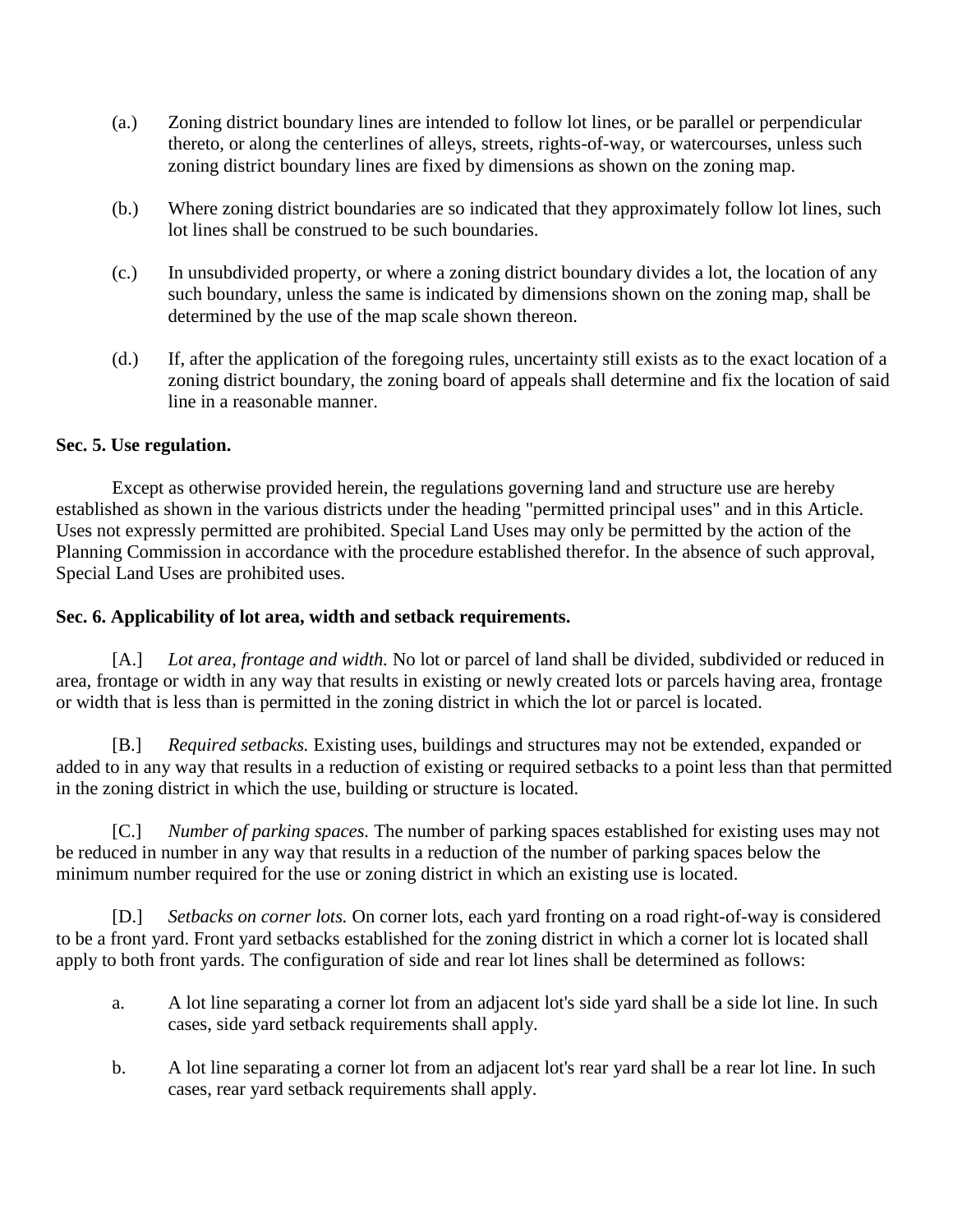- (a.) Zoning district boundary lines are intended to follow lot lines, or be parallel or perpendicular thereto, or along the centerlines of alleys, streets, rights-of-way, or watercourses, unless such zoning district boundary lines are fixed by dimensions as shown on the zoning map.
- (b.) Where zoning district boundaries are so indicated that they approximately follow lot lines, such lot lines shall be construed to be such boundaries.
- (c.) In unsubdivided property, or where a zoning district boundary divides a lot, the location of any such boundary, unless the same is indicated by dimensions shown on the zoning map, shall be determined by the use of the map scale shown thereon.
- (d.) If, after the application of the foregoing rules, uncertainty still exists as to the exact location of a zoning district boundary, the zoning board of appeals shall determine and fix the location of said line in a reasonable manner.

# **Sec. 5. Use regulation.**

Except as otherwise provided herein, the regulations governing land and structure use are hereby established as shown in the various districts under the heading "permitted principal uses" and in this Article. Uses not expressly permitted are prohibited. Special Land Uses may only be permitted by the action of the Planning Commission in accordance with the procedure established therefor. In the absence of such approval, Special Land Uses are prohibited uses.

# **Sec. 6. Applicability of lot area, width and setback requirements.**

[A.] *Lot area, frontage and width.* No lot or parcel of land shall be divided, subdivided or reduced in area, frontage or width in any way that results in existing or newly created lots or parcels having area, frontage or width that is less than is permitted in the zoning district in which the lot or parcel is located.

[B.] *Required setbacks.* Existing uses, buildings and structures may not be extended, expanded or added to in any way that results in a reduction of existing or required setbacks to a point less than that permitted in the zoning district in which the use, building or structure is located.

[C.] *Number of parking spaces.* The number of parking spaces established for existing uses may not be reduced in number in any way that results in a reduction of the number of parking spaces below the minimum number required for the use or zoning district in which an existing use is located.

[D.] *Setbacks on corner lots.* On corner lots, each yard fronting on a road right-of-way is considered to be a front yard. Front yard setbacks established for the zoning district in which a corner lot is located shall apply to both front yards. The configuration of side and rear lot lines shall be determined as follows:

- a. A lot line separating a corner lot from an adjacent lot's side yard shall be a side lot line. In such cases, side yard setback requirements shall apply.
- b. A lot line separating a corner lot from an adjacent lot's rear yard shall be a rear lot line. In such cases, rear yard setback requirements shall apply.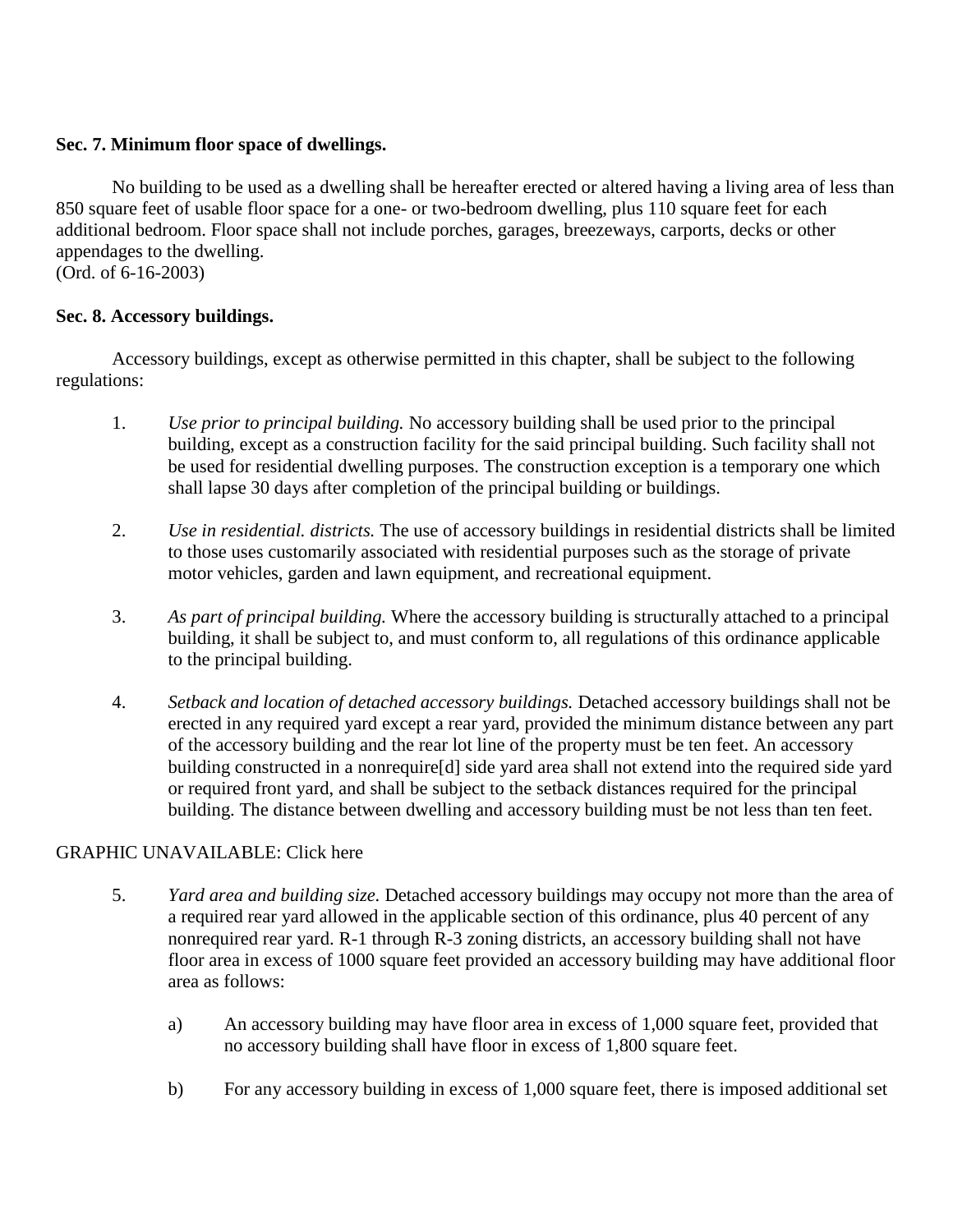# **Sec. 7. Minimum floor space of dwellings.**

No building to be used as a dwelling shall be hereafter erected or altered having a living area of less than 850 square feet of usable floor space for a one- or two-bedroom dwelling, plus 110 square feet for each additional bedroom. Floor space shall not include porches, garages, breezeways, carports, decks or other appendages to the dwelling.

(Ord. of 6-16-2003)

# **Sec. 8. Accessory buildings.**

Accessory buildings, except as otherwise permitted in this chapter, shall be subject to the following regulations:

- 1. *Use prior to principal building.* No accessory building shall be used prior to the principal building, except as a construction facility for the said principal building. Such facility shall not be used for residential dwelling purposes. The construction exception is a temporary one which shall lapse 30 days after completion of the principal building or buildings.
- 2. *Use in residential. districts.* The use of accessory buildings in residential districts shall be limited to those uses customarily associated with residential purposes such as the storage of private motor vehicles, garden and lawn equipment, and recreational equipment.
- 3. *As part of principal building.* Where the accessory building is structurally attached to a principal building, it shall be subject to, and must conform to, all regulations of this ordinance applicable to the principal building.
- 4. *Setback and location of detached accessory buildings.* Detached accessory buildings shall not be erected in any required yard except a rear yard, provided the minimum distance between any part of the accessory building and the rear lot line of the property must be ten feet. An accessory building constructed in a nonrequire[d] side yard area shall not extend into the required side yard or required front yard, and shall be subject to the setback distances required for the principal building. The distance between dwelling and accessory building must be not less than ten feet.

# GRAPHIC UNAVAILABLE: Click here

- 5. *Yard area and building size.* Detached accessory buildings may occupy not more than the area of a required rear yard allowed in the applicable section of this ordinance, plus 40 percent of any nonrequired rear yard. R-1 through R-3 zoning districts, an accessory building shall not have floor area in excess of 1000 square feet provided an accessory building may have additional floor area as follows:
	- a) An accessory building may have floor area in excess of 1,000 square feet, provided that no accessory building shall have floor in excess of 1,800 square feet.
	- b) For any accessory building in excess of 1,000 square feet, there is imposed additional set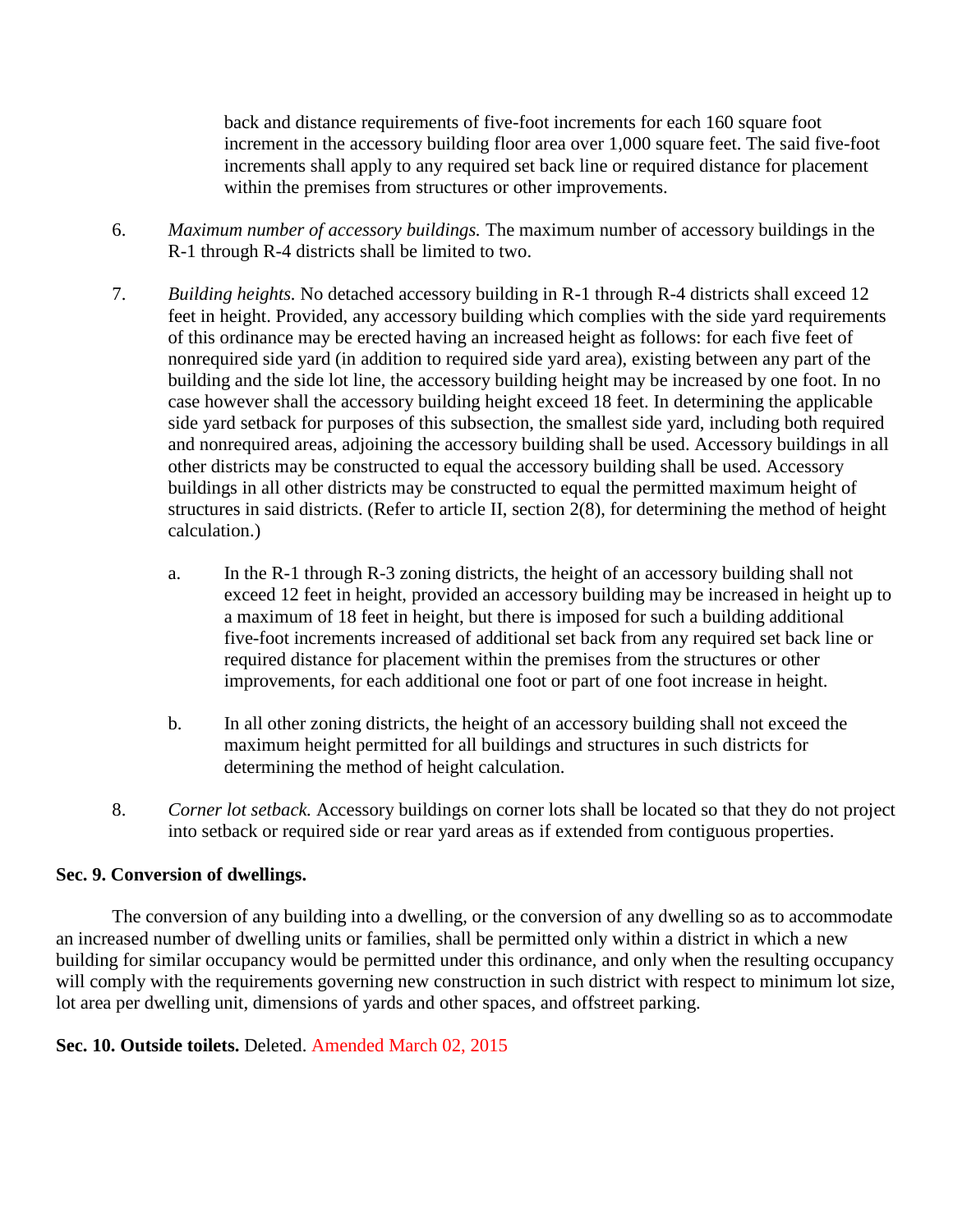back and distance requirements of five-foot increments for each 160 square foot increment in the accessory building floor area over 1,000 square feet. The said five-foot increments shall apply to any required set back line or required distance for placement within the premises from structures or other improvements.

- 6. *Maximum number of accessory buildings.* The maximum number of accessory buildings in the R-1 through R-4 districts shall be limited to two.
- 7. *Building heights.* No detached accessory building in R-1 through R-4 districts shall exceed 12 feet in height. Provided, any accessory building which complies with the side yard requirements of this ordinance may be erected having an increased height as follows: for each five feet of nonrequired side yard (in addition to required side yard area), existing between any part of the building and the side lot line, the accessory building height may be increased by one foot. In no case however shall the accessory building height exceed 18 feet. In determining the applicable side yard setback for purposes of this subsection, the smallest side yard, including both required and nonrequired areas, adjoining the accessory building shall be used. Accessory buildings in all other districts may be constructed to equal the accessory building shall be used. Accessory buildings in all other districts may be constructed to equal the permitted maximum height of structures in said districts. (Refer to article II, section 2(8), for determining the method of height calculation.)
	- a. In the R-1 through R-3 zoning districts, the height of an accessory building shall not exceed 12 feet in height, provided an accessory building may be increased in height up to a maximum of 18 feet in height, but there is imposed for such a building additional five-foot increments increased of additional set back from any required set back line or required distance for placement within the premises from the structures or other improvements, for each additional one foot or part of one foot increase in height.
	- b. In all other zoning districts, the height of an accessory building shall not exceed the maximum height permitted for all buildings and structures in such districts for determining the method of height calculation.
- 8. *Corner lot setback.* Accessory buildings on corner lots shall be located so that they do not project into setback or required side or rear yard areas as if extended from contiguous properties.

# **Sec. 9. Conversion of dwellings.**

The conversion of any building into a dwelling, or the conversion of any dwelling so as to accommodate an increased number of dwelling units or families, shall be permitted only within a district in which a new building for similar occupancy would be permitted under this ordinance, and only when the resulting occupancy will comply with the requirements governing new construction in such district with respect to minimum lot size, lot area per dwelling unit, dimensions of yards and other spaces, and offstreet parking.

# **Sec. 10. Outside toilets.** Deleted. Amended March 02, 2015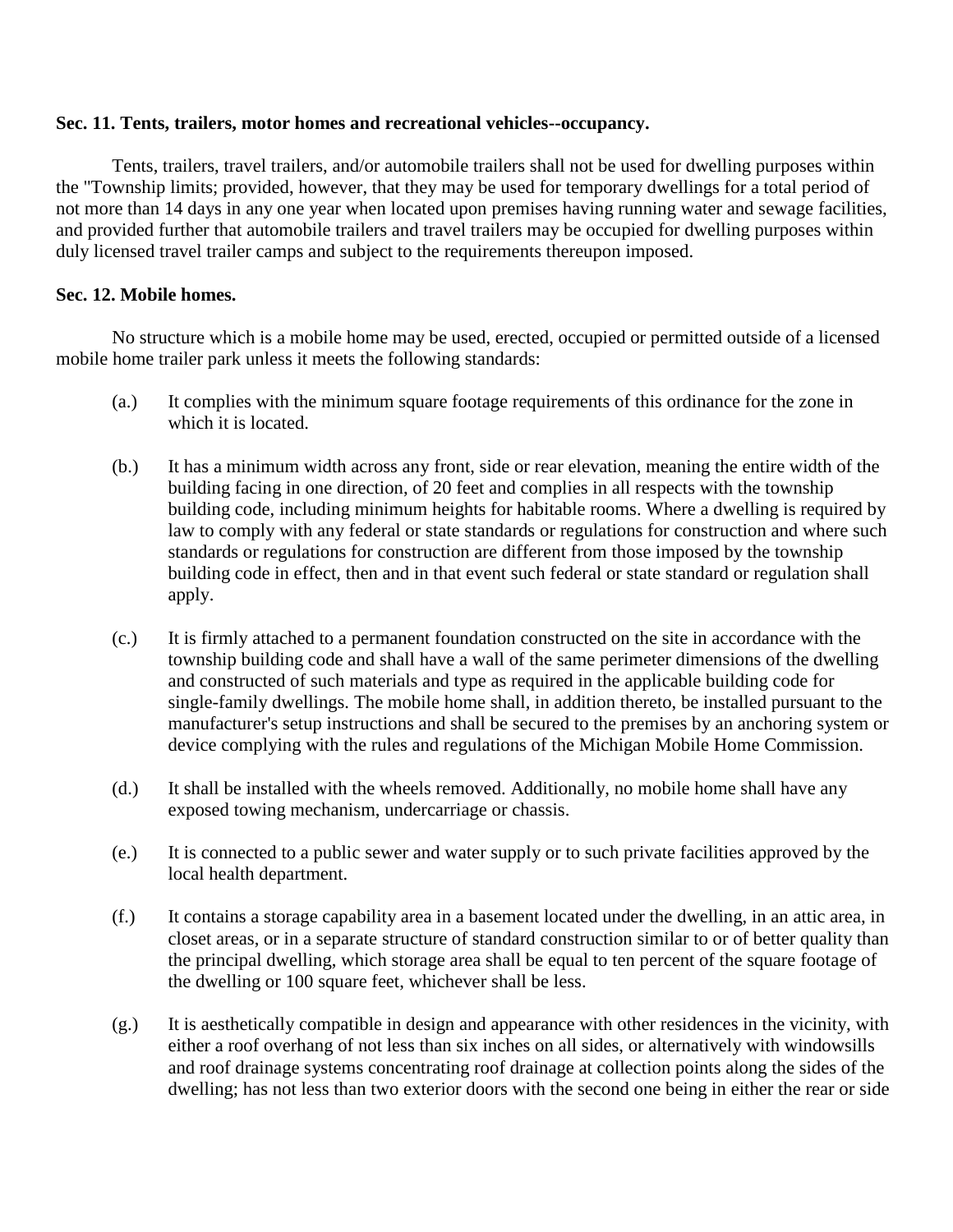## **Sec. 11. Tents, trailers, motor homes and recreational vehicles--occupancy.**

Tents, trailers, travel trailers, and/or automobile trailers shall not be used for dwelling purposes within the "Township limits; provided, however, that they may be used for temporary dwellings for a total period of not more than 14 days in any one year when located upon premises having running water and sewage facilities, and provided further that automobile trailers and travel trailers may be occupied for dwelling purposes within duly licensed travel trailer camps and subject to the requirements thereupon imposed.

# **Sec. 12. Mobile homes.**

No structure which is a mobile home may be used, erected, occupied or permitted outside of a licensed mobile home trailer park unless it meets the following standards:

- (a.) It complies with the minimum square footage requirements of this ordinance for the zone in which it is located.
- (b.) It has a minimum width across any front, side or rear elevation, meaning the entire width of the building facing in one direction, of 20 feet and complies in all respects with the township building code, including minimum heights for habitable rooms. Where a dwelling is required by law to comply with any federal or state standards or regulations for construction and where such standards or regulations for construction are different from those imposed by the township building code in effect, then and in that event such federal or state standard or regulation shall apply.
- (c.) It is firmly attached to a permanent foundation constructed on the site in accordance with the township building code and shall have a wall of the same perimeter dimensions of the dwelling and constructed of such materials and type as required in the applicable building code for single-family dwellings. The mobile home shall, in addition thereto, be installed pursuant to the manufacturer's setup instructions and shall be secured to the premises by an anchoring system or device complying with the rules and regulations of the Michigan Mobile Home Commission.
- (d.) It shall be installed with the wheels removed. Additionally, no mobile home shall have any exposed towing mechanism, undercarriage or chassis.
- (e.) It is connected to a public sewer and water supply or to such private facilities approved by the local health department.
- (f.) It contains a storage capability area in a basement located under the dwelling, in an attic area, in closet areas, or in a separate structure of standard construction similar to or of better quality than the principal dwelling, which storage area shall be equal to ten percent of the square footage of the dwelling or 100 square feet, whichever shall be less.
- (g.) It is aesthetically compatible in design and appearance with other residences in the vicinity, with either a roof overhang of not less than six inches on all sides, or alternatively with windowsills and roof drainage systems concentrating roof drainage at collection points along the sides of the dwelling; has not less than two exterior doors with the second one being in either the rear or side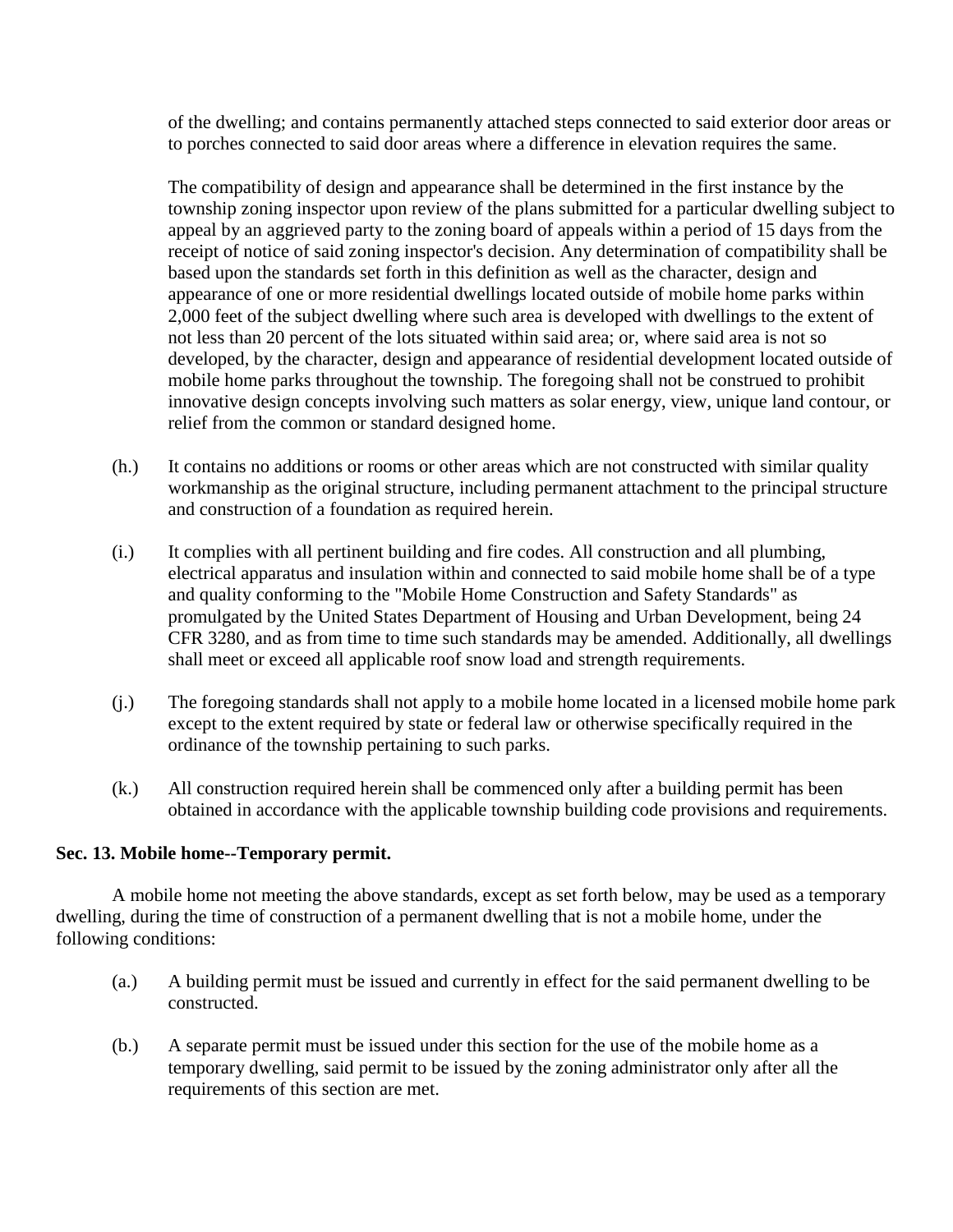of the dwelling; and contains permanently attached steps connected to said exterior door areas or to porches connected to said door areas where a difference in elevation requires the same.

The compatibility of design and appearance shall be determined in the first instance by the township zoning inspector upon review of the plans submitted for a particular dwelling subject to appeal by an aggrieved party to the zoning board of appeals within a period of 15 days from the receipt of notice of said zoning inspector's decision. Any determination of compatibility shall be based upon the standards set forth in this definition as well as the character, design and appearance of one or more residential dwellings located outside of mobile home parks within 2,000 feet of the subject dwelling where such area is developed with dwellings to the extent of not less than 20 percent of the lots situated within said area; or, where said area is not so developed, by the character, design and appearance of residential development located outside of mobile home parks throughout the township. The foregoing shall not be construed to prohibit innovative design concepts involving such matters as solar energy, view, unique land contour, or relief from the common or standard designed home.

- (h.) It contains no additions or rooms or other areas which are not constructed with similar quality workmanship as the original structure, including permanent attachment to the principal structure and construction of a foundation as required herein.
- (i.) It complies with all pertinent building and fire codes. All construction and all plumbing, electrical apparatus and insulation within and connected to said mobile home shall be of a type and quality conforming to the "Mobile Home Construction and Safety Standards" as promulgated by the United States Department of Housing and Urban Development, being 24 CFR 3280, and as from time to time such standards may be amended. Additionally, all dwellings shall meet or exceed all applicable roof snow load and strength requirements.
- (j.) The foregoing standards shall not apply to a mobile home located in a licensed mobile home park except to the extent required by state or federal law or otherwise specifically required in the ordinance of the township pertaining to such parks.
- (k.) All construction required herein shall be commenced only after a building permit has been obtained in accordance with the applicable township building code provisions and requirements.

# **Sec. 13. Mobile home--Temporary permit.**

A mobile home not meeting the above standards, except as set forth below, may be used as a temporary dwelling, during the time of construction of a permanent dwelling that is not a mobile home, under the following conditions:

- (a.) A building permit must be issued and currently in effect for the said permanent dwelling to be constructed.
- (b.) A separate permit must be issued under this section for the use of the mobile home as a temporary dwelling, said permit to be issued by the zoning administrator only after all the requirements of this section are met.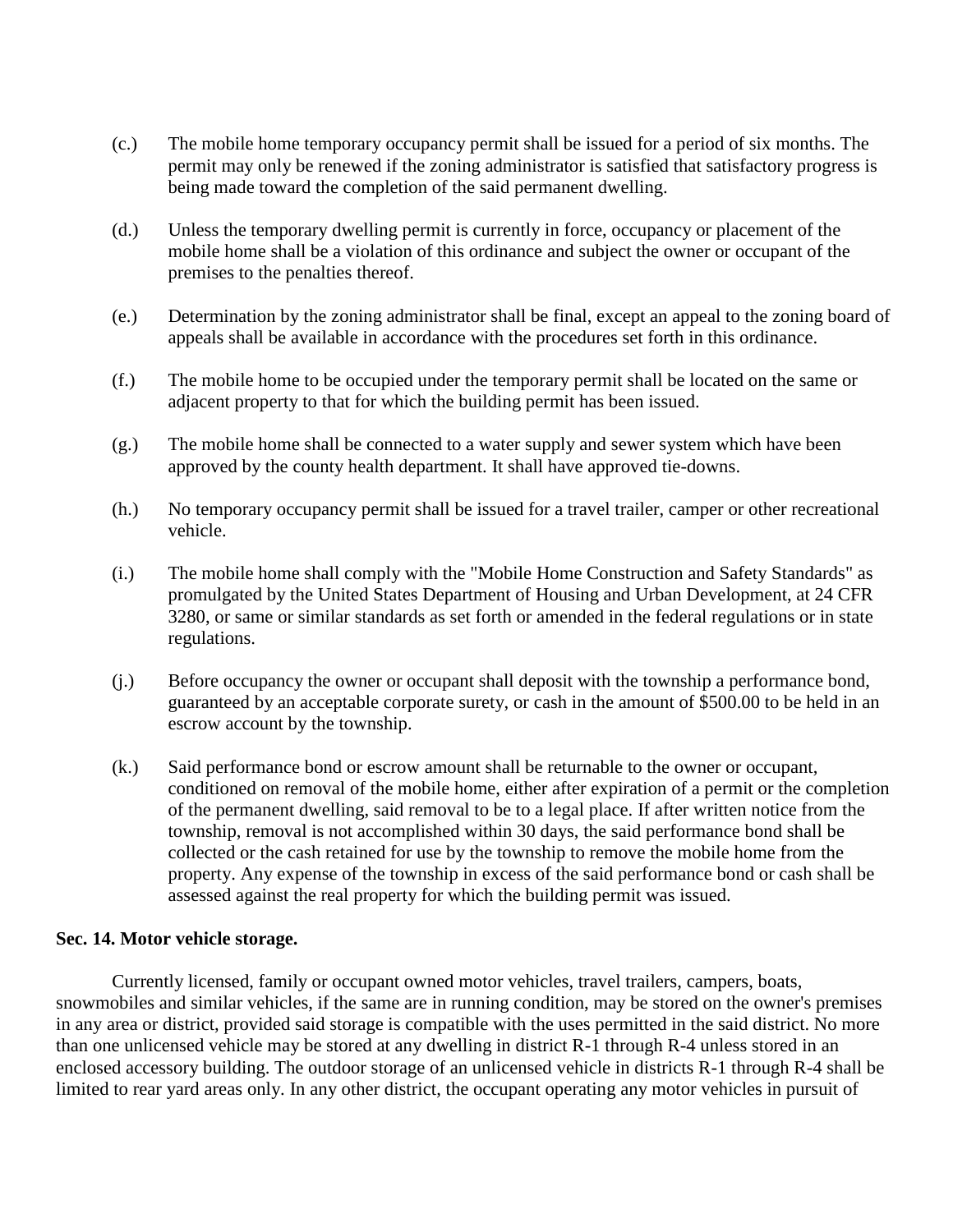- (c.) The mobile home temporary occupancy permit shall be issued for a period of six months. The permit may only be renewed if the zoning administrator is satisfied that satisfactory progress is being made toward the completion of the said permanent dwelling.
- (d.) Unless the temporary dwelling permit is currently in force, occupancy or placement of the mobile home shall be a violation of this ordinance and subject the owner or occupant of the premises to the penalties thereof.
- (e.) Determination by the zoning administrator shall be final, except an appeal to the zoning board of appeals shall be available in accordance with the procedures set forth in this ordinance.
- (f.) The mobile home to be occupied under the temporary permit shall be located on the same or adjacent property to that for which the building permit has been issued.
- (g.) The mobile home shall be connected to a water supply and sewer system which have been approved by the county health department. It shall have approved tie-downs.
- (h.) No temporary occupancy permit shall be issued for a travel trailer, camper or other recreational vehicle.
- (i.) The mobile home shall comply with the "Mobile Home Construction and Safety Standards" as promulgated by the United States Department of Housing and Urban Development, at 24 CFR 3280, or same or similar standards as set forth or amended in the federal regulations or in state regulations.
- (j.) Before occupancy the owner or occupant shall deposit with the township a performance bond, guaranteed by an acceptable corporate surety, or cash in the amount of \$500.00 to be held in an escrow account by the township.
- (k.) Said performance bond or escrow amount shall be returnable to the owner or occupant, conditioned on removal of the mobile home, either after expiration of a permit or the completion of the permanent dwelling, said removal to be to a legal place. If after written notice from the township, removal is not accomplished within 30 days, the said performance bond shall be collected or the cash retained for use by the township to remove the mobile home from the property. Any expense of the township in excess of the said performance bond or cash shall be assessed against the real property for which the building permit was issued.

## **Sec. 14. Motor vehicle storage.**

Currently licensed, family or occupant owned motor vehicles, travel trailers, campers, boats, snowmobiles and similar vehicles, if the same are in running condition, may be stored on the owner's premises in any area or district, provided said storage is compatible with the uses permitted in the said district. No more than one unlicensed vehicle may be stored at any dwelling in district R-1 through R-4 unless stored in an enclosed accessory building. The outdoor storage of an unlicensed vehicle in districts R-1 through R-4 shall be limited to rear yard areas only. In any other district, the occupant operating any motor vehicles in pursuit of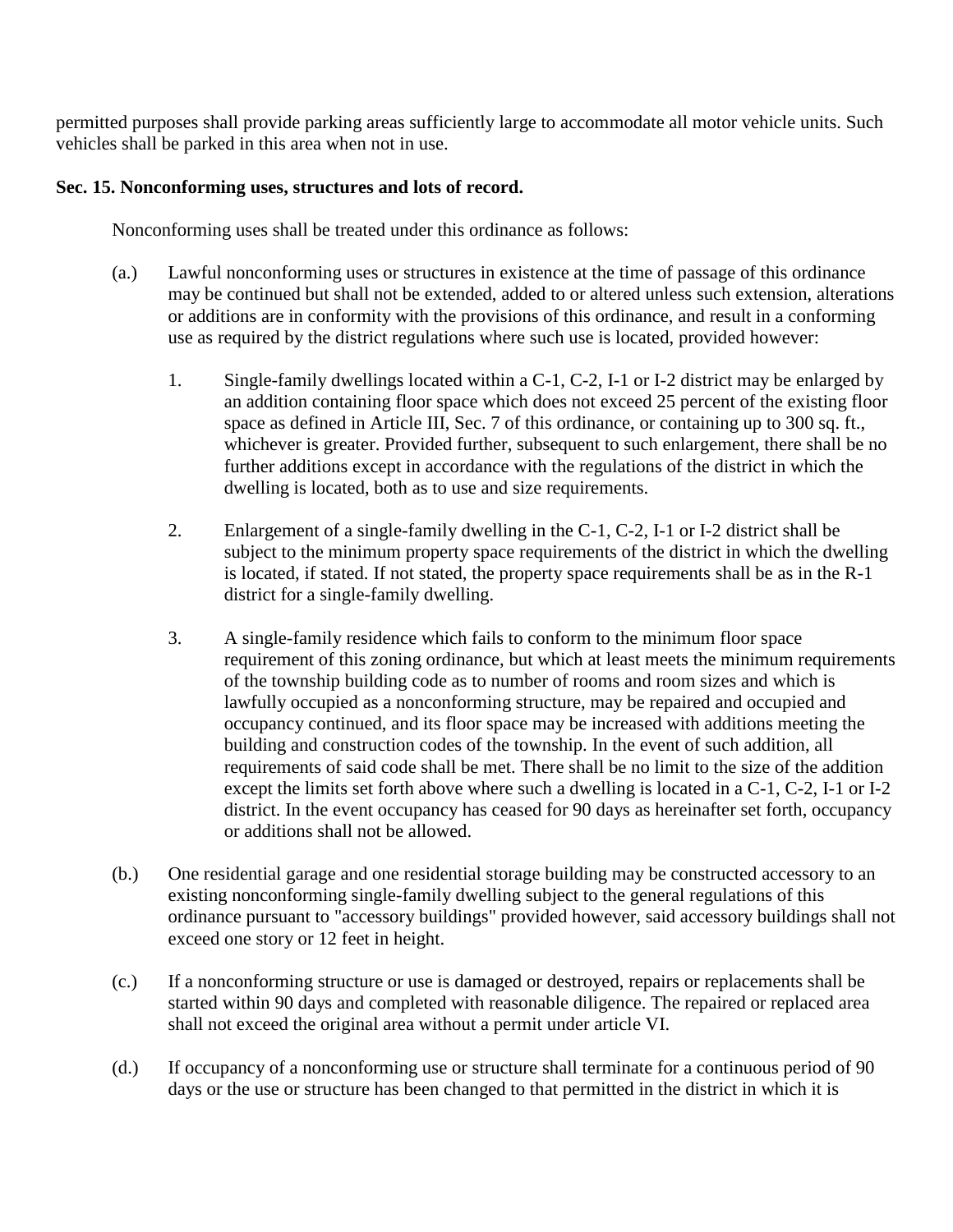permitted purposes shall provide parking areas sufficiently large to accommodate all motor vehicle units. Such vehicles shall be parked in this area when not in use.

# **Sec. 15. Nonconforming uses, structures and lots of record.**

Nonconforming uses shall be treated under this ordinance as follows:

- (a.) Lawful nonconforming uses or structures in existence at the time of passage of this ordinance may be continued but shall not be extended, added to or altered unless such extension, alterations or additions are in conformity with the provisions of this ordinance, and result in a conforming use as required by the district regulations where such use is located, provided however:
	- 1. Single-family dwellings located within a C-1, C-2, I-1 or I-2 district may be enlarged by an addition containing floor space which does not exceed 25 percent of the existing floor space as defined in Article III, Sec. 7 of this ordinance, or containing up to 300 sq. ft., whichever is greater. Provided further, subsequent to such enlargement, there shall be no further additions except in accordance with the regulations of the district in which the dwelling is located, both as to use and size requirements.
	- 2. Enlargement of a single-family dwelling in the C-1, C-2, I-1 or I-2 district shall be subject to the minimum property space requirements of the district in which the dwelling is located, if stated. If not stated, the property space requirements shall be as in the R-1 district for a single-family dwelling.
	- 3. A single-family residence which fails to conform to the minimum floor space requirement of this zoning ordinance, but which at least meets the minimum requirements of the township building code as to number of rooms and room sizes and which is lawfully occupied as a nonconforming structure, may be repaired and occupied and occupancy continued, and its floor space may be increased with additions meeting the building and construction codes of the township. In the event of such addition, all requirements of said code shall be met. There shall be no limit to the size of the addition except the limits set forth above where such a dwelling is located in a C-1, C-2, I-1 or I-2 district. In the event occupancy has ceased for 90 days as hereinafter set forth, occupancy or additions shall not be allowed.
- (b.) One residential garage and one residential storage building may be constructed accessory to an existing nonconforming single-family dwelling subject to the general regulations of this ordinance pursuant to "accessory buildings" provided however, said accessory buildings shall not exceed one story or 12 feet in height.
- (c.) If a nonconforming structure or use is damaged or destroyed, repairs or replacements shall be started within 90 days and completed with reasonable diligence. The repaired or replaced area shall not exceed the original area without a permit under article VI.
- (d.) If occupancy of a nonconforming use or structure shall terminate for a continuous period of 90 days or the use or structure has been changed to that permitted in the district in which it is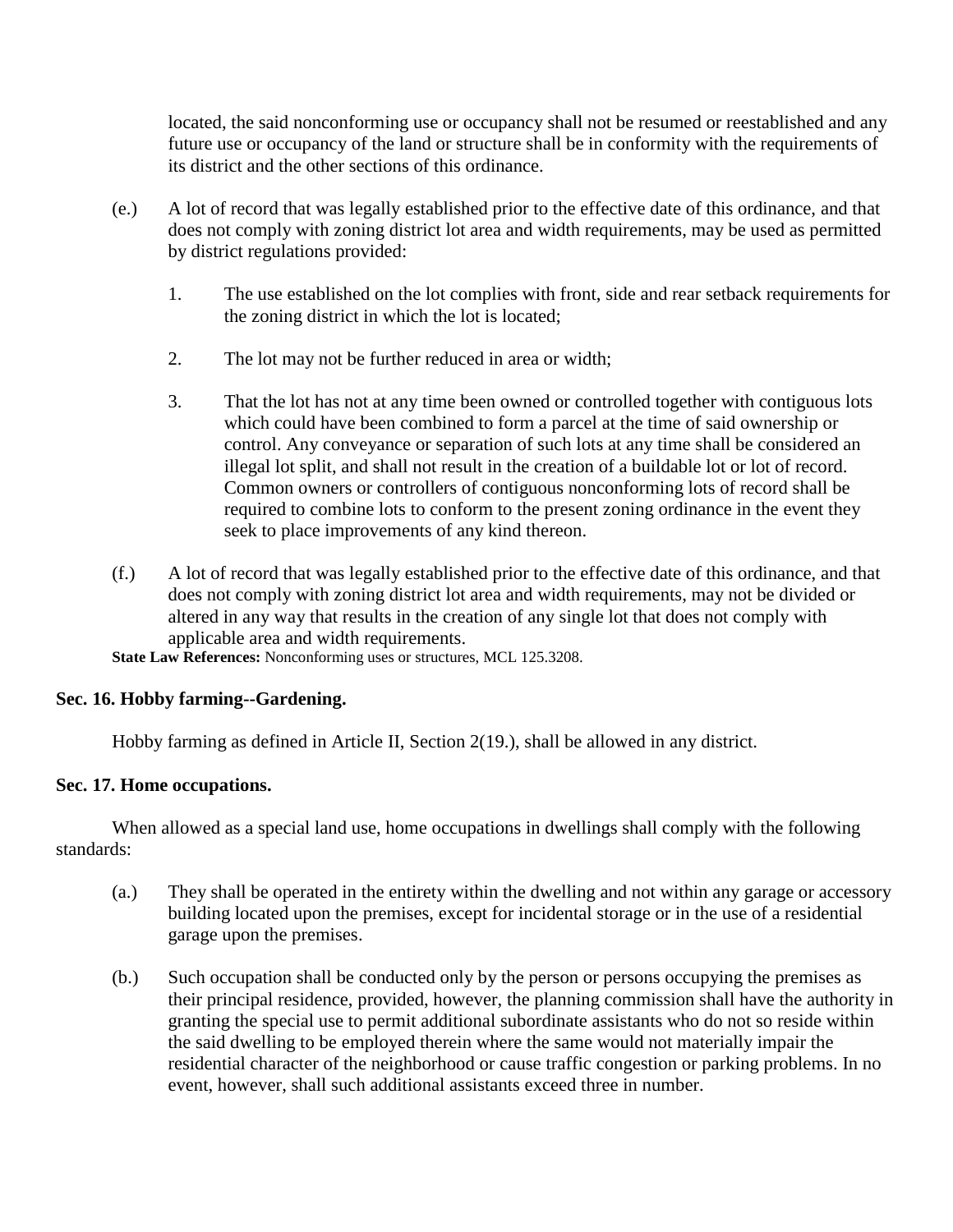located, the said nonconforming use or occupancy shall not be resumed or reestablished and any future use or occupancy of the land or structure shall be in conformity with the requirements of its district and the other sections of this ordinance.

- (e.) A lot of record that was legally established prior to the effective date of this ordinance, and that does not comply with zoning district lot area and width requirements, may be used as permitted by district regulations provided:
	- 1. The use established on the lot complies with front, side and rear setback requirements for the zoning district in which the lot is located;
	- 2. The lot may not be further reduced in area or width;
	- 3. That the lot has not at any time been owned or controlled together with contiguous lots which could have been combined to form a parcel at the time of said ownership or control. Any conveyance or separation of such lots at any time shall be considered an illegal lot split, and shall not result in the creation of a buildable lot or lot of record. Common owners or controllers of contiguous nonconforming lots of record shall be required to combine lots to conform to the present zoning ordinance in the event they seek to place improvements of any kind thereon.
- (f.) A lot of record that was legally established prior to the effective date of this ordinance, and that does not comply with zoning district lot area and width requirements, may not be divided or altered in any way that results in the creation of any single lot that does not comply with applicable area and width requirements.

**State Law References:** Nonconforming uses or structures, MCL 125.3208.

# **Sec. 16. Hobby farming--Gardening.**

Hobby farming as defined in Article II, Section 2(19.), shall be allowed in any district.

# **Sec. 17. Home occupations.**

When allowed as a special land use, home occupations in dwellings shall comply with the following standards:

- (a.) They shall be operated in the entirety within the dwelling and not within any garage or accessory building located upon the premises, except for incidental storage or in the use of a residential garage upon the premises.
- (b.) Such occupation shall be conducted only by the person or persons occupying the premises as their principal residence, provided, however, the planning commission shall have the authority in granting the special use to permit additional subordinate assistants who do not so reside within the said dwelling to be employed therein where the same would not materially impair the residential character of the neighborhood or cause traffic congestion or parking problems. In no event, however, shall such additional assistants exceed three in number.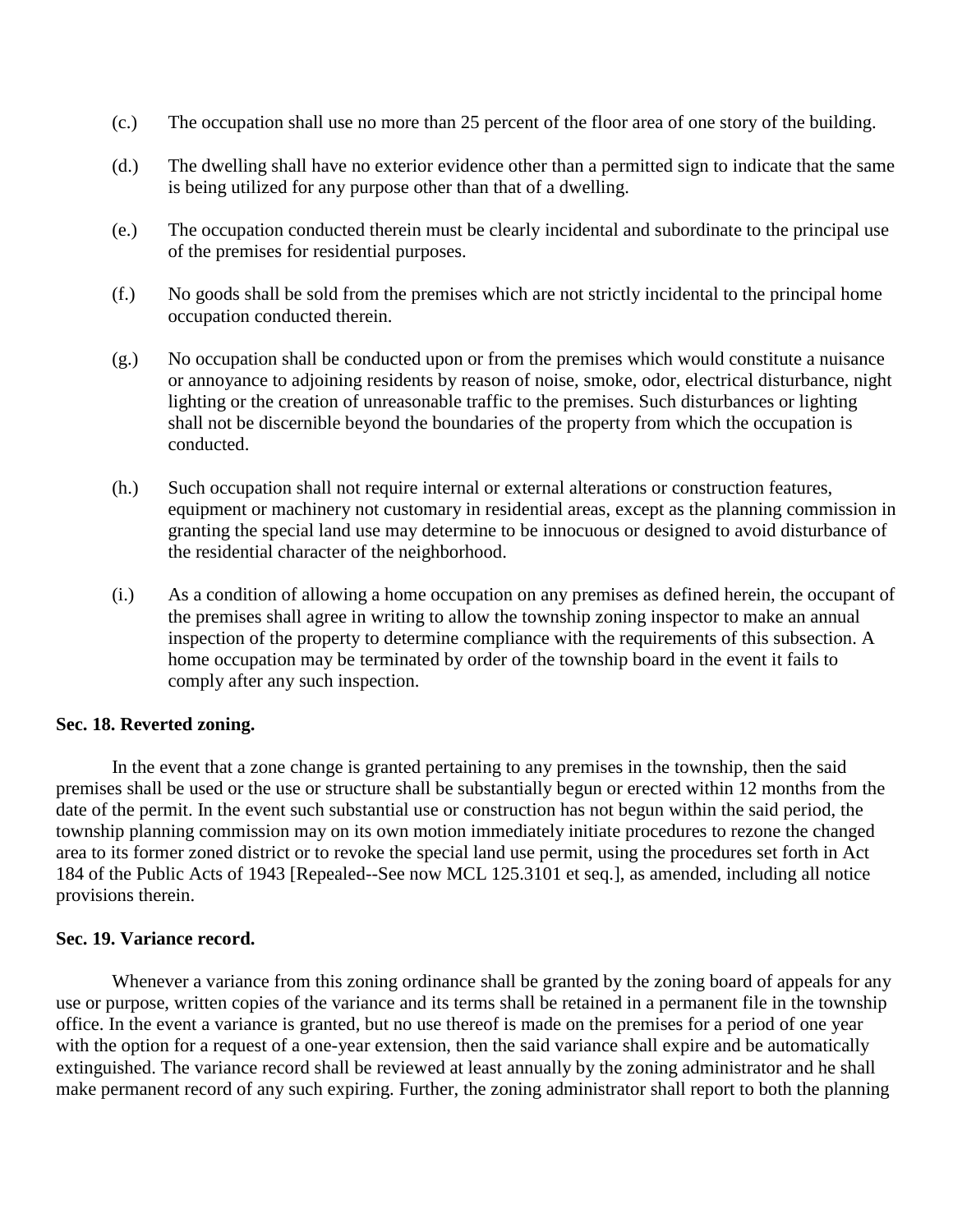- (c.) The occupation shall use no more than 25 percent of the floor area of one story of the building.
- (d.) The dwelling shall have no exterior evidence other than a permitted sign to indicate that the same is being utilized for any purpose other than that of a dwelling.
- (e.) The occupation conducted therein must be clearly incidental and subordinate to the principal use of the premises for residential purposes.
- (f.) No goods shall be sold from the premises which are not strictly incidental to the principal home occupation conducted therein.
- (g.) No occupation shall be conducted upon or from the premises which would constitute a nuisance or annoyance to adjoining residents by reason of noise, smoke, odor, electrical disturbance, night lighting or the creation of unreasonable traffic to the premises. Such disturbances or lighting shall not be discernible beyond the boundaries of the property from which the occupation is conducted.
- (h.) Such occupation shall not require internal or external alterations or construction features, equipment or machinery not customary in residential areas, except as the planning commission in granting the special land use may determine to be innocuous or designed to avoid disturbance of the residential character of the neighborhood.
- (i.) As a condition of allowing a home occupation on any premises as defined herein, the occupant of the premises shall agree in writing to allow the township zoning inspector to make an annual inspection of the property to determine compliance with the requirements of this subsection. A home occupation may be terminated by order of the township board in the event it fails to comply after any such inspection.

# **Sec. 18. Reverted zoning.**

In the event that a zone change is granted pertaining to any premises in the township, then the said premises shall be used or the use or structure shall be substantially begun or erected within 12 months from the date of the permit. In the event such substantial use or construction has not begun within the said period, the township planning commission may on its own motion immediately initiate procedures to rezone the changed area to its former zoned district or to revoke the special land use permit, using the procedures set forth in Act 184 of the Public Acts of 1943 [Repealed--See now MCL 125.3101 et seq.], as amended, including all notice provisions therein.

## **Sec. 19. Variance record.**

Whenever a variance from this zoning ordinance shall be granted by the zoning board of appeals for any use or purpose, written copies of the variance and its terms shall be retained in a permanent file in the township office. In the event a variance is granted, but no use thereof is made on the premises for a period of one year with the option for a request of a one-year extension, then the said variance shall expire and be automatically extinguished. The variance record shall be reviewed at least annually by the zoning administrator and he shall make permanent record of any such expiring. Further, the zoning administrator shall report to both the planning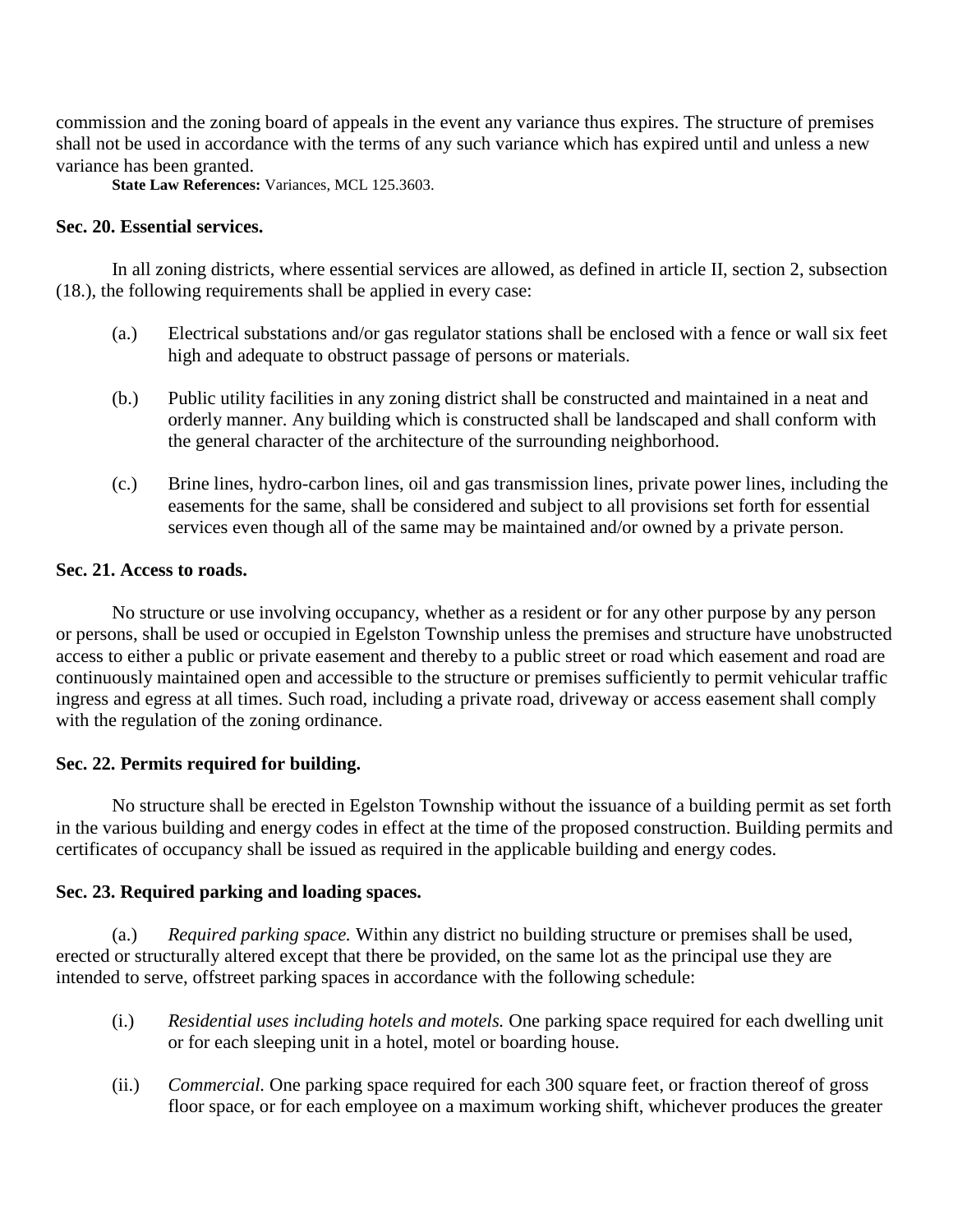commission and the zoning board of appeals in the event any variance thus expires. The structure of premises shall not be used in accordance with the terms of any such variance which has expired until and unless a new variance has been granted.

**State Law References:** Variances, MCL 125.3603.

# **Sec. 20. Essential services.**

In all zoning districts, where essential services are allowed, as defined in article II, section 2, subsection (18.), the following requirements shall be applied in every case:

- (a.) Electrical substations and/or gas regulator stations shall be enclosed with a fence or wall six feet high and adequate to obstruct passage of persons or materials.
- (b.) Public utility facilities in any zoning district shall be constructed and maintained in a neat and orderly manner. Any building which is constructed shall be landscaped and shall conform with the general character of the architecture of the surrounding neighborhood.
- (c.) Brine lines, hydro-carbon lines, oil and gas transmission lines, private power lines, including the easements for the same, shall be considered and subject to all provisions set forth for essential services even though all of the same may be maintained and/or owned by a private person.

# **Sec. 21. Access to roads.**

No structure or use involving occupancy, whether as a resident or for any other purpose by any person or persons, shall be used or occupied in Egelston Township unless the premises and structure have unobstructed access to either a public or private easement and thereby to a public street or road which easement and road are continuously maintained open and accessible to the structure or premises sufficiently to permit vehicular traffic ingress and egress at all times. Such road, including a private road, driveway or access easement shall comply with the regulation of the zoning ordinance.

# **Sec. 22. Permits required for building.**

No structure shall be erected in Egelston Township without the issuance of a building permit as set forth in the various building and energy codes in effect at the time of the proposed construction. Building permits and certificates of occupancy shall be issued as required in the applicable building and energy codes.

# **Sec. 23. Required parking and loading spaces.**

(a.) *Required parking space.* Within any district no building structure or premises shall be used, erected or structurally altered except that there be provided, on the same lot as the principal use they are intended to serve, offstreet parking spaces in accordance with the following schedule:

- (i.) *Residential uses including hotels and motels.* One parking space required for each dwelling unit or for each sleeping unit in a hotel, motel or boarding house.
- (ii.) *Commercial.* One parking space required for each 300 square feet, or fraction thereof of gross floor space, or for each employee on a maximum working shift, whichever produces the greater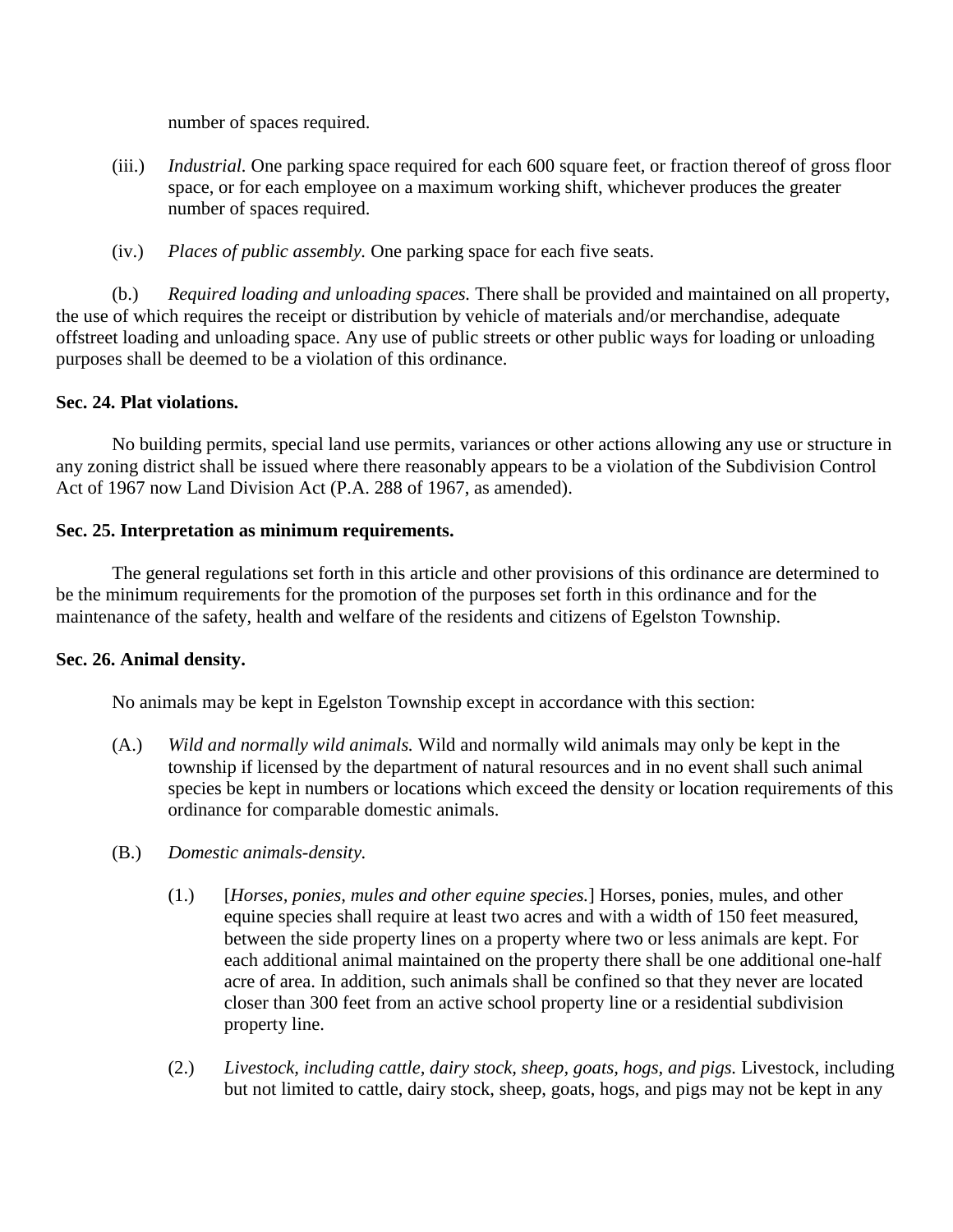number of spaces required.

- (iii.) *Industrial.* One parking space required for each 600 square feet, or fraction thereof of gross floor space, or for each employee on a maximum working shift, whichever produces the greater number of spaces required.
- (iv.) *Places of public assembly.* One parking space for each five seats.

(b.) *Required loading and unloading spaces.* There shall be provided and maintained on all property, the use of which requires the receipt or distribution by vehicle of materials and/or merchandise, adequate offstreet loading and unloading space. Any use of public streets or other public ways for loading or unloading purposes shall be deemed to be a violation of this ordinance.

# **Sec. 24. Plat violations.**

No building permits, special land use permits, variances or other actions allowing any use or structure in any zoning district shall be issued where there reasonably appears to be a violation of the Subdivision Control Act of 1967 now Land Division Act (P.A. 288 of 1967, as amended).

# **Sec. 25. Interpretation as minimum requirements.**

The general regulations set forth in this article and other provisions of this ordinance are determined to be the minimum requirements for the promotion of the purposes set forth in this ordinance and for the maintenance of the safety, health and welfare of the residents and citizens of Egelston Township.

# **Sec. 26. Animal density.**

No animals may be kept in Egelston Township except in accordance with this section:

- (A.) *Wild and normally wild animals.* Wild and normally wild animals may only be kept in the township if licensed by the department of natural resources and in no event shall such animal species be kept in numbers or locations which exceed the density or location requirements of this ordinance for comparable domestic animals.
- (B.) *Domestic animals-density.*
	- (1.) [*Horses, ponies, mules and other equine species.*] Horses, ponies, mules, and other equine species shall require at least two acres and with a width of 150 feet measured, between the side property lines on a property where two or less animals are kept. For each additional animal maintained on the property there shall be one additional one-half acre of area. In addition, such animals shall be confined so that they never are located closer than 300 feet from an active school property line or a residential subdivision property line.
	- (2.) *Livestock, including cattle, dairy stock, sheep, goats, hogs, and pigs.* Livestock, including but not limited to cattle, dairy stock, sheep, goats, hogs, and pigs may not be kept in any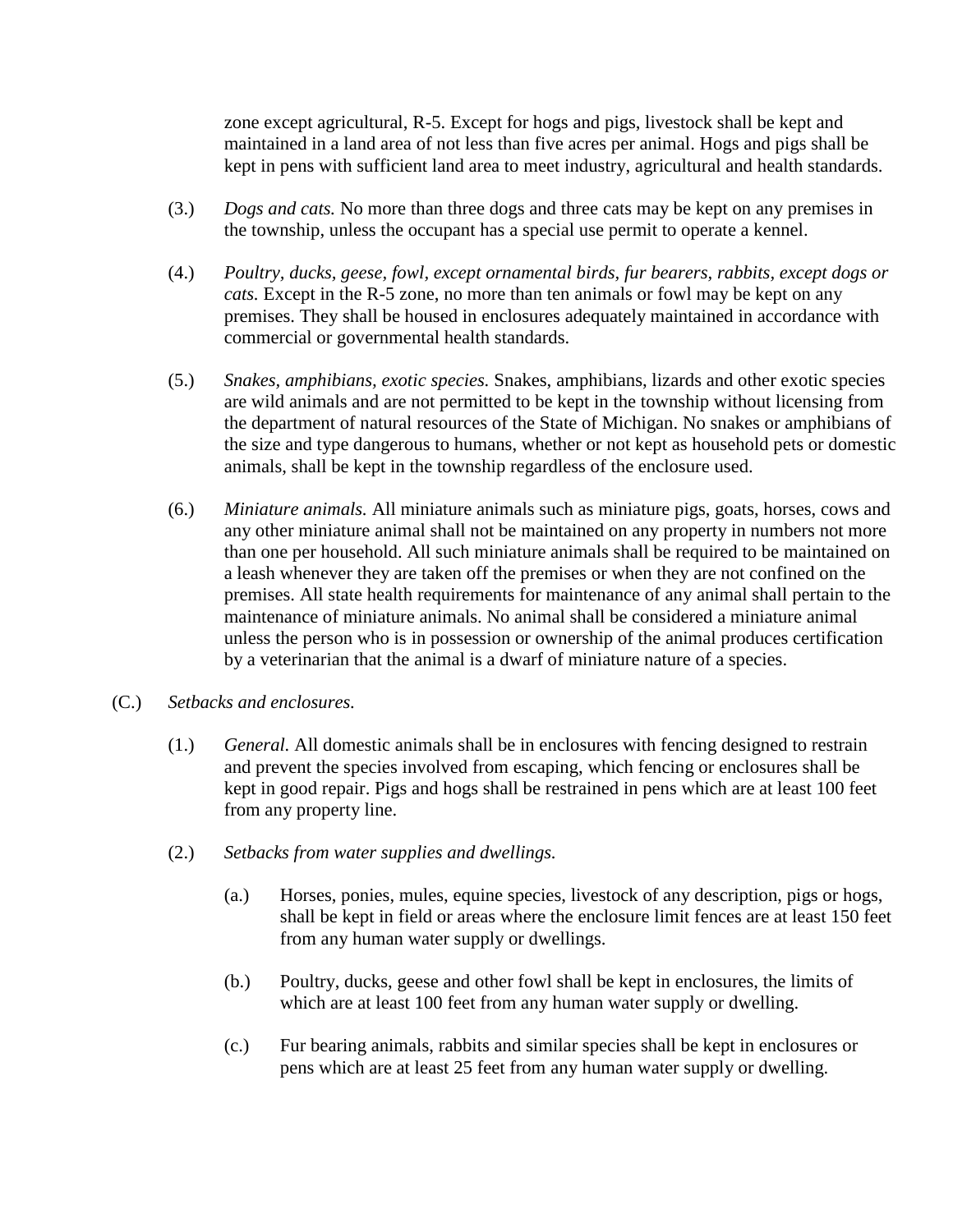zone except agricultural, R-5. Except for hogs and pigs, livestock shall be kept and maintained in a land area of not less than five acres per animal. Hogs and pigs shall be kept in pens with sufficient land area to meet industry, agricultural and health standards.

- (3.) *Dogs and cats.* No more than three dogs and three cats may be kept on any premises in the township, unless the occupant has a special use permit to operate a kennel.
- (4.) *Poultry, ducks, geese, fowl, except ornamental birds, fur bearers, rabbits, except dogs or cats.* Except in the R-5 zone, no more than ten animals or fowl may be kept on any premises. They shall be housed in enclosures adequately maintained in accordance with commercial or governmental health standards.
- (5.) *Snakes, amphibians, exotic species.* Snakes, amphibians, lizards and other exotic species are wild animals and are not permitted to be kept in the township without licensing from the department of natural resources of the State of Michigan. No snakes or amphibians of the size and type dangerous to humans, whether or not kept as household pets or domestic animals, shall be kept in the township regardless of the enclosure used.
- (6.) *Miniature animals.* All miniature animals such as miniature pigs, goats, horses, cows and any other miniature animal shall not be maintained on any property in numbers not more than one per household. All such miniature animals shall be required to be maintained on a leash whenever they are taken off the premises or when they are not confined on the premises. All state health requirements for maintenance of any animal shall pertain to the maintenance of miniature animals. No animal shall be considered a miniature animal unless the person who is in possession or ownership of the animal produces certification by a veterinarian that the animal is a dwarf of miniature nature of a species.
- (C.) *Setbacks and enclosures.*
	- (1.) *General.* All domestic animals shall be in enclosures with fencing designed to restrain and prevent the species involved from escaping, which fencing or enclosures shall be kept in good repair. Pigs and hogs shall be restrained in pens which are at least 100 feet from any property line.
	- (2.) *Setbacks from water supplies and dwellings.*
		- (a.) Horses, ponies, mules, equine species, livestock of any description, pigs or hogs, shall be kept in field or areas where the enclosure limit fences are at least 150 feet from any human water supply or dwellings.
		- (b.) Poultry, ducks, geese and other fowl shall be kept in enclosures, the limits of which are at least 100 feet from any human water supply or dwelling.
		- (c.) Fur bearing animals, rabbits and similar species shall be kept in enclosures or pens which are at least 25 feet from any human water supply or dwelling.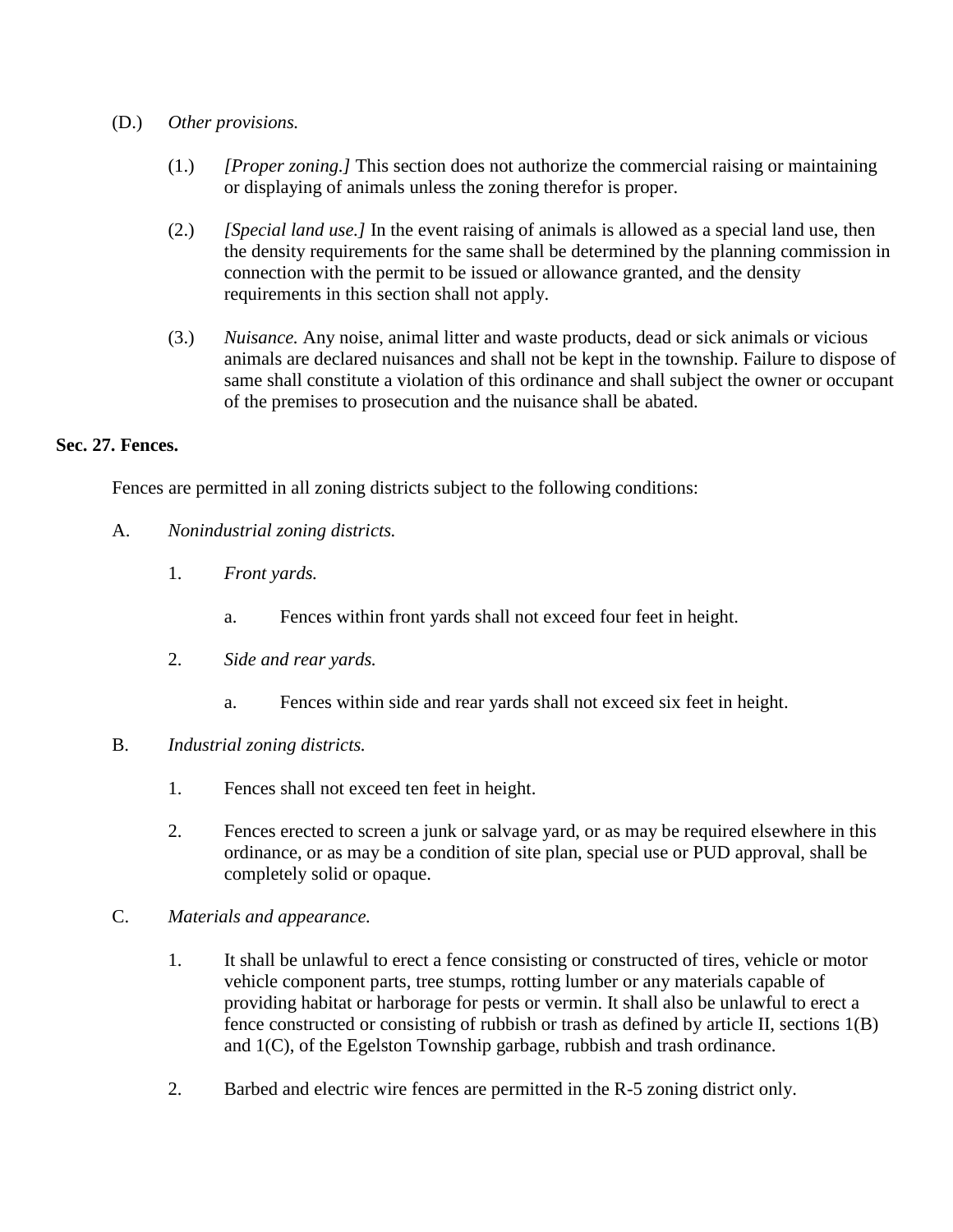- (D.) *Other provisions.*
	- (1.) *[Proper zoning.]* This section does not authorize the commercial raising or maintaining or displaying of animals unless the zoning therefor is proper.
	- (2.) *[Special land use.]* In the event raising of animals is allowed as a special land use, then the density requirements for the same shall be determined by the planning commission in connection with the permit to be issued or allowance granted, and the density requirements in this section shall not apply.
	- (3.) *Nuisance.* Any noise, animal litter and waste products, dead or sick animals or vicious animals are declared nuisances and shall not be kept in the township. Failure to dispose of same shall constitute a violation of this ordinance and shall subject the owner or occupant of the premises to prosecution and the nuisance shall be abated.

# **Sec. 27. Fences.**

Fences are permitted in all zoning districts subject to the following conditions:

- A. *Nonindustrial zoning districts.*
	- 1. *Front yards.*
		- a. Fences within front yards shall not exceed four feet in height.
	- 2. *Side and rear yards.*
		- a. Fences within side and rear yards shall not exceed six feet in height.
- B. *Industrial zoning districts.*
	- 1. Fences shall not exceed ten feet in height.
	- 2. Fences erected to screen a junk or salvage yard, or as may be required elsewhere in this ordinance, or as may be a condition of site plan, special use or PUD approval, shall be completely solid or opaque.
- C. *Materials and appearance.*
	- 1. It shall be unlawful to erect a fence consisting or constructed of tires, vehicle or motor vehicle component parts, tree stumps, rotting lumber or any materials capable of providing habitat or harborage for pests or vermin. It shall also be unlawful to erect a fence constructed or consisting of rubbish or trash as defined by article II, sections 1(B) and 1(C), of the Egelston Township garbage, rubbish and trash ordinance.
	- 2. Barbed and electric wire fences are permitted in the R-5 zoning district only.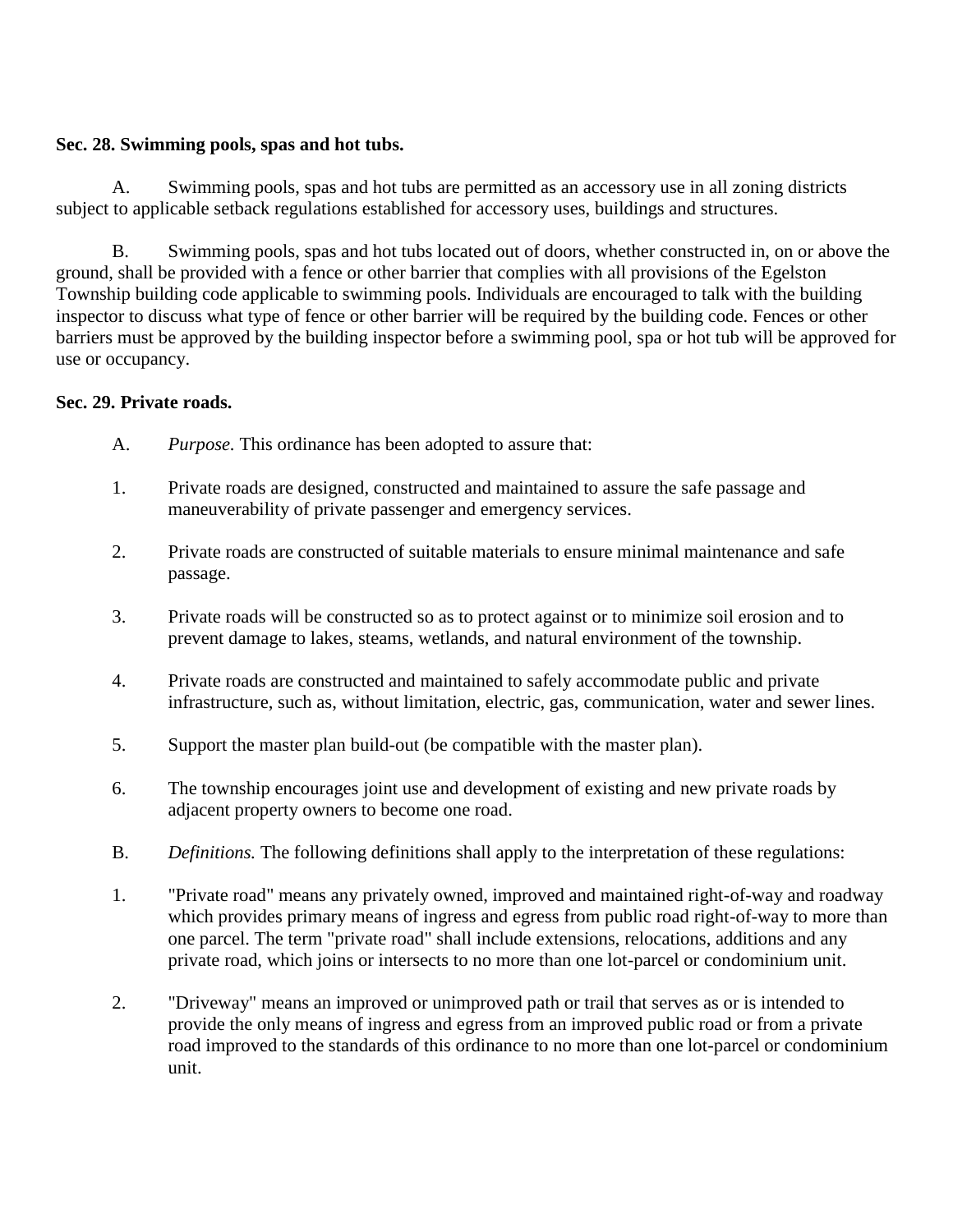# **Sec. 28. Swimming pools, spas and hot tubs.**

A. Swimming pools, spas and hot tubs are permitted as an accessory use in all zoning districts subject to applicable setback regulations established for accessory uses, buildings and structures.

B. Swimming pools, spas and hot tubs located out of doors, whether constructed in, on or above the ground, shall be provided with a fence or other barrier that complies with all provisions of the Egelston Township building code applicable to swimming pools. Individuals are encouraged to talk with the building inspector to discuss what type of fence or other barrier will be required by the building code. Fences or other barriers must be approved by the building inspector before a swimming pool, spa or hot tub will be approved for use or occupancy.

# **Sec. 29. Private roads.**

- A. *Purpose.* This ordinance has been adopted to assure that:
- 1. Private roads are designed, constructed and maintained to assure the safe passage and maneuverability of private passenger and emergency services.
- 2. Private roads are constructed of suitable materials to ensure minimal maintenance and safe passage.
- 3. Private roads will be constructed so as to protect against or to minimize soil erosion and to prevent damage to lakes, steams, wetlands, and natural environment of the township.
- 4. Private roads are constructed and maintained to safely accommodate public and private infrastructure, such as, without limitation, electric, gas, communication, water and sewer lines.
- 5. Support the master plan build-out (be compatible with the master plan).
- 6. The township encourages joint use and development of existing and new private roads by adjacent property owners to become one road.
- B. *Definitions.* The following definitions shall apply to the interpretation of these regulations:
- 1. "Private road" means any privately owned, improved and maintained right-of-way and roadway which provides primary means of ingress and egress from public road right-of-way to more than one parcel. The term "private road" shall include extensions, relocations, additions and any private road, which joins or intersects to no more than one lot-parcel or condominium unit.
- 2. "Driveway" means an improved or unimproved path or trail that serves as or is intended to provide the only means of ingress and egress from an improved public road or from a private road improved to the standards of this ordinance to no more than one lot-parcel or condominium unit.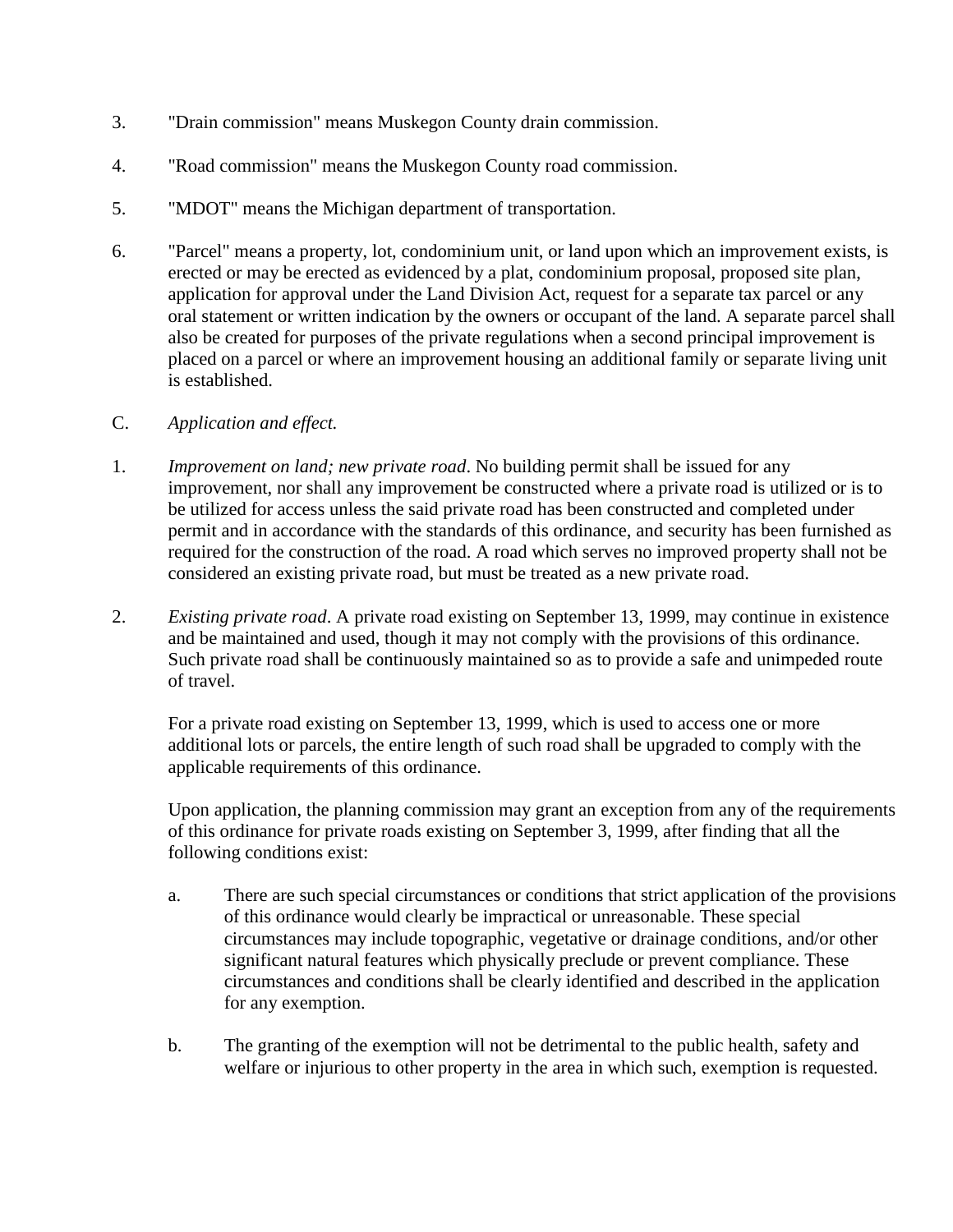- 3. "Drain commission" means Muskegon County drain commission.
- 4. "Road commission" means the Muskegon County road commission.
- 5. "MDOT" means the Michigan department of transportation.
- 6. "Parcel" means a property, lot, condominium unit, or land upon which an improvement exists, is erected or may be erected as evidenced by a plat, condominium proposal, proposed site plan, application for approval under the Land Division Act, request for a separate tax parcel or any oral statement or written indication by the owners or occupant of the land. A separate parcel shall also be created for purposes of the private regulations when a second principal improvement is placed on a parcel or where an improvement housing an additional family or separate living unit is established.
- C. *Application and effect.*
- 1. *Improvement on land; new private road*. No building permit shall be issued for any improvement, nor shall any improvement be constructed where a private road is utilized or is to be utilized for access unless the said private road has been constructed and completed under permit and in accordance with the standards of this ordinance, and security has been furnished as required for the construction of the road. A road which serves no improved property shall not be considered an existing private road, but must be treated as a new private road.
- 2. *Existing private road*. A private road existing on September 13, 1999, may continue in existence and be maintained and used, though it may not comply with the provisions of this ordinance. Such private road shall be continuously maintained so as to provide a safe and unimpeded route of travel.

For a private road existing on September 13, 1999, which is used to access one or more additional lots or parcels, the entire length of such road shall be upgraded to comply with the applicable requirements of this ordinance.

Upon application, the planning commission may grant an exception from any of the requirements of this ordinance for private roads existing on September 3, 1999, after finding that all the following conditions exist:

- a. There are such special circumstances or conditions that strict application of the provisions of this ordinance would clearly be impractical or unreasonable. These special circumstances may include topographic, vegetative or drainage conditions, and/or other significant natural features which physically preclude or prevent compliance. These circumstances and conditions shall be clearly identified and described in the application for any exemption.
- b. The granting of the exemption will not be detrimental to the public health, safety and welfare or injurious to other property in the area in which such, exemption is requested.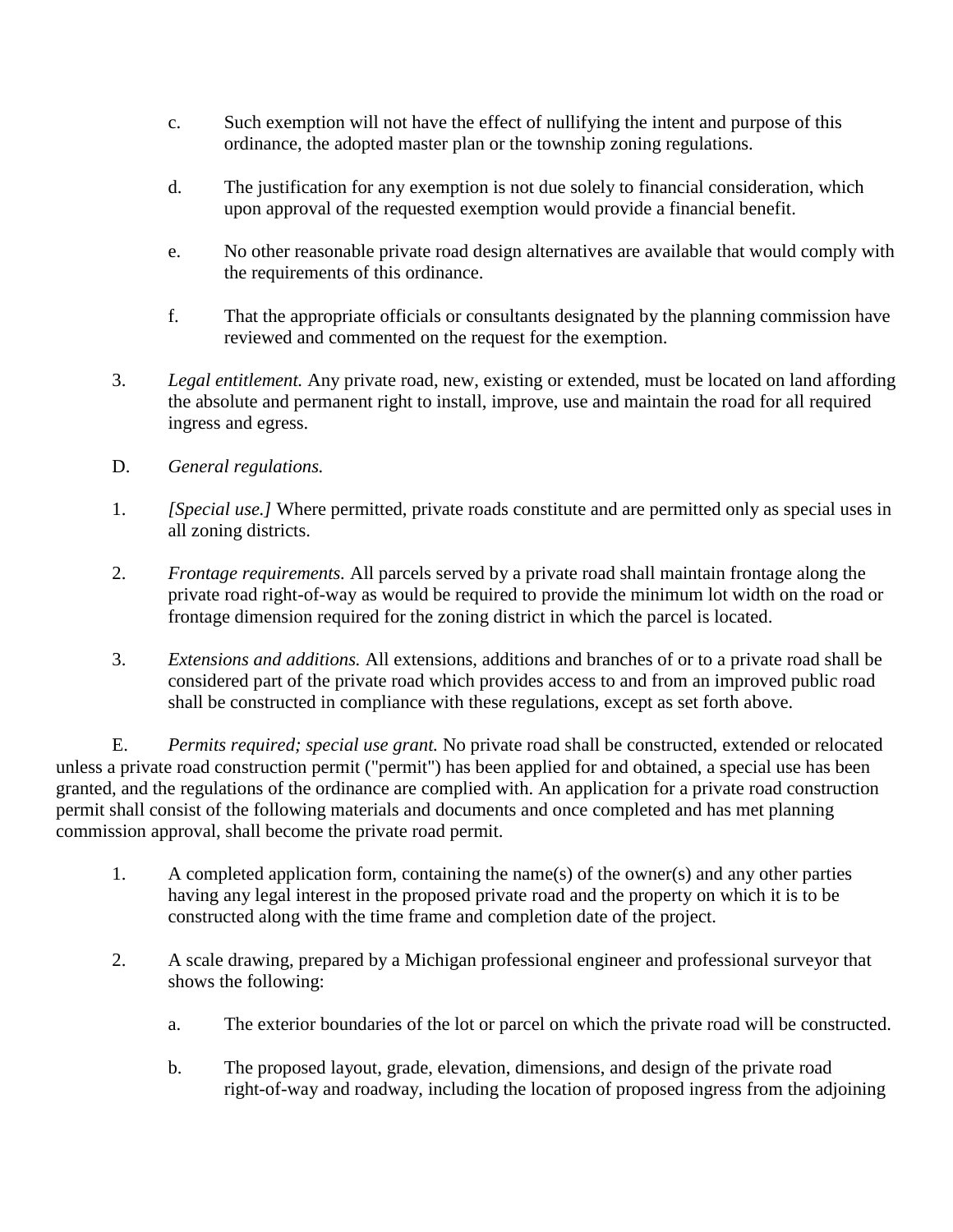- c. Such exemption will not have the effect of nullifying the intent and purpose of this ordinance, the adopted master plan or the township zoning regulations.
- d. The justification for any exemption is not due solely to financial consideration, which upon approval of the requested exemption would provide a financial benefit.
- e. No other reasonable private road design alternatives are available that would comply with the requirements of this ordinance.
- f. That the appropriate officials or consultants designated by the planning commission have reviewed and commented on the request for the exemption.
- 3. *Legal entitlement.* Any private road, new, existing or extended, must be located on land affording the absolute and permanent right to install, improve, use and maintain the road for all required ingress and egress.
- D. *General regulations.*
- 1. *[Special use.]* Where permitted, private roads constitute and are permitted only as special uses in all zoning districts.
- 2. *Frontage requirements.* All parcels served by a private road shall maintain frontage along the private road right-of-way as would be required to provide the minimum lot width on the road or frontage dimension required for the zoning district in which the parcel is located.
- 3. *Extensions and additions.* All extensions, additions and branches of or to a private road shall be considered part of the private road which provides access to and from an improved public road shall be constructed in compliance with these regulations, except as set forth above.

E. *Permits required; special use grant.* No private road shall be constructed, extended or relocated unless a private road construction permit ("permit") has been applied for and obtained, a special use has been granted, and the regulations of the ordinance are complied with. An application for a private road construction permit shall consist of the following materials and documents and once completed and has met planning commission approval, shall become the private road permit.

- 1. A completed application form, containing the name(s) of the owner(s) and any other parties having any legal interest in the proposed private road and the property on which it is to be constructed along with the time frame and completion date of the project.
- 2. A scale drawing, prepared by a Michigan professional engineer and professional surveyor that shows the following:
	- a. The exterior boundaries of the lot or parcel on which the private road will be constructed.
	- b. The proposed layout, grade, elevation, dimensions, and design of the private road right-of-way and roadway, including the location of proposed ingress from the adjoining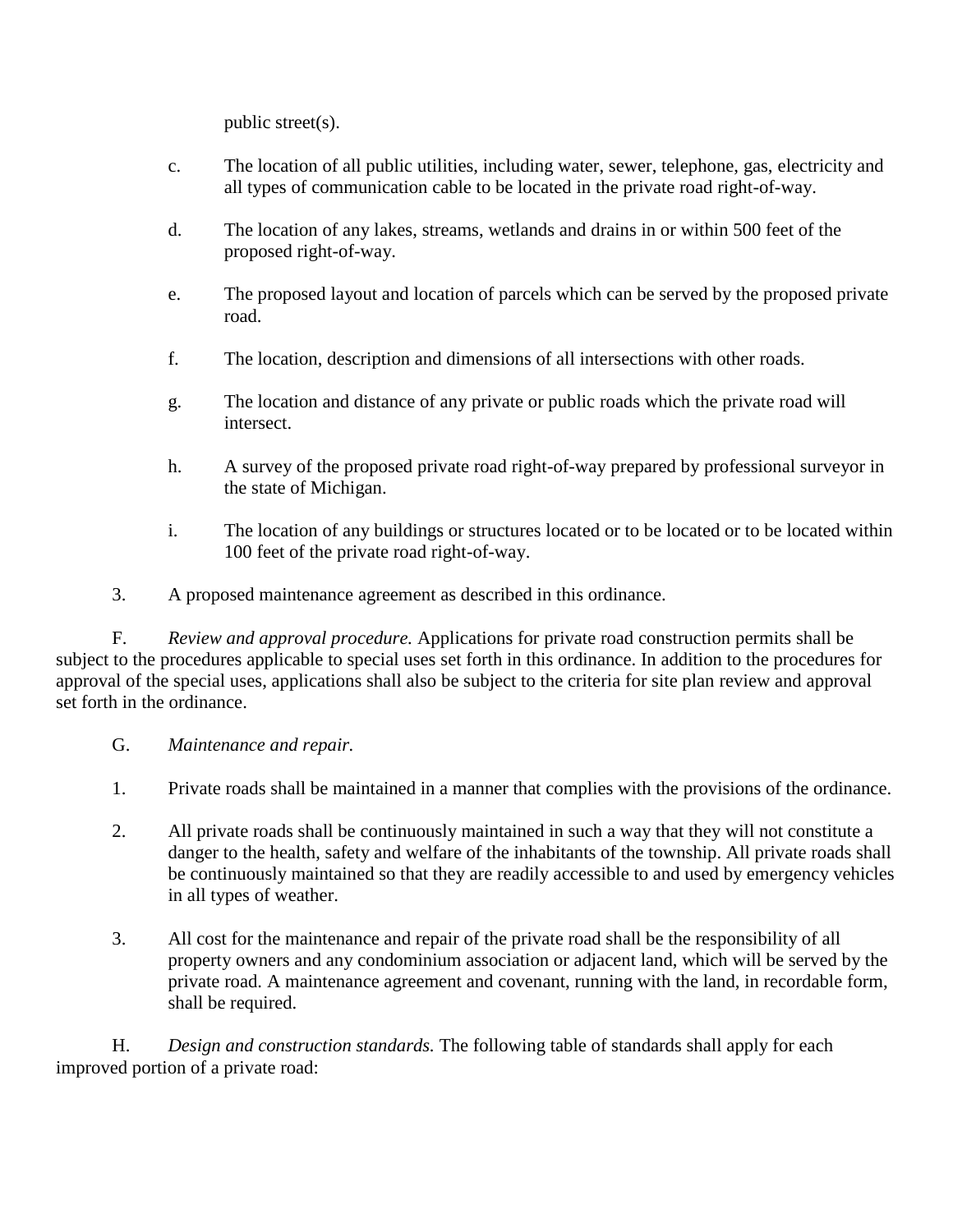public street(s).

- c. The location of all public utilities, including water, sewer, telephone, gas, electricity and all types of communication cable to be located in the private road right-of-way.
- d. The location of any lakes, streams, wetlands and drains in or within 500 feet of the proposed right-of-way.
- e. The proposed layout and location of parcels which can be served by the proposed private road.
- f. The location, description and dimensions of all intersections with other roads.
- g. The location and distance of any private or public roads which the private road will intersect.
- h. A survey of the proposed private road right-of-way prepared by professional surveyor in the state of Michigan.
- i. The location of any buildings or structures located or to be located or to be located within 100 feet of the private road right-of-way.
- 3. A proposed maintenance agreement as described in this ordinance.

F. *Review and approval procedure.* Applications for private road construction permits shall be subject to the procedures applicable to special uses set forth in this ordinance. In addition to the procedures for approval of the special uses, applications shall also be subject to the criteria for site plan review and approval set forth in the ordinance.

- G. *Maintenance and repair.*
- 1. Private roads shall be maintained in a manner that complies with the provisions of the ordinance.
- 2. All private roads shall be continuously maintained in such a way that they will not constitute a danger to the health, safety and welfare of the inhabitants of the township. All private roads shall be continuously maintained so that they are readily accessible to and used by emergency vehicles in all types of weather.
- 3. All cost for the maintenance and repair of the private road shall be the responsibility of all property owners and any condominium association or adjacent land, which will be served by the private road. A maintenance agreement and covenant, running with the land, in recordable form, shall be required.

H. *Design and construction standards.* The following table of standards shall apply for each improved portion of a private road: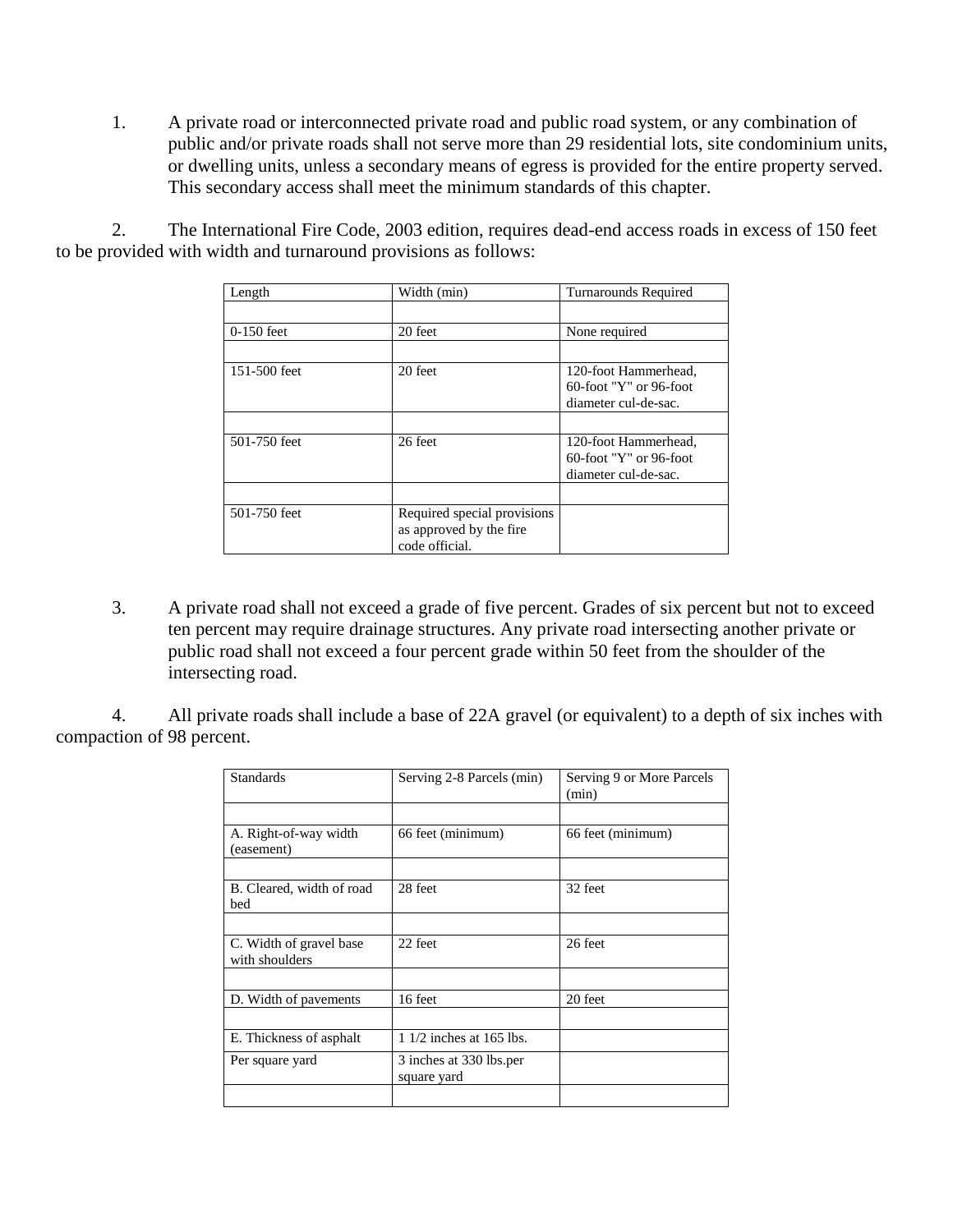1. A private road or interconnected private road and public road system, or any combination of public and/or private roads shall not serve more than 29 residential lots, site condominium units, or dwelling units, unless a secondary means of egress is provided for the entire property served. This secondary access shall meet the minimum standards of this chapter.

2. The International Fire Code, 2003 edition, requires dead-end access roads in excess of 150 feet to be provided with width and turnaround provisions as follows:

| Length       | Width (min)                                                               | <b>Turnarounds Required</b>                                               |
|--------------|---------------------------------------------------------------------------|---------------------------------------------------------------------------|
|              |                                                                           |                                                                           |
| $0-150$ feet | 20 feet                                                                   | None required                                                             |
|              |                                                                           |                                                                           |
| 151-500 feet | 20 feet                                                                   | 120-foot Hammerhead,<br>$60$ -foot "Y" or 96-foot<br>diameter cul-de-sac. |
|              |                                                                           |                                                                           |
| 501-750 feet | 26 feet                                                                   | 120-foot Hammerhead,<br>$60$ -foot "Y" or 96-foot<br>diameter cul-de-sac. |
|              |                                                                           |                                                                           |
| 501-750 feet | Required special provisions<br>as approved by the fire.<br>code official. |                                                                           |

3. A private road shall not exceed a grade of five percent. Grades of six percent but not to exceed ten percent may require drainage structures. Any private road intersecting another private or public road shall not exceed a four percent grade within 50 feet from the shoulder of the intersecting road.

4. All private roads shall include a base of 22A gravel (or equivalent) to a depth of six inches with compaction of 98 percent.

| <b>Standards</b>                          | Serving 2-8 Parcels (min)              | Serving 9 or More Parcels<br>(min) |
|-------------------------------------------|----------------------------------------|------------------------------------|
|                                           |                                        |                                    |
| A. Right-of-way width<br>(easement)       | 66 feet (minimum)                      | 66 feet (minimum)                  |
|                                           |                                        |                                    |
| B. Cleared, width of road<br>bed          | 28 feet                                | 32 feet                            |
|                                           |                                        |                                    |
| C. Width of gravel base<br>with shoulders | 22 feet                                | 26 feet                            |
|                                           |                                        |                                    |
| D. Width of pavements                     | 16 feet                                | 20 feet                            |
|                                           |                                        |                                    |
| E. Thickness of asphalt                   | $11/2$ inches at 165 lbs.              |                                    |
| Per square yard                           | 3 inches at 330 lbs.per<br>square yard |                                    |
|                                           |                                        |                                    |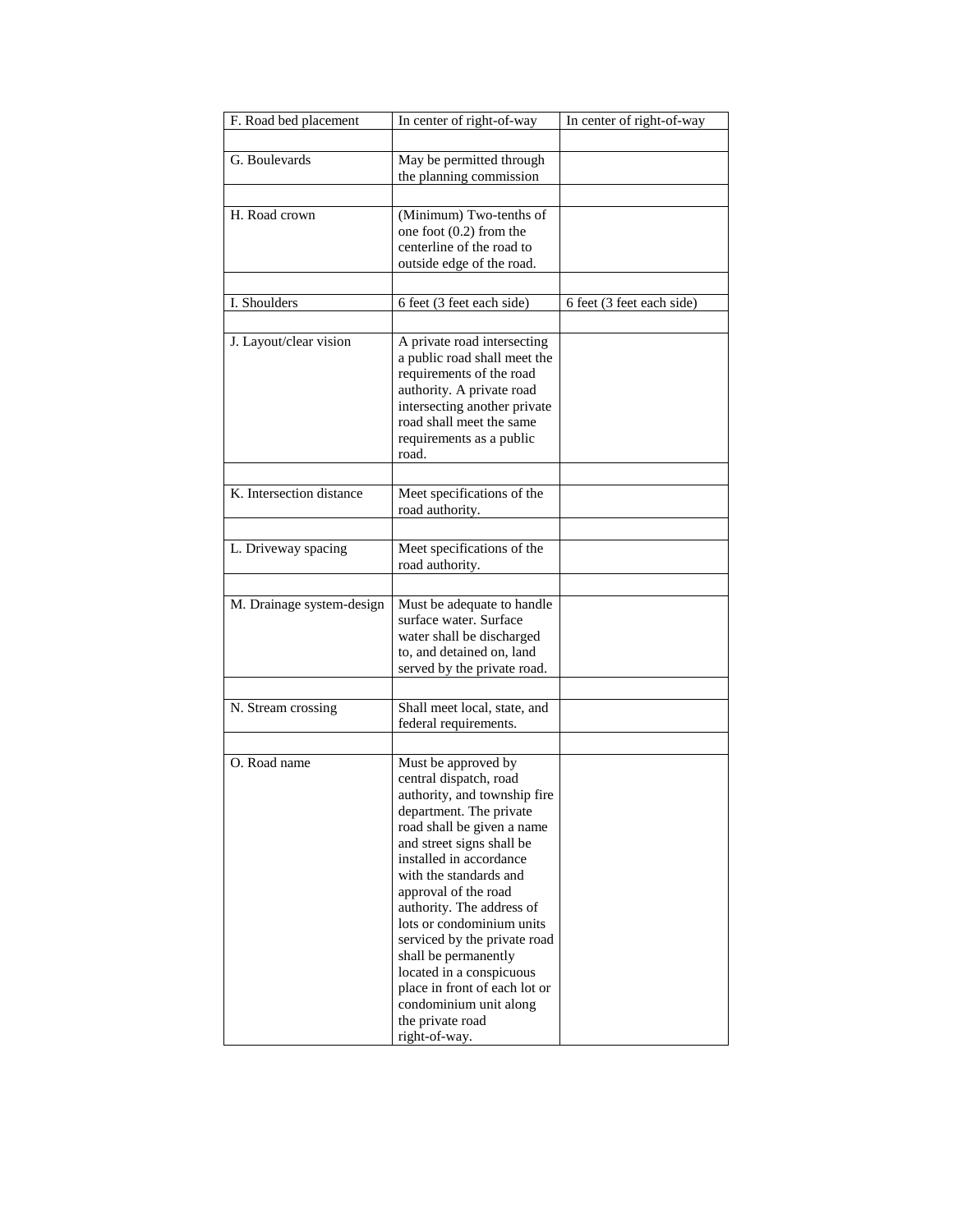| F. Road bed placement     | In center of right-of-way                                 | In center of right-of-way |
|---------------------------|-----------------------------------------------------------|---------------------------|
|                           |                                                           |                           |
| G. Boulevards             | May be permitted through                                  |                           |
|                           | the planning commission                                   |                           |
|                           |                                                           |                           |
| H. Road crown             | (Minimum) Two-tenths of                                   |                           |
|                           | one foot $(0.2)$ from the                                 |                           |
|                           | centerline of the road to                                 |                           |
|                           | outside edge of the road.                                 |                           |
|                           |                                                           |                           |
| I. Shoulders              | 6 feet (3 feet each side)                                 | 6 feet (3 feet each side) |
|                           |                                                           |                           |
|                           |                                                           |                           |
| J. Layout/clear vision    | A private road intersecting                               |                           |
|                           | a public road shall meet the                              |                           |
|                           | requirements of the road                                  |                           |
|                           | authority. A private road                                 |                           |
|                           | intersecting another private<br>road shall meet the same  |                           |
|                           | requirements as a public                                  |                           |
|                           | road.                                                     |                           |
|                           |                                                           |                           |
|                           |                                                           |                           |
| K. Intersection distance  | Meet specifications of the                                |                           |
|                           | road authority.                                           |                           |
|                           |                                                           |                           |
| L. Driveway spacing       | Meet specifications of the                                |                           |
|                           | road authority.                                           |                           |
|                           |                                                           |                           |
| M. Drainage system-design | Must be adequate to handle                                |                           |
|                           | surface water. Surface                                    |                           |
|                           | water shall be discharged                                 |                           |
|                           | to, and detained on, land                                 |                           |
|                           | served by the private road.                               |                           |
|                           |                                                           |                           |
| N. Stream crossing        | Shall meet local, state, and                              |                           |
|                           | federal requirements.                                     |                           |
|                           |                                                           |                           |
| O. Road name              | Must be approved by                                       |                           |
|                           | central dispatch, road                                    |                           |
|                           | authority, and township fire                              |                           |
|                           | department. The private                                   |                           |
|                           | road shall be given a name                                |                           |
|                           | and street signs shall be                                 |                           |
|                           | installed in accordance                                   |                           |
|                           | with the standards and                                    |                           |
|                           | approval of the road                                      |                           |
|                           | authority. The address of                                 |                           |
|                           | lots or condominium units                                 |                           |
|                           | serviced by the private road                              |                           |
|                           | shall be permanently                                      |                           |
|                           | located in a conspicuous<br>place in front of each lot or |                           |
|                           | condominium unit along                                    |                           |
|                           | the private road                                          |                           |
|                           | right-of-way.                                             |                           |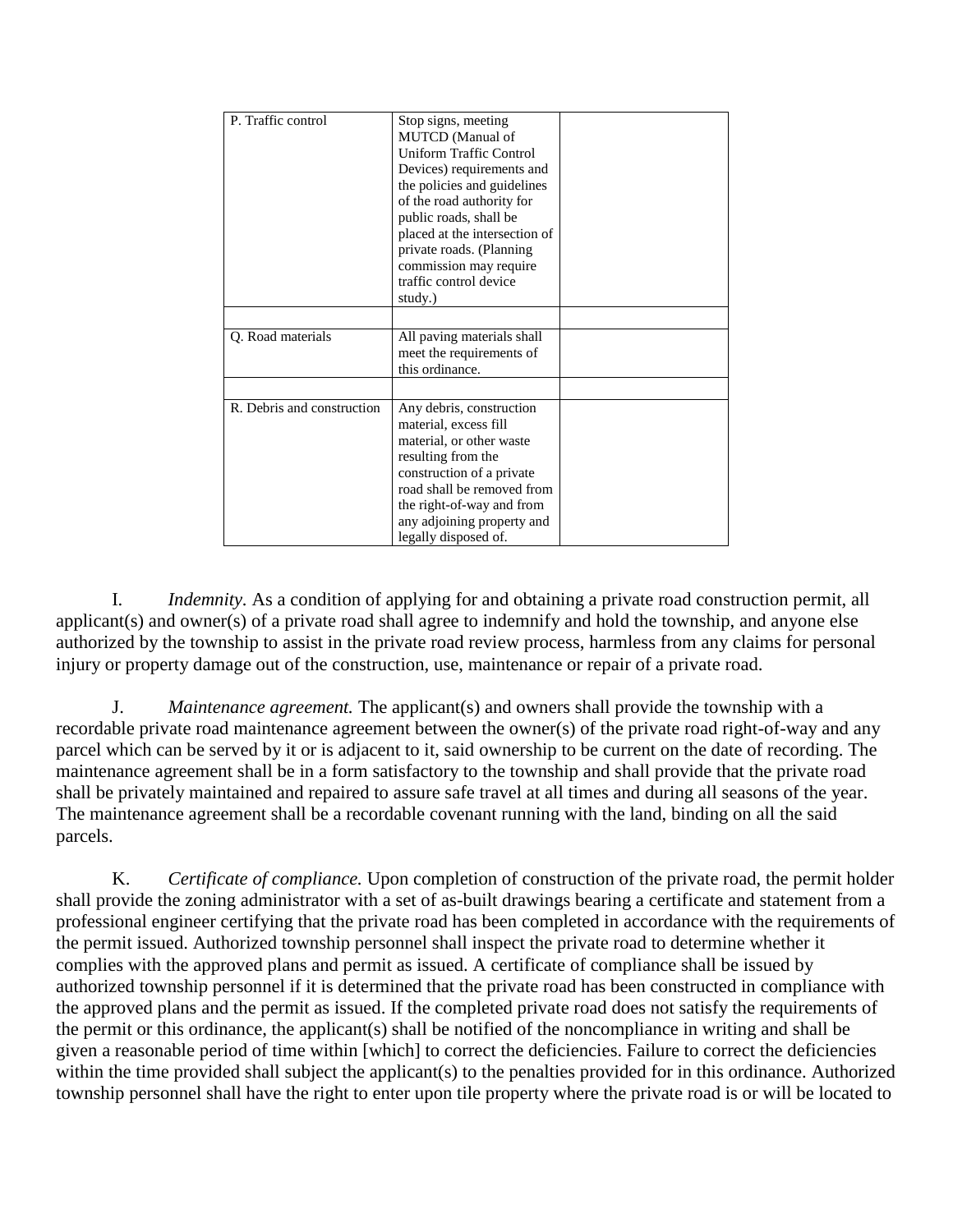| P. Traffic control         | Stop signs, meeting<br><b>MUTCD</b> (Manual of<br>Uniform Traffic Control<br>Devices) requirements and<br>the policies and guidelines<br>of the road authority for<br>public roads, shall be<br>placed at the intersection of<br>private roads. (Planning<br>commission may require<br>traffic control device<br>study.) |  |
|----------------------------|--------------------------------------------------------------------------------------------------------------------------------------------------------------------------------------------------------------------------------------------------------------------------------------------------------------------------|--|
| Q. Road materials          | All paving materials shall<br>meet the requirements of<br>this ordinance.                                                                                                                                                                                                                                                |  |
| R. Debris and construction | Any debris, construction<br>material, excess fill<br>material, or other waste<br>resulting from the<br>construction of a private<br>road shall be removed from<br>the right-of-way and from<br>any adjoining property and<br>legally disposed of.                                                                        |  |

I. *Indemnity.* As a condition of applying for and obtaining a private road construction permit, all applicant(s) and owner(s) of a private road shall agree to indemnify and hold the township, and anyone else authorized by the township to assist in the private road review process, harmless from any claims for personal injury or property damage out of the construction, use, maintenance or repair of a private road.

J. *Maintenance agreement.* The applicant(s) and owners shall provide the township with a recordable private road maintenance agreement between the owner(s) of the private road right-of-way and any parcel which can be served by it or is adjacent to it, said ownership to be current on the date of recording. The maintenance agreement shall be in a form satisfactory to the township and shall provide that the private road shall be privately maintained and repaired to assure safe travel at all times and during all seasons of the year. The maintenance agreement shall be a recordable covenant running with the land, binding on all the said parcels.

K. *Certificate of compliance.* Upon completion of construction of the private road, the permit holder shall provide the zoning administrator with a set of as-built drawings bearing a certificate and statement from a professional engineer certifying that the private road has been completed in accordance with the requirements of the permit issued. Authorized township personnel shall inspect the private road to determine whether it complies with the approved plans and permit as issued. A certificate of compliance shall be issued by authorized township personnel if it is determined that the private road has been constructed in compliance with the approved plans and the permit as issued. If the completed private road does not satisfy the requirements of the permit or this ordinance, the applicant(s) shall be notified of the noncompliance in writing and shall be given a reasonable period of time within [which] to correct the deficiencies. Failure to correct the deficiencies within the time provided shall subject the applicant(s) to the penalties provided for in this ordinance. Authorized township personnel shall have the right to enter upon tile property where the private road is or will be located to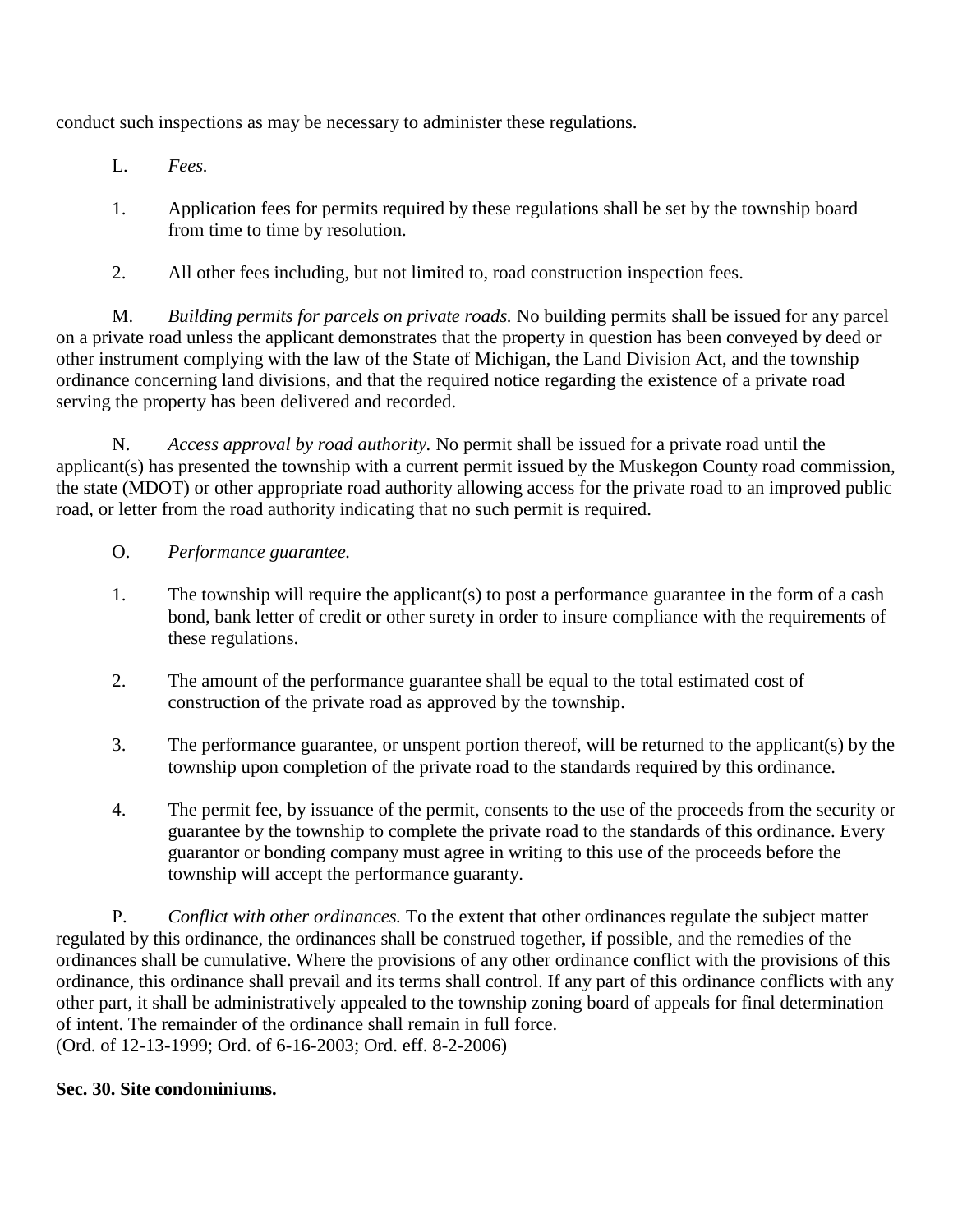conduct such inspections as may be necessary to administer these regulations.

- L. *Fees.*
- 1. Application fees for permits required by these regulations shall be set by the township board from time to time by resolution.
- 2. All other fees including, but not limited to, road construction inspection fees.

M. *Building permits for parcels on private roads.* No building permits shall be issued for any parcel on a private road unless the applicant demonstrates that the property in question has been conveyed by deed or other instrument complying with the law of the State of Michigan, the Land Division Act, and the township ordinance concerning land divisions, and that the required notice regarding the existence of a private road serving the property has been delivered and recorded.

N. *Access approval by road authority.* No permit shall be issued for a private road until the applicant(s) has presented the township with a current permit issued by the Muskegon County road commission, the state (MDOT) or other appropriate road authority allowing access for the private road to an improved public road, or letter from the road authority indicating that no such permit is required.

# O. *Performance guarantee.*

- 1. The township will require the applicant(s) to post a performance guarantee in the form of a cash bond, bank letter of credit or other surety in order to insure compliance with the requirements of these regulations.
- 2. The amount of the performance guarantee shall be equal to the total estimated cost of construction of the private road as approved by the township.
- 3. The performance guarantee, or unspent portion thereof, will be returned to the applicant(s) by the township upon completion of the private road to the standards required by this ordinance.
- 4. The permit fee, by issuance of the permit, consents to the use of the proceeds from the security or guarantee by the township to complete the private road to the standards of this ordinance. Every guarantor or bonding company must agree in writing to this use of the proceeds before the township will accept the performance guaranty.

P. *Conflict with other ordinances.* To the extent that other ordinances regulate the subject matter regulated by this ordinance, the ordinances shall be construed together, if possible, and the remedies of the ordinances shall be cumulative. Where the provisions of any other ordinance conflict with the provisions of this ordinance, this ordinance shall prevail and its terms shall control. If any part of this ordinance conflicts with any other part, it shall be administratively appealed to the township zoning board of appeals for final determination of intent. The remainder of the ordinance shall remain in full force. (Ord. of 12-13-1999; Ord. of 6-16-2003; Ord. eff. 8-2-2006)

### **Sec. 30. Site condominiums.**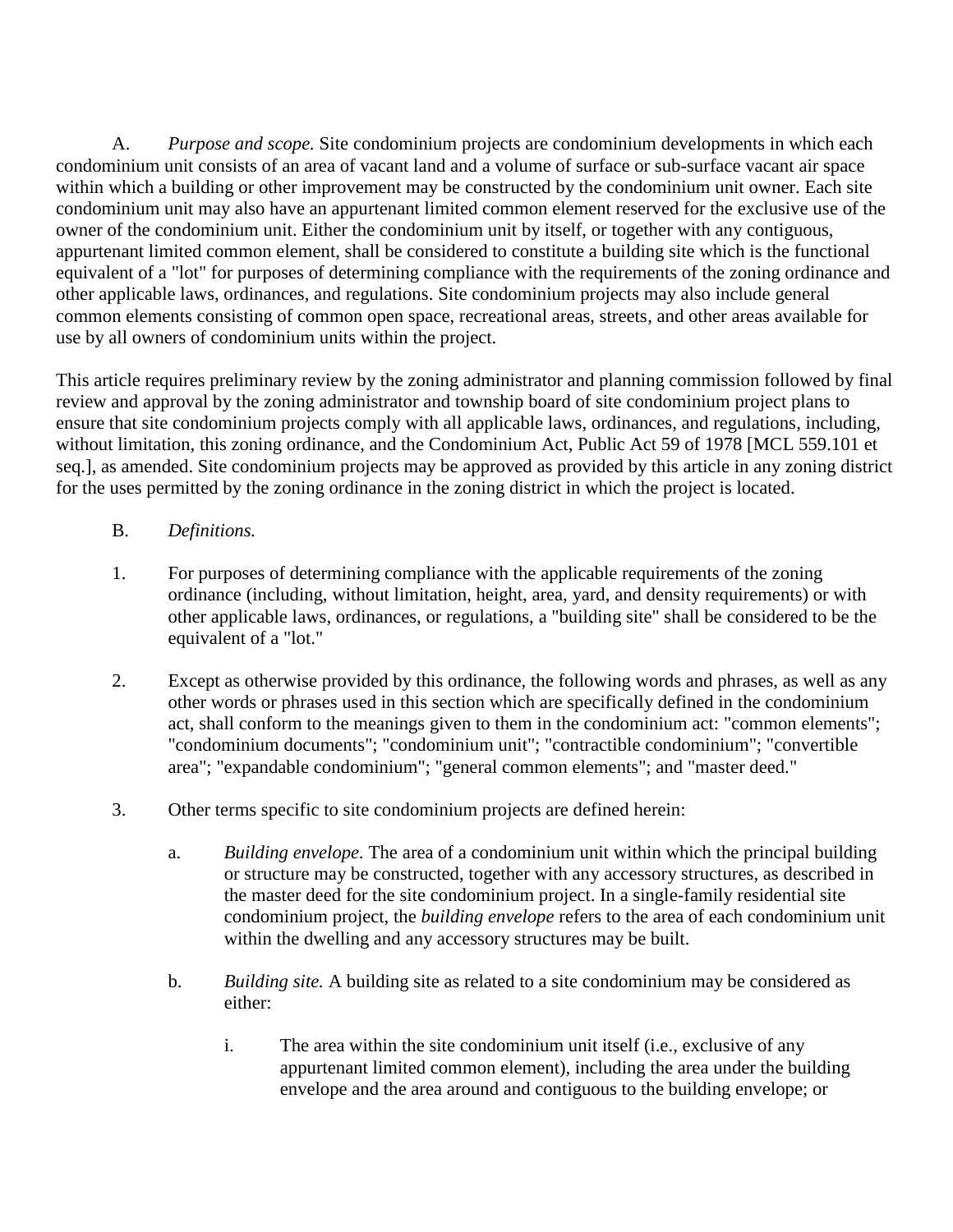A. *Purpose and scope.* Site condominium projects are condominium developments in which each condominium unit consists of an area of vacant land and a volume of surface or sub-surface vacant air space within which a building or other improvement may be constructed by the condominium unit owner. Each site condominium unit may also have an appurtenant limited common element reserved for the exclusive use of the owner of the condominium unit. Either the condominium unit by itself, or together with any contiguous, appurtenant limited common element, shall be considered to constitute a building site which is the functional equivalent of a "lot" for purposes of determining compliance with the requirements of the zoning ordinance and other applicable laws, ordinances, and regulations. Site condominium projects may also include general common elements consisting of common open space, recreational areas, streets, and other areas available for use by all owners of condominium units within the project.

This article requires preliminary review by the zoning administrator and planning commission followed by final review and approval by the zoning administrator and township board of site condominium project plans to ensure that site condominium projects comply with all applicable laws, ordinances, and regulations, including, without limitation, this zoning ordinance, and the Condominium Act, Public Act 59 of 1978 [MCL 559.101 et seq.], as amended. Site condominium projects may be approved as provided by this article in any zoning district for the uses permitted by the zoning ordinance in the zoning district in which the project is located.

- B. *Definitions.*
- 1. For purposes of determining compliance with the applicable requirements of the zoning ordinance (including, without limitation, height, area, yard, and density requirements) or with other applicable laws, ordinances, or regulations, a "building site" shall be considered to be the equivalent of a "lot."
- 2. Except as otherwise provided by this ordinance, the following words and phrases, as well as any other words or phrases used in this section which are specifically defined in the condominium act, shall conform to the meanings given to them in the condominium act: "common elements"; "condominium documents"; "condominium unit"; "contractible condominium"; "convertible area"; "expandable condominium"; "general common elements"; and "master deed."
- 3. Other terms specific to site condominium projects are defined herein:
	- a. *Building envelope.* The area of a condominium unit within which the principal building or structure may be constructed, together with any accessory structures, as described in the master deed for the site condominium project. In a single-family residential site condominium project, the *building envelope* refers to the area of each condominium unit within the dwelling and any accessory structures may be built.
	- b. *Building site.* A building site as related to a site condominium may be considered as either:
		- i. The area within the site condominium unit itself (i.e., exclusive of any appurtenant limited common element), including the area under the building envelope and the area around and contiguous to the building envelope; or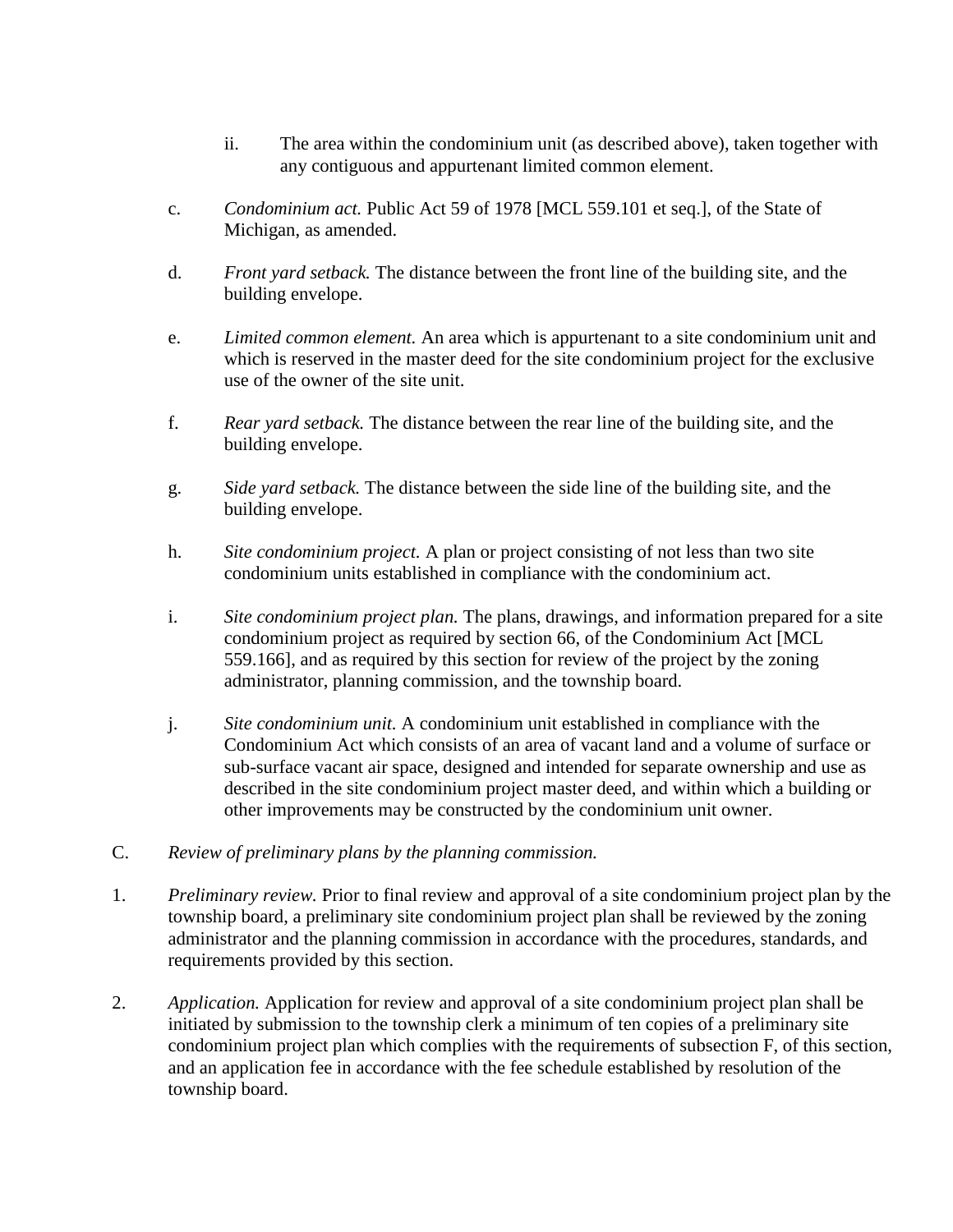- ii. The area within the condominium unit (as described above), taken together with any contiguous and appurtenant limited common element.
- c. *Condominium act.* Public Act 59 of 1978 [MCL 559.101 et seq.], of the State of Michigan, as amended.
- d. *Front yard setback.* The distance between the front line of the building site, and the building envelope.
- e. *Limited common element.* An area which is appurtenant to a site condominium unit and which is reserved in the master deed for the site condominium project for the exclusive use of the owner of the site unit.
- f. *Rear yard setback.* The distance between the rear line of the building site, and the building envelope.
- g. *Side yard setback.* The distance between the side line of the building site, and the building envelope.
- h. *Site condominium project.* A plan or project consisting of not less than two site condominium units established in compliance with the condominium act.
- i. *Site condominium project plan.* The plans, drawings, and information prepared for a site condominium project as required by section 66, of the Condominium Act [MCL 559.166], and as required by this section for review of the project by the zoning administrator, planning commission, and the township board.
- j. *Site condominium unit.* A condominium unit established in compliance with the Condominium Act which consists of an area of vacant land and a volume of surface or sub-surface vacant air space, designed and intended for separate ownership and use as described in the site condominium project master deed, and within which a building or other improvements may be constructed by the condominium unit owner.
- C. *Review of preliminary plans by the planning commission.*
- 1. *Preliminary review.* Prior to final review and approval of a site condominium project plan by the township board, a preliminary site condominium project plan shall be reviewed by the zoning administrator and the planning commission in accordance with the procedures, standards, and requirements provided by this section.
- 2. *Application.* Application for review and approval of a site condominium project plan shall be initiated by submission to the township clerk a minimum of ten copies of a preliminary site condominium project plan which complies with the requirements of subsection F, of this section, and an application fee in accordance with the fee schedule established by resolution of the township board.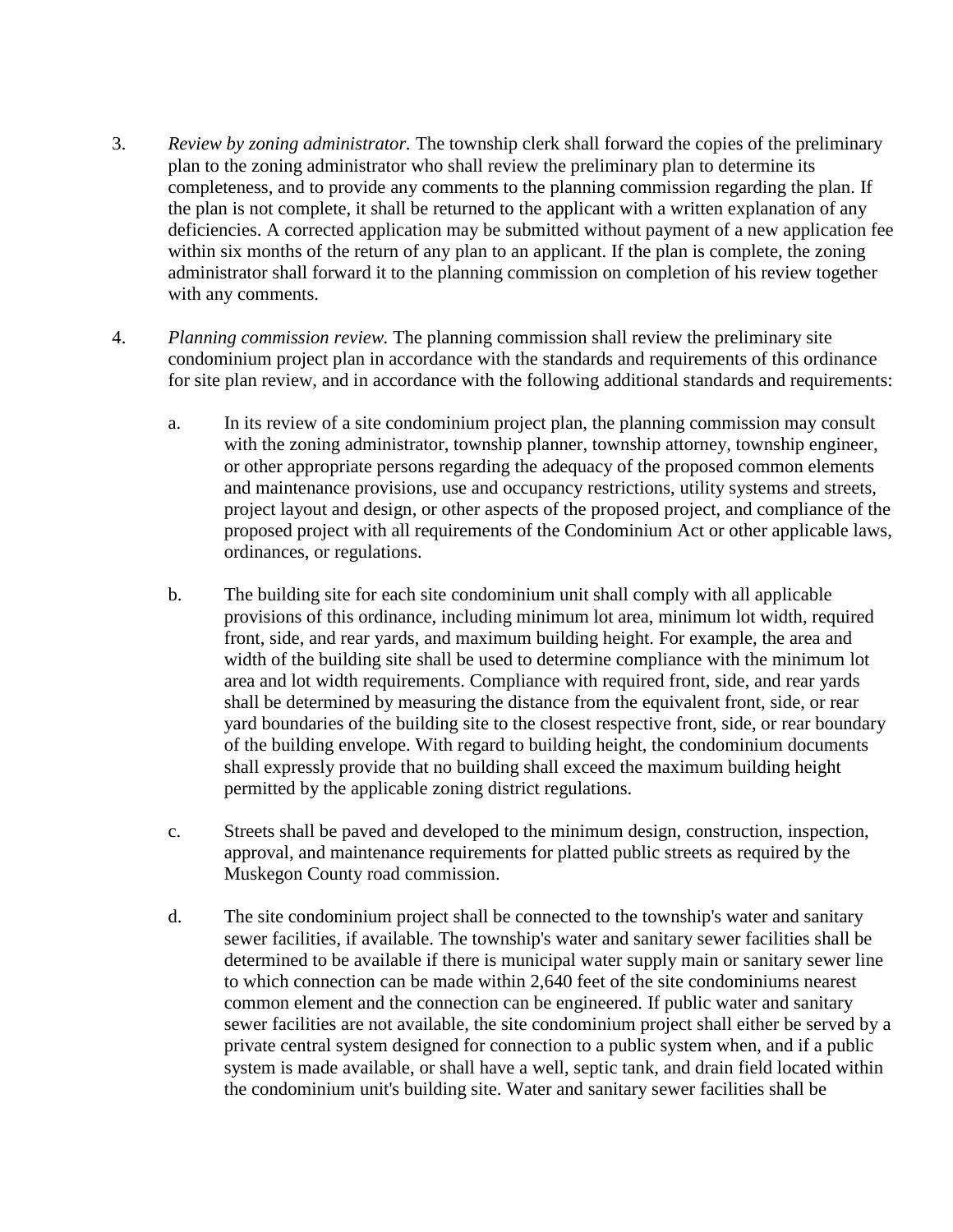- 3. *Review by zoning administrator.* The township clerk shall forward the copies of the preliminary plan to the zoning administrator who shall review the preliminary plan to determine its completeness, and to provide any comments to the planning commission regarding the plan. If the plan is not complete, it shall be returned to the applicant with a written explanation of any deficiencies. A corrected application may be submitted without payment of a new application fee within six months of the return of any plan to an applicant. If the plan is complete, the zoning administrator shall forward it to the planning commission on completion of his review together with any comments.
- 4. *Planning commission review.* The planning commission shall review the preliminary site condominium project plan in accordance with the standards and requirements of this ordinance for site plan review, and in accordance with the following additional standards and requirements:
	- a. In its review of a site condominium project plan, the planning commission may consult with the zoning administrator, township planner, township attorney, township engineer, or other appropriate persons regarding the adequacy of the proposed common elements and maintenance provisions, use and occupancy restrictions, utility systems and streets, project layout and design, or other aspects of the proposed project, and compliance of the proposed project with all requirements of the Condominium Act or other applicable laws, ordinances, or regulations.
	- b. The building site for each site condominium unit shall comply with all applicable provisions of this ordinance, including minimum lot area, minimum lot width, required front, side, and rear yards, and maximum building height. For example, the area and width of the building site shall be used to determine compliance with the minimum lot area and lot width requirements. Compliance with required front, side, and rear yards shall be determined by measuring the distance from the equivalent front, side, or rear yard boundaries of the building site to the closest respective front, side, or rear boundary of the building envelope. With regard to building height, the condominium documents shall expressly provide that no building shall exceed the maximum building height permitted by the applicable zoning district regulations.
	- c. Streets shall be paved and developed to the minimum design, construction, inspection, approval, and maintenance requirements for platted public streets as required by the Muskegon County road commission.
	- d. The site condominium project shall be connected to the township's water and sanitary sewer facilities, if available. The township's water and sanitary sewer facilities shall be determined to be available if there is municipal water supply main or sanitary sewer line to which connection can be made within 2,640 feet of the site condominiums nearest common element and the connection can be engineered. If public water and sanitary sewer facilities are not available, the site condominium project shall either be served by a private central system designed for connection to a public system when, and if a public system is made available, or shall have a well, septic tank, and drain field located within the condominium unit's building site. Water and sanitary sewer facilities shall be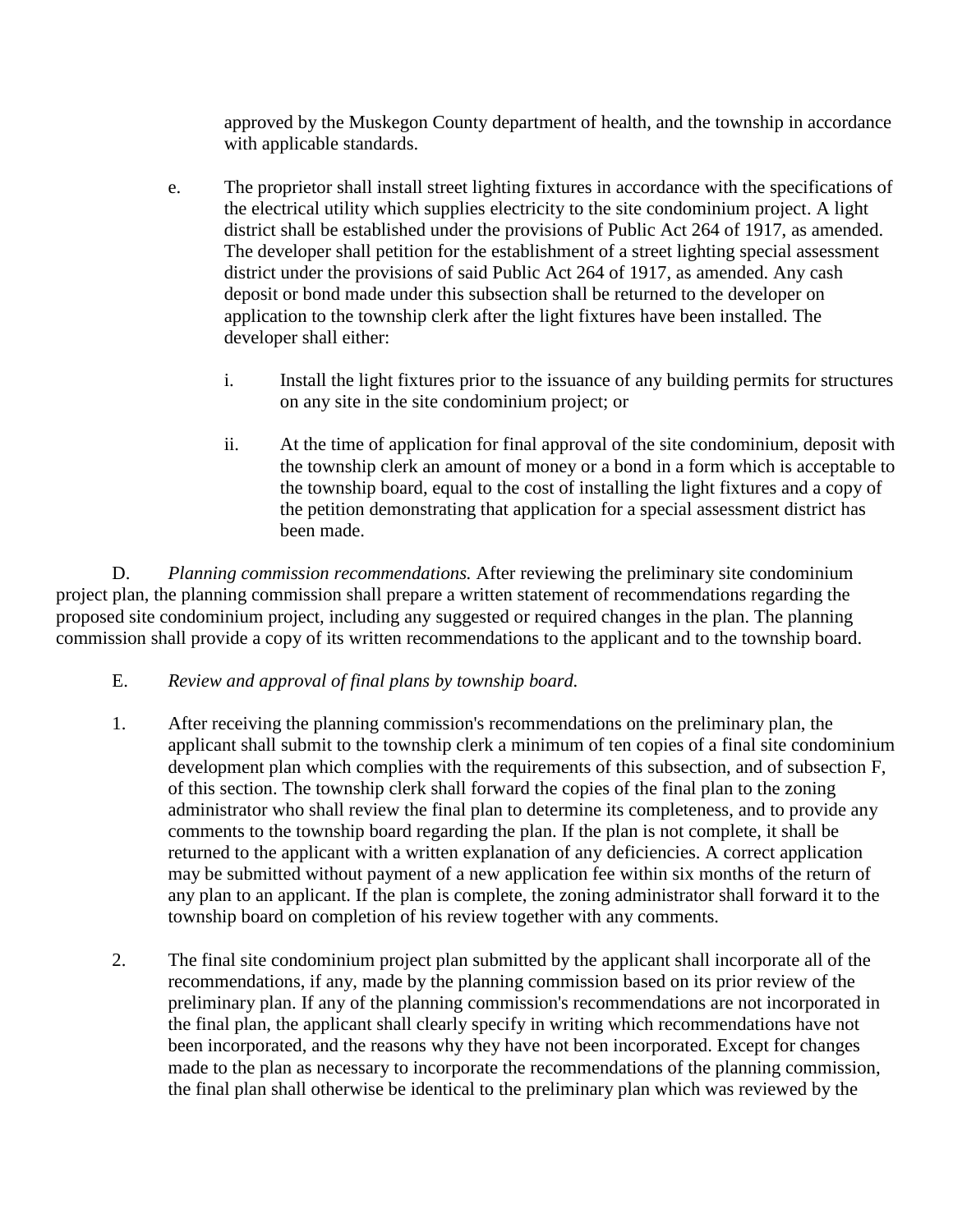approved by the Muskegon County department of health, and the township in accordance with applicable standards.

- e. The proprietor shall install street lighting fixtures in accordance with the specifications of the electrical utility which supplies electricity to the site condominium project. A light district shall be established under the provisions of Public Act 264 of 1917, as amended. The developer shall petition for the establishment of a street lighting special assessment district under the provisions of said Public Act 264 of 1917, as amended. Any cash deposit or bond made under this subsection shall be returned to the developer on application to the township clerk after the light fixtures have been installed. The developer shall either:
	- i. Install the light fixtures prior to the issuance of any building permits for structures on any site in the site condominium project; or
	- ii. At the time of application for final approval of the site condominium, deposit with the township clerk an amount of money or a bond in a form which is acceptable to the township board, equal to the cost of installing the light fixtures and a copy of the petition demonstrating that application for a special assessment district has been made.

D. *Planning commission recommendations.* After reviewing the preliminary site condominium project plan, the planning commission shall prepare a written statement of recommendations regarding the proposed site condominium project, including any suggested or required changes in the plan. The planning commission shall provide a copy of its written recommendations to the applicant and to the township board.

# E. *Review and approval of final plans by township board.*

- 1. After receiving the planning commission's recommendations on the preliminary plan, the applicant shall submit to the township clerk a minimum of ten copies of a final site condominium development plan which complies with the requirements of this subsection, and of subsection F, of this section. The township clerk shall forward the copies of the final plan to the zoning administrator who shall review the final plan to determine its completeness, and to provide any comments to the township board regarding the plan. If the plan is not complete, it shall be returned to the applicant with a written explanation of any deficiencies. A correct application may be submitted without payment of a new application fee within six months of the return of any plan to an applicant. If the plan is complete, the zoning administrator shall forward it to the township board on completion of his review together with any comments.
- 2. The final site condominium project plan submitted by the applicant shall incorporate all of the recommendations, if any, made by the planning commission based on its prior review of the preliminary plan. If any of the planning commission's recommendations are not incorporated in the final plan, the applicant shall clearly specify in writing which recommendations have not been incorporated, and the reasons why they have not been incorporated. Except for changes made to the plan as necessary to incorporate the recommendations of the planning commission, the final plan shall otherwise be identical to the preliminary plan which was reviewed by the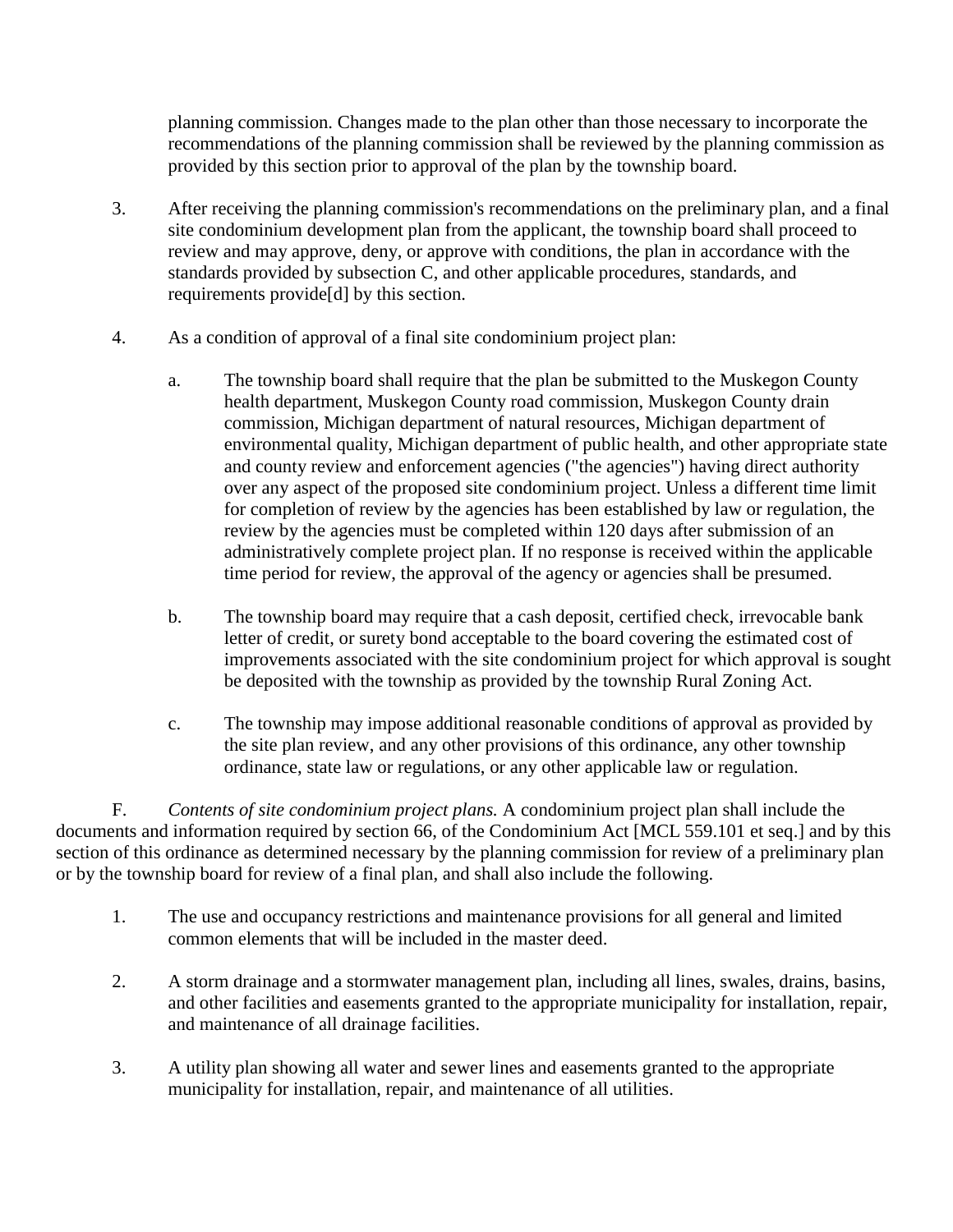planning commission. Changes made to the plan other than those necessary to incorporate the recommendations of the planning commission shall be reviewed by the planning commission as provided by this section prior to approval of the plan by the township board.

- 3. After receiving the planning commission's recommendations on the preliminary plan, and a final site condominium development plan from the applicant, the township board shall proceed to review and may approve, deny, or approve with conditions, the plan in accordance with the standards provided by subsection C, and other applicable procedures, standards, and requirements provide[d] by this section.
- 4. As a condition of approval of a final site condominium project plan:
	- a. The township board shall require that the plan be submitted to the Muskegon County health department, Muskegon County road commission, Muskegon County drain commission, Michigan department of natural resources, Michigan department of environmental quality, Michigan department of public health, and other appropriate state and county review and enforcement agencies ("the agencies") having direct authority over any aspect of the proposed site condominium project. Unless a different time limit for completion of review by the agencies has been established by law or regulation, the review by the agencies must be completed within 120 days after submission of an administratively complete project plan. If no response is received within the applicable time period for review, the approval of the agency or agencies shall be presumed.
	- b. The township board may require that a cash deposit, certified check, irrevocable bank letter of credit, or surety bond acceptable to the board covering the estimated cost of improvements associated with the site condominium project for which approval is sought be deposited with the township as provided by the township Rural Zoning Act.
	- c. The township may impose additional reasonable conditions of approval as provided by the site plan review, and any other provisions of this ordinance, any other township ordinance, state law or regulations, or any other applicable law or regulation.

F. *Contents of site condominium project plans.* A condominium project plan shall include the documents and information required by section 66, of the Condominium Act [MCL 559.101 et seq.] and by this section of this ordinance as determined necessary by the planning commission for review of a preliminary plan or by the township board for review of a final plan, and shall also include the following.

- 1. The use and occupancy restrictions and maintenance provisions for all general and limited common elements that will be included in the master deed.
- 2. A storm drainage and a stormwater management plan, including all lines, swales, drains, basins, and other facilities and easements granted to the appropriate municipality for installation, repair, and maintenance of all drainage facilities.
- 3. A utility plan showing all water and sewer lines and easements granted to the appropriate municipality for installation, repair, and maintenance of all utilities.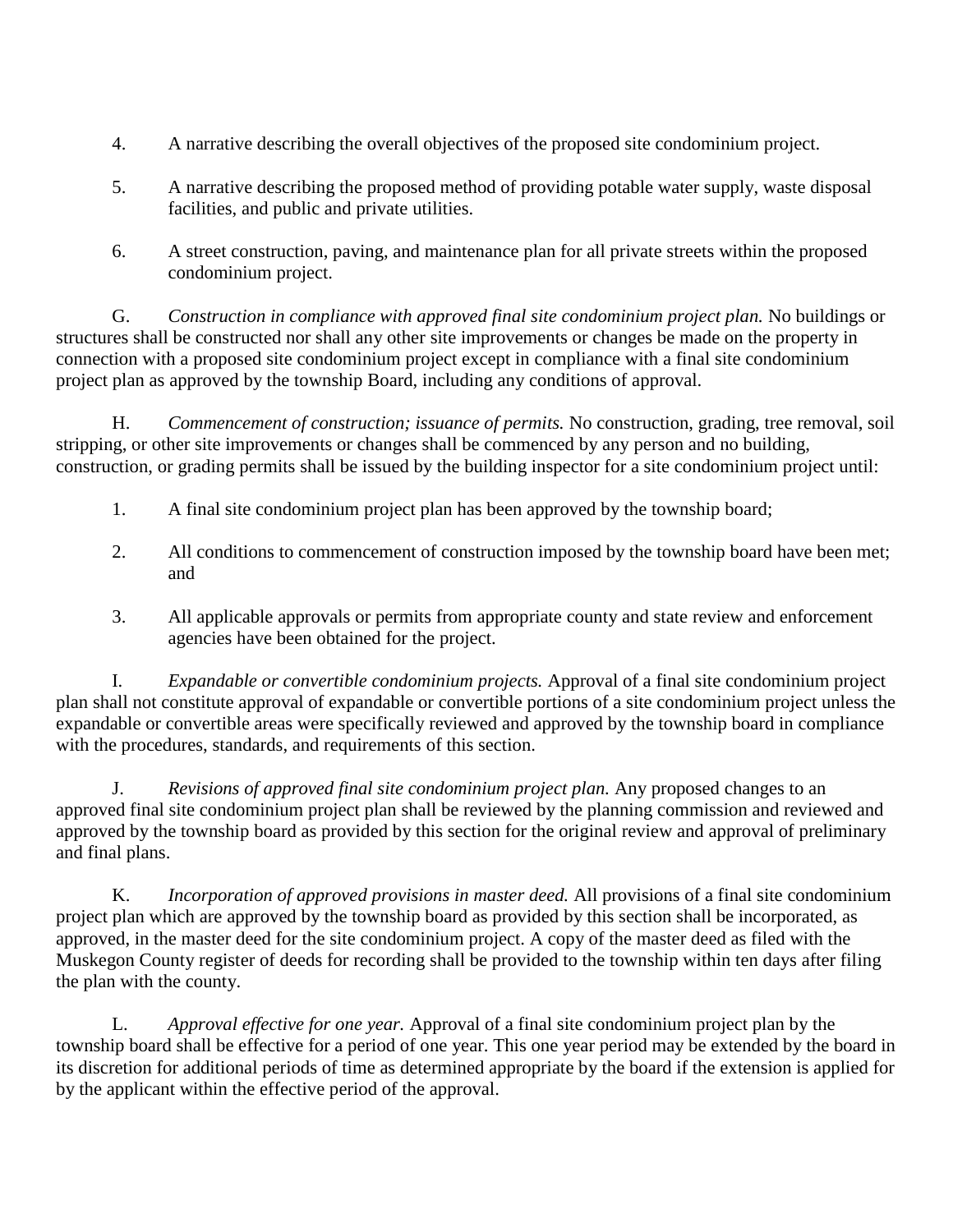- 4. A narrative describing the overall objectives of the proposed site condominium project.
- 5. A narrative describing the proposed method of providing potable water supply, waste disposal facilities, and public and private utilities.
- 6. A street construction, paving, and maintenance plan for all private streets within the proposed condominium project.

G. *Construction in compliance with approved final site condominium project plan.* No buildings or structures shall be constructed nor shall any other site improvements or changes be made on the property in connection with a proposed site condominium project except in compliance with a final site condominium project plan as approved by the township Board, including any conditions of approval.

H. *Commencement of construction; issuance of permits.* No construction, grading, tree removal, soil stripping, or other site improvements or changes shall be commenced by any person and no building, construction, or grading permits shall be issued by the building inspector for a site condominium project until:

- 1. A final site condominium project plan has been approved by the township board;
- 2. All conditions to commencement of construction imposed by the township board have been met; and
- 3. All applicable approvals or permits from appropriate county and state review and enforcement agencies have been obtained for the project.

I. *Expandable or convertible condominium projects.* Approval of a final site condominium project plan shall not constitute approval of expandable or convertible portions of a site condominium project unless the expandable or convertible areas were specifically reviewed and approved by the township board in compliance with the procedures, standards, and requirements of this section.

J. *Revisions of approved final site condominium project plan.* Any proposed changes to an approved final site condominium project plan shall be reviewed by the planning commission and reviewed and approved by the township board as provided by this section for the original review and approval of preliminary and final plans.

K. *Incorporation of approved provisions in master deed.* All provisions of a final site condominium project plan which are approved by the township board as provided by this section shall be incorporated, as approved, in the master deed for the site condominium project. A copy of the master deed as filed with the Muskegon County register of deeds for recording shall be provided to the township within ten days after filing the plan with the county.

L. *Approval effective for one year.* Approval of a final site condominium project plan by the township board shall be effective for a period of one year. This one year period may be extended by the board in its discretion for additional periods of time as determined appropriate by the board if the extension is applied for by the applicant within the effective period of the approval.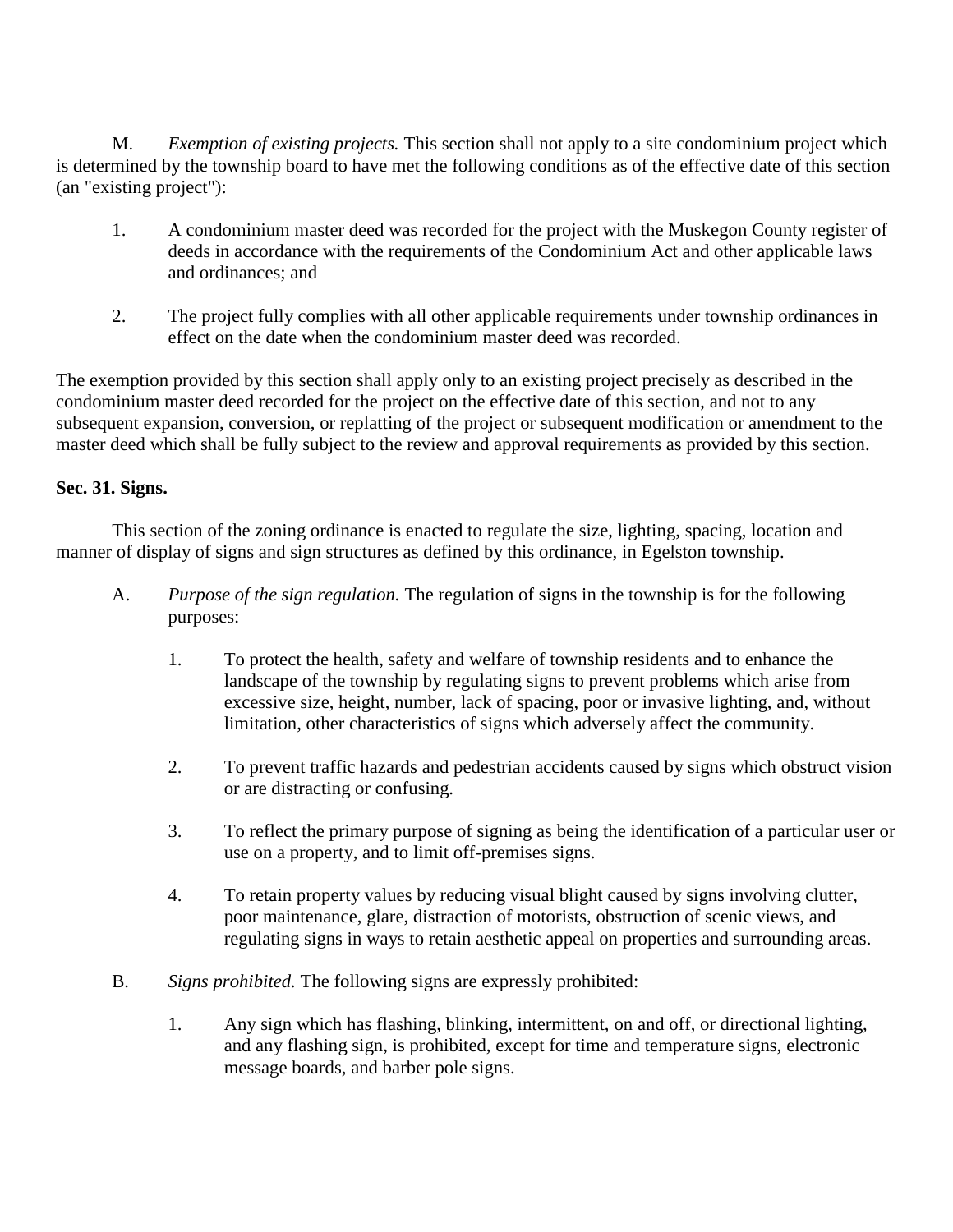M. *Exemption of existing projects.* This section shall not apply to a site condominium project which is determined by the township board to have met the following conditions as of the effective date of this section (an "existing project"):

- 1. A condominium master deed was recorded for the project with the Muskegon County register of deeds in accordance with the requirements of the Condominium Act and other applicable laws and ordinances; and
- 2. The project fully complies with all other applicable requirements under township ordinances in effect on the date when the condominium master deed was recorded.

The exemption provided by this section shall apply only to an existing project precisely as described in the condominium master deed recorded for the project on the effective date of this section, and not to any subsequent expansion, conversion, or replatting of the project or subsequent modification or amendment to the master deed which shall be fully subject to the review and approval requirements as provided by this section.

### **Sec. 31. Signs.**

This section of the zoning ordinance is enacted to regulate the size, lighting, spacing, location and manner of display of signs and sign structures as defined by this ordinance, in Egelston township.

- A. *Purpose of the sign regulation.* The regulation of signs in the township is for the following purposes:
	- 1. To protect the health, safety and welfare of township residents and to enhance the landscape of the township by regulating signs to prevent problems which arise from excessive size, height, number, lack of spacing, poor or invasive lighting, and, without limitation, other characteristics of signs which adversely affect the community.
	- 2. To prevent traffic hazards and pedestrian accidents caused by signs which obstruct vision or are distracting or confusing.
	- 3. To reflect the primary purpose of signing as being the identification of a particular user or use on a property, and to limit off-premises signs.
	- 4. To retain property values by reducing visual blight caused by signs involving clutter, poor maintenance, glare, distraction of motorists, obstruction of scenic views, and regulating signs in ways to retain aesthetic appeal on properties and surrounding areas.
- B. *Signs prohibited.* The following signs are expressly prohibited:
	- 1. Any sign which has flashing, blinking, intermittent, on and off, or directional lighting, and any flashing sign, is prohibited, except for time and temperature signs, electronic message boards, and barber pole signs.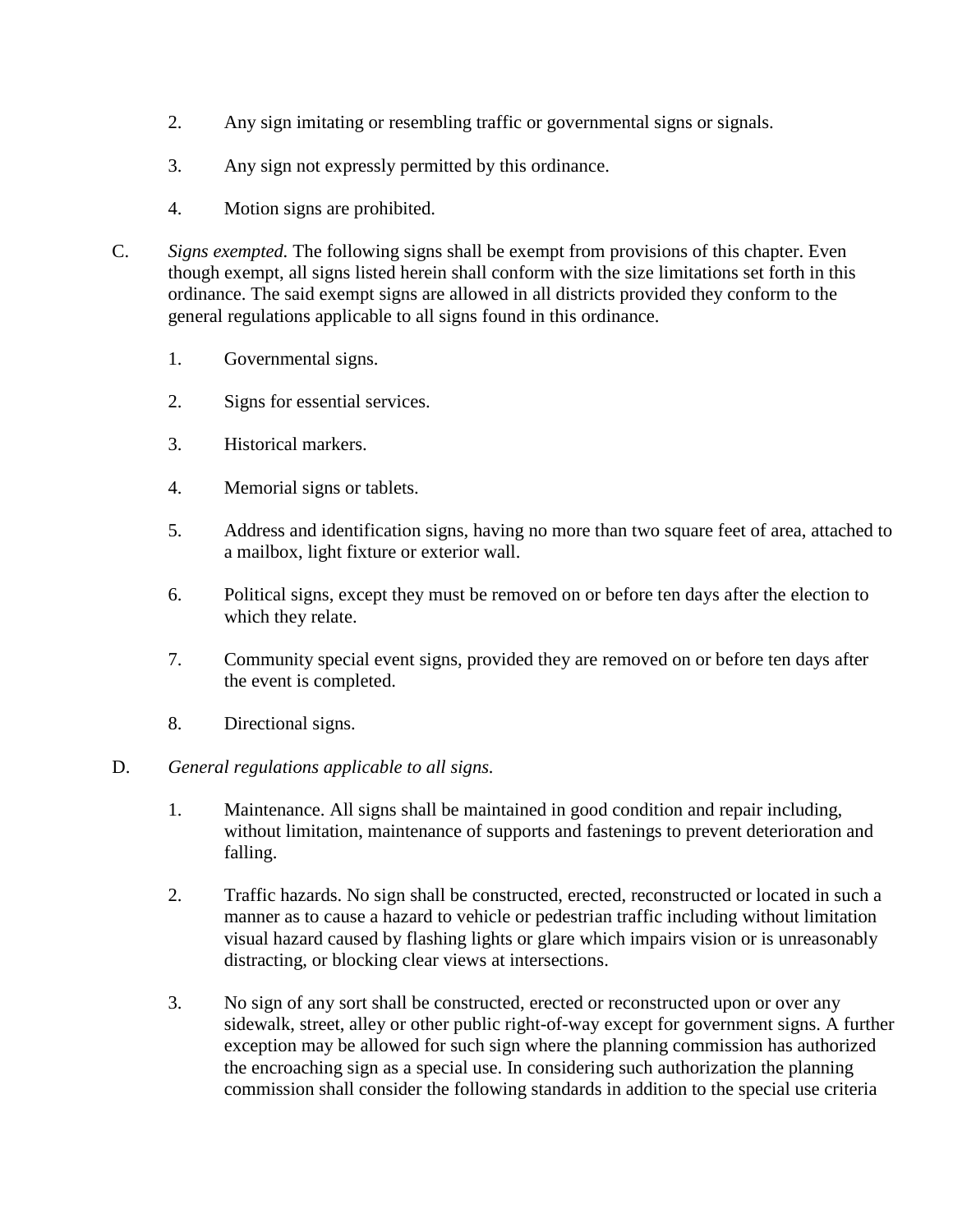- 2. Any sign imitating or resembling traffic or governmental signs or signals.
- 3. Any sign not expressly permitted by this ordinance.
- 4. Motion signs are prohibited.
- C. *Signs exempted.* The following signs shall be exempt from provisions of this chapter. Even though exempt, all signs listed herein shall conform with the size limitations set forth in this ordinance. The said exempt signs are allowed in all districts provided they conform to the general regulations applicable to all signs found in this ordinance.
	- 1. Governmental signs.
	- 2. Signs for essential services.
	- 3. Historical markers.
	- 4. Memorial signs or tablets.
	- 5. Address and identification signs, having no more than two square feet of area, attached to a mailbox, light fixture or exterior wall.
	- 6. Political signs, except they must be removed on or before ten days after the election to which they relate.
	- 7. Community special event signs, provided they are removed on or before ten days after the event is completed.
	- 8. Directional signs.

### D. *General regulations applicable to all signs.*

- 1. Maintenance. All signs shall be maintained in good condition and repair including, without limitation, maintenance of supports and fastenings to prevent deterioration and falling.
- 2. Traffic hazards. No sign shall be constructed, erected, reconstructed or located in such a manner as to cause a hazard to vehicle or pedestrian traffic including without limitation visual hazard caused by flashing lights or glare which impairs vision or is unreasonably distracting, or blocking clear views at intersections.
- 3. No sign of any sort shall be constructed, erected or reconstructed upon or over any sidewalk, street, alley or other public right-of-way except for government signs. A further exception may be allowed for such sign where the planning commission has authorized the encroaching sign as a special use. In considering such authorization the planning commission shall consider the following standards in addition to the special use criteria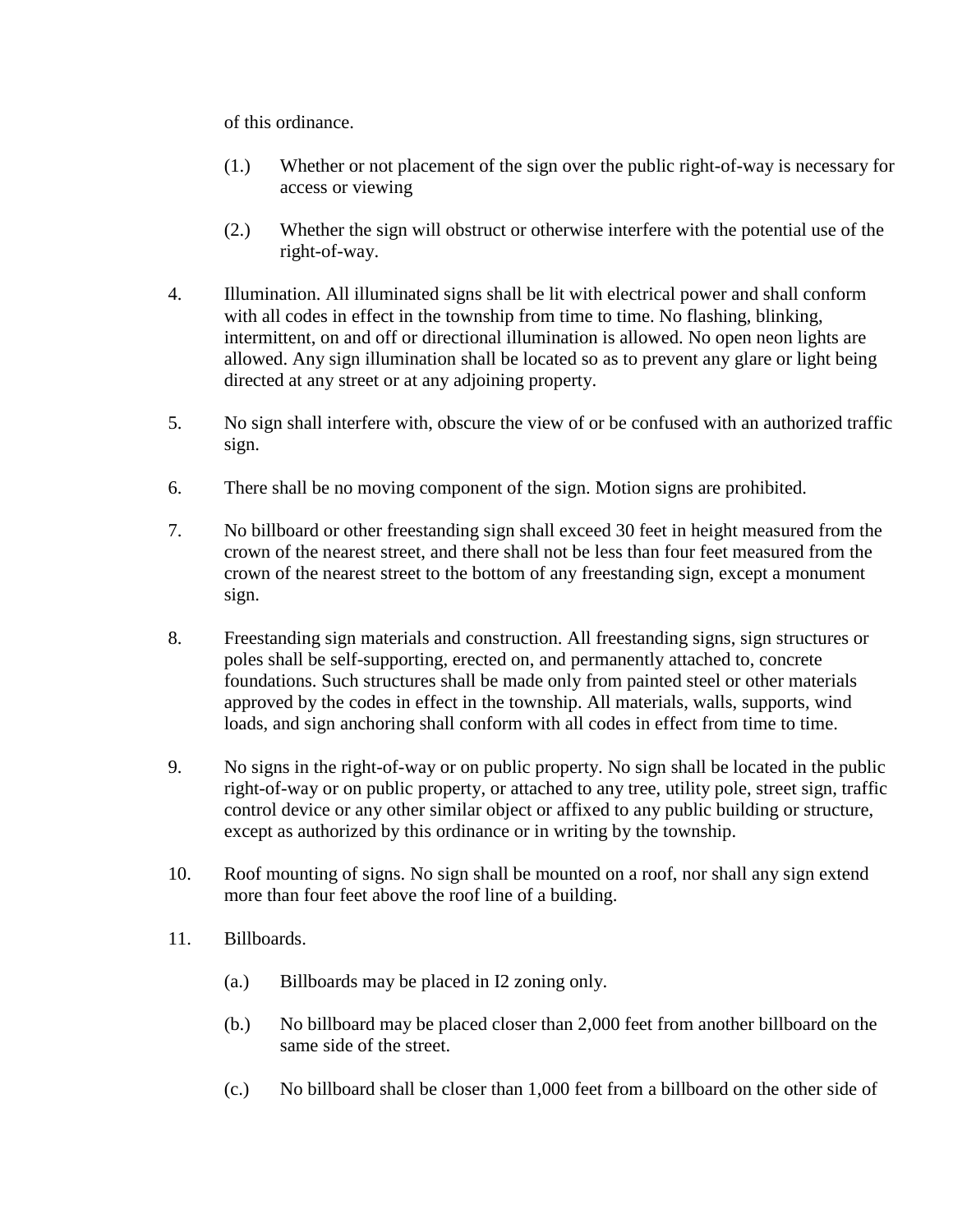of this ordinance.

- (1.) Whether or not placement of the sign over the public right-of-way is necessary for access or viewing
- (2.) Whether the sign will obstruct or otherwise interfere with the potential use of the right-of-way.
- 4. Illumination. All illuminated signs shall be lit with electrical power and shall conform with all codes in effect in the township from time to time. No flashing, blinking, intermittent, on and off or directional illumination is allowed. No open neon lights are allowed. Any sign illumination shall be located so as to prevent any glare or light being directed at any street or at any adjoining property.
- 5. No sign shall interfere with, obscure the view of or be confused with an authorized traffic sign.
- 6. There shall be no moving component of the sign. Motion signs are prohibited.
- 7. No billboard or other freestanding sign shall exceed 30 feet in height measured from the crown of the nearest street, and there shall not be less than four feet measured from the crown of the nearest street to the bottom of any freestanding sign, except a monument sign.
- 8. Freestanding sign materials and construction. All freestanding signs, sign structures or poles shall be self-supporting, erected on, and permanently attached to, concrete foundations. Such structures shall be made only from painted steel or other materials approved by the codes in effect in the township. All materials, walls, supports, wind loads, and sign anchoring shall conform with all codes in effect from time to time.
- 9. No signs in the right-of-way or on public property. No sign shall be located in the public right-of-way or on public property, or attached to any tree, utility pole, street sign, traffic control device or any other similar object or affixed to any public building or structure, except as authorized by this ordinance or in writing by the township.
- 10. Roof mounting of signs. No sign shall be mounted on a roof, nor shall any sign extend more than four feet above the roof line of a building.
- 11. Billboards.
	- (a.) Billboards may be placed in I2 zoning only.
	- (b.) No billboard may be placed closer than 2,000 feet from another billboard on the same side of the street.
	- (c.) No billboard shall be closer than 1,000 feet from a billboard on the other side of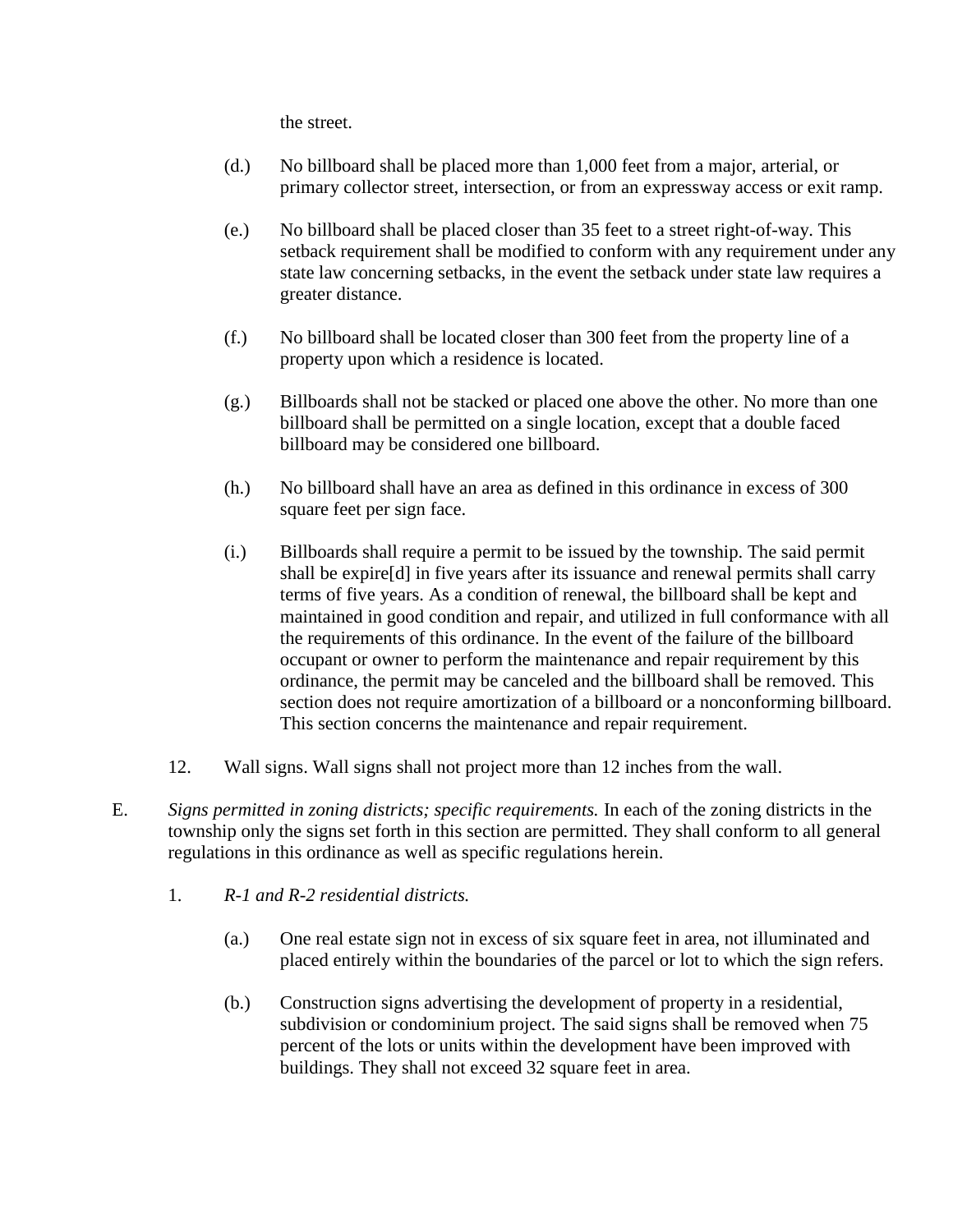the street.

- (d.) No billboard shall be placed more than 1,000 feet from a major, arterial, or primary collector street, intersection, or from an expressway access or exit ramp.
- (e.) No billboard shall be placed closer than 35 feet to a street right-of-way. This setback requirement shall be modified to conform with any requirement under any state law concerning setbacks, in the event the setback under state law requires a greater distance.
- (f.) No billboard shall be located closer than 300 feet from the property line of a property upon which a residence is located.
- (g.) Billboards shall not be stacked or placed one above the other. No more than one billboard shall be permitted on a single location, except that a double faced billboard may be considered one billboard.
- (h.) No billboard shall have an area as defined in this ordinance in excess of 300 square feet per sign face.
- (i.) Billboards shall require a permit to be issued by the township. The said permit shall be expire[d] in five years after its issuance and renewal permits shall carry terms of five years. As a condition of renewal, the billboard shall be kept and maintained in good condition and repair, and utilized in full conformance with all the requirements of this ordinance. In the event of the failure of the billboard occupant or owner to perform the maintenance and repair requirement by this ordinance, the permit may be canceled and the billboard shall be removed. This section does not require amortization of a billboard or a nonconforming billboard. This section concerns the maintenance and repair requirement.
- 12. Wall signs. Wall signs shall not project more than 12 inches from the wall.
- E. *Signs permitted in zoning districts; specific requirements.* In each of the zoning districts in the township only the signs set forth in this section are permitted. They shall conform to all general regulations in this ordinance as well as specific regulations herein.
	- 1. *R-1 and R-2 residential districts.*
		- (a.) One real estate sign not in excess of six square feet in area, not illuminated and placed entirely within the boundaries of the parcel or lot to which the sign refers.
		- (b.) Construction signs advertising the development of property in a residential, subdivision or condominium project. The said signs shall be removed when 75 percent of the lots or units within the development have been improved with buildings. They shall not exceed 32 square feet in area.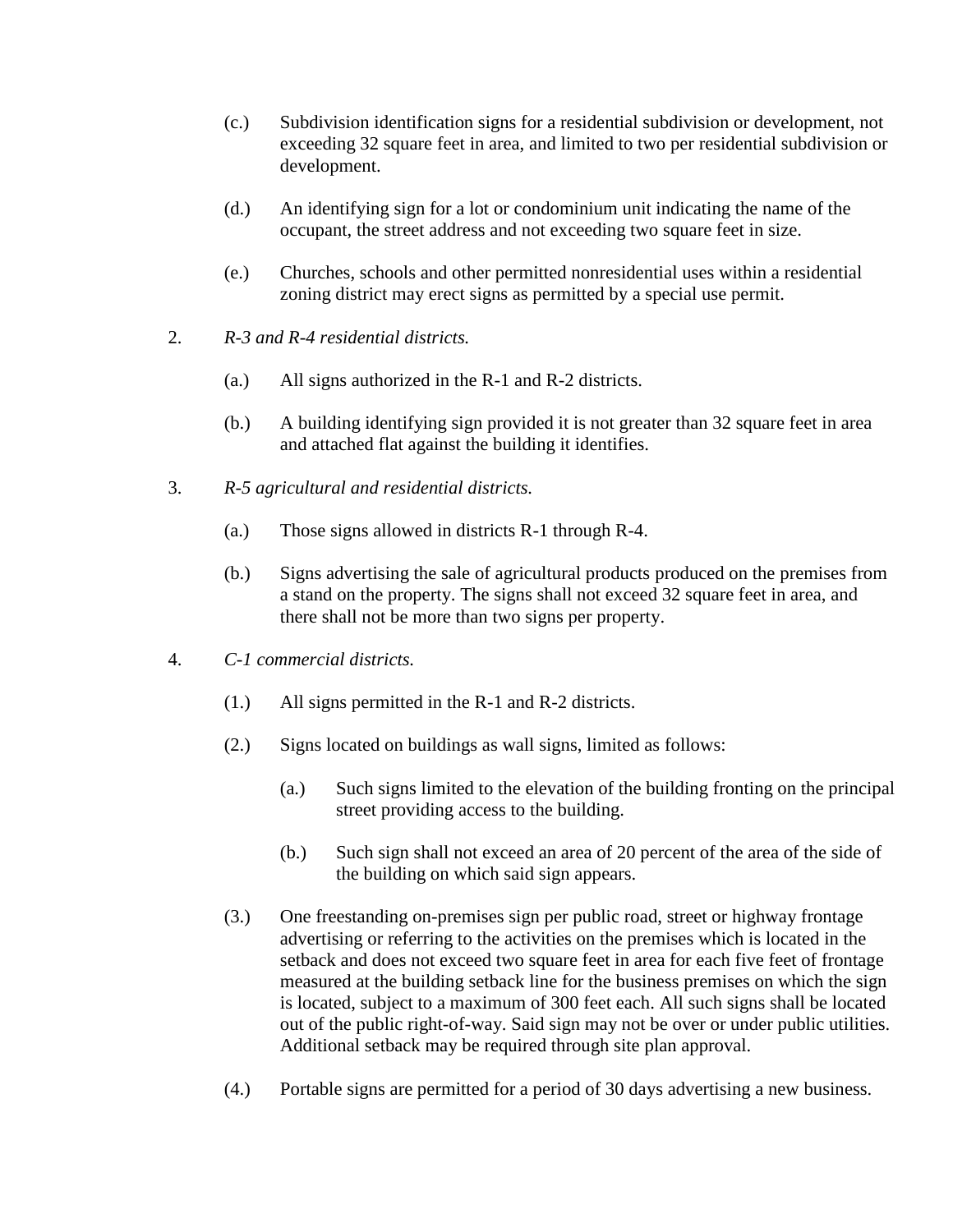- (c.) Subdivision identification signs for a residential subdivision or development, not exceeding 32 square feet in area, and limited to two per residential subdivision or development.
- (d.) An identifying sign for a lot or condominium unit indicating the name of the occupant, the street address and not exceeding two square feet in size.
- (e.) Churches, schools and other permitted nonresidential uses within a residential zoning district may erect signs as permitted by a special use permit.
- 2. *R-3 and R-4 residential districts.*
	- (a.) All signs authorized in the R-1 and R-2 districts.
	- (b.) A building identifying sign provided it is not greater than 32 square feet in area and attached flat against the building it identifies.
- 3. *R-5 agricultural and residential districts.*
	- (a.) Those signs allowed in districts R-1 through R-4.
	- (b.) Signs advertising the sale of agricultural products produced on the premises from a stand on the property. The signs shall not exceed 32 square feet in area, and there shall not be more than two signs per property.
- 4. *C-1 commercial districts.*
	- (1.) All signs permitted in the R-1 and R-2 districts.
	- (2.) Signs located on buildings as wall signs, limited as follows:
		- (a.) Such signs limited to the elevation of the building fronting on the principal street providing access to the building.
		- (b.) Such sign shall not exceed an area of 20 percent of the area of the side of the building on which said sign appears.
	- (3.) One freestanding on-premises sign per public road, street or highway frontage advertising or referring to the activities on the premises which is located in the setback and does not exceed two square feet in area for each five feet of frontage measured at the building setback line for the business premises on which the sign is located, subject to a maximum of 300 feet each. All such signs shall be located out of the public right-of-way. Said sign may not be over or under public utilities. Additional setback may be required through site plan approval.
	- (4.) Portable signs are permitted for a period of 30 days advertising a new business.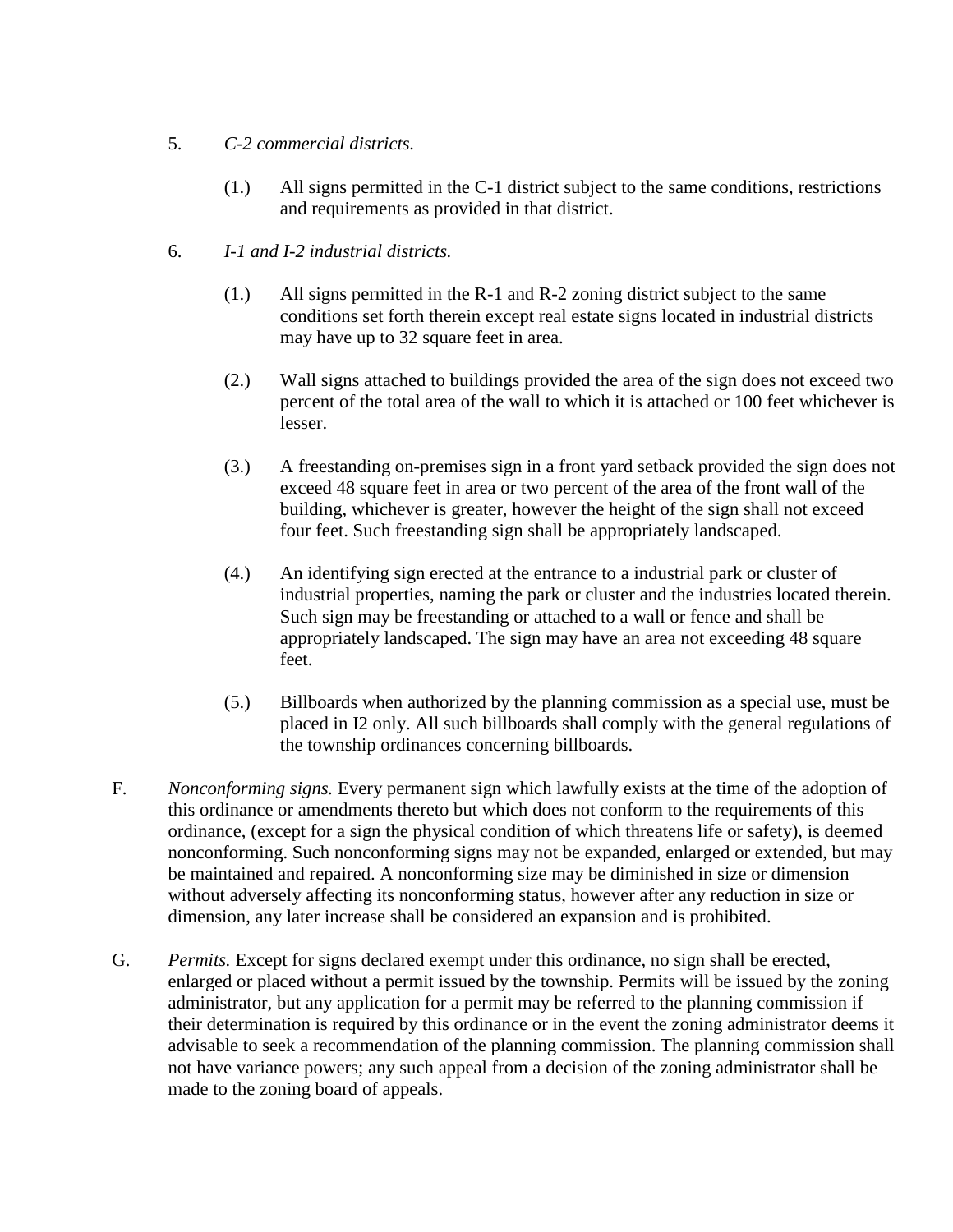- 5. *C-2 commercial districts.*
	- (1.) All signs permitted in the C-1 district subject to the same conditions, restrictions and requirements as provided in that district.
- 6. *I-1 and I-2 industrial districts.*
	- (1.) All signs permitted in the R-1 and R-2 zoning district subject to the same conditions set forth therein except real estate signs located in industrial districts may have up to 32 square feet in area.
	- (2.) Wall signs attached to buildings provided the area of the sign does not exceed two percent of the total area of the wall to which it is attached or 100 feet whichever is lesser.
	- (3.) A freestanding on-premises sign in a front yard setback provided the sign does not exceed 48 square feet in area or two percent of the area of the front wall of the building, whichever is greater, however the height of the sign shall not exceed four feet. Such freestanding sign shall be appropriately landscaped.
	- (4.) An identifying sign erected at the entrance to a industrial park or cluster of industrial properties, naming the park or cluster and the industries located therein. Such sign may be freestanding or attached to a wall or fence and shall be appropriately landscaped. The sign may have an area not exceeding 48 square feet.
	- (5.) Billboards when authorized by the planning commission as a special use, must be placed in I2 only. All such billboards shall comply with the general regulations of the township ordinances concerning billboards.
- F. *Nonconforming signs.* Every permanent sign which lawfully exists at the time of the adoption of this ordinance or amendments thereto but which does not conform to the requirements of this ordinance, (except for a sign the physical condition of which threatens life or safety), is deemed nonconforming. Such nonconforming signs may not be expanded, enlarged or extended, but may be maintained and repaired. A nonconforming size may be diminished in size or dimension without adversely affecting its nonconforming status, however after any reduction in size or dimension, any later increase shall be considered an expansion and is prohibited.
- G. *Permits.* Except for signs declared exempt under this ordinance, no sign shall be erected, enlarged or placed without a permit issued by the township. Permits will be issued by the zoning administrator, but any application for a permit may be referred to the planning commission if their determination is required by this ordinance or in the event the zoning administrator deems it advisable to seek a recommendation of the planning commission. The planning commission shall not have variance powers; any such appeal from a decision of the zoning administrator shall be made to the zoning board of appeals.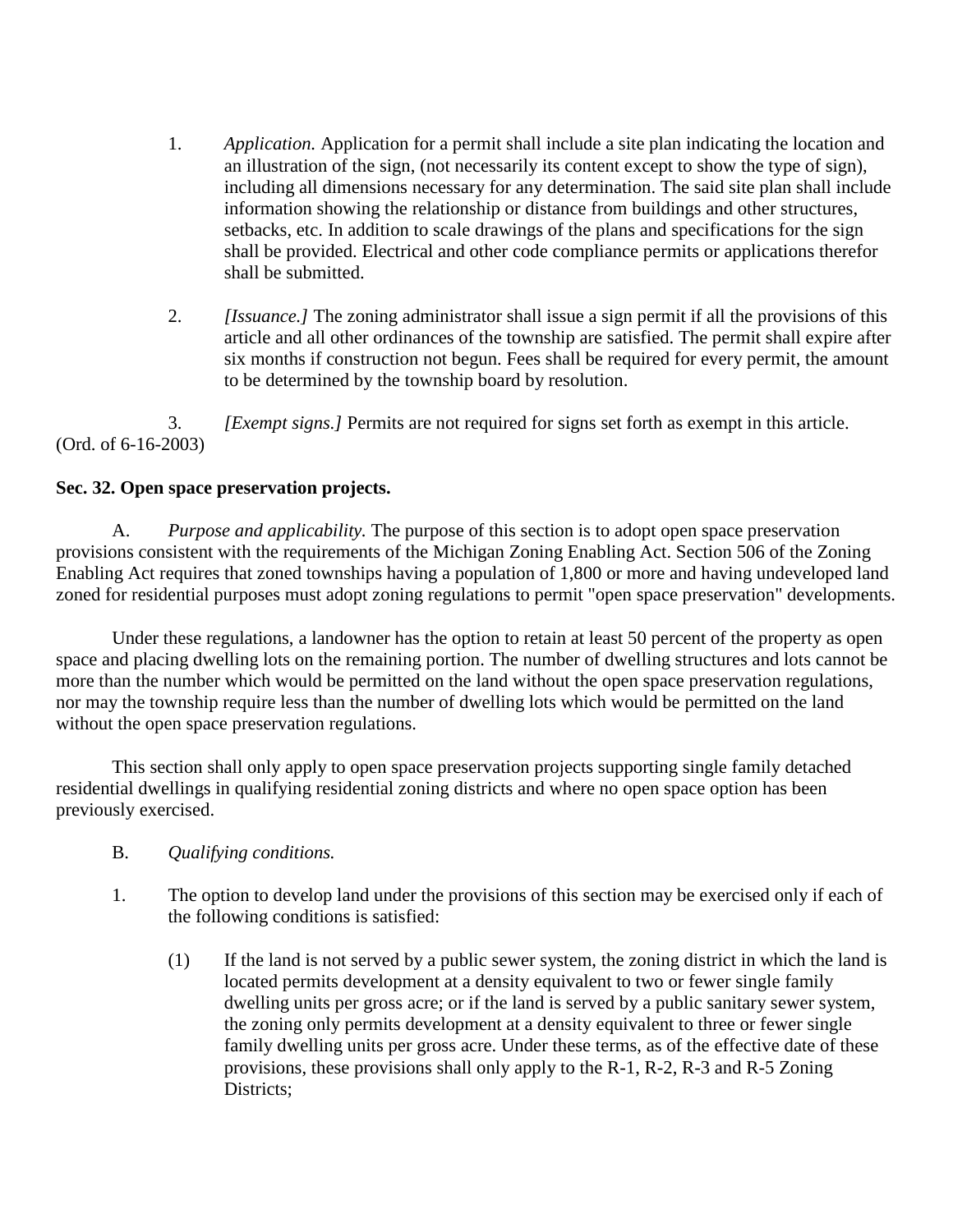- 1. *Application.* Application for a permit shall include a site plan indicating the location and an illustration of the sign, (not necessarily its content except to show the type of sign), including all dimensions necessary for any determination. The said site plan shall include information showing the relationship or distance from buildings and other structures, setbacks, etc. In addition to scale drawings of the plans and specifications for the sign shall be provided. Electrical and other code compliance permits or applications therefor shall be submitted.
- 2. *[Issuance.]* The zoning administrator shall issue a sign permit if all the provisions of this article and all other ordinances of the township are satisfied. The permit shall expire after six months if construction not begun. Fees shall be required for every permit, the amount to be determined by the township board by resolution.

3. *[Exempt signs.]* Permits are not required for signs set forth as exempt in this article. (Ord. of 6-16-2003)

### **Sec. 32. Open space preservation projects.**

A. *Purpose and applicability.* The purpose of this section is to adopt open space preservation provisions consistent with the requirements of the Michigan Zoning Enabling Act. Section 506 of the Zoning Enabling Act requires that zoned townships having a population of 1,800 or more and having undeveloped land zoned for residential purposes must adopt zoning regulations to permit "open space preservation" developments.

Under these regulations, a landowner has the option to retain at least 50 percent of the property as open space and placing dwelling lots on the remaining portion. The number of dwelling structures and lots cannot be more than the number which would be permitted on the land without the open space preservation regulations, nor may the township require less than the number of dwelling lots which would be permitted on the land without the open space preservation regulations.

This section shall only apply to open space preservation projects supporting single family detached residential dwellings in qualifying residential zoning districts and where no open space option has been previously exercised.

- B. *Qualifying conditions.*
- 1. The option to develop land under the provisions of this section may be exercised only if each of the following conditions is satisfied:
	- (1) If the land is not served by a public sewer system, the zoning district in which the land is located permits development at a density equivalent to two or fewer single family dwelling units per gross acre; or if the land is served by a public sanitary sewer system, the zoning only permits development at a density equivalent to three or fewer single family dwelling units per gross acre. Under these terms, as of the effective date of these provisions, these provisions shall only apply to the R-1, R-2, R-3 and R-5 Zoning Districts: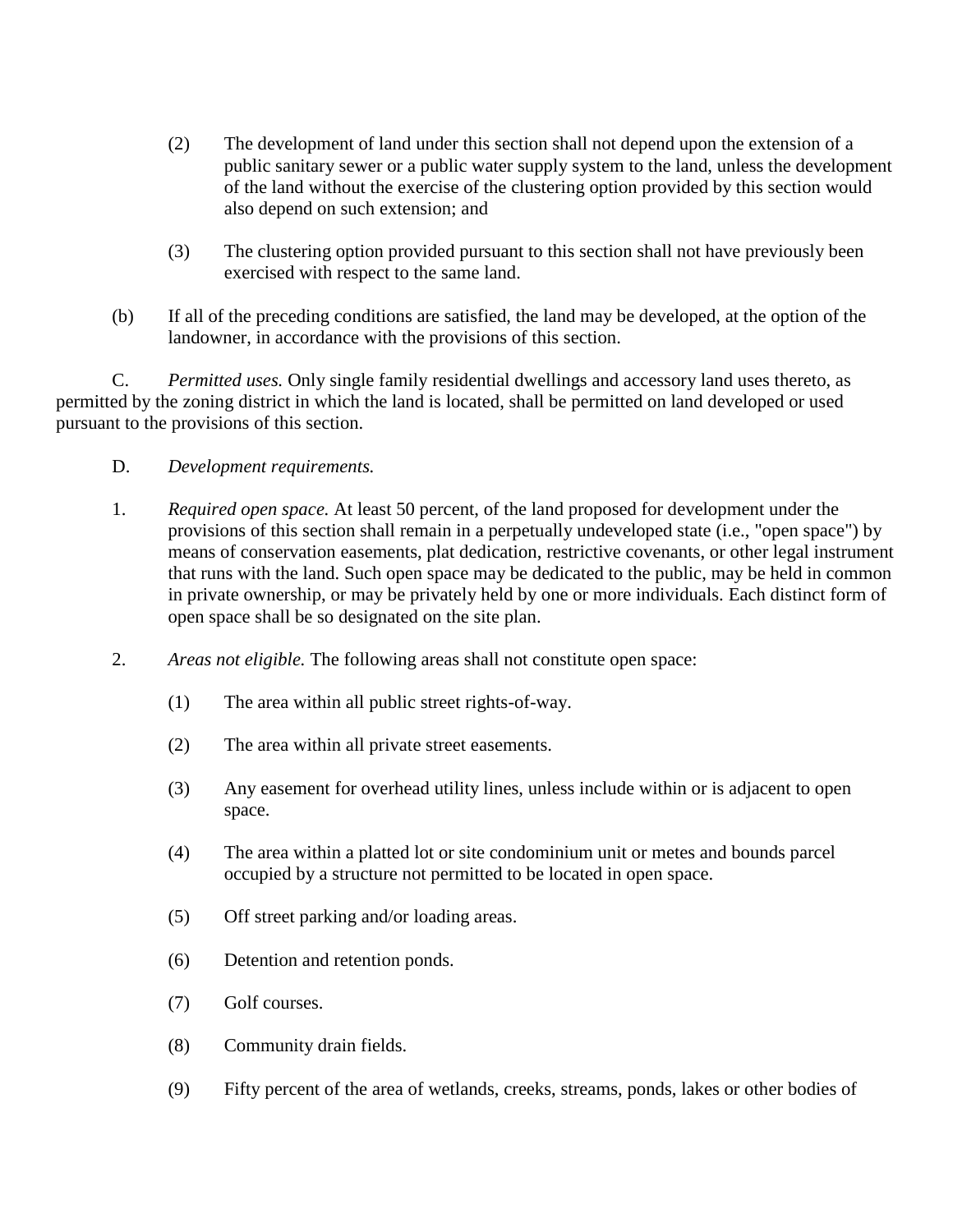- (2) The development of land under this section shall not depend upon the extension of a public sanitary sewer or a public water supply system to the land, unless the development of the land without the exercise of the clustering option provided by this section would also depend on such extension; and
- (3) The clustering option provided pursuant to this section shall not have previously been exercised with respect to the same land.
- (b) If all of the preceding conditions are satisfied, the land may be developed, at the option of the landowner, in accordance with the provisions of this section.

C. *Permitted uses.* Only single family residential dwellings and accessory land uses thereto, as permitted by the zoning district in which the land is located, shall be permitted on land developed or used pursuant to the provisions of this section.

- D. *Development requirements.*
- 1. *Required open space.* At least 50 percent, of the land proposed for development under the provisions of this section shall remain in a perpetually undeveloped state (i.e., "open space") by means of conservation easements, plat dedication, restrictive covenants, or other legal instrument that runs with the land. Such open space may be dedicated to the public, may be held in common in private ownership, or may be privately held by one or more individuals. Each distinct form of open space shall be so designated on the site plan.
- 2. *Areas not eligible.* The following areas shall not constitute open space:
	- (1) The area within all public street rights-of-way.
	- (2) The area within all private street easements.
	- (3) Any easement for overhead utility lines, unless include within or is adjacent to open space.
	- (4) The area within a platted lot or site condominium unit or metes and bounds parcel occupied by a structure not permitted to be located in open space.
	- (5) Off street parking and/or loading areas.
	- (6) Detention and retention ponds.
	- (7) Golf courses.
	- (8) Community drain fields.
	- (9) Fifty percent of the area of wetlands, creeks, streams, ponds, lakes or other bodies of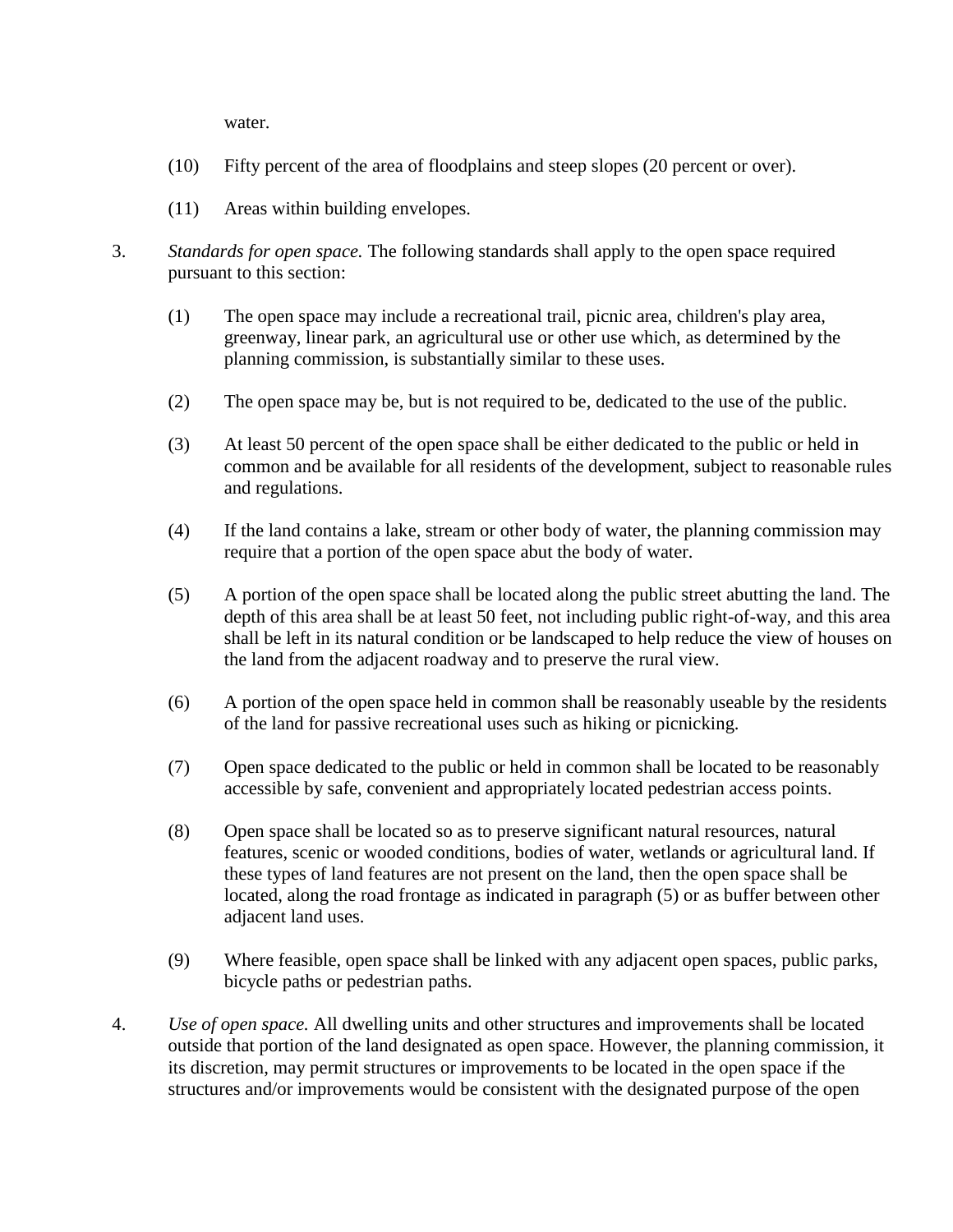water.

- (10) Fifty percent of the area of floodplains and steep slopes (20 percent or over).
- (11) Areas within building envelopes.
- 3. *Standards for open space.* The following standards shall apply to the open space required pursuant to this section:
	- (1) The open space may include a recreational trail, picnic area, children's play area, greenway, linear park, an agricultural use or other use which, as determined by the planning commission, is substantially similar to these uses.
	- (2) The open space may be, but is not required to be, dedicated to the use of the public.
	- (3) At least 50 percent of the open space shall be either dedicated to the public or held in common and be available for all residents of the development, subject to reasonable rules and regulations.
	- (4) If the land contains a lake, stream or other body of water, the planning commission may require that a portion of the open space abut the body of water.
	- (5) A portion of the open space shall be located along the public street abutting the land. The depth of this area shall be at least 50 feet, not including public right-of-way, and this area shall be left in its natural condition or be landscaped to help reduce the view of houses on the land from the adjacent roadway and to preserve the rural view.
	- (6) A portion of the open space held in common shall be reasonably useable by the residents of the land for passive recreational uses such as hiking or picnicking.
	- (7) Open space dedicated to the public or held in common shall be located to be reasonably accessible by safe, convenient and appropriately located pedestrian access points.
	- (8) Open space shall be located so as to preserve significant natural resources, natural features, scenic or wooded conditions, bodies of water, wetlands or agricultural land. If these types of land features are not present on the land, then the open space shall be located, along the road frontage as indicated in paragraph (5) or as buffer between other adjacent land uses.
	- (9) Where feasible, open space shall be linked with any adjacent open spaces, public parks, bicycle paths or pedestrian paths.
- 4. *Use of open space.* All dwelling units and other structures and improvements shall be located outside that portion of the land designated as open space. However, the planning commission, it its discretion, may permit structures or improvements to be located in the open space if the structures and/or improvements would be consistent with the designated purpose of the open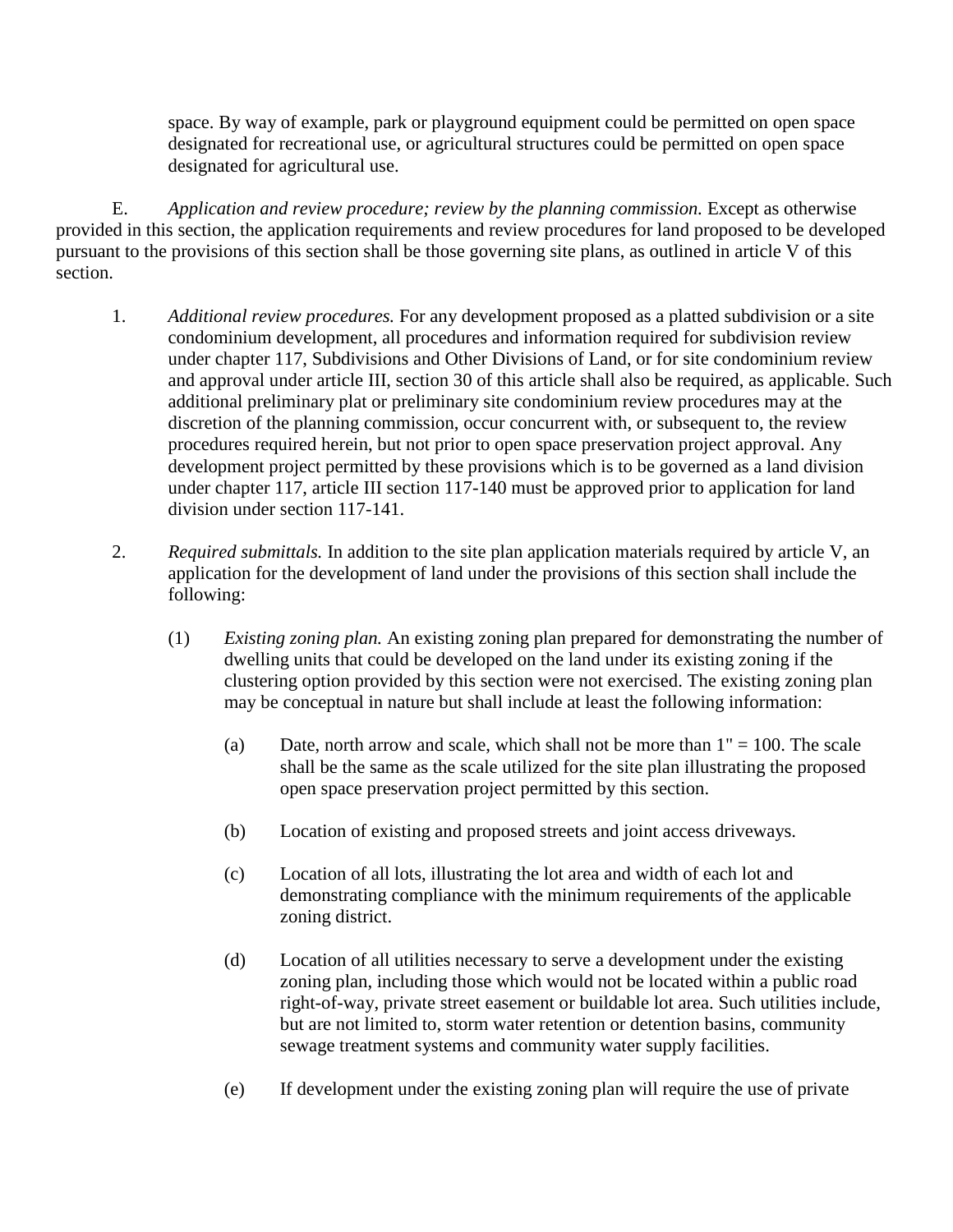space. By way of example, park or playground equipment could be permitted on open space designated for recreational use, or agricultural structures could be permitted on open space designated for agricultural use.

E. *Application and review procedure; review by the planning commission.* Except as otherwise provided in this section, the application requirements and review procedures for land proposed to be developed pursuant to the provisions of this section shall be those governing site plans, as outlined in article V of this section.

- 1. *Additional review procedures.* For any development proposed as a platted subdivision or a site condominium development, all procedures and information required for subdivision review under chapter 117, Subdivisions and Other Divisions of Land, or for site condominium review and approval under article III, section 30 of this article shall also be required, as applicable. Such additional preliminary plat or preliminary site condominium review procedures may at the discretion of the planning commission, occur concurrent with, or subsequent to, the review procedures required herein, but not prior to open space preservation project approval. Any development project permitted by these provisions which is to be governed as a land division under chapter 117, article III section 117-140 must be approved prior to application for land division under section 117-141.
- 2. *Required submittals.* In addition to the site plan application materials required by article V, an application for the development of land under the provisions of this section shall include the following:
	- (1) *Existing zoning plan.* An existing zoning plan prepared for demonstrating the number of dwelling units that could be developed on the land under its existing zoning if the clustering option provided by this section were not exercised. The existing zoning plan may be conceptual in nature but shall include at least the following information:
		- (a) Date, north arrow and scale, which shall not be more than  $1" = 100$ . The scale shall be the same as the scale utilized for the site plan illustrating the proposed open space preservation project permitted by this section.
		- (b) Location of existing and proposed streets and joint access driveways.
		- (c) Location of all lots, illustrating the lot area and width of each lot and demonstrating compliance with the minimum requirements of the applicable zoning district.
		- (d) Location of all utilities necessary to serve a development under the existing zoning plan, including those which would not be located within a public road right-of-way, private street easement or buildable lot area. Such utilities include, but are not limited to, storm water retention or detention basins, community sewage treatment systems and community water supply facilities.
		- (e) If development under the existing zoning plan will require the use of private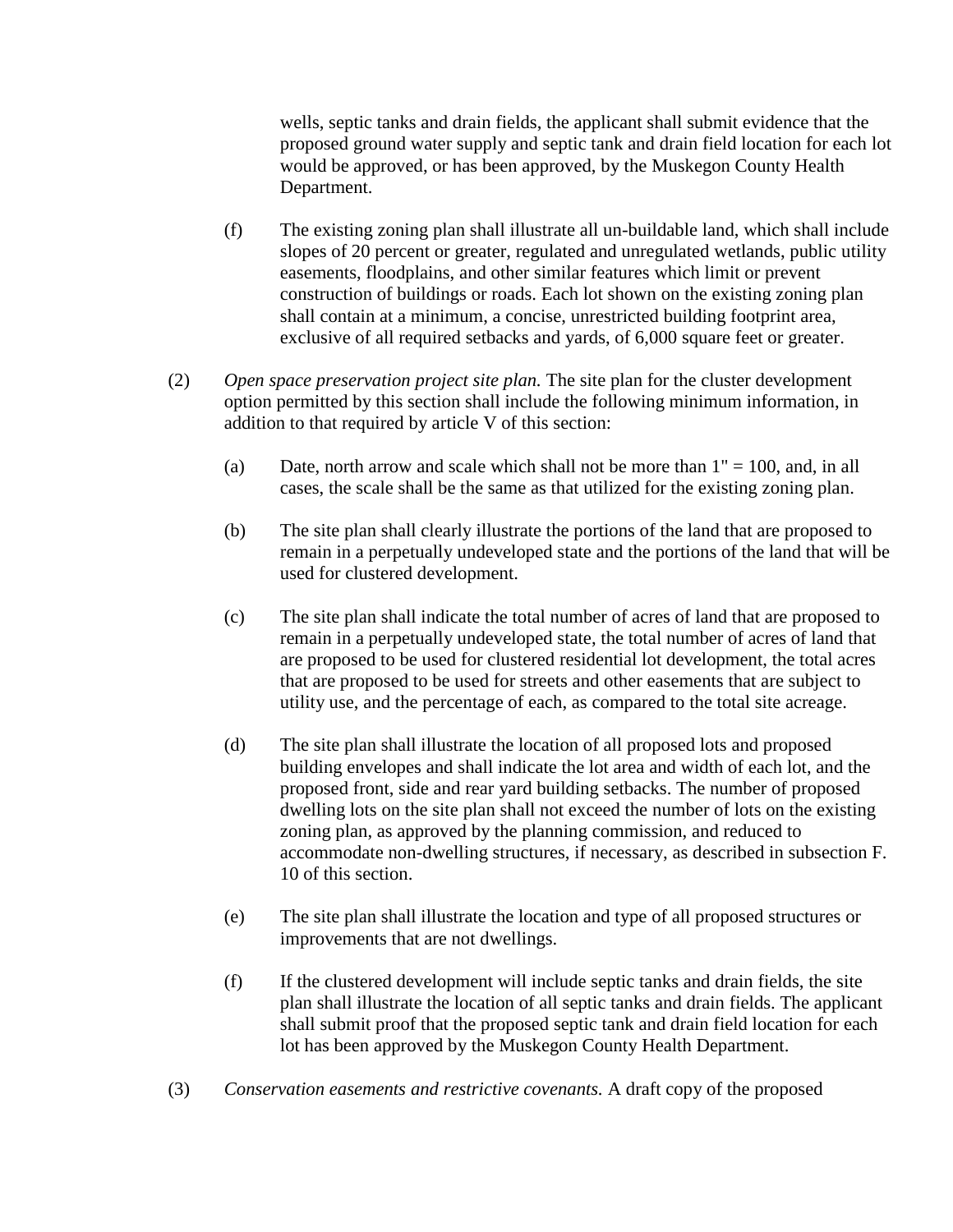wells, septic tanks and drain fields, the applicant shall submit evidence that the proposed ground water supply and septic tank and drain field location for each lot would be approved, or has been approved, by the Muskegon County Health Department.

- (f) The existing zoning plan shall illustrate all un-buildable land, which shall include slopes of 20 percent or greater, regulated and unregulated wetlands, public utility easements, floodplains, and other similar features which limit or prevent construction of buildings or roads. Each lot shown on the existing zoning plan shall contain at a minimum, a concise, unrestricted building footprint area, exclusive of all required setbacks and yards, of 6,000 square feet or greater.
- (2) *Open space preservation project site plan.* The site plan for the cluster development option permitted by this section shall include the following minimum information, in addition to that required by article V of this section:
	- (a) Date, north arrow and scale which shall not be more than  $1" = 100$ , and, in all cases, the scale shall be the same as that utilized for the existing zoning plan.
	- (b) The site plan shall clearly illustrate the portions of the land that are proposed to remain in a perpetually undeveloped state and the portions of the land that will be used for clustered development.
	- (c) The site plan shall indicate the total number of acres of land that are proposed to remain in a perpetually undeveloped state, the total number of acres of land that are proposed to be used for clustered residential lot development, the total acres that are proposed to be used for streets and other easements that are subject to utility use, and the percentage of each, as compared to the total site acreage.
	- (d) The site plan shall illustrate the location of all proposed lots and proposed building envelopes and shall indicate the lot area and width of each lot, and the proposed front, side and rear yard building setbacks. The number of proposed dwelling lots on the site plan shall not exceed the number of lots on the existing zoning plan, as approved by the planning commission, and reduced to accommodate non-dwelling structures, if necessary, as described in subsection F. 10 of this section.
	- (e) The site plan shall illustrate the location and type of all proposed structures or improvements that are not dwellings.
	- (f) If the clustered development will include septic tanks and drain fields, the site plan shall illustrate the location of all septic tanks and drain fields. The applicant shall submit proof that the proposed septic tank and drain field location for each lot has been approved by the Muskegon County Health Department.
- (3) *Conservation easements and restrictive covenants.* A draft copy of the proposed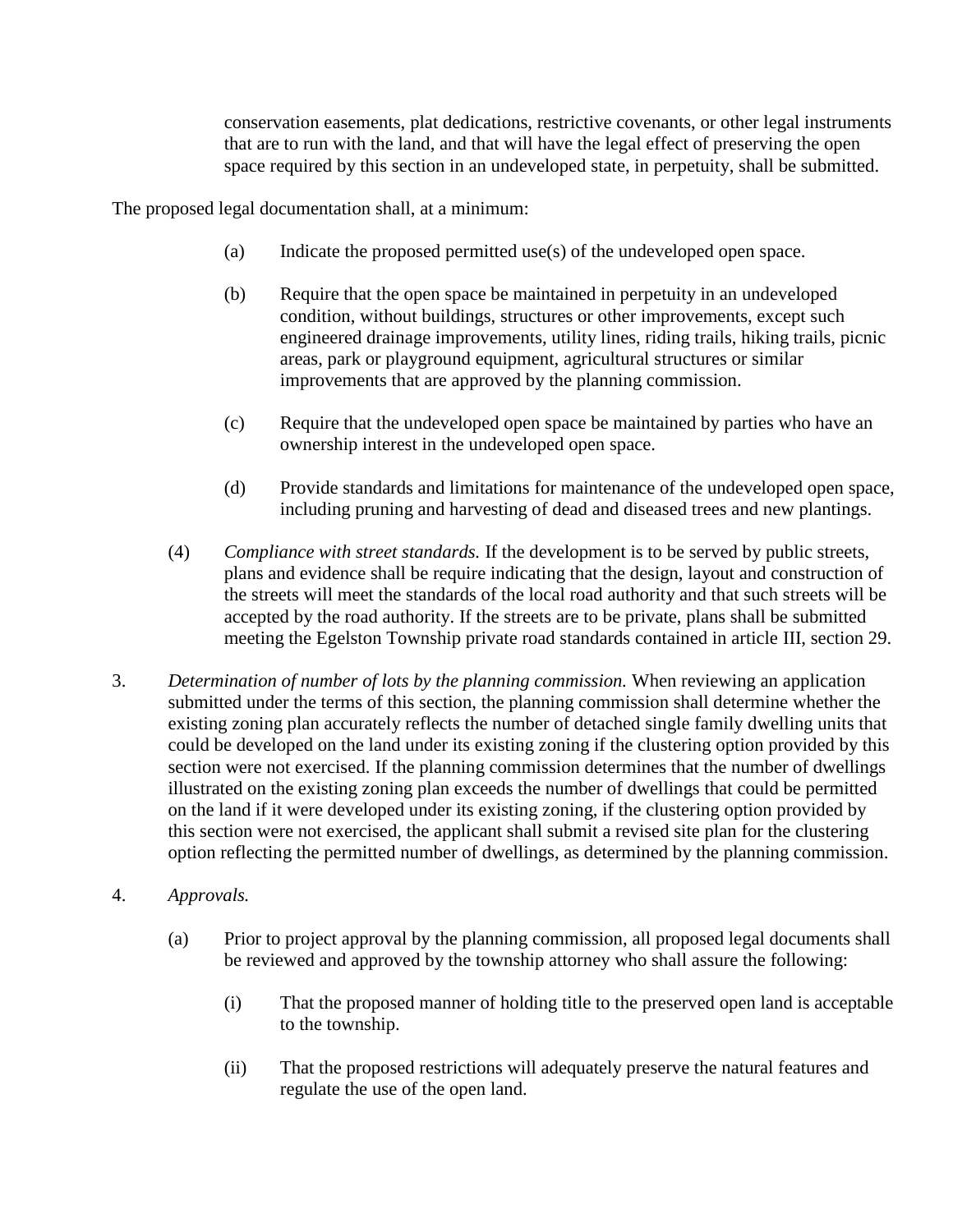conservation easements, plat dedications, restrictive covenants, or other legal instruments that are to run with the land, and that will have the legal effect of preserving the open space required by this section in an undeveloped state, in perpetuity, shall be submitted.

The proposed legal documentation shall, at a minimum:

- (a) Indicate the proposed permitted use(s) of the undeveloped open space.
- (b) Require that the open space be maintained in perpetuity in an undeveloped condition, without buildings, structures or other improvements, except such engineered drainage improvements, utility lines, riding trails, hiking trails, picnic areas, park or playground equipment, agricultural structures or similar improvements that are approved by the planning commission.
- (c) Require that the undeveloped open space be maintained by parties who have an ownership interest in the undeveloped open space.
- (d) Provide standards and limitations for maintenance of the undeveloped open space, including pruning and harvesting of dead and diseased trees and new plantings.
- (4) *Compliance with street standards.* If the development is to be served by public streets, plans and evidence shall be require indicating that the design, layout and construction of the streets will meet the standards of the local road authority and that such streets will be accepted by the road authority. If the streets are to be private, plans shall be submitted meeting the Egelston Township private road standards contained in article III, section 29.
- 3. *Determination of number of lots by the planning commission.* When reviewing an application submitted under the terms of this section, the planning commission shall determine whether the existing zoning plan accurately reflects the number of detached single family dwelling units that could be developed on the land under its existing zoning if the clustering option provided by this section were not exercised. If the planning commission determines that the number of dwellings illustrated on the existing zoning plan exceeds the number of dwellings that could be permitted on the land if it were developed under its existing zoning, if the clustering option provided by this section were not exercised, the applicant shall submit a revised site plan for the clustering option reflecting the permitted number of dwellings, as determined by the planning commission.
- 4. *Approvals.*
	- (a) Prior to project approval by the planning commission, all proposed legal documents shall be reviewed and approved by the township attorney who shall assure the following:
		- (i) That the proposed manner of holding title to the preserved open land is acceptable to the township.
		- (ii) That the proposed restrictions will adequately preserve the natural features and regulate the use of the open land.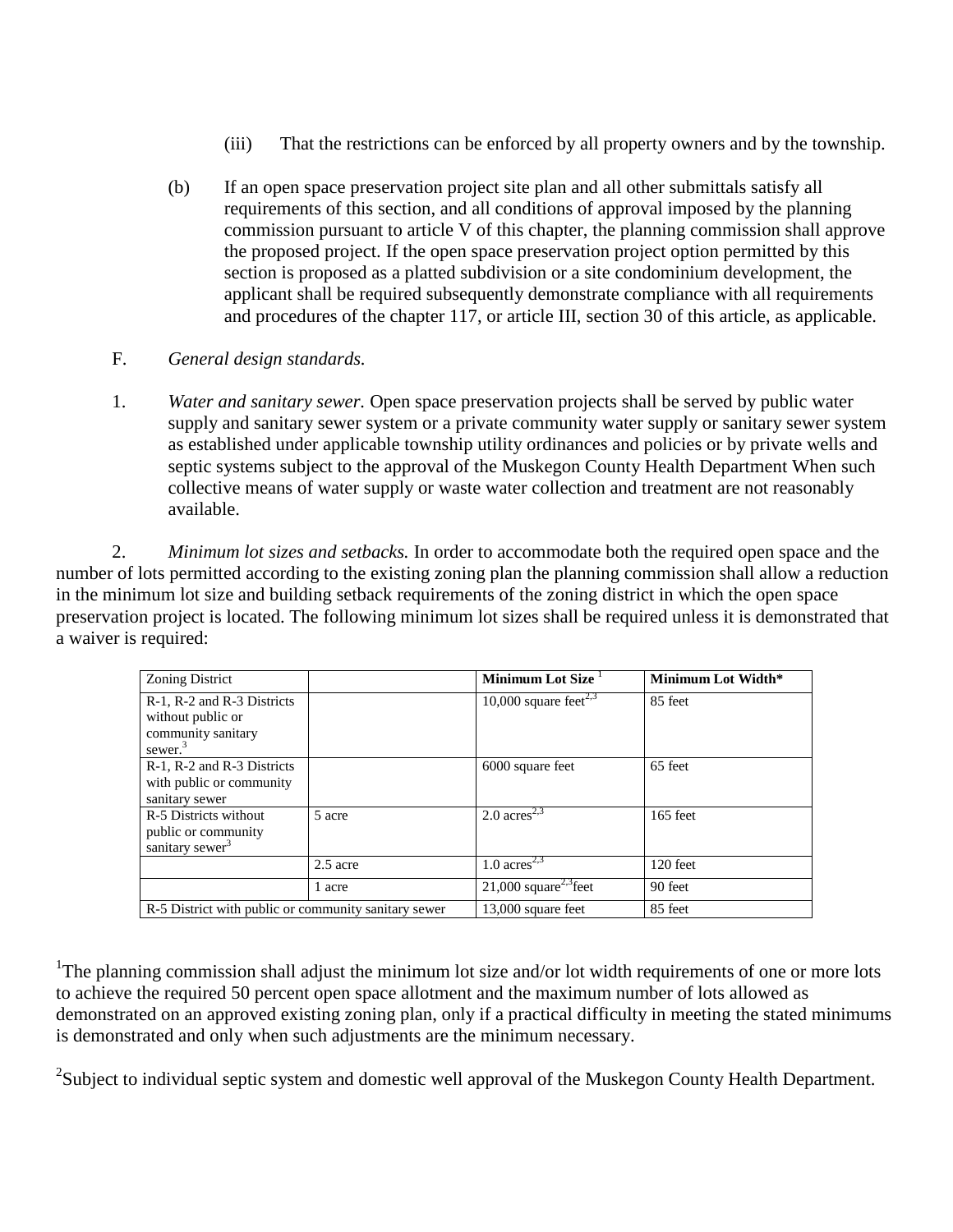- (iii) That the restrictions can be enforced by all property owners and by the township.
- (b) If an open space preservation project site plan and all other submittals satisfy all requirements of this section, and all conditions of approval imposed by the planning commission pursuant to article V of this chapter, the planning commission shall approve the proposed project. If the open space preservation project option permitted by this section is proposed as a platted subdivision or a site condominium development, the applicant shall be required subsequently demonstrate compliance with all requirements and procedures of the chapter 117, or article III, section 30 of this article, as applicable.
- F. *General design standards.*
- 1. *Water and sanitary sewer.* Open space preservation projects shall be served by public water supply and sanitary sewer system or a private community water supply or sanitary sewer system as established under applicable township utility ordinances and policies or by private wells and septic systems subject to the approval of the Muskegon County Health Department When such collective means of water supply or waste water collection and treatment are not reasonably available.

2. *Minimum lot sizes and setbacks.* In order to accommodate both the required open space and the number of lots permitted according to the existing zoning plan the planning commission shall allow a reduction in the minimum lot size and building setback requirements of the zoning district in which the open space preservation project is located. The following minimum lot sizes shall be required unless it is demonstrated that a waiver is required:

| <b>Zoning District</b>                                                              |            | Minimum Lot Size                    | Minimum Lot Width* |
|-------------------------------------------------------------------------------------|------------|-------------------------------------|--------------------|
| R-1, R-2 and R-3 Districts<br>without public or<br>community sanitary<br>sewer. $3$ |            | 10,000 square feet <sup>2,3</sup>   | 85 feet            |
| R-1, R-2 and R-3 Districts<br>with public or community<br>sanitary sewer            |            | 6000 square feet                    | 65 feet            |
| R-5 Districts without<br>public or community<br>sanitary sewer <sup>3</sup>         | 5 acre     | 2.0 $\rm{acres}^{2,3}$              | $165$ feet         |
|                                                                                     | $2.5$ acre | 1.0 $\rm{acres}^{2,3}$              | $120$ feet         |
|                                                                                     | 1 acre     | $21,000$ square <sup>2,3</sup> feet | 90 feet            |
| R-5 District with public or community sanitary sewer                                |            | 13,000 square feet                  | 85 feet            |

<sup>1</sup>The planning commission shall adjust the minimum lot size and/or lot width requirements of one or more lots to achieve the required 50 percent open space allotment and the maximum number of lots allowed as demonstrated on an approved existing zoning plan, only if a practical difficulty in meeting the stated minimums is demonstrated and only when such adjustments are the minimum necessary.

 $2$ Subject to individual septic system and domestic well approval of the Muskegon County Health Department.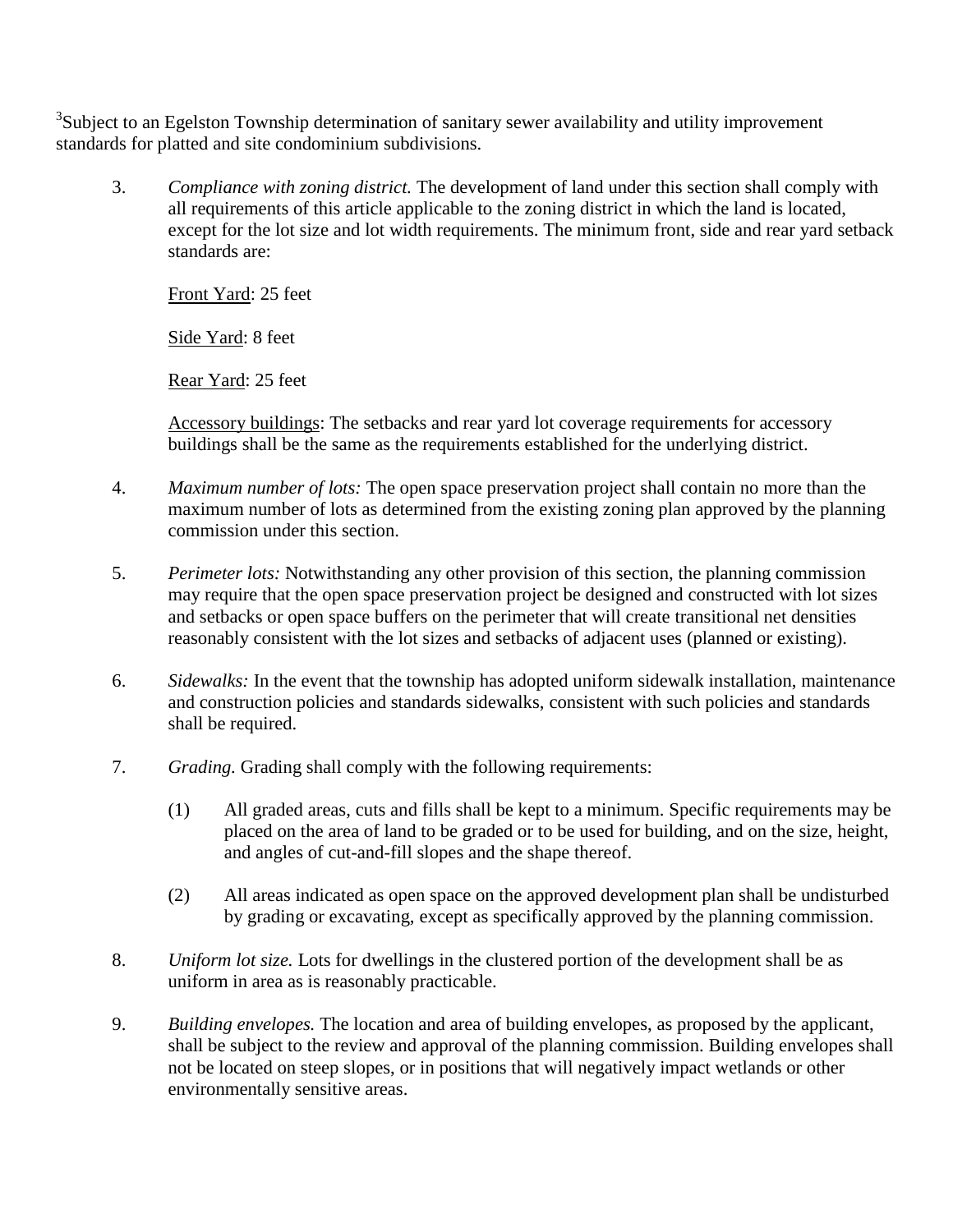<sup>3</sup>Subject to an Egelston Township determination of sanitary sewer availability and utility improvement standards for platted and site condominium subdivisions.

3. *Compliance with zoning district.* The development of land under this section shall comply with all requirements of this article applicable to the zoning district in which the land is located, except for the lot size and lot width requirements. The minimum front, side and rear yard setback standards are:

Front Yard: 25 feet

Side Yard: 8 feet

Rear Yard: 25 feet

Accessory buildings: The setbacks and rear yard lot coverage requirements for accessory buildings shall be the same as the requirements established for the underlying district.

- 4. *Maximum number of lots:* The open space preservation project shall contain no more than the maximum number of lots as determined from the existing zoning plan approved by the planning commission under this section.
- 5. *Perimeter lots:* Notwithstanding any other provision of this section, the planning commission may require that the open space preservation project be designed and constructed with lot sizes and setbacks or open space buffers on the perimeter that will create transitional net densities reasonably consistent with the lot sizes and setbacks of adjacent uses (planned or existing).
- 6. *Sidewalks:* In the event that the township has adopted uniform sidewalk installation, maintenance and construction policies and standards sidewalks, consistent with such policies and standards shall be required.
- 7. *Grading.* Grading shall comply with the following requirements:
	- (1) All graded areas, cuts and fills shall be kept to a minimum. Specific requirements may be placed on the area of land to be graded or to be used for building, and on the size, height, and angles of cut-and-fill slopes and the shape thereof.
	- (2) All areas indicated as open space on the approved development plan shall be undisturbed by grading or excavating, except as specifically approved by the planning commission.
- 8. *Uniform lot size.* Lots for dwellings in the clustered portion of the development shall be as uniform in area as is reasonably practicable.
- 9. *Building envelopes.* The location and area of building envelopes, as proposed by the applicant, shall be subject to the review and approval of the planning commission. Building envelopes shall not be located on steep slopes, or in positions that will negatively impact wetlands or other environmentally sensitive areas.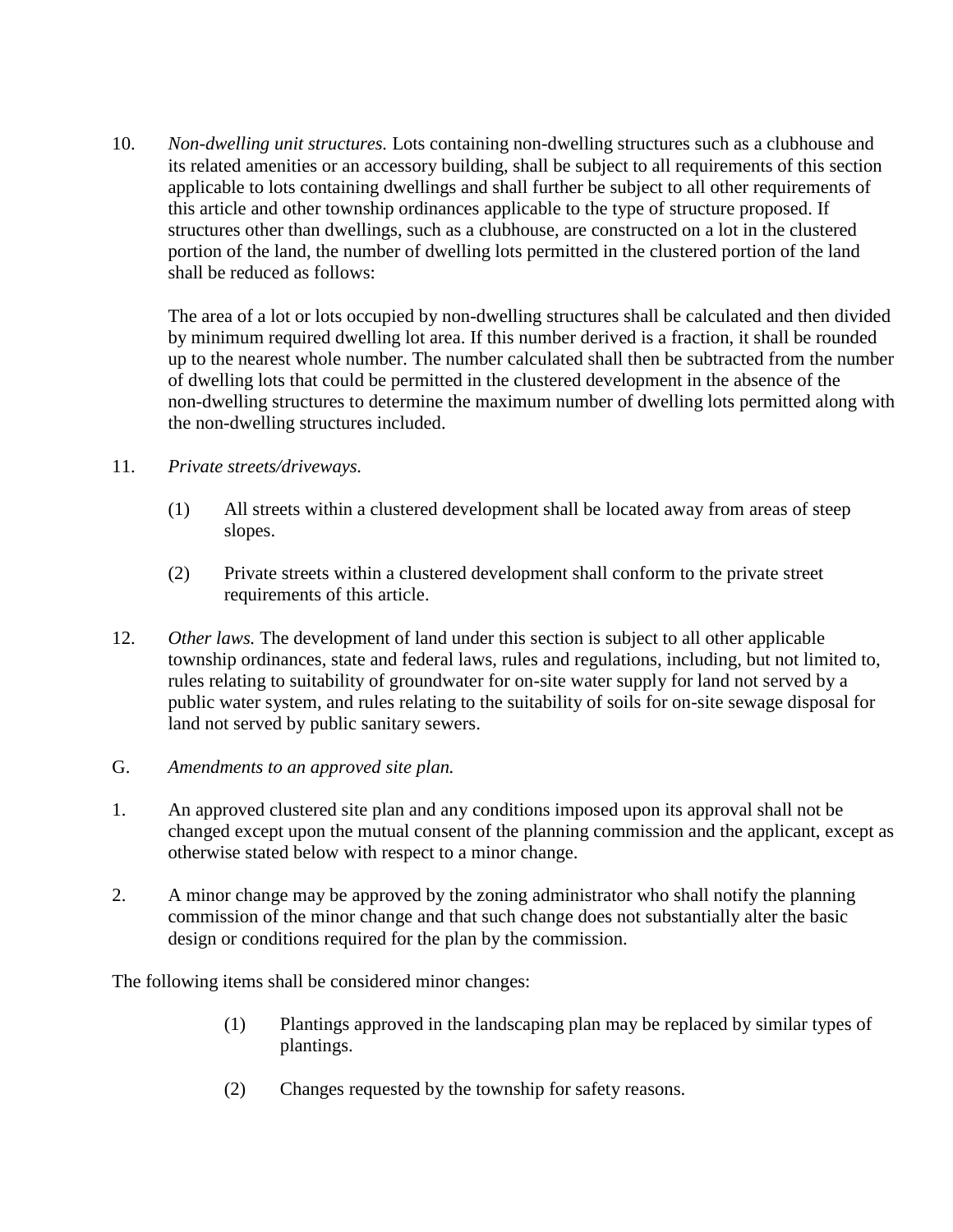10. *Non-dwelling unit structures.* Lots containing non-dwelling structures such as a clubhouse and its related amenities or an accessory building, shall be subject to all requirements of this section applicable to lots containing dwellings and shall further be subject to all other requirements of this article and other township ordinances applicable to the type of structure proposed. If structures other than dwellings, such as a clubhouse, are constructed on a lot in the clustered portion of the land, the number of dwelling lots permitted in the clustered portion of the land shall be reduced as follows:

The area of a lot or lots occupied by non-dwelling structures shall be calculated and then divided by minimum required dwelling lot area. If this number derived is a fraction, it shall be rounded up to the nearest whole number. The number calculated shall then be subtracted from the number of dwelling lots that could be permitted in the clustered development in the absence of the non-dwelling structures to determine the maximum number of dwelling lots permitted along with the non-dwelling structures included.

- 11. *Private streets/driveways.*
	- (1) All streets within a clustered development shall be located away from areas of steep slopes.
	- (2) Private streets within a clustered development shall conform to the private street requirements of this article.
- 12. *Other laws.* The development of land under this section is subject to all other applicable township ordinances, state and federal laws, rules and regulations, including, but not limited to, rules relating to suitability of groundwater for on-site water supply for land not served by a public water system, and rules relating to the suitability of soils for on-site sewage disposal for land not served by public sanitary sewers.
- G. *Amendments to an approved site plan.*
- 1. An approved clustered site plan and any conditions imposed upon its approval shall not be changed except upon the mutual consent of the planning commission and the applicant, except as otherwise stated below with respect to a minor change.
- 2. A minor change may be approved by the zoning administrator who shall notify the planning commission of the minor change and that such change does not substantially alter the basic design or conditions required for the plan by the commission.

The following items shall be considered minor changes:

- (1) Plantings approved in the landscaping plan may be replaced by similar types of plantings.
- (2) Changes requested by the township for safety reasons.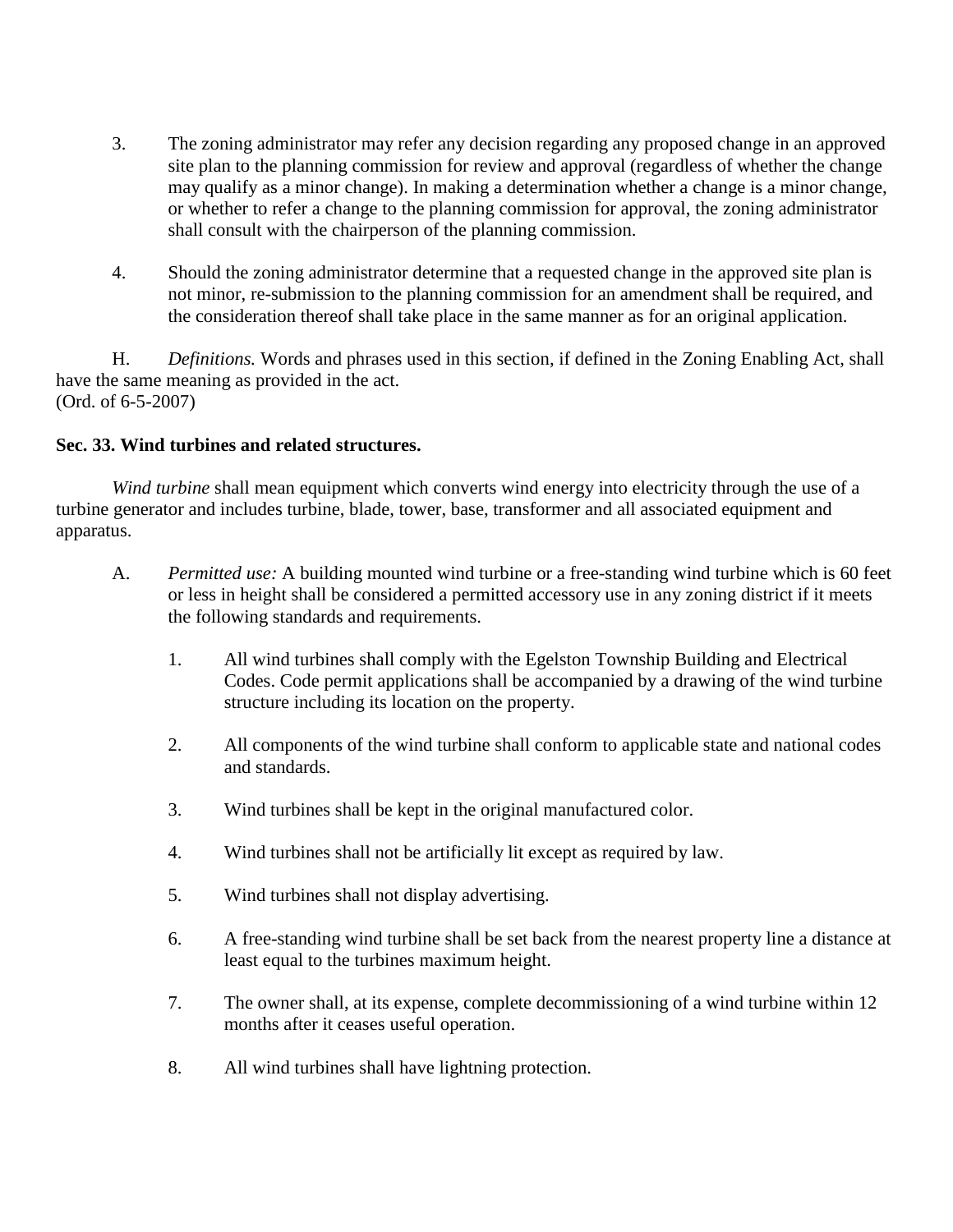- 3. The zoning administrator may refer any decision regarding any proposed change in an approved site plan to the planning commission for review and approval (regardless of whether the change may qualify as a minor change). In making a determination whether a change is a minor change, or whether to refer a change to the planning commission for approval, the zoning administrator shall consult with the chairperson of the planning commission.
- 4. Should the zoning administrator determine that a requested change in the approved site plan is not minor, re-submission to the planning commission for an amendment shall be required, and the consideration thereof shall take place in the same manner as for an original application.

H. *Definitions.* Words and phrases used in this section, if defined in the Zoning Enabling Act, shall have the same meaning as provided in the act. (Ord. of 6-5-2007)

### **Sec. 33. Wind turbines and related structures.**

*Wind turbine* shall mean equipment which converts wind energy into electricity through the use of a turbine generator and includes turbine, blade, tower, base, transformer and all associated equipment and apparatus.

- A. *Permitted use:* A building mounted wind turbine or a free-standing wind turbine which is 60 feet or less in height shall be considered a permitted accessory use in any zoning district if it meets the following standards and requirements.
	- 1. All wind turbines shall comply with the Egelston Township Building and Electrical Codes. Code permit applications shall be accompanied by a drawing of the wind turbine structure including its location on the property.
	- 2. All components of the wind turbine shall conform to applicable state and national codes and standards.
	- 3. Wind turbines shall be kept in the original manufactured color.
	- 4. Wind turbines shall not be artificially lit except as required by law.
	- 5. Wind turbines shall not display advertising.
	- 6. A free-standing wind turbine shall be set back from the nearest property line a distance at least equal to the turbines maximum height.
	- 7. The owner shall, at its expense, complete decommissioning of a wind turbine within 12 months after it ceases useful operation.
	- 8. All wind turbines shall have lightning protection.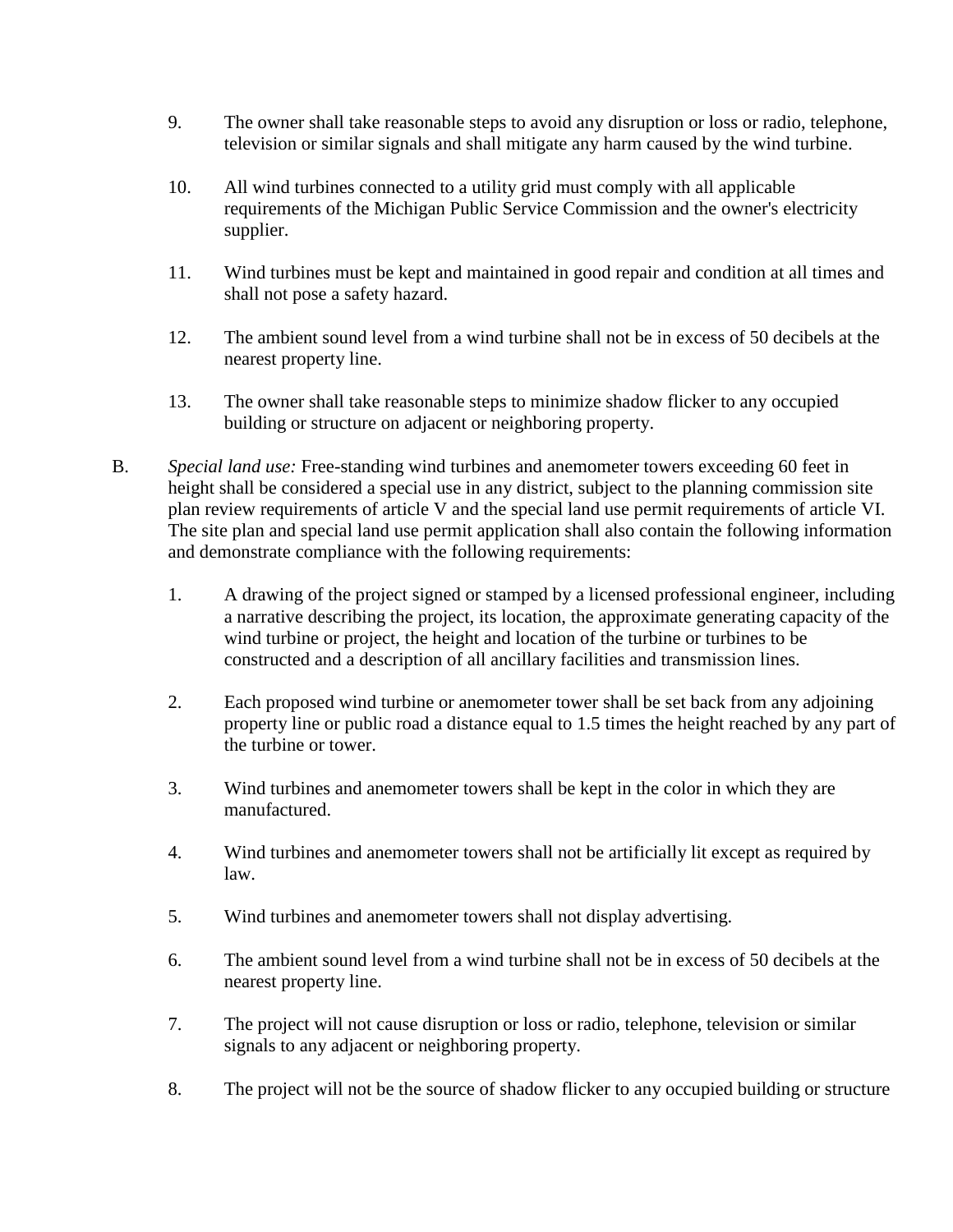- 9. The owner shall take reasonable steps to avoid any disruption or loss or radio, telephone, television or similar signals and shall mitigate any harm caused by the wind turbine.
- 10. All wind turbines connected to a utility grid must comply with all applicable requirements of the Michigan Public Service Commission and the owner's electricity supplier.
- 11. Wind turbines must be kept and maintained in good repair and condition at all times and shall not pose a safety hazard.
- 12. The ambient sound level from a wind turbine shall not be in excess of 50 decibels at the nearest property line.
- 13. The owner shall take reasonable steps to minimize shadow flicker to any occupied building or structure on adjacent or neighboring property.
- B. *Special land use:* Free-standing wind turbines and anemometer towers exceeding 60 feet in height shall be considered a special use in any district, subject to the planning commission site plan review requirements of article V and the special land use permit requirements of article VI. The site plan and special land use permit application shall also contain the following information and demonstrate compliance with the following requirements:
	- 1. A drawing of the project signed or stamped by a licensed professional engineer, including a narrative describing the project, its location, the approximate generating capacity of the wind turbine or project, the height and location of the turbine or turbines to be constructed and a description of all ancillary facilities and transmission lines.
	- 2. Each proposed wind turbine or anemometer tower shall be set back from any adjoining property line or public road a distance equal to 1.5 times the height reached by any part of the turbine or tower.
	- 3. Wind turbines and anemometer towers shall be kept in the color in which they are manufactured.
	- 4. Wind turbines and anemometer towers shall not be artificially lit except as required by law.
	- 5. Wind turbines and anemometer towers shall not display advertising.
	- 6. The ambient sound level from a wind turbine shall not be in excess of 50 decibels at the nearest property line.
	- 7. The project will not cause disruption or loss or radio, telephone, television or similar signals to any adjacent or neighboring property.
	- 8. The project will not be the source of shadow flicker to any occupied building or structure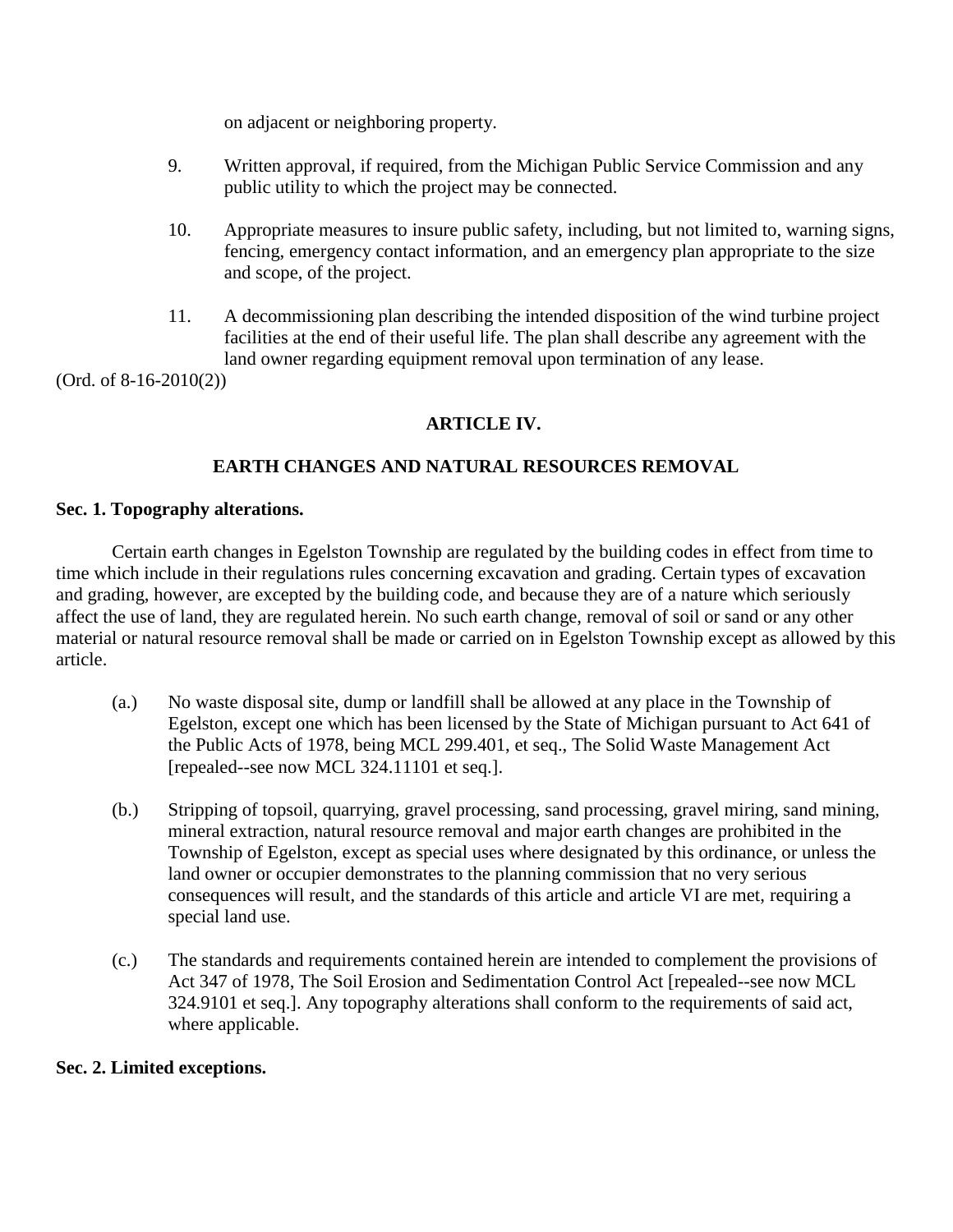on adjacent or neighboring property.

- 9. Written approval, if required, from the Michigan Public Service Commission and any public utility to which the project may be connected.
- 10. Appropriate measures to insure public safety, including, but not limited to, warning signs, fencing, emergency contact information, and an emergency plan appropriate to the size and scope, of the project.
- 11. A decommissioning plan describing the intended disposition of the wind turbine project facilities at the end of their useful life. The plan shall describe any agreement with the land owner regarding equipment removal upon termination of any lease.

(Ord. of 8-16-2010(2))

# **ARTICLE IV.**

# **EARTH CHANGES AND NATURAL RESOURCES REMOVAL**

#### **Sec. 1. Topography alterations.**

Certain earth changes in Egelston Township are regulated by the building codes in effect from time to time which include in their regulations rules concerning excavation and grading. Certain types of excavation and grading, however, are excepted by the building code, and because they are of a nature which seriously affect the use of land, they are regulated herein. No such earth change, removal of soil or sand or any other material or natural resource removal shall be made or carried on in Egelston Township except as allowed by this article.

- (a.) No waste disposal site, dump or landfill shall be allowed at any place in the Township of Egelston, except one which has been licensed by the State of Michigan pursuant to Act 641 of the Public Acts of 1978, being MCL 299.401, et seq., The Solid Waste Management Act [repealed--see now MCL 324.11101 et seq.].
- (b.) Stripping of topsoil, quarrying, gravel processing, sand processing, gravel miring, sand mining, mineral extraction, natural resource removal and major earth changes are prohibited in the Township of Egelston, except as special uses where designated by this ordinance, or unless the land owner or occupier demonstrates to the planning commission that no very serious consequences will result, and the standards of this article and article VI are met, requiring a special land use.
- (c.) The standards and requirements contained herein are intended to complement the provisions of Act 347 of 1978, The Soil Erosion and Sedimentation Control Act [repealed--see now MCL 324.9101 et seq.]. Any topography alterations shall conform to the requirements of said act, where applicable.

#### **Sec. 2. Limited exceptions.**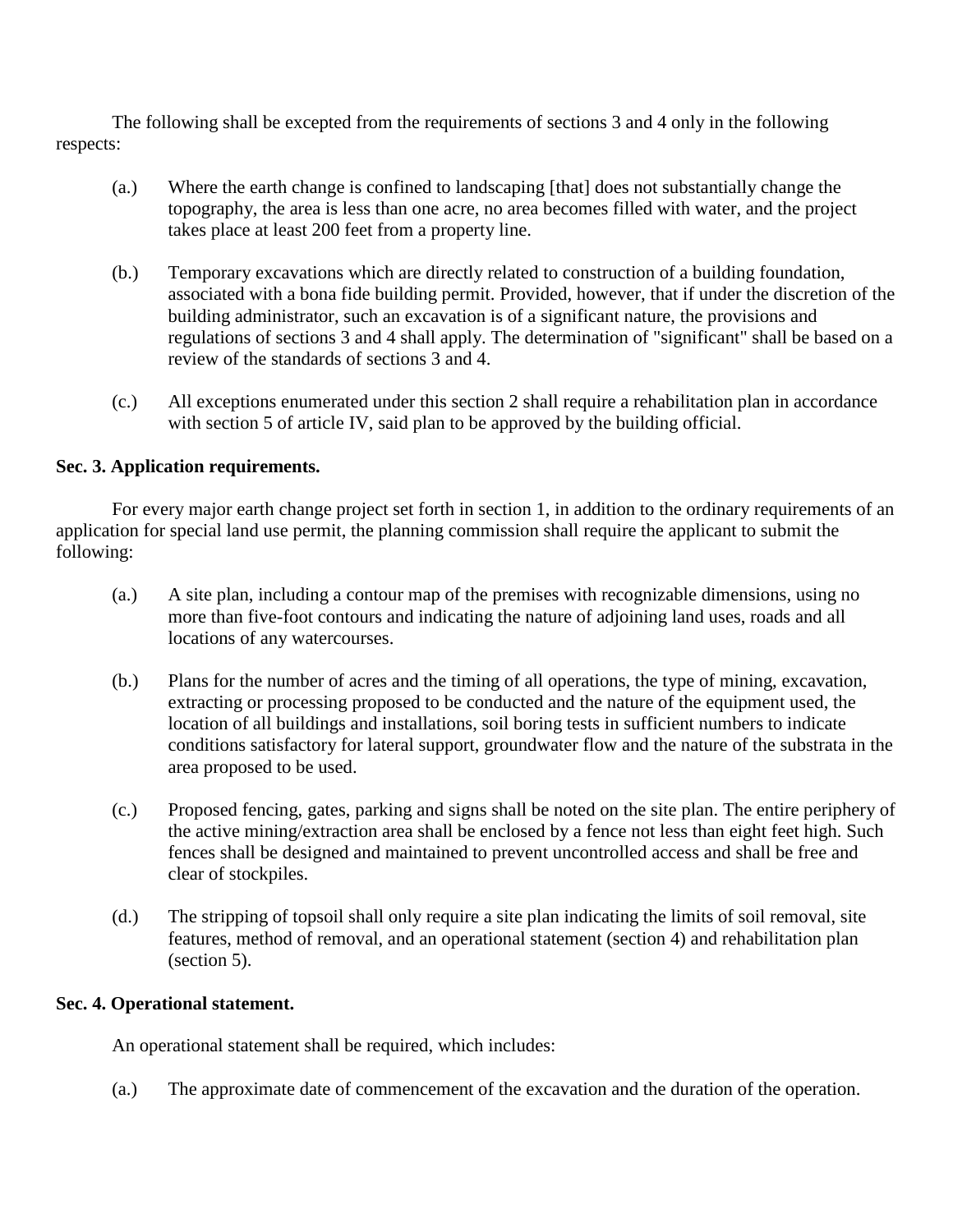The following shall be excepted from the requirements of sections 3 and 4 only in the following respects:

- (a.) Where the earth change is confined to landscaping [that] does not substantially change the topography, the area is less than one acre, no area becomes filled with water, and the project takes place at least 200 feet from a property line.
- (b.) Temporary excavations which are directly related to construction of a building foundation, associated with a bona fide building permit. Provided, however, that if under the discretion of the building administrator, such an excavation is of a significant nature, the provisions and regulations of sections 3 and 4 shall apply. The determination of "significant" shall be based on a review of the standards of sections 3 and 4.
- (c.) All exceptions enumerated under this section 2 shall require a rehabilitation plan in accordance with section 5 of article IV, said plan to be approved by the building official.

### **Sec. 3. Application requirements.**

For every major earth change project set forth in section 1, in addition to the ordinary requirements of an application for special land use permit, the planning commission shall require the applicant to submit the following:

- (a.) A site plan, including a contour map of the premises with recognizable dimensions, using no more than five-foot contours and indicating the nature of adjoining land uses, roads and all locations of any watercourses.
- (b.) Plans for the number of acres and the timing of all operations, the type of mining, excavation, extracting or processing proposed to be conducted and the nature of the equipment used, the location of all buildings and installations, soil boring tests in sufficient numbers to indicate conditions satisfactory for lateral support, groundwater flow and the nature of the substrata in the area proposed to be used.
- (c.) Proposed fencing, gates, parking and signs shall be noted on the site plan. The entire periphery of the active mining/extraction area shall be enclosed by a fence not less than eight feet high. Such fences shall be designed and maintained to prevent uncontrolled access and shall be free and clear of stockpiles.
- (d.) The stripping of topsoil shall only require a site plan indicating the limits of soil removal, site features, method of removal, and an operational statement (section 4) and rehabilitation plan (section 5).

#### **Sec. 4. Operational statement.**

An operational statement shall be required, which includes:

(a.) The approximate date of commencement of the excavation and the duration of the operation.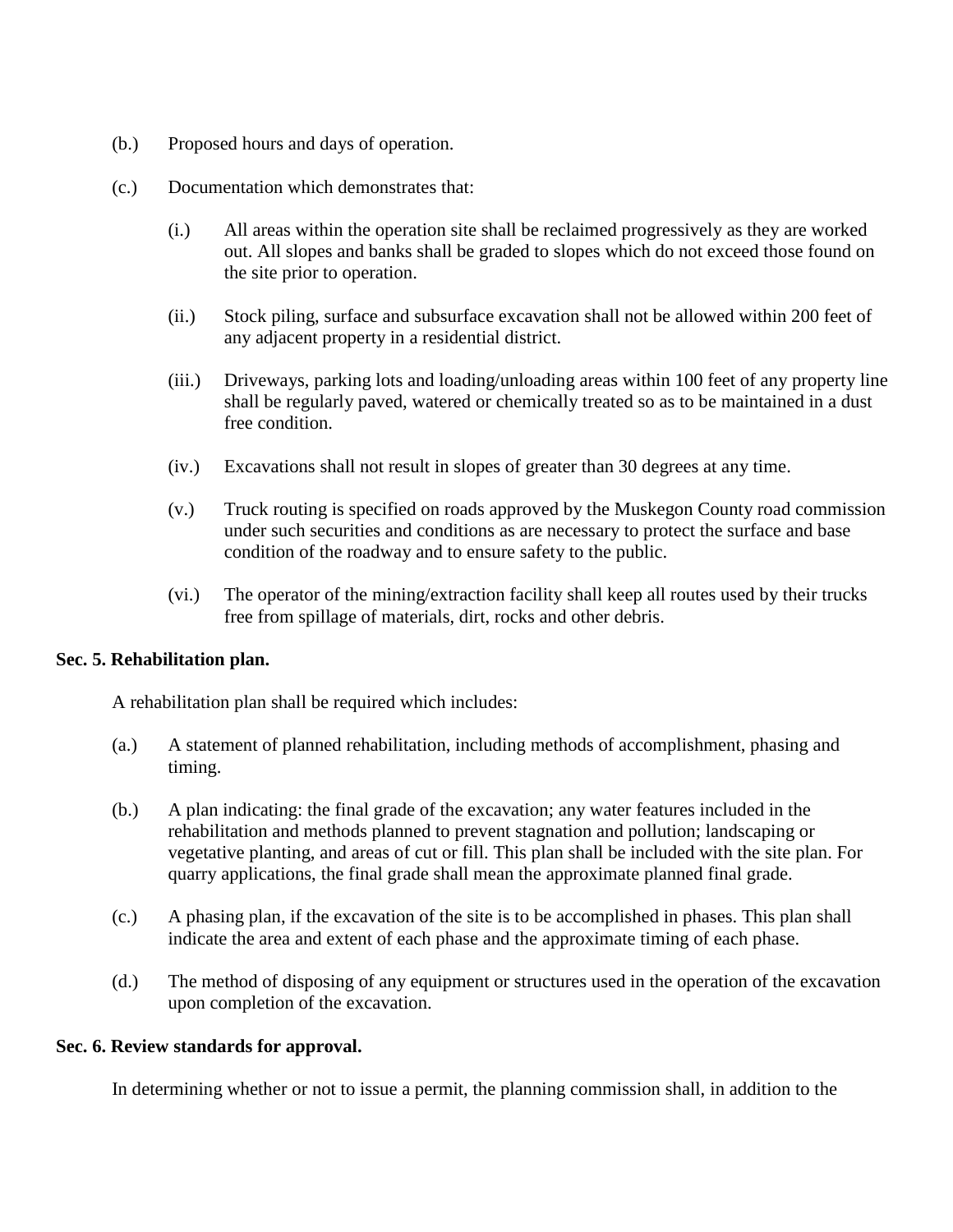- (b.) Proposed hours and days of operation.
- (c.) Documentation which demonstrates that:
	- (i.) All areas within the operation site shall be reclaimed progressively as they are worked out. All slopes and banks shall be graded to slopes which do not exceed those found on the site prior to operation.
	- (ii.) Stock piling, surface and subsurface excavation shall not be allowed within 200 feet of any adjacent property in a residential district.
	- (iii.) Driveways, parking lots and loading/unloading areas within 100 feet of any property line shall be regularly paved, watered or chemically treated so as to be maintained in a dust free condition.
	- (iv.) Excavations shall not result in slopes of greater than 30 degrees at any time.
	- (v.) Truck routing is specified on roads approved by the Muskegon County road commission under such securities and conditions as are necessary to protect the surface and base condition of the roadway and to ensure safety to the public.
	- (vi.) The operator of the mining/extraction facility shall keep all routes used by their trucks free from spillage of materials, dirt, rocks and other debris.

### **Sec. 5. Rehabilitation plan.**

A rehabilitation plan shall be required which includes:

- (a.) A statement of planned rehabilitation, including methods of accomplishment, phasing and timing.
- (b.) A plan indicating: the final grade of the excavation; any water features included in the rehabilitation and methods planned to prevent stagnation and pollution; landscaping or vegetative planting, and areas of cut or fill. This plan shall be included with the site plan. For quarry applications, the final grade shall mean the approximate planned final grade.
- (c.) A phasing plan, if the excavation of the site is to be accomplished in phases. This plan shall indicate the area and extent of each phase and the approximate timing of each phase.
- (d.) The method of disposing of any equipment or structures used in the operation of the excavation upon completion of the excavation.

#### **Sec. 6. Review standards for approval.**

In determining whether or not to issue a permit, the planning commission shall, in addition to the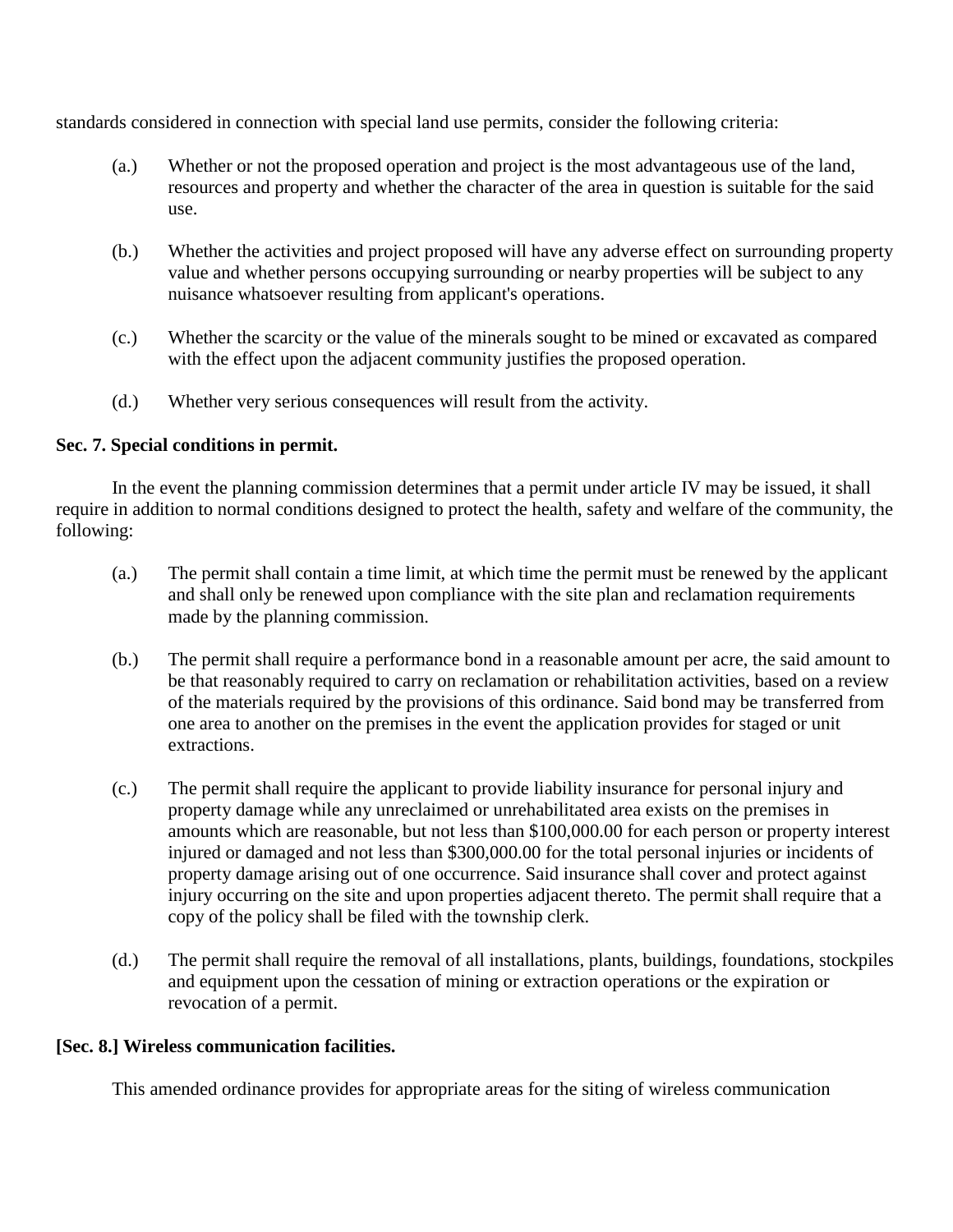standards considered in connection with special land use permits, consider the following criteria:

- (a.) Whether or not the proposed operation and project is the most advantageous use of the land, resources and property and whether the character of the area in question is suitable for the said use.
- (b.) Whether the activities and project proposed will have any adverse effect on surrounding property value and whether persons occupying surrounding or nearby properties will be subject to any nuisance whatsoever resulting from applicant's operations.
- (c.) Whether the scarcity or the value of the minerals sought to be mined or excavated as compared with the effect upon the adjacent community justifies the proposed operation.
- (d.) Whether very serious consequences will result from the activity.

# **Sec. 7. Special conditions in permit.**

In the event the planning commission determines that a permit under article IV may be issued, it shall require in addition to normal conditions designed to protect the health, safety and welfare of the community, the following:

- (a.) The permit shall contain a time limit, at which time the permit must be renewed by the applicant and shall only be renewed upon compliance with the site plan and reclamation requirements made by the planning commission.
- (b.) The permit shall require a performance bond in a reasonable amount per acre, the said amount to be that reasonably required to carry on reclamation or rehabilitation activities, based on a review of the materials required by the provisions of this ordinance. Said bond may be transferred from one area to another on the premises in the event the application provides for staged or unit extractions.
- (c.) The permit shall require the applicant to provide liability insurance for personal injury and property damage while any unreclaimed or unrehabilitated area exists on the premises in amounts which are reasonable, but not less than \$100,000.00 for each person or property interest injured or damaged and not less than \$300,000.00 for the total personal injuries or incidents of property damage arising out of one occurrence. Said insurance shall cover and protect against injury occurring on the site and upon properties adjacent thereto. The permit shall require that a copy of the policy shall be filed with the township clerk.
- (d.) The permit shall require the removal of all installations, plants, buildings, foundations, stockpiles and equipment upon the cessation of mining or extraction operations or the expiration or revocation of a permit.

### **[Sec. 8.] Wireless communication facilities.**

This amended ordinance provides for appropriate areas for the siting of wireless communication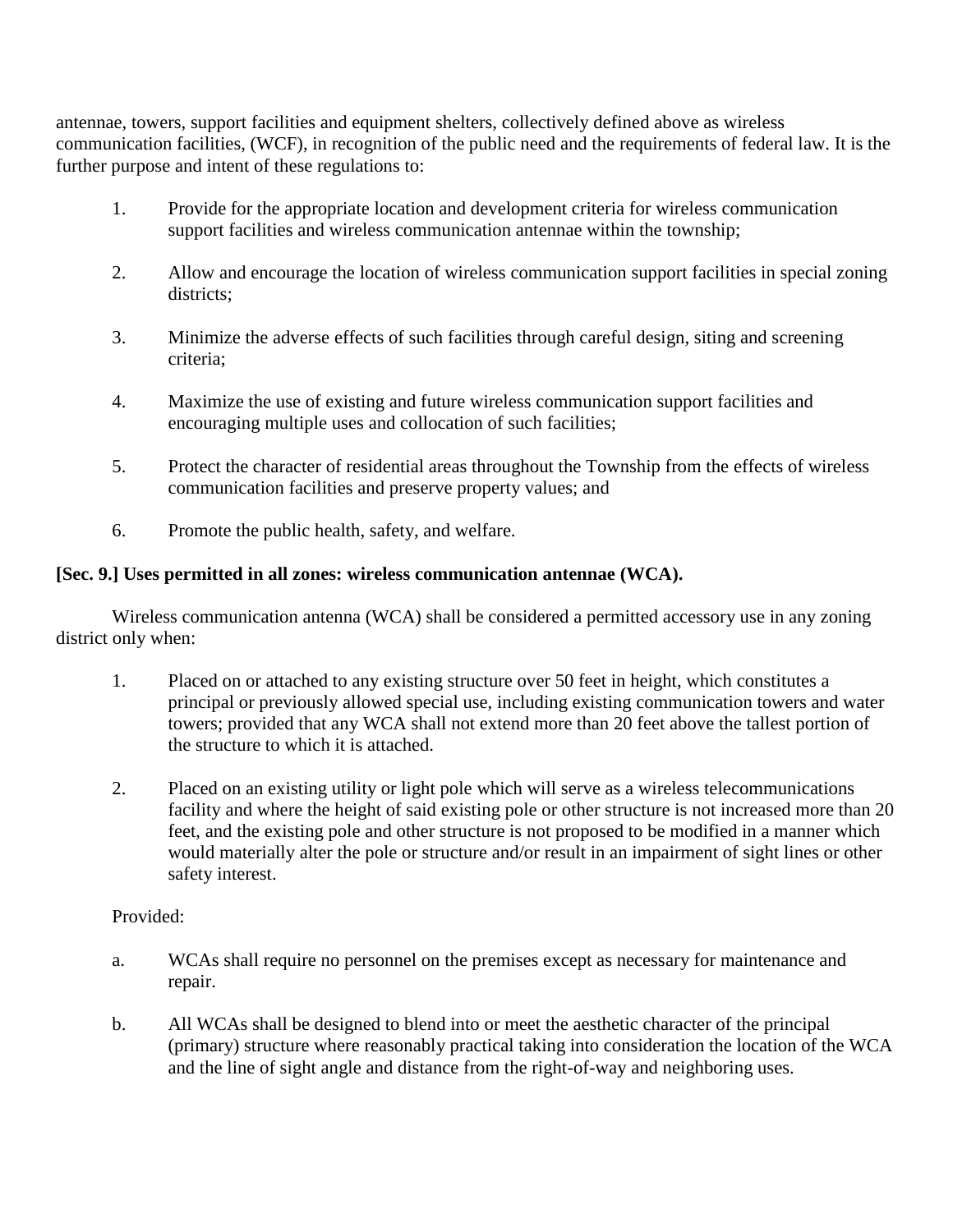antennae, towers, support facilities and equipment shelters, collectively defined above as wireless communication facilities, (WCF), in recognition of the public need and the requirements of federal law. It is the further purpose and intent of these regulations to:

- 1. Provide for the appropriate location and development criteria for wireless communication support facilities and wireless communication antennae within the township;
- 2. Allow and encourage the location of wireless communication support facilities in special zoning districts;
- 3. Minimize the adverse effects of such facilities through careful design, siting and screening criteria;
- 4. Maximize the use of existing and future wireless communication support facilities and encouraging multiple uses and collocation of such facilities;
- 5. Protect the character of residential areas throughout the Township from the effects of wireless communication facilities and preserve property values; and
- 6. Promote the public health, safety, and welfare.

# **[Sec. 9.] Uses permitted in all zones: wireless communication antennae (WCA).**

Wireless communication antenna (WCA) shall be considered a permitted accessory use in any zoning district only when:

- 1. Placed on or attached to any existing structure over 50 feet in height, which constitutes a principal or previously allowed special use, including existing communication towers and water towers; provided that any WCA shall not extend more than 20 feet above the tallest portion of the structure to which it is attached.
- 2. Placed on an existing utility or light pole which will serve as a wireless telecommunications facility and where the height of said existing pole or other structure is not increased more than 20 feet, and the existing pole and other structure is not proposed to be modified in a manner which would materially alter the pole or structure and/or result in an impairment of sight lines or other safety interest.

### Provided:

- a. WCAs shall require no personnel on the premises except as necessary for maintenance and repair.
- b. All WCAs shall be designed to blend into or meet the aesthetic character of the principal (primary) structure where reasonably practical taking into consideration the location of the WCA and the line of sight angle and distance from the right-of-way and neighboring uses.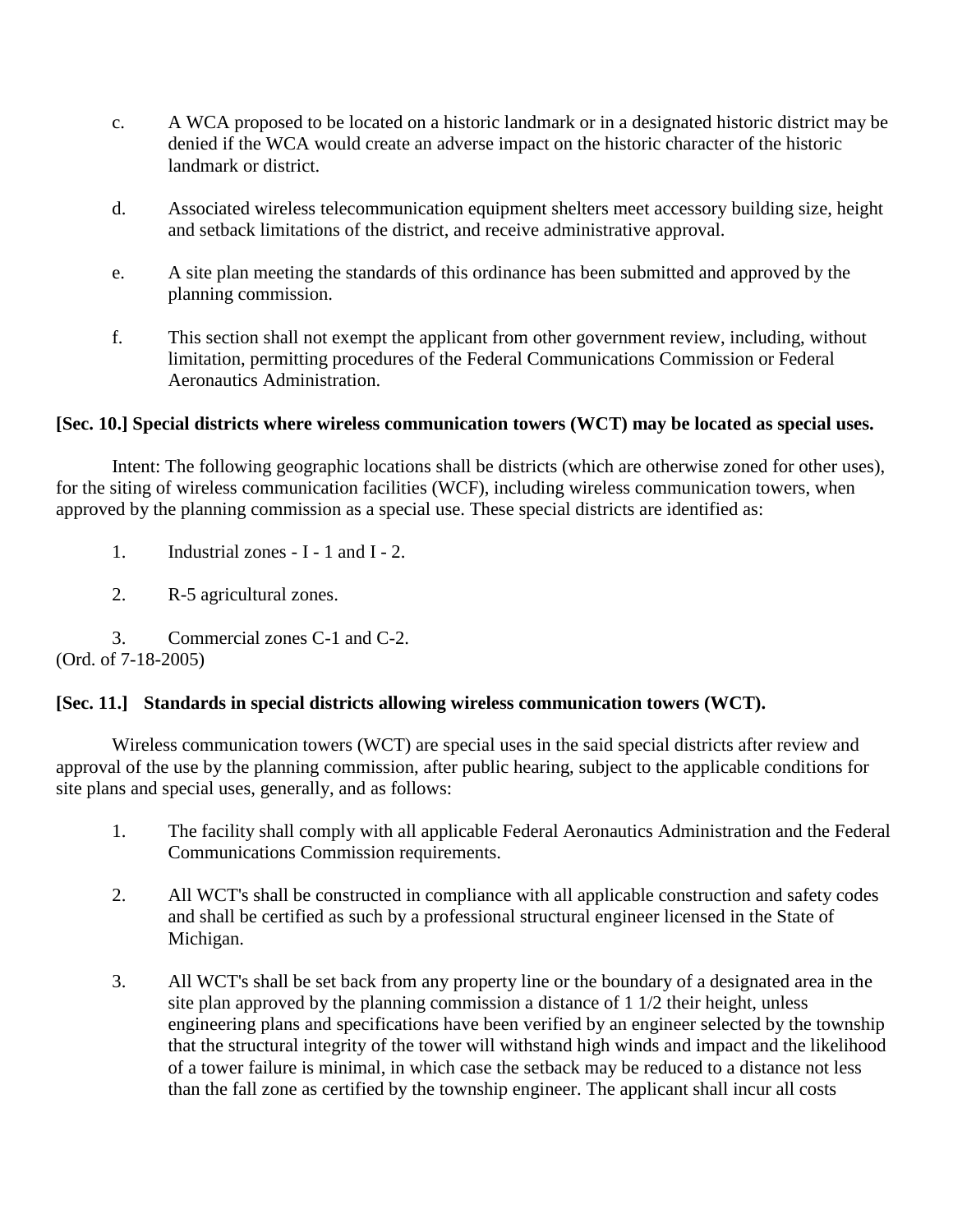- c. A WCA proposed to be located on a historic landmark or in a designated historic district may be denied if the WCA would create an adverse impact on the historic character of the historic landmark or district.
- d. Associated wireless telecommunication equipment shelters meet accessory building size, height and setback limitations of the district, and receive administrative approval.
- e. A site plan meeting the standards of this ordinance has been submitted and approved by the planning commission.
- f. This section shall not exempt the applicant from other government review, including, without limitation, permitting procedures of the Federal Communications Commission or Federal Aeronautics Administration.

### **[Sec. 10.] Special districts where wireless communication towers (WCT) may be located as special uses.**

Intent: The following geographic locations shall be districts (which are otherwise zoned for other uses), for the siting of wireless communication facilities (WCF), including wireless communication towers, when approved by the planning commission as a special use. These special districts are identified as:

- 1. Industrial zones I 1 and I 2.
- 2. R-5 agricultural zones.

3. Commercial zones C-1 and C-2. (Ord. of 7-18-2005)

### **[Sec. 11.] Standards in special districts allowing wireless communication towers (WCT).**

Wireless communication towers (WCT) are special uses in the said special districts after review and approval of the use by the planning commission, after public hearing, subject to the applicable conditions for site plans and special uses, generally, and as follows:

- 1. The facility shall comply with all applicable Federal Aeronautics Administration and the Federal Communications Commission requirements.
- 2. All WCT's shall be constructed in compliance with all applicable construction and safety codes and shall be certified as such by a professional structural engineer licensed in the State of Michigan.
- 3. All WCT's shall be set back from any property line or the boundary of a designated area in the site plan approved by the planning commission a distance of 1 1/2 their height, unless engineering plans and specifications have been verified by an engineer selected by the township that the structural integrity of the tower will withstand high winds and impact and the likelihood of a tower failure is minimal, in which case the setback may be reduced to a distance not less than the fall zone as certified by the township engineer. The applicant shall incur all costs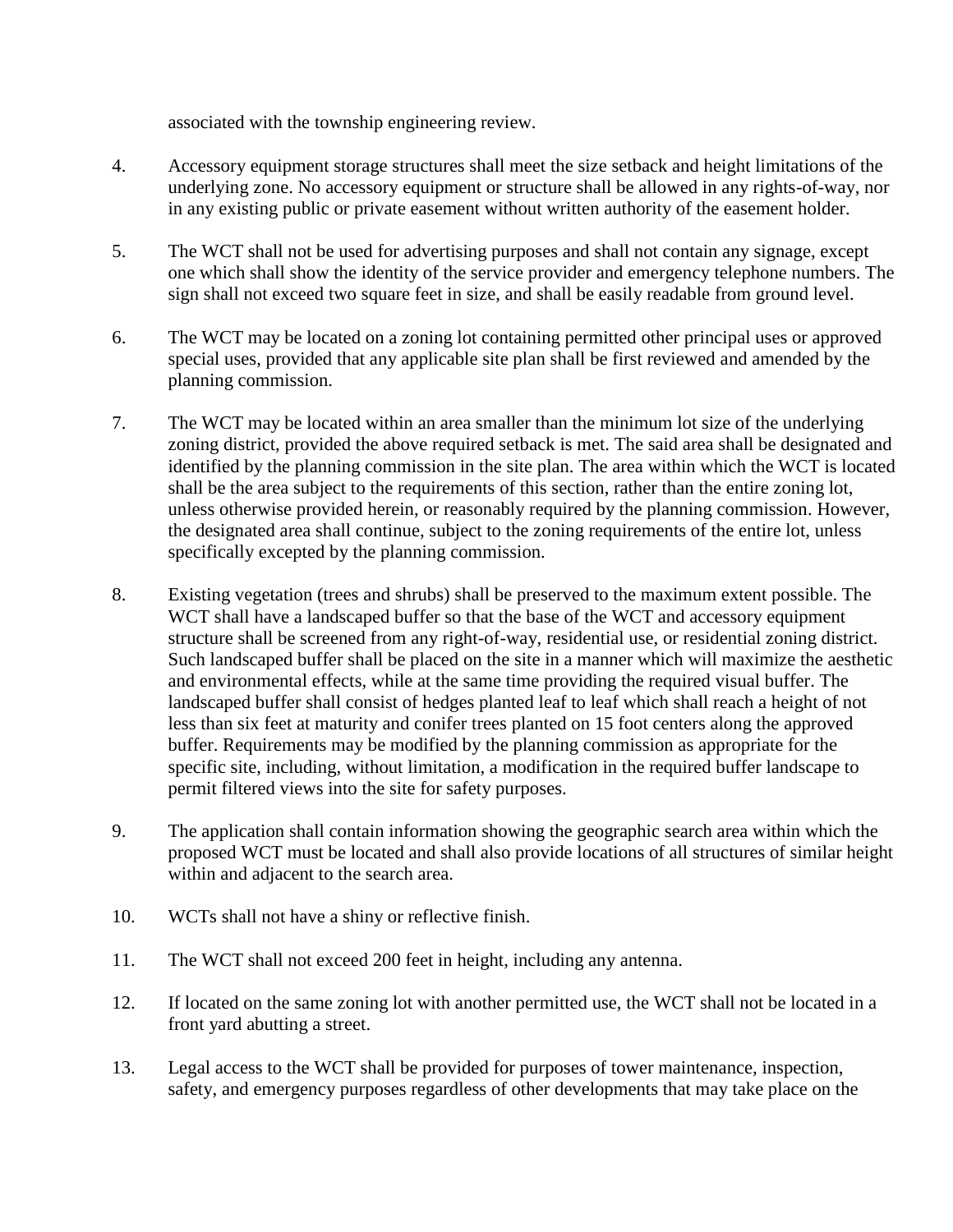associated with the township engineering review.

- 4. Accessory equipment storage structures shall meet the size setback and height limitations of the underlying zone. No accessory equipment or structure shall be allowed in any rights-of-way, nor in any existing public or private easement without written authority of the easement holder.
- 5. The WCT shall not be used for advertising purposes and shall not contain any signage, except one which shall show the identity of the service provider and emergency telephone numbers. The sign shall not exceed two square feet in size, and shall be easily readable from ground level.
- 6. The WCT may be located on a zoning lot containing permitted other principal uses or approved special uses, provided that any applicable site plan shall be first reviewed and amended by the planning commission.
- 7. The WCT may be located within an area smaller than the minimum lot size of the underlying zoning district, provided the above required setback is met. The said area shall be designated and identified by the planning commission in the site plan. The area within which the WCT is located shall be the area subject to the requirements of this section, rather than the entire zoning lot, unless otherwise provided herein, or reasonably required by the planning commission. However, the designated area shall continue, subject to the zoning requirements of the entire lot, unless specifically excepted by the planning commission.
- 8. Existing vegetation (trees and shrubs) shall be preserved to the maximum extent possible. The WCT shall have a landscaped buffer so that the base of the WCT and accessory equipment structure shall be screened from any right-of-way, residential use, or residential zoning district. Such landscaped buffer shall be placed on the site in a manner which will maximize the aesthetic and environmental effects, while at the same time providing the required visual buffer. The landscaped buffer shall consist of hedges planted leaf to leaf which shall reach a height of not less than six feet at maturity and conifer trees planted on 15 foot centers along the approved buffer. Requirements may be modified by the planning commission as appropriate for the specific site, including, without limitation, a modification in the required buffer landscape to permit filtered views into the site for safety purposes.
- 9. The application shall contain information showing the geographic search area within which the proposed WCT must be located and shall also provide locations of all structures of similar height within and adjacent to the search area.
- 10. WCTs shall not have a shiny or reflective finish.
- 11. The WCT shall not exceed 200 feet in height, including any antenna.
- 12. If located on the same zoning lot with another permitted use, the WCT shall not be located in a front yard abutting a street.
- 13. Legal access to the WCT shall be provided for purposes of tower maintenance, inspection, safety, and emergency purposes regardless of other developments that may take place on the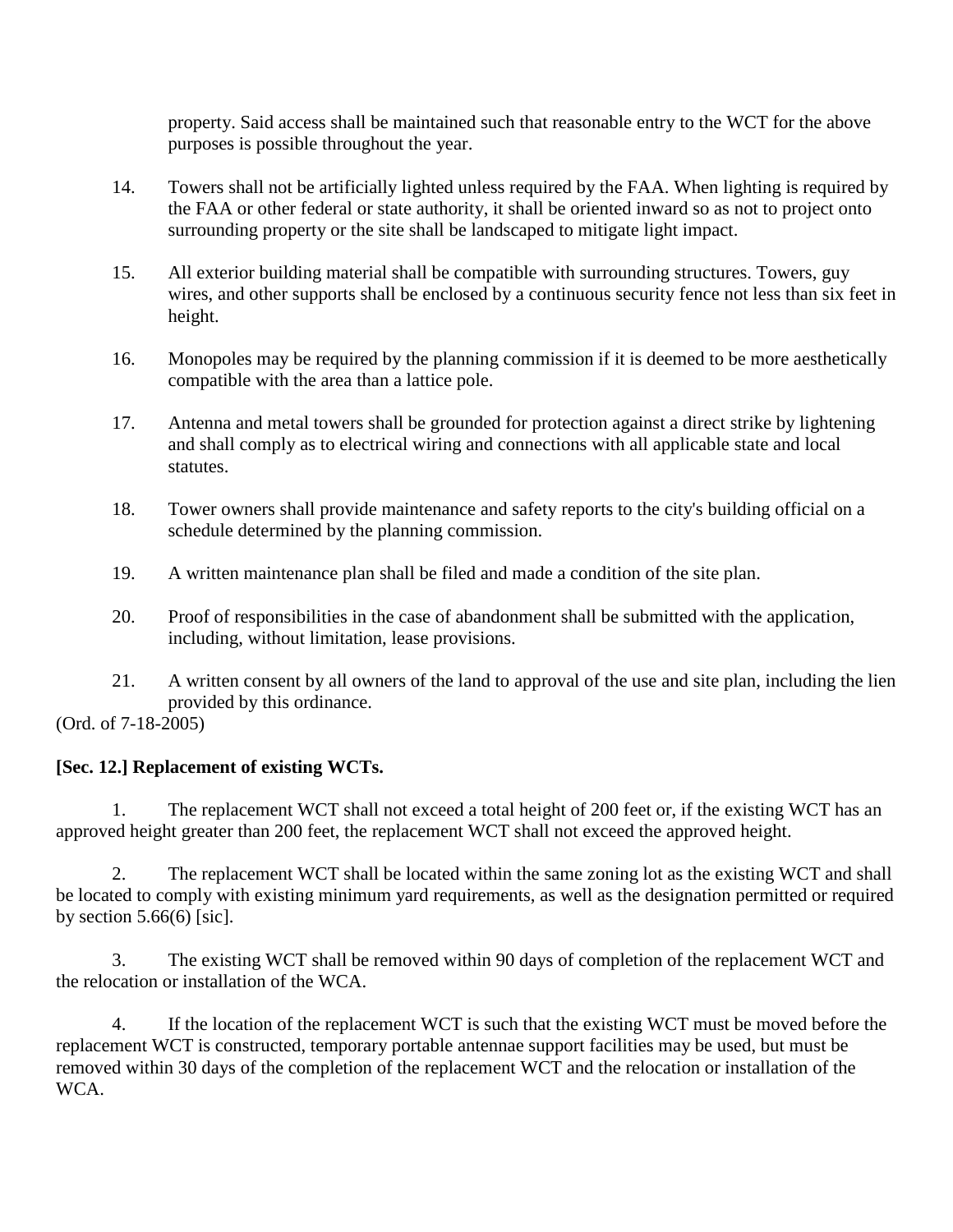property. Said access shall be maintained such that reasonable entry to the WCT for the above purposes is possible throughout the year.

- 14. Towers shall not be artificially lighted unless required by the FAA. When lighting is required by the FAA or other federal or state authority, it shall be oriented inward so as not to project onto surrounding property or the site shall be landscaped to mitigate light impact.
- 15. All exterior building material shall be compatible with surrounding structures. Towers, guy wires, and other supports shall be enclosed by a continuous security fence not less than six feet in height.
- 16. Monopoles may be required by the planning commission if it is deemed to be more aesthetically compatible with the area than a lattice pole.
- 17. Antenna and metal towers shall be grounded for protection against a direct strike by lightening and shall comply as to electrical wiring and connections with all applicable state and local statutes.
- 18. Tower owners shall provide maintenance and safety reports to the city's building official on a schedule determined by the planning commission.
- 19. A written maintenance plan shall be filed and made a condition of the site plan.
- 20. Proof of responsibilities in the case of abandonment shall be submitted with the application, including, without limitation, lease provisions.
- 21. A written consent by all owners of the land to approval of the use and site plan, including the lien provided by this ordinance.

(Ord. of 7-18-2005)

# **[Sec. 12.] Replacement of existing WCTs.**

1. The replacement WCT shall not exceed a total height of 200 feet or, if the existing WCT has an approved height greater than 200 feet, the replacement WCT shall not exceed the approved height.

2. The replacement WCT shall be located within the same zoning lot as the existing WCT and shall be located to comply with existing minimum yard requirements, as well as the designation permitted or required by section  $5.66(6)$  [sic].

3. The existing WCT shall be removed within 90 days of completion of the replacement WCT and the relocation or installation of the WCA.

4. If the location of the replacement WCT is such that the existing WCT must be moved before the replacement WCT is constructed, temporary portable antennae support facilities may be used, but must be removed within 30 days of the completion of the replacement WCT and the relocation or installation of the WCA.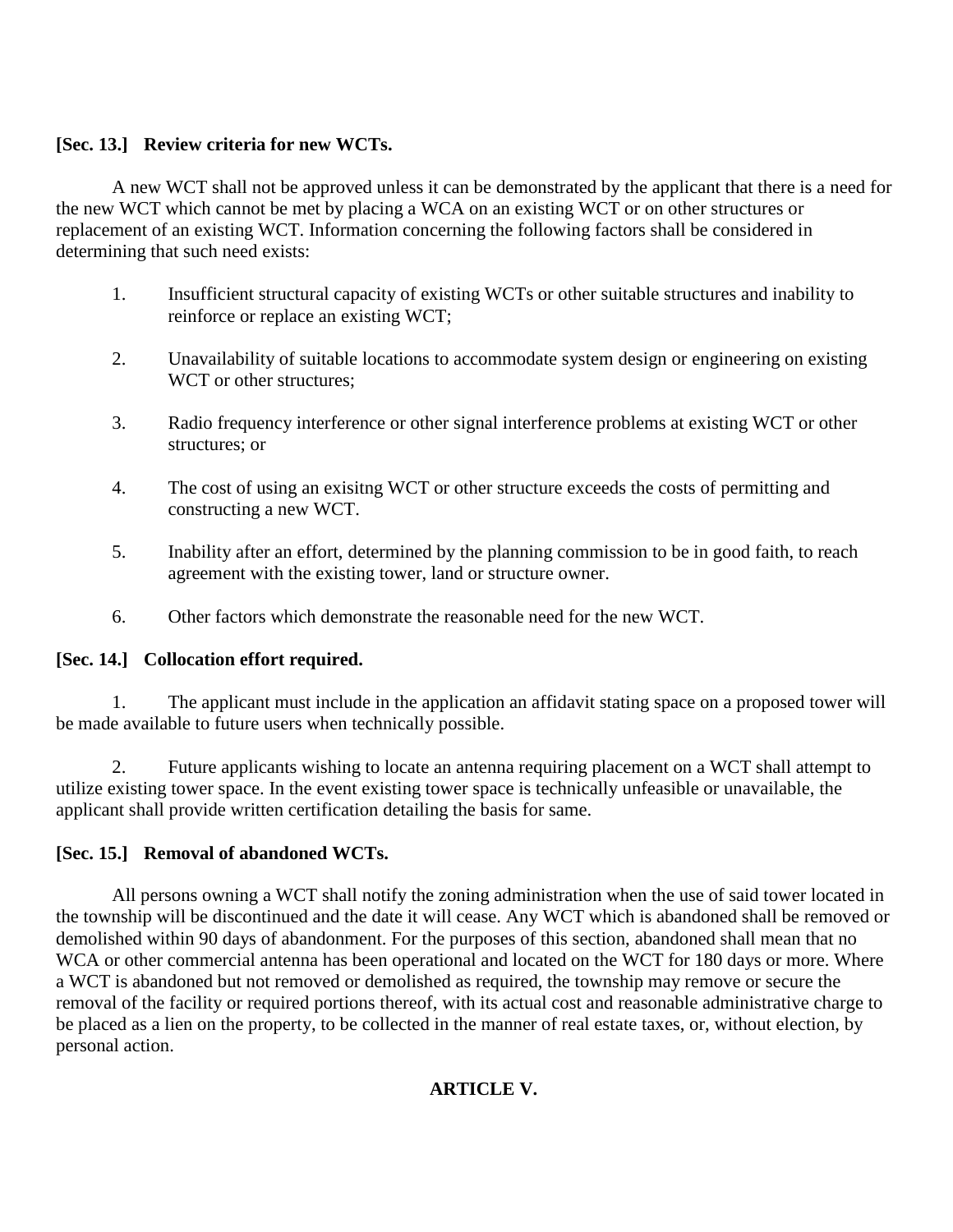### **[Sec. 13.] Review criteria for new WCTs.**

A new WCT shall not be approved unless it can be demonstrated by the applicant that there is a need for the new WCT which cannot be met by placing a WCA on an existing WCT or on other structures or replacement of an existing WCT. Information concerning the following factors shall be considered in determining that such need exists:

- 1. Insufficient structural capacity of existing WCTs or other suitable structures and inability to reinforce or replace an existing WCT;
- 2. Unavailability of suitable locations to accommodate system design or engineering on existing WCT or other structures:
- 3. Radio frequency interference or other signal interference problems at existing WCT or other structures; or
- 4. The cost of using an exisitng WCT or other structure exceeds the costs of permitting and constructing a new WCT.
- 5. Inability after an effort, determined by the planning commission to be in good faith, to reach agreement with the existing tower, land or structure owner.
- 6. Other factors which demonstrate the reasonable need for the new WCT.

### **[Sec. 14.] Collocation effort required.**

1. The applicant must include in the application an affidavit stating space on a proposed tower will be made available to future users when technically possible.

2. Future applicants wishing to locate an antenna requiring placement on a WCT shall attempt to utilize existing tower space. In the event existing tower space is technically unfeasible or unavailable, the applicant shall provide written certification detailing the basis for same.

# **[Sec. 15.] Removal of abandoned WCTs.**

All persons owning a WCT shall notify the zoning administration when the use of said tower located in the township will be discontinued and the date it will cease. Any WCT which is abandoned shall be removed or demolished within 90 days of abandonment. For the purposes of this section, abandoned shall mean that no WCA or other commercial antenna has been operational and located on the WCT for 180 days or more. Where a WCT is abandoned but not removed or demolished as required, the township may remove or secure the removal of the facility or required portions thereof, with its actual cost and reasonable administrative charge to be placed as a lien on the property, to be collected in the manner of real estate taxes, or, without election, by personal action.

### **ARTICLE V.**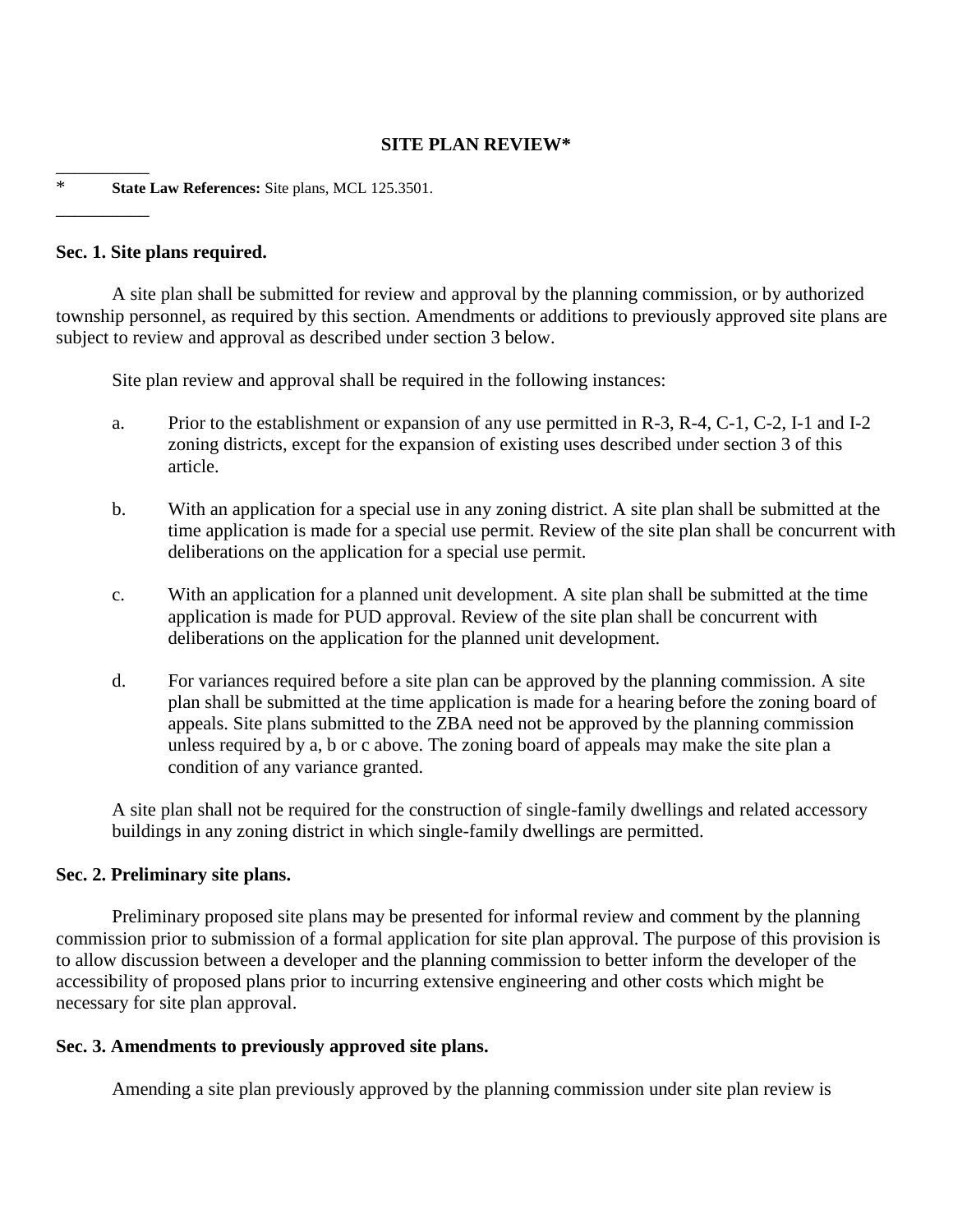### **SITE PLAN REVIEW\***

\* **State Law References:** Site plans, MCL 125.3501.

#### **Sec. 1. Site plans required.**

\_\_\_\_\_\_\_\_\_\_

\_\_\_\_\_\_\_\_\_\_

A site plan shall be submitted for review and approval by the planning commission, or by authorized township personnel, as required by this section. Amendments or additions to previously approved site plans are subject to review and approval as described under section 3 below.

Site plan review and approval shall be required in the following instances:

- a. Prior to the establishment or expansion of any use permitted in R-3, R-4, C-1, C-2, I-1 and I-2 zoning districts, except for the expansion of existing uses described under section 3 of this article.
- b. With an application for a special use in any zoning district. A site plan shall be submitted at the time application is made for a special use permit. Review of the site plan shall be concurrent with deliberations on the application for a special use permit.
- c. With an application for a planned unit development. A site plan shall be submitted at the time application is made for PUD approval. Review of the site plan shall be concurrent with deliberations on the application for the planned unit development.
- d. For variances required before a site plan can be approved by the planning commission. A site plan shall be submitted at the time application is made for a hearing before the zoning board of appeals. Site plans submitted to the ZBA need not be approved by the planning commission unless required by a, b or c above. The zoning board of appeals may make the site plan a condition of any variance granted.

A site plan shall not be required for the construction of single-family dwellings and related accessory buildings in any zoning district in which single-family dwellings are permitted.

#### **Sec. 2. Preliminary site plans.**

Preliminary proposed site plans may be presented for informal review and comment by the planning commission prior to submission of a formal application for site plan approval. The purpose of this provision is to allow discussion between a developer and the planning commission to better inform the developer of the accessibility of proposed plans prior to incurring extensive engineering and other costs which might be necessary for site plan approval.

#### **Sec. 3. Amendments to previously approved site plans.**

Amending a site plan previously approved by the planning commission under site plan review is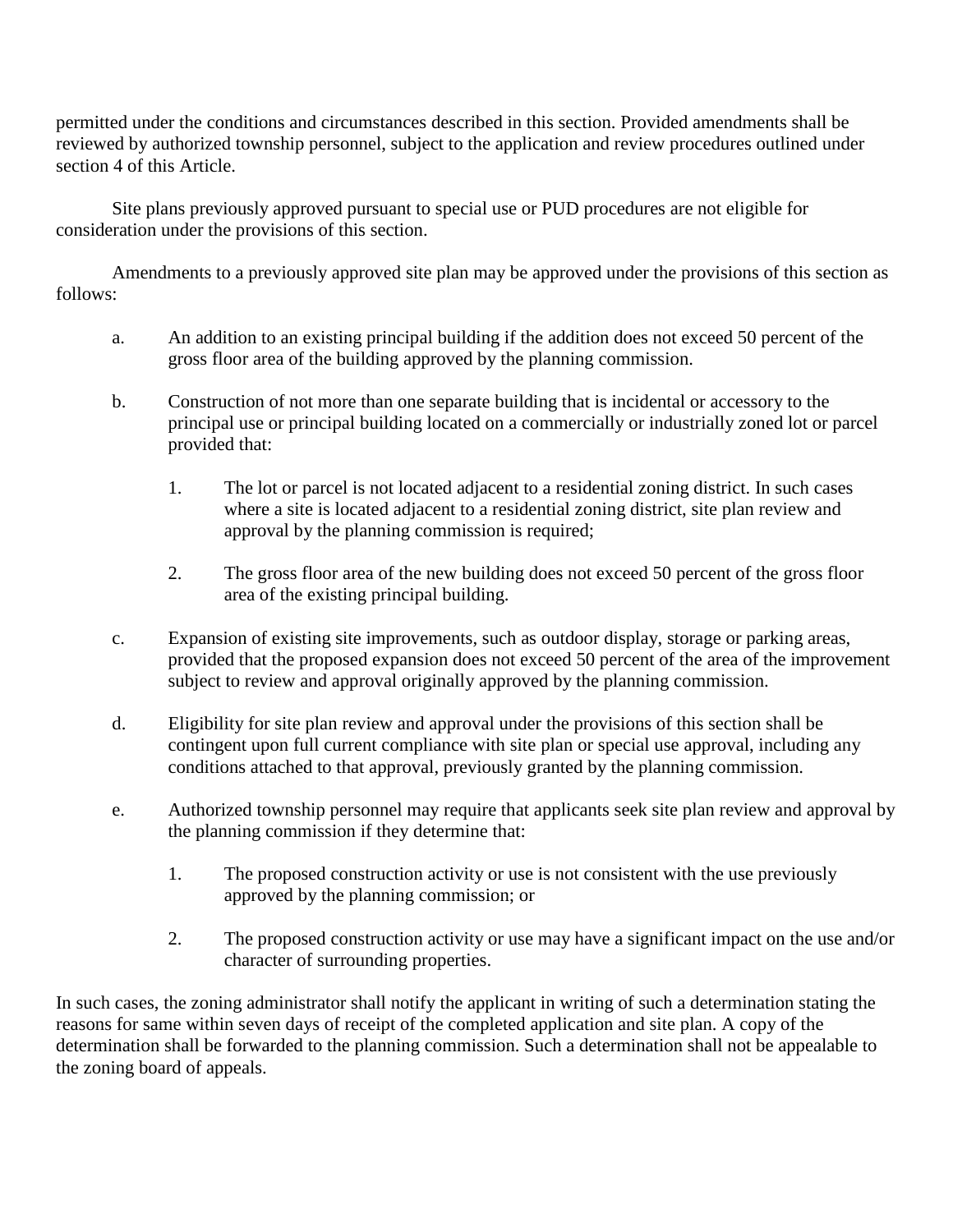permitted under the conditions and circumstances described in this section. Provided amendments shall be reviewed by authorized township personnel, subject to the application and review procedures outlined under section 4 of this Article.

Site plans previously approved pursuant to special use or PUD procedures are not eligible for consideration under the provisions of this section.

Amendments to a previously approved site plan may be approved under the provisions of this section as follows:

- a. An addition to an existing principal building if the addition does not exceed 50 percent of the gross floor area of the building approved by the planning commission.
- b. Construction of not more than one separate building that is incidental or accessory to the principal use or principal building located on a commercially or industrially zoned lot or parcel provided that:
	- 1. The lot or parcel is not located adjacent to a residential zoning district. In such cases where a site is located adjacent to a residential zoning district, site plan review and approval by the planning commission is required;
	- 2. The gross floor area of the new building does not exceed 50 percent of the gross floor area of the existing principal building.
- c. Expansion of existing site improvements, such as outdoor display, storage or parking areas, provided that the proposed expansion does not exceed 50 percent of the area of the improvement subject to review and approval originally approved by the planning commission.
- d. Eligibility for site plan review and approval under the provisions of this section shall be contingent upon full current compliance with site plan or special use approval, including any conditions attached to that approval, previously granted by the planning commission.
- e. Authorized township personnel may require that applicants seek site plan review and approval by the planning commission if they determine that:
	- 1. The proposed construction activity or use is not consistent with the use previously approved by the planning commission; or
	- 2. The proposed construction activity or use may have a significant impact on the use and/or character of surrounding properties.

In such cases, the zoning administrator shall notify the applicant in writing of such a determination stating the reasons for same within seven days of receipt of the completed application and site plan. A copy of the determination shall be forwarded to the planning commission. Such a determination shall not be appealable to the zoning board of appeals.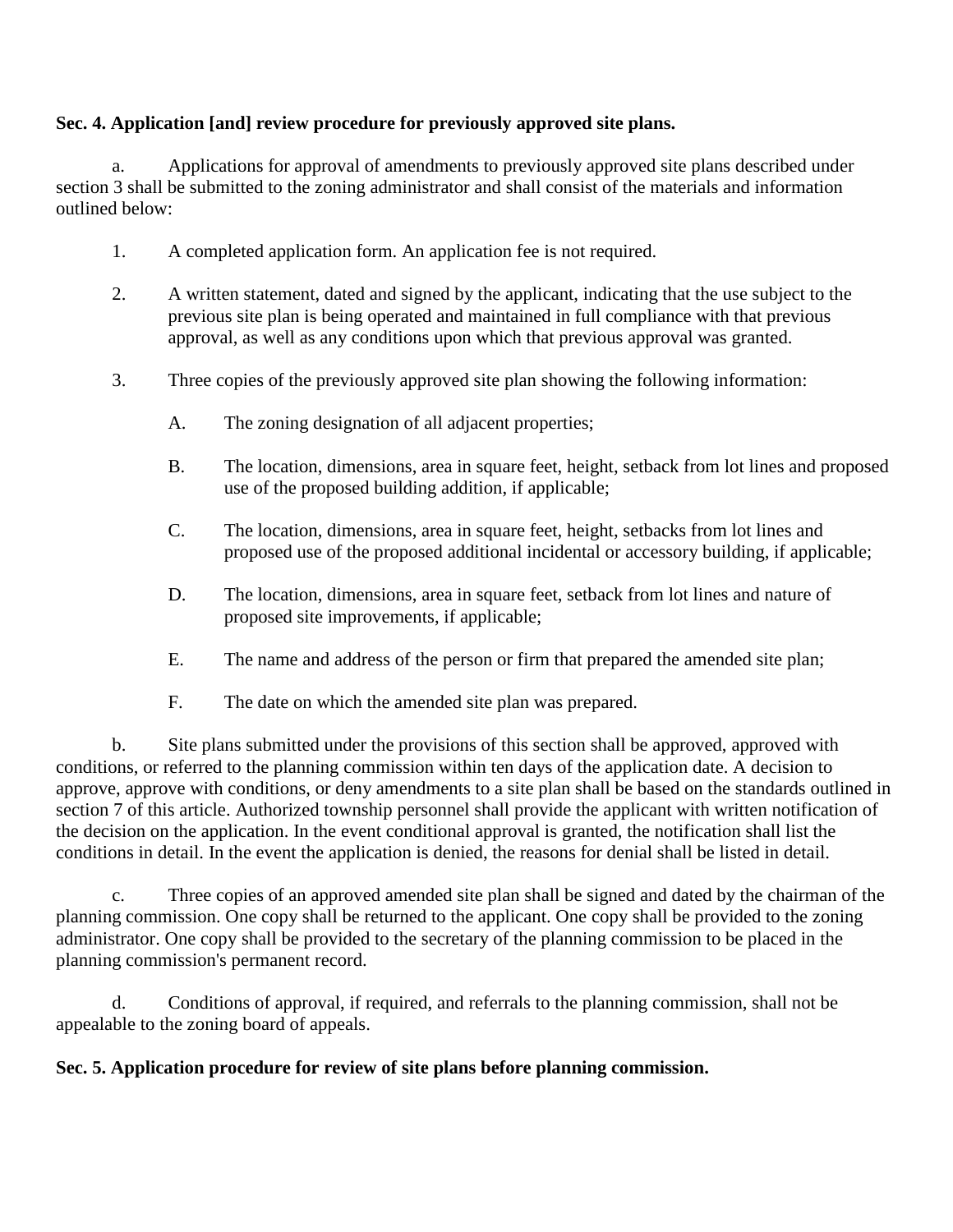### **Sec. 4. Application [and] review procedure for previously approved site plans.**

a. Applications for approval of amendments to previously approved site plans described under section 3 shall be submitted to the zoning administrator and shall consist of the materials and information outlined below:

- 1. A completed application form. An application fee is not required.
- 2. A written statement, dated and signed by the applicant, indicating that the use subject to the previous site plan is being operated and maintained in full compliance with that previous approval, as well as any conditions upon which that previous approval was granted.
- 3. Three copies of the previously approved site plan showing the following information:
	- A. The zoning designation of all adjacent properties;
	- B. The location, dimensions, area in square feet, height, setback from lot lines and proposed use of the proposed building addition, if applicable;
	- C. The location, dimensions, area in square feet, height, setbacks from lot lines and proposed use of the proposed additional incidental or accessory building, if applicable;
	- D. The location, dimensions, area in square feet, setback from lot lines and nature of proposed site improvements, if applicable;
	- E. The name and address of the person or firm that prepared the amended site plan;
	- F. The date on which the amended site plan was prepared.

b. Site plans submitted under the provisions of this section shall be approved, approved with conditions, or referred to the planning commission within ten days of the application date. A decision to approve, approve with conditions, or deny amendments to a site plan shall be based on the standards outlined in section 7 of this article. Authorized township personnel shall provide the applicant with written notification of the decision on the application. In the event conditional approval is granted, the notification shall list the conditions in detail. In the event the application is denied, the reasons for denial shall be listed in detail.

c. Three copies of an approved amended site plan shall be signed and dated by the chairman of the planning commission. One copy shall be returned to the applicant. One copy shall be provided to the zoning administrator. One copy shall be provided to the secretary of the planning commission to be placed in the planning commission's permanent record.

d. Conditions of approval, if required, and referrals to the planning commission, shall not be appealable to the zoning board of appeals.

### **Sec. 5. Application procedure for review of site plans before planning commission.**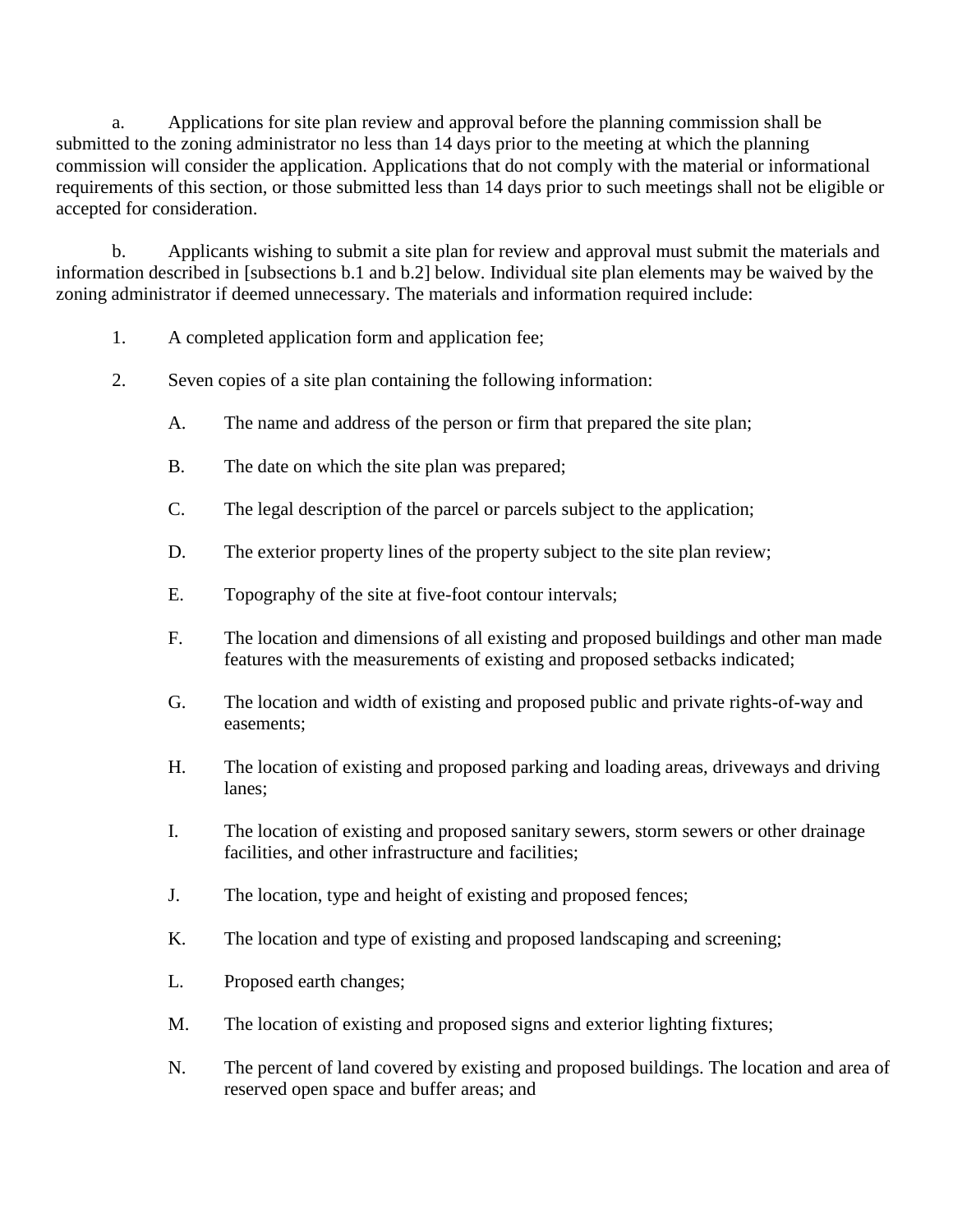a. Applications for site plan review and approval before the planning commission shall be submitted to the zoning administrator no less than 14 days prior to the meeting at which the planning commission will consider the application. Applications that do not comply with the material or informational requirements of this section, or those submitted less than 14 days prior to such meetings shall not be eligible or accepted for consideration.

b. Applicants wishing to submit a site plan for review and approval must submit the materials and information described in [subsections b.1 and b.2] below. Individual site plan elements may be waived by the zoning administrator if deemed unnecessary. The materials and information required include:

- 1. A completed application form and application fee;
- 2. Seven copies of a site plan containing the following information:
	- A. The name and address of the person or firm that prepared the site plan;
	- B. The date on which the site plan was prepared;
	- C. The legal description of the parcel or parcels subject to the application;
	- D. The exterior property lines of the property subject to the site plan review;
	- E. Topography of the site at five-foot contour intervals;
	- F. The location and dimensions of all existing and proposed buildings and other man made features with the measurements of existing and proposed setbacks indicated;
	- G. The location and width of existing and proposed public and private rights-of-way and easements;
	- H. The location of existing and proposed parking and loading areas, driveways and driving lanes;
	- I. The location of existing and proposed sanitary sewers, storm sewers or other drainage facilities, and other infrastructure and facilities;
	- J. The location, type and height of existing and proposed fences;
	- K. The location and type of existing and proposed landscaping and screening;
	- L. Proposed earth changes;
	- M. The location of existing and proposed signs and exterior lighting fixtures;
	- N. The percent of land covered by existing and proposed buildings. The location and area of reserved open space and buffer areas; and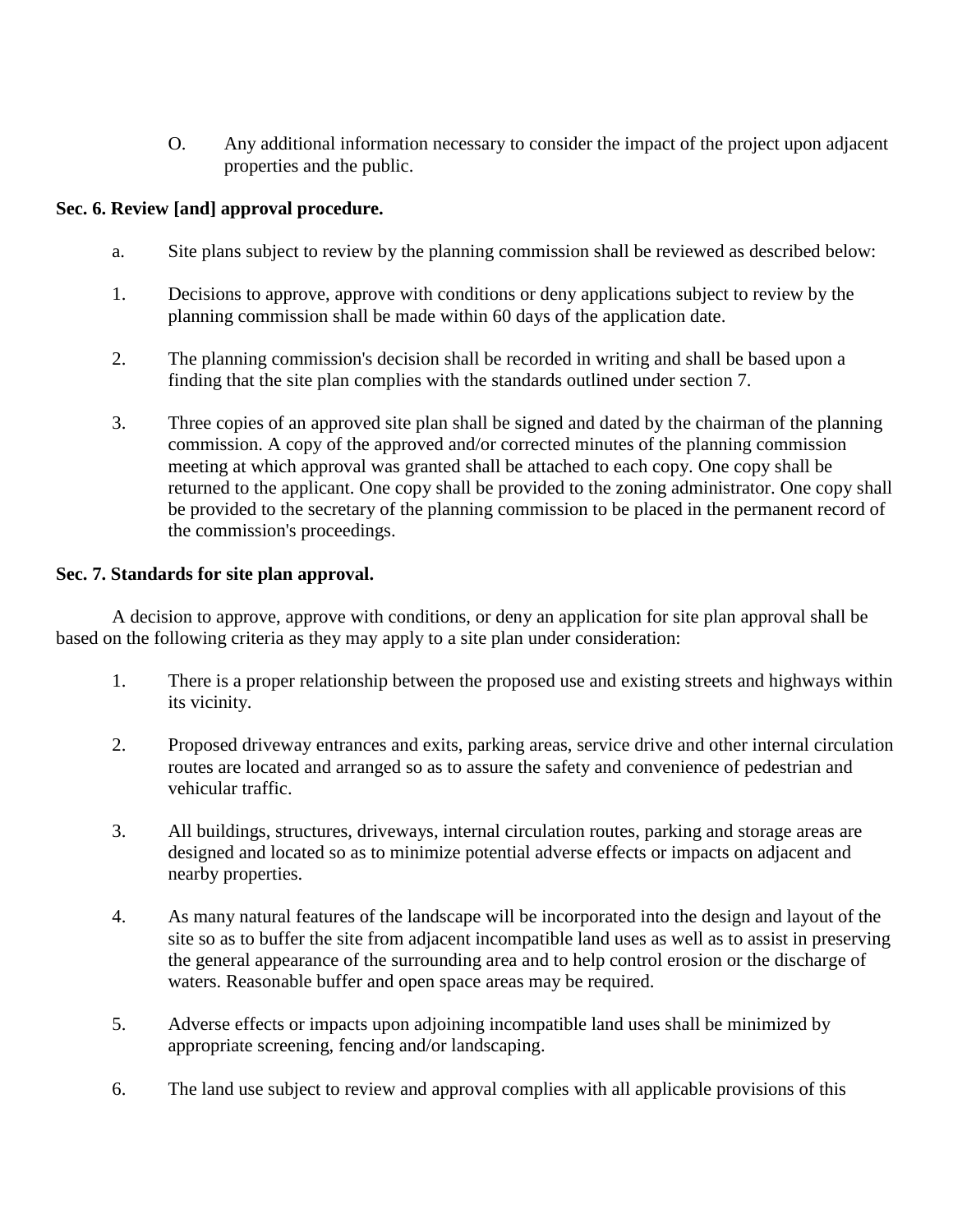O. Any additional information necessary to consider the impact of the project upon adjacent properties and the public.

# **Sec. 6. Review [and] approval procedure.**

- a. Site plans subject to review by the planning commission shall be reviewed as described below:
- 1. Decisions to approve, approve with conditions or deny applications subject to review by the planning commission shall be made within 60 days of the application date.
- 2. The planning commission's decision shall be recorded in writing and shall be based upon a finding that the site plan complies with the standards outlined under section 7.
- 3. Three copies of an approved site plan shall be signed and dated by the chairman of the planning commission. A copy of the approved and/or corrected minutes of the planning commission meeting at which approval was granted shall be attached to each copy. One copy shall be returned to the applicant. One copy shall be provided to the zoning administrator. One copy shall be provided to the secretary of the planning commission to be placed in the permanent record of the commission's proceedings.

# **Sec. 7. Standards for site plan approval.**

A decision to approve, approve with conditions, or deny an application for site plan approval shall be based on the following criteria as they may apply to a site plan under consideration:

- 1. There is a proper relationship between the proposed use and existing streets and highways within its vicinity.
- 2. Proposed driveway entrances and exits, parking areas, service drive and other internal circulation routes are located and arranged so as to assure the safety and convenience of pedestrian and vehicular traffic.
- 3. All buildings, structures, driveways, internal circulation routes, parking and storage areas are designed and located so as to minimize potential adverse effects or impacts on adjacent and nearby properties.
- 4. As many natural features of the landscape will be incorporated into the design and layout of the site so as to buffer the site from adjacent incompatible land uses as well as to assist in preserving the general appearance of the surrounding area and to help control erosion or the discharge of waters. Reasonable buffer and open space areas may be required.
- 5. Adverse effects or impacts upon adjoining incompatible land uses shall be minimized by appropriate screening, fencing and/or landscaping.
- 6. The land use subject to review and approval complies with all applicable provisions of this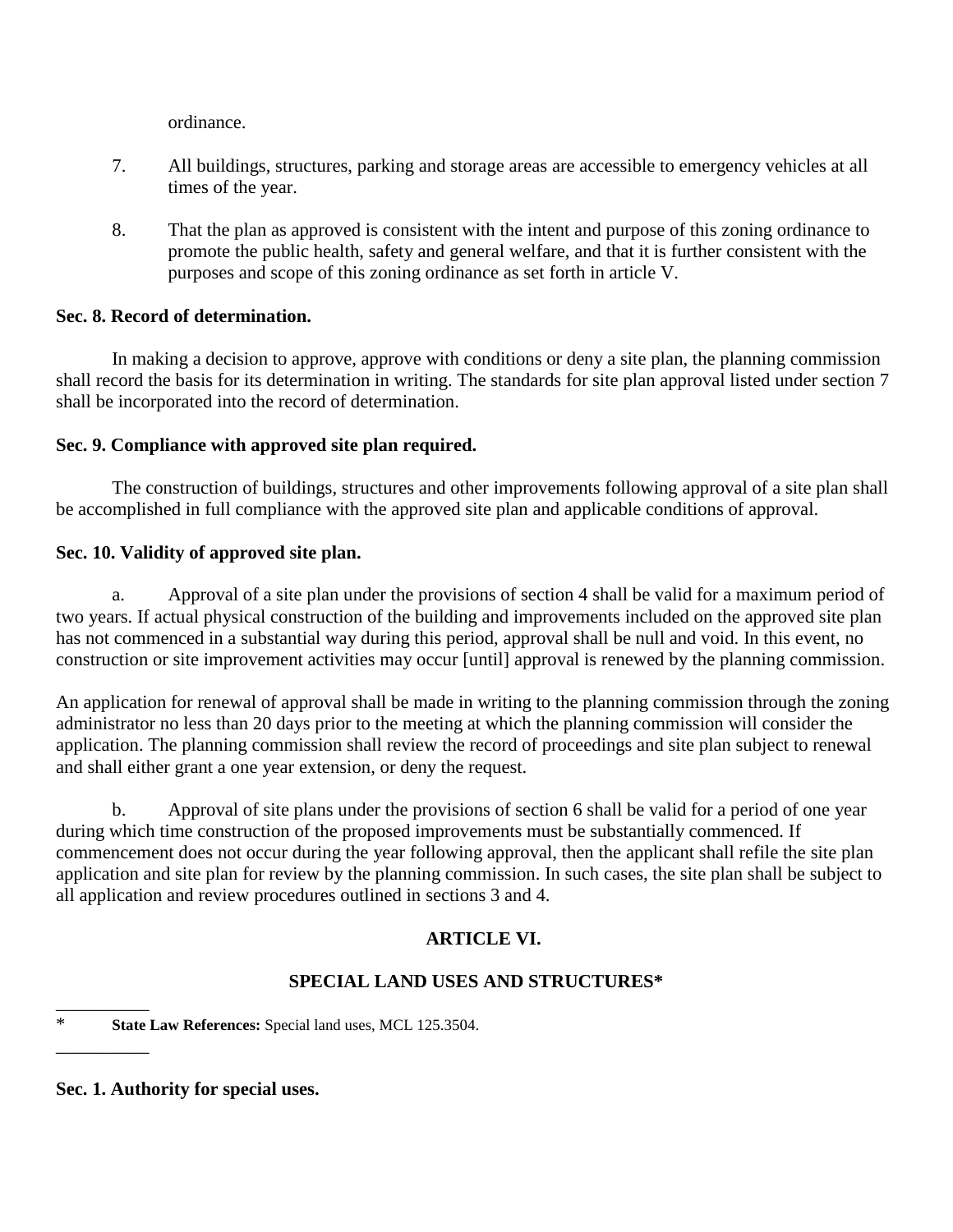ordinance.

- 7. All buildings, structures, parking and storage areas are accessible to emergency vehicles at all times of the year.
- 8. That the plan as approved is consistent with the intent and purpose of this zoning ordinance to promote the public health, safety and general welfare, and that it is further consistent with the purposes and scope of this zoning ordinance as set forth in article V.

# **Sec. 8. Record of determination.**

In making a decision to approve, approve with conditions or deny a site plan, the planning commission shall record the basis for its determination in writing. The standards for site plan approval listed under section 7 shall be incorporated into the record of determination.

# **Sec. 9. Compliance with approved site plan required.**

The construction of buildings, structures and other improvements following approval of a site plan shall be accomplished in full compliance with the approved site plan and applicable conditions of approval.

# **Sec. 10. Validity of approved site plan.**

a. Approval of a site plan under the provisions of section 4 shall be valid for a maximum period of two years. If actual physical construction of the building and improvements included on the approved site plan has not commenced in a substantial way during this period, approval shall be null and void. In this event, no construction or site improvement activities may occur [until] approval is renewed by the planning commission.

An application for renewal of approval shall be made in writing to the planning commission through the zoning administrator no less than 20 days prior to the meeting at which the planning commission will consider the application. The planning commission shall review the record of proceedings and site plan subject to renewal and shall either grant a one year extension, or deny the request.

b. Approval of site plans under the provisions of section 6 shall be valid for a period of one year during which time construction of the proposed improvements must be substantially commenced. If commencement does not occur during the year following approval, then the applicant shall refile the site plan application and site plan for review by the planning commission. In such cases, the site plan shall be subject to all application and review procedures outlined in sections 3 and 4.

# **ARTICLE VI.**

# **SPECIAL LAND USES AND STRUCTURES\***

# **Sec. 1. Authority for special uses.**

\_\_\_\_\_\_\_\_\_\_

\_\_\_\_\_\_\_\_\_\_

<sup>\*</sup> **State Law References:** Special land uses, MCL 125.3504.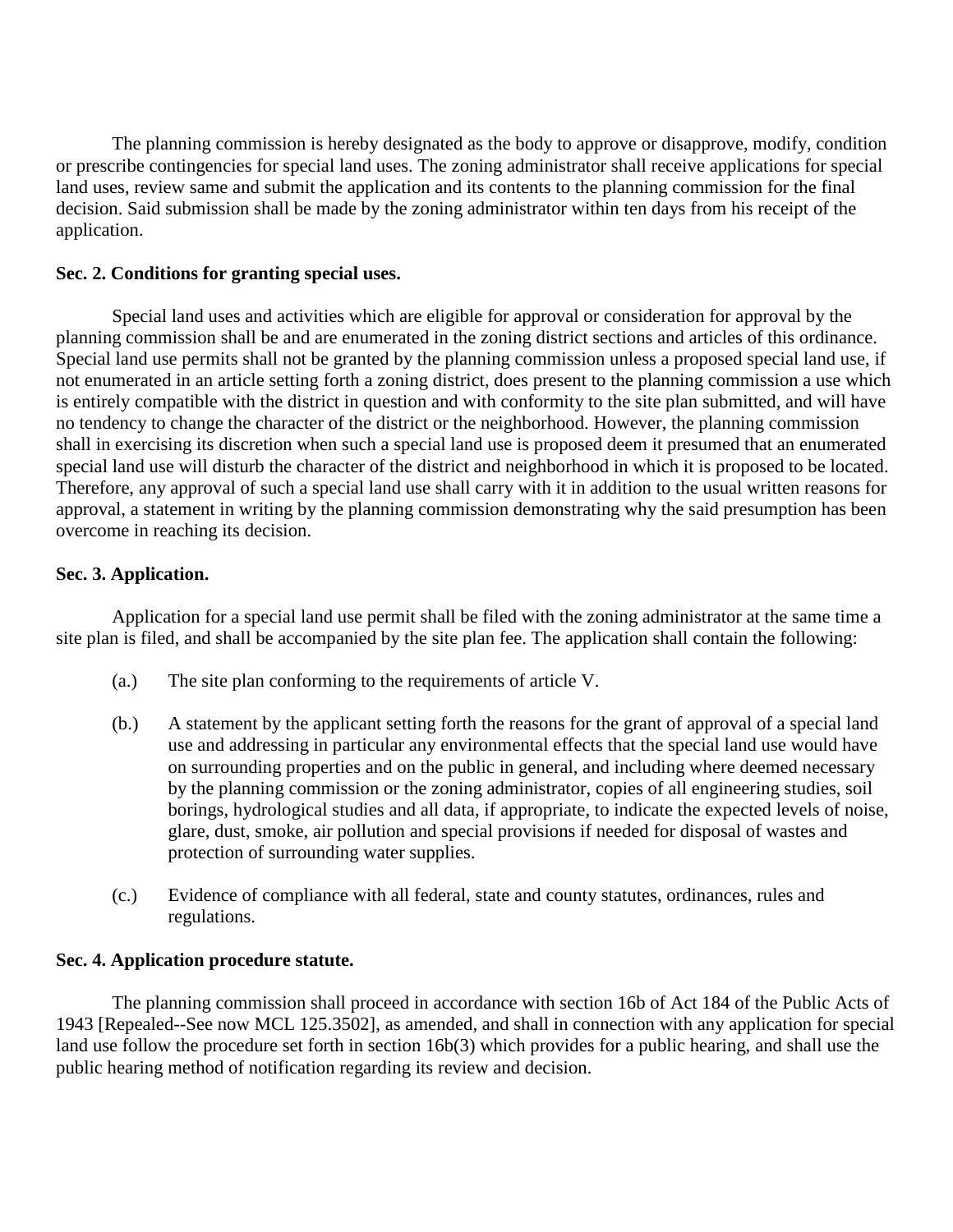The planning commission is hereby designated as the body to approve or disapprove, modify, condition or prescribe contingencies for special land uses. The zoning administrator shall receive applications for special land uses, review same and submit the application and its contents to the planning commission for the final decision. Said submission shall be made by the zoning administrator within ten days from his receipt of the application.

# **Sec. 2. Conditions for granting special uses.**

Special land uses and activities which are eligible for approval or consideration for approval by the planning commission shall be and are enumerated in the zoning district sections and articles of this ordinance. Special land use permits shall not be granted by the planning commission unless a proposed special land use, if not enumerated in an article setting forth a zoning district, does present to the planning commission a use which is entirely compatible with the district in question and with conformity to the site plan submitted, and will have no tendency to change the character of the district or the neighborhood. However, the planning commission shall in exercising its discretion when such a special land use is proposed deem it presumed that an enumerated special land use will disturb the character of the district and neighborhood in which it is proposed to be located. Therefore, any approval of such a special land use shall carry with it in addition to the usual written reasons for approval, a statement in writing by the planning commission demonstrating why the said presumption has been overcome in reaching its decision.

# **Sec. 3. Application.**

Application for a special land use permit shall be filed with the zoning administrator at the same time a site plan is filed, and shall be accompanied by the site plan fee. The application shall contain the following:

- (a.) The site plan conforming to the requirements of article V.
- (b.) A statement by the applicant setting forth the reasons for the grant of approval of a special land use and addressing in particular any environmental effects that the special land use would have on surrounding properties and on the public in general, and including where deemed necessary by the planning commission or the zoning administrator, copies of all engineering studies, soil borings, hydrological studies and all data, if appropriate, to indicate the expected levels of noise, glare, dust, smoke, air pollution and special provisions if needed for disposal of wastes and protection of surrounding water supplies.
- (c.) Evidence of compliance with all federal, state and county statutes, ordinances, rules and regulations.

# **Sec. 4. Application procedure statute.**

The planning commission shall proceed in accordance with section 16b of Act 184 of the Public Acts of 1943 [Repealed--See now MCL 125.3502], as amended, and shall in connection with any application for special land use follow the procedure set forth in section 16b(3) which provides for a public hearing, and shall use the public hearing method of notification regarding its review and decision.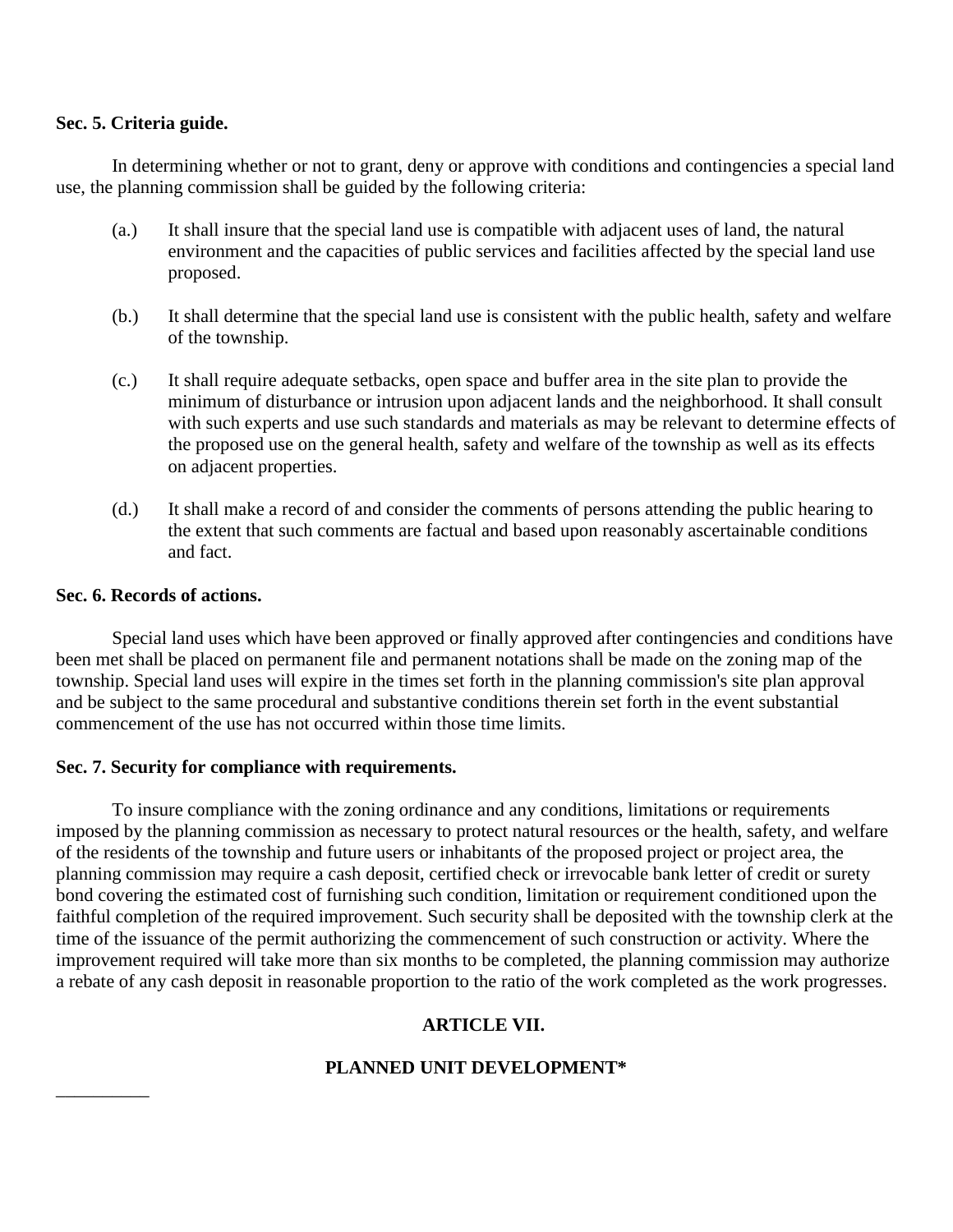## **Sec. 5. Criteria guide.**

In determining whether or not to grant, deny or approve with conditions and contingencies a special land use, the planning commission shall be guided by the following criteria:

- (a.) It shall insure that the special land use is compatible with adjacent uses of land, the natural environment and the capacities of public services and facilities affected by the special land use proposed.
- (b.) It shall determine that the special land use is consistent with the public health, safety and welfare of the township.
- (c.) It shall require adequate setbacks, open space and buffer area in the site plan to provide the minimum of disturbance or intrusion upon adjacent lands and the neighborhood. It shall consult with such experts and use such standards and materials as may be relevant to determine effects of the proposed use on the general health, safety and welfare of the township as well as its effects on adjacent properties.
- (d.) It shall make a record of and consider the comments of persons attending the public hearing to the extent that such comments are factual and based upon reasonably ascertainable conditions and fact.

## **Sec. 6. Records of actions.**

\_\_\_\_\_\_\_\_\_\_

Special land uses which have been approved or finally approved after contingencies and conditions have been met shall be placed on permanent file and permanent notations shall be made on the zoning map of the township. Special land uses will expire in the times set forth in the planning commission's site plan approval and be subject to the same procedural and substantive conditions therein set forth in the event substantial commencement of the use has not occurred within those time limits.

# **Sec. 7. Security for compliance with requirements.**

To insure compliance with the zoning ordinance and any conditions, limitations or requirements imposed by the planning commission as necessary to protect natural resources or the health, safety, and welfare of the residents of the township and future users or inhabitants of the proposed project or project area, the planning commission may require a cash deposit, certified check or irrevocable bank letter of credit or surety bond covering the estimated cost of furnishing such condition, limitation or requirement conditioned upon the faithful completion of the required improvement. Such security shall be deposited with the township clerk at the time of the issuance of the permit authorizing the commencement of such construction or activity. Where the improvement required will take more than six months to be completed, the planning commission may authorize a rebate of any cash deposit in reasonable proportion to the ratio of the work completed as the work progresses.

# **ARTICLE VII.**

# **PLANNED UNIT DEVELOPMENT\***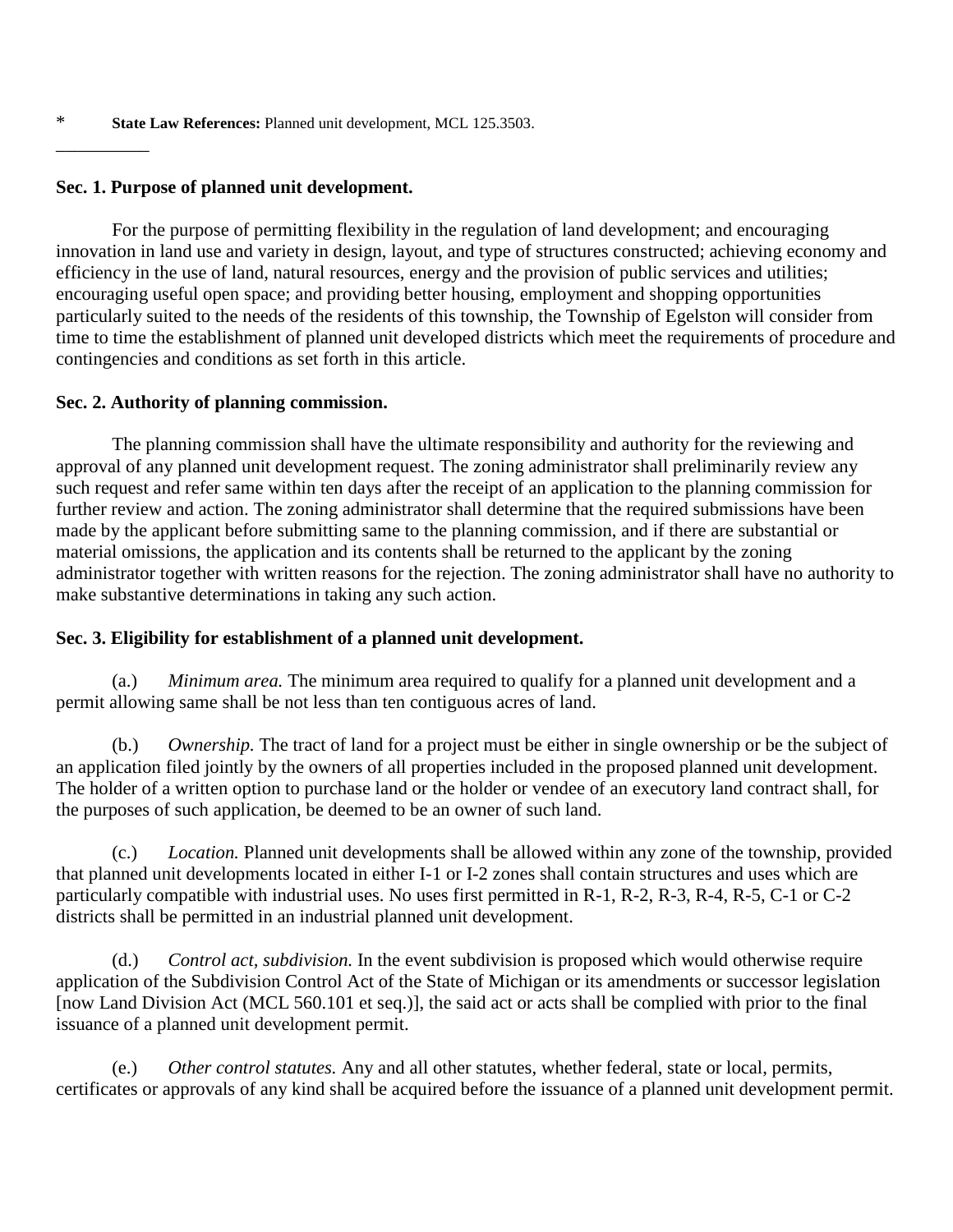## **Sec. 1. Purpose of planned unit development.**

 $\overline{\phantom{a}}$ 

For the purpose of permitting flexibility in the regulation of land development; and encouraging innovation in land use and variety in design, layout, and type of structures constructed; achieving economy and efficiency in the use of land, natural resources, energy and the provision of public services and utilities; encouraging useful open space; and providing better housing, employment and shopping opportunities particularly suited to the needs of the residents of this township, the Township of Egelston will consider from time to time the establishment of planned unit developed districts which meet the requirements of procedure and contingencies and conditions as set forth in this article.

# **Sec. 2. Authority of planning commission.**

The planning commission shall have the ultimate responsibility and authority for the reviewing and approval of any planned unit development request. The zoning administrator shall preliminarily review any such request and refer same within ten days after the receipt of an application to the planning commission for further review and action. The zoning administrator shall determine that the required submissions have been made by the applicant before submitting same to the planning commission, and if there are substantial or material omissions, the application and its contents shall be returned to the applicant by the zoning administrator together with written reasons for the rejection. The zoning administrator shall have no authority to make substantive determinations in taking any such action.

# **Sec. 3. Eligibility for establishment of a planned unit development.**

(a.) *Minimum area.* The minimum area required to qualify for a planned unit development and a permit allowing same shall be not less than ten contiguous acres of land.

(b.) *Ownership.* The tract of land for a project must be either in single ownership or be the subject of an application filed jointly by the owners of all properties included in the proposed planned unit development. The holder of a written option to purchase land or the holder or vendee of an executory land contract shall, for the purposes of such application, be deemed to be an owner of such land.

(c.) *Location.* Planned unit developments shall be allowed within any zone of the township, provided that planned unit developments located in either I-1 or I-2 zones shall contain structures and uses which are particularly compatible with industrial uses. No uses first permitted in R-1, R-2, R-3, R-4, R-5, C-1 or C-2 districts shall be permitted in an industrial planned unit development.

(d.) *Control act, subdivision.* In the event subdivision is proposed which would otherwise require application of the Subdivision Control Act of the State of Michigan or its amendments or successor legislation [now Land Division Act (MCL 560.101 et seq.)], the said act or acts shall be complied with prior to the final issuance of a planned unit development permit.

(e.) *Other control statutes.* Any and all other statutes, whether federal, state or local, permits, certificates or approvals of any kind shall be acquired before the issuance of a planned unit development permit.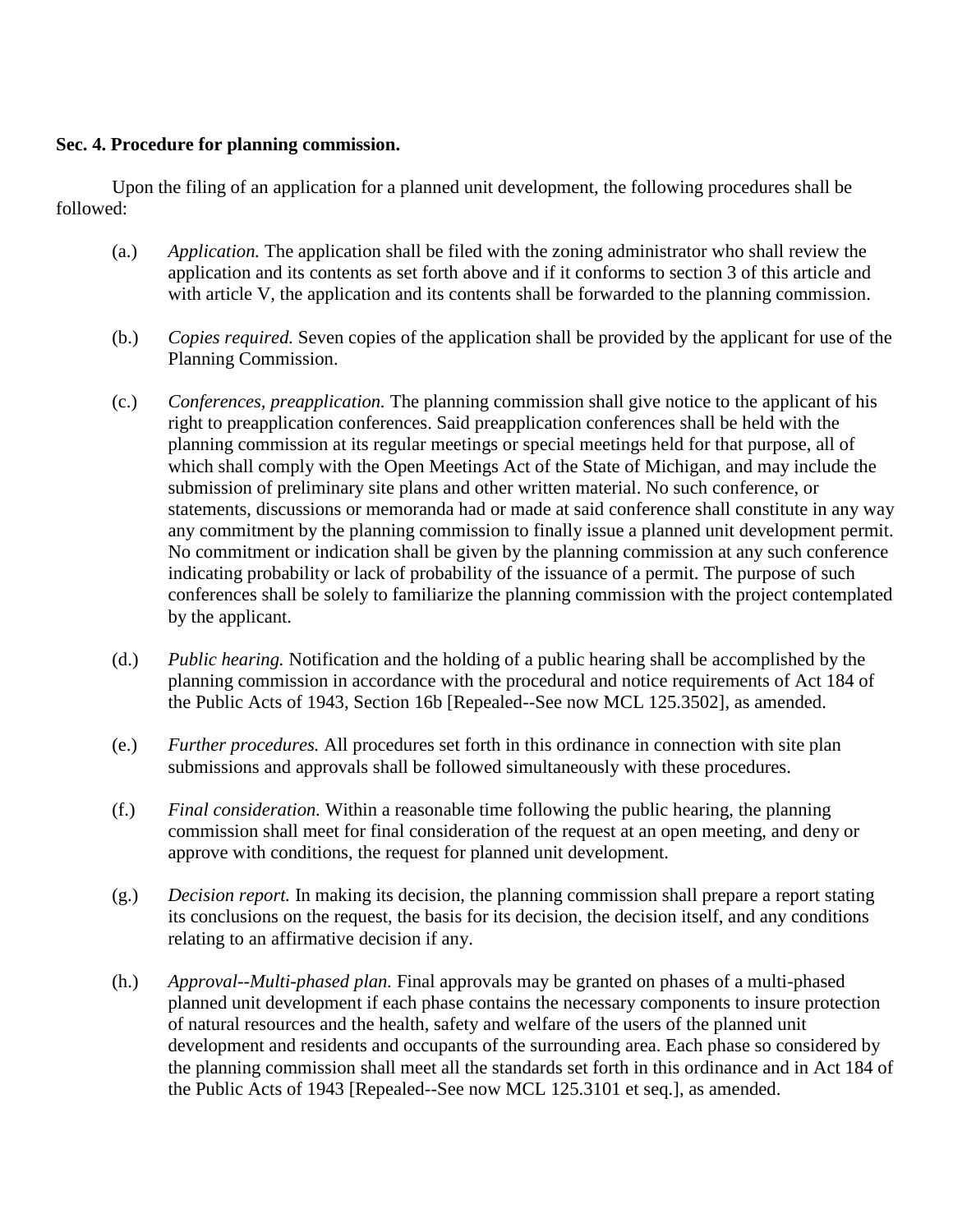# **Sec. 4. Procedure for planning commission.**

Upon the filing of an application for a planned unit development, the following procedures shall be followed:

- (a.) *Application.* The application shall be filed with the zoning administrator who shall review the application and its contents as set forth above and if it conforms to section 3 of this article and with article V, the application and its contents shall be forwarded to the planning commission.
- (b.) *Copies required.* Seven copies of the application shall be provided by the applicant for use of the Planning Commission.
- (c.) *Conferences, preapplication.* The planning commission shall give notice to the applicant of his right to preapplication conferences. Said preapplication conferences shall be held with the planning commission at its regular meetings or special meetings held for that purpose, all of which shall comply with the Open Meetings Act of the State of Michigan, and may include the submission of preliminary site plans and other written material. No such conference, or statements, discussions or memoranda had or made at said conference shall constitute in any way any commitment by the planning commission to finally issue a planned unit development permit. No commitment or indication shall be given by the planning commission at any such conference indicating probability or lack of probability of the issuance of a permit. The purpose of such conferences shall be solely to familiarize the planning commission with the project contemplated by the applicant.
- (d.) *Public hearing.* Notification and the holding of a public hearing shall be accomplished by the planning commission in accordance with the procedural and notice requirements of Act 184 of the Public Acts of 1943, Section 16b [Repealed--See now MCL 125.3502], as amended.
- (e.) *Further procedures.* All procedures set forth in this ordinance in connection with site plan submissions and approvals shall be followed simultaneously with these procedures.
- (f.) *Final consideration.* Within a reasonable time following the public hearing, the planning commission shall meet for final consideration of the request at an open meeting, and deny or approve with conditions, the request for planned unit development.
- (g.) *Decision report.* In making its decision, the planning commission shall prepare a report stating its conclusions on the request, the basis for its decision, the decision itself, and any conditions relating to an affirmative decision if any.
- (h.) *Approval--Multi-phased plan.* Final approvals may be granted on phases of a multi-phased planned unit development if each phase contains the necessary components to insure protection of natural resources and the health, safety and welfare of the users of the planned unit development and residents and occupants of the surrounding area. Each phase so considered by the planning commission shall meet all the standards set forth in this ordinance and in Act 184 of the Public Acts of 1943 [Repealed--See now MCL 125.3101 et seq.], as amended.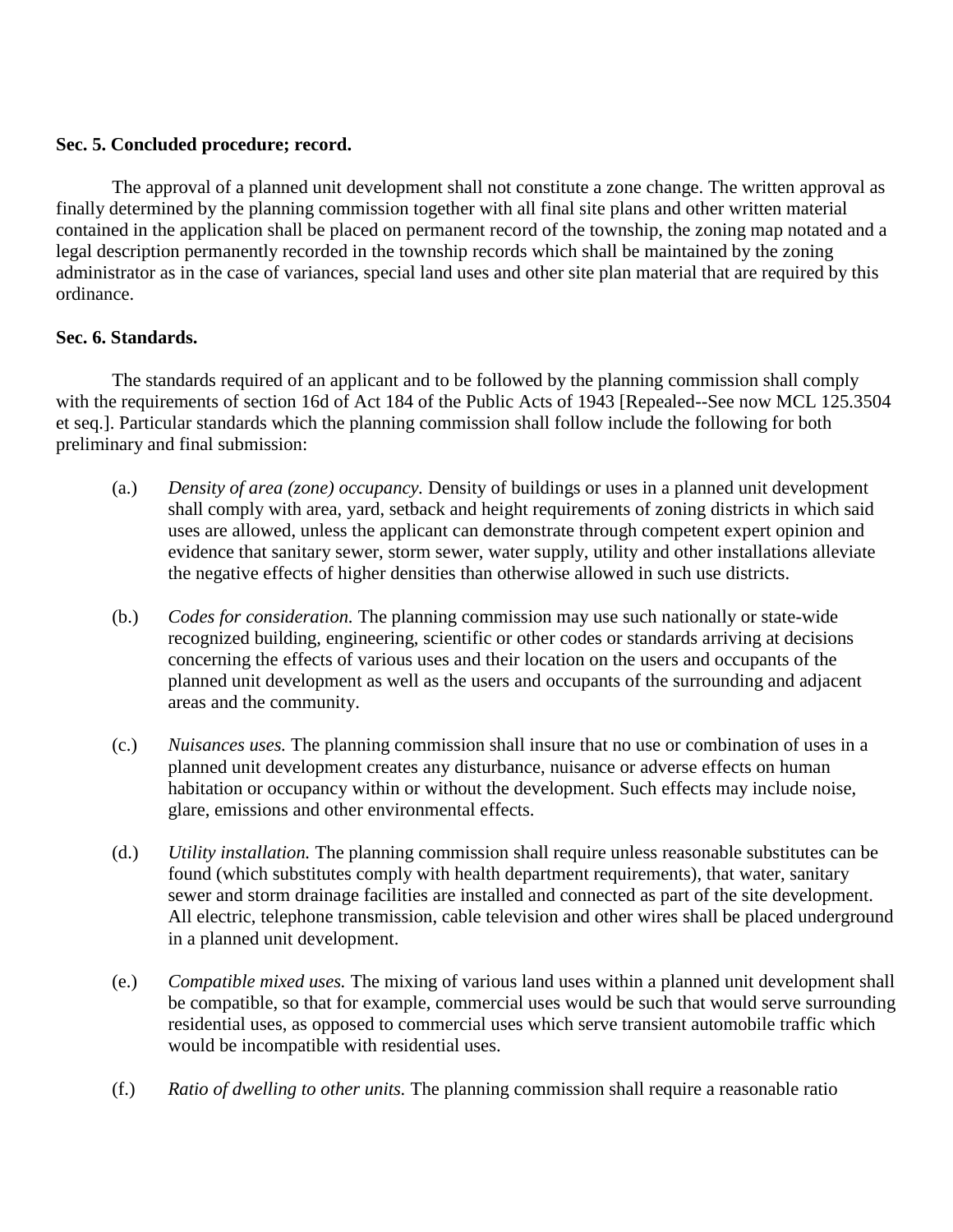# **Sec. 5. Concluded procedure; record.**

The approval of a planned unit development shall not constitute a zone change. The written approval as finally determined by the planning commission together with all final site plans and other written material contained in the application shall be placed on permanent record of the township, the zoning map notated and a legal description permanently recorded in the township records which shall be maintained by the zoning administrator as in the case of variances, special land uses and other site plan material that are required by this ordinance.

# **Sec. 6. Standards.**

The standards required of an applicant and to be followed by the planning commission shall comply with the requirements of section 16d of Act 184 of the Public Acts of 1943 [Repealed--See now MCL 125.3504 et seq.]. Particular standards which the planning commission shall follow include the following for both preliminary and final submission:

- (a.) *Density of area (zone) occupancy.* Density of buildings or uses in a planned unit development shall comply with area, yard, setback and height requirements of zoning districts in which said uses are allowed, unless the applicant can demonstrate through competent expert opinion and evidence that sanitary sewer, storm sewer, water supply, utility and other installations alleviate the negative effects of higher densities than otherwise allowed in such use districts.
- (b.) *Codes for consideration.* The planning commission may use such nationally or state-wide recognized building, engineering, scientific or other codes or standards arriving at decisions concerning the effects of various uses and their location on the users and occupants of the planned unit development as well as the users and occupants of the surrounding and adjacent areas and the community.
- (c.) *Nuisances uses.* The planning commission shall insure that no use or combination of uses in a planned unit development creates any disturbance, nuisance or adverse effects on human habitation or occupancy within or without the development. Such effects may include noise, glare, emissions and other environmental effects.
- (d.) *Utility installation.* The planning commission shall require unless reasonable substitutes can be found (which substitutes comply with health department requirements), that water, sanitary sewer and storm drainage facilities are installed and connected as part of the site development. All electric, telephone transmission, cable television and other wires shall be placed underground in a planned unit development.
- (e.) *Compatible mixed uses.* The mixing of various land uses within a planned unit development shall be compatible, so that for example, commercial uses would be such that would serve surrounding residential uses, as opposed to commercial uses which serve transient automobile traffic which would be incompatible with residential uses.
- (f.) *Ratio of dwelling to other units.* The planning commission shall require a reasonable ratio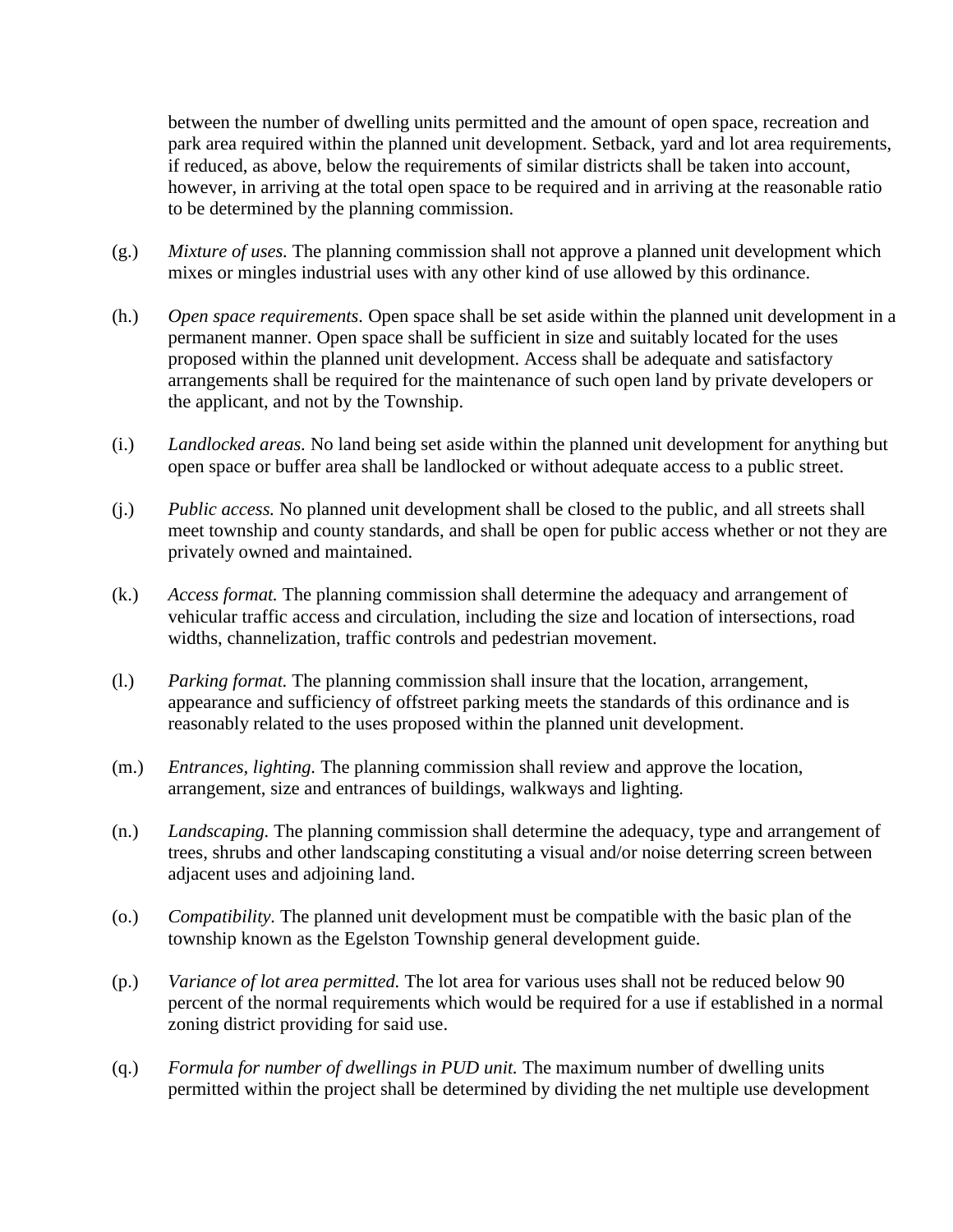between the number of dwelling units permitted and the amount of open space, recreation and park area required within the planned unit development. Setback, yard and lot area requirements, if reduced, as above, below the requirements of similar districts shall be taken into account, however, in arriving at the total open space to be required and in arriving at the reasonable ratio to be determined by the planning commission.

- (g.) *Mixture of uses.* The planning commission shall not approve a planned unit development which mixes or mingles industrial uses with any other kind of use allowed by this ordinance.
- (h.) *Open space requirements.* Open space shall be set aside within the planned unit development in a permanent manner. Open space shall be sufficient in size and suitably located for the uses proposed within the planned unit development. Access shall be adequate and satisfactory arrangements shall be required for the maintenance of such open land by private developers or the applicant, and not by the Township.
- (i.) *Landlocked areas.* No land being set aside within the planned unit development for anything but open space or buffer area shall be landlocked or without adequate access to a public street.
- (j.) *Public access.* No planned unit development shall be closed to the public, and all streets shall meet township and county standards, and shall be open for public access whether or not they are privately owned and maintained.
- (k.) *Access format.* The planning commission shall determine the adequacy and arrangement of vehicular traffic access and circulation, including the size and location of intersections, road widths, channelization, traffic controls and pedestrian movement.
- (l.) *Parking format.* The planning commission shall insure that the location, arrangement, appearance and sufficiency of offstreet parking meets the standards of this ordinance and is reasonably related to the uses proposed within the planned unit development.
- (m.) *Entrances, lighting.* The planning commission shall review and approve the location, arrangement, size and entrances of buildings, walkways and lighting.
- (n.) *Landscaping.* The planning commission shall determine the adequacy, type and arrangement of trees, shrubs and other landscaping constituting a visual and/or noise deterring screen between adjacent uses and adjoining land.
- (o.) *Compatibility.* The planned unit development must be compatible with the basic plan of the township known as the Egelston Township general development guide.
- (p.) *Variance of lot area permitted.* The lot area for various uses shall not be reduced below 90 percent of the normal requirements which would be required for a use if established in a normal zoning district providing for said use.
- (q.) *Formula for number of dwellings in PUD unit.* The maximum number of dwelling units permitted within the project shall be determined by dividing the net multiple use development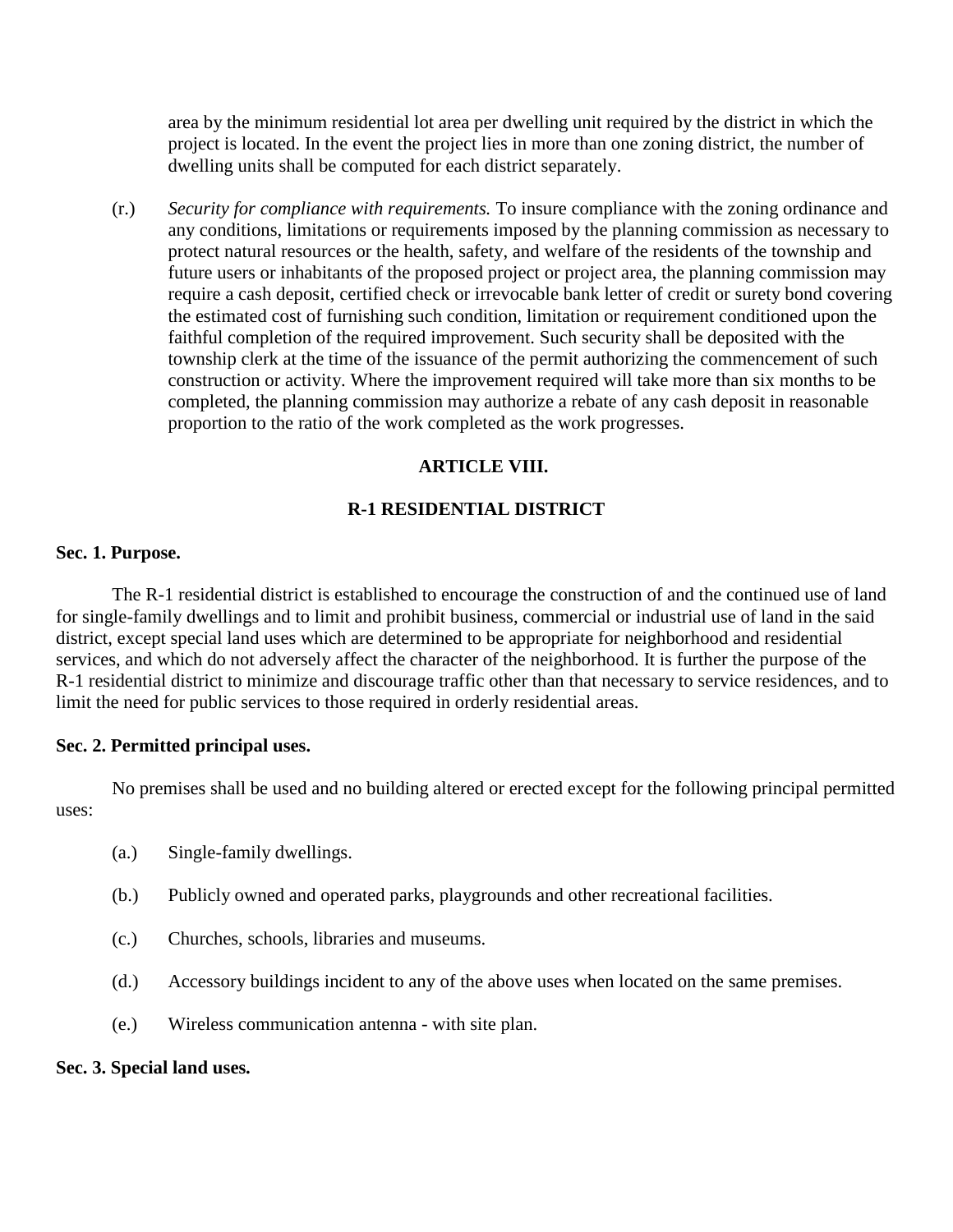area by the minimum residential lot area per dwelling unit required by the district in which the project is located. In the event the project lies in more than one zoning district, the number of dwelling units shall be computed for each district separately.

(r.) *Security for compliance with requirements.* To insure compliance with the zoning ordinance and any conditions, limitations or requirements imposed by the planning commission as necessary to protect natural resources or the health, safety, and welfare of the residents of the township and future users or inhabitants of the proposed project or project area, the planning commission may require a cash deposit, certified check or irrevocable bank letter of credit or surety bond covering the estimated cost of furnishing such condition, limitation or requirement conditioned upon the faithful completion of the required improvement. Such security shall be deposited with the township clerk at the time of the issuance of the permit authorizing the commencement of such construction or activity. Where the improvement required will take more than six months to be completed, the planning commission may authorize a rebate of any cash deposit in reasonable proportion to the ratio of the work completed as the work progresses.

# **ARTICLE VIII.**

# **R-1 RESIDENTIAL DISTRICT**

## **Sec. 1. Purpose.**

The R-1 residential district is established to encourage the construction of and the continued use of land for single-family dwellings and to limit and prohibit business, commercial or industrial use of land in the said district, except special land uses which are determined to be appropriate for neighborhood and residential services, and which do not adversely affect the character of the neighborhood. It is further the purpose of the R-1 residential district to minimize and discourage traffic other than that necessary to service residences, and to limit the need for public services to those required in orderly residential areas.

# **Sec. 2. Permitted principal uses.**

No premises shall be used and no building altered or erected except for the following principal permitted uses:

- (a.) Single-family dwellings.
- (b.) Publicly owned and operated parks, playgrounds and other recreational facilities.
- (c.) Churches, schools, libraries and museums.
- (d.) Accessory buildings incident to any of the above uses when located on the same premises.
- (e.) Wireless communication antenna with site plan.

### **Sec. 3. Special land uses.**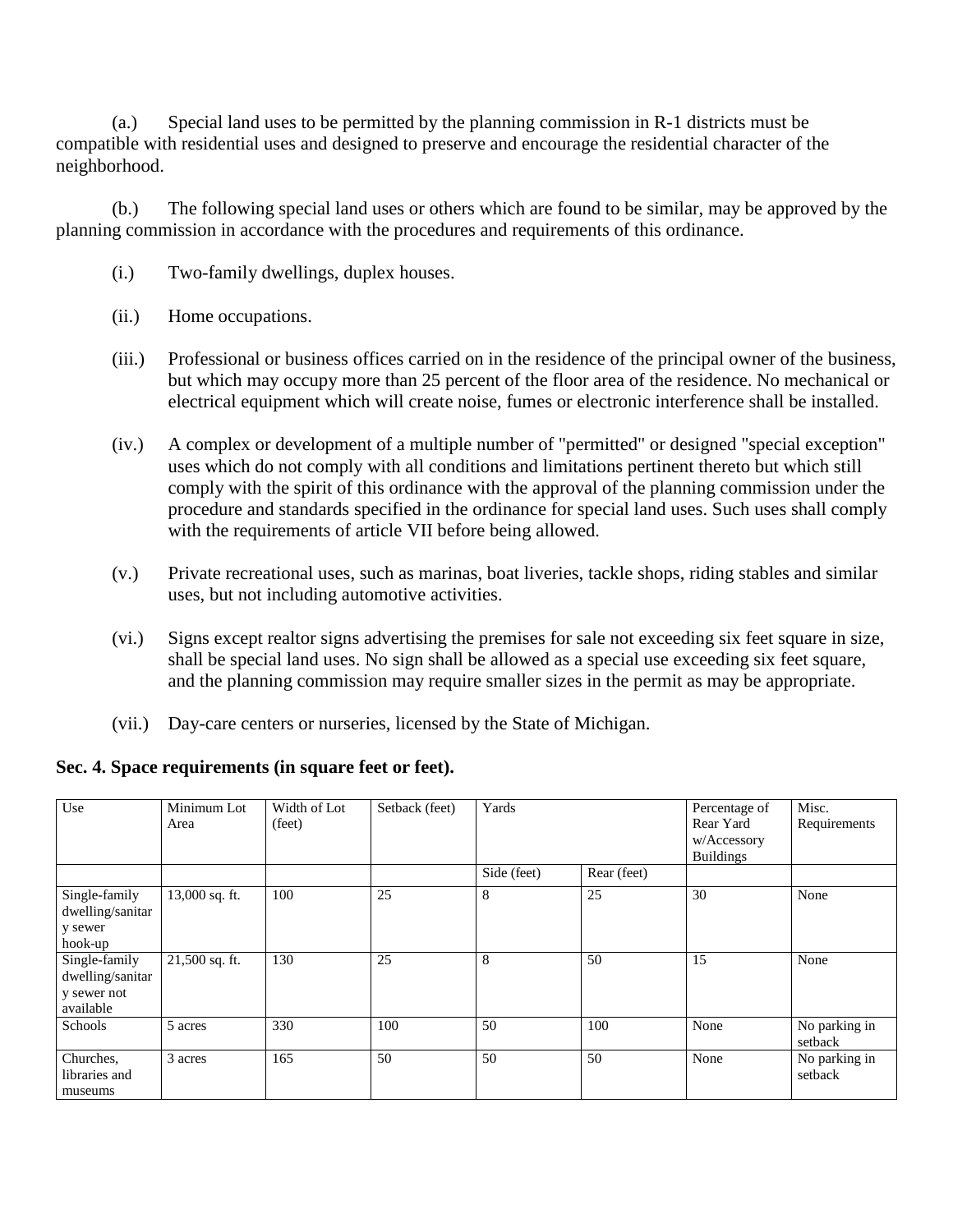(a.) Special land uses to be permitted by the planning commission in R-1 districts must be compatible with residential uses and designed to preserve and encourage the residential character of the neighborhood.

(b.) The following special land uses or others which are found to be similar, may be approved by the planning commission in accordance with the procedures and requirements of this ordinance.

- (i.) Two-family dwellings, duplex houses.
- (ii.) Home occupations.
- (iii.) Professional or business offices carried on in the residence of the principal owner of the business, but which may occupy more than 25 percent of the floor area of the residence. No mechanical or electrical equipment which will create noise, fumes or electronic interference shall be installed.
- (iv.) A complex or development of a multiple number of "permitted" or designed "special exception" uses which do not comply with all conditions and limitations pertinent thereto but which still comply with the spirit of this ordinance with the approval of the planning commission under the procedure and standards specified in the ordinance for special land uses. Such uses shall comply with the requirements of article VII before being allowed.
- (v.) Private recreational uses, such as marinas, boat liveries, tackle shops, riding stables and similar uses, but not including automotive activities.
- (vi.) Signs except realtor signs advertising the premises for sale not exceeding six feet square in size, shall be special land uses. No sign shall be allowed as a special use exceeding six feet square, and the planning commission may require smaller sizes in the permit as may be appropriate.
- (vii.) Day-care centers or nurseries, licensed by the State of Michigan.

# **Sec. 4. Space requirements (in square feet or feet).**

| Use                                                           | Minimum Lot<br>Area | Width of Lot<br>(feet) | Setback (feet) | Yards       |             | Percentage of<br>Rear Yard<br>w/Accessory<br><b>Buildings</b> | Misc.<br>Requirements    |
|---------------------------------------------------------------|---------------------|------------------------|----------------|-------------|-------------|---------------------------------------------------------------|--------------------------|
|                                                               |                     |                        |                | Side (feet) | Rear (feet) |                                                               |                          |
| Single-family<br>dwelling/sanitar<br>y sewer<br>hook-up       | 13,000 sq. ft.      | 100                    | 25             | 8           | 25          | 30                                                            | None                     |
| Single-family<br>dwelling/sanitar<br>y sewer not<br>available | 21,500 sq. ft.      | 130                    | 25             | 8           | 50          | 15                                                            | None                     |
| Schools                                                       | 5 acres             | 330                    | 100            | 50          | 100         | None                                                          | No parking in<br>setback |
| Churches,<br>libraries and<br>museums                         | 3 acres             | 165                    | 50             | 50          | 50          | None                                                          | No parking in<br>setback |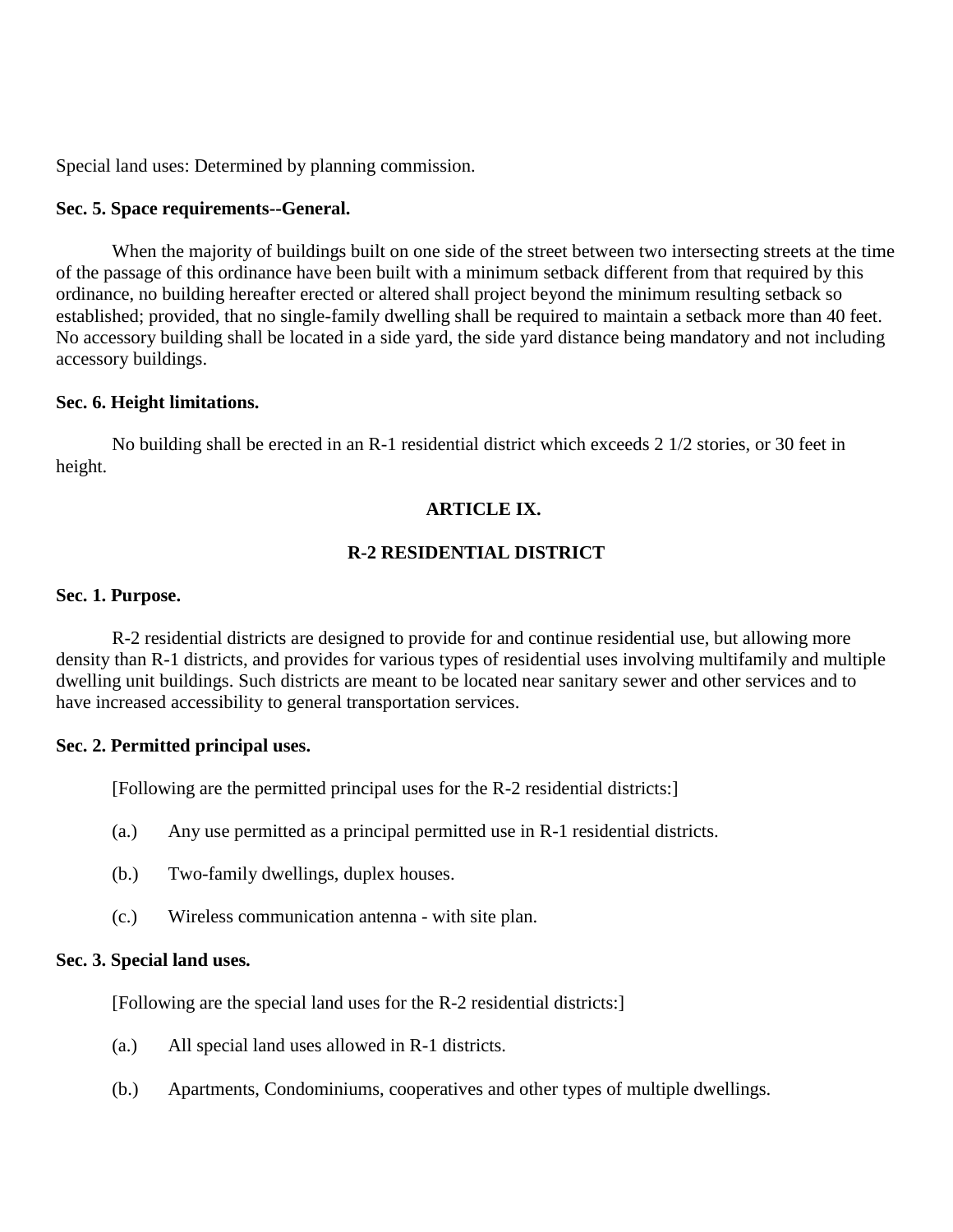Special land uses: Determined by planning commission.

### **Sec. 5. Space requirements--General.**

When the majority of buildings built on one side of the street between two intersecting streets at the time of the passage of this ordinance have been built with a minimum setback different from that required by this ordinance, no building hereafter erected or altered shall project beyond the minimum resulting setback so established; provided, that no single-family dwelling shall be required to maintain a setback more than 40 feet. No accessory building shall be located in a side yard, the side yard distance being mandatory and not including accessory buildings.

## **Sec. 6. Height limitations.**

No building shall be erected in an R-1 residential district which exceeds 2 1/2 stories, or 30 feet in height.

# **ARTICLE IX.**

# **R-2 RESIDENTIAL DISTRICT**

### **Sec. 1. Purpose.**

R-2 residential districts are designed to provide for and continue residential use, but allowing more density than R-1 districts, and provides for various types of residential uses involving multifamily and multiple dwelling unit buildings. Such districts are meant to be located near sanitary sewer and other services and to have increased accessibility to general transportation services.

### **Sec. 2. Permitted principal uses.**

[Following are the permitted principal uses for the R-2 residential districts:]

- (a.) Any use permitted as a principal permitted use in R-1 residential districts.
- (b.) Two-family dwellings, duplex houses.
- (c.) Wireless communication antenna with site plan.

## **Sec. 3. Special land uses.**

[Following are the special land uses for the R-2 residential districts:]

- (a.) All special land uses allowed in R-1 districts.
- (b.) Apartments, Condominiums, cooperatives and other types of multiple dwellings.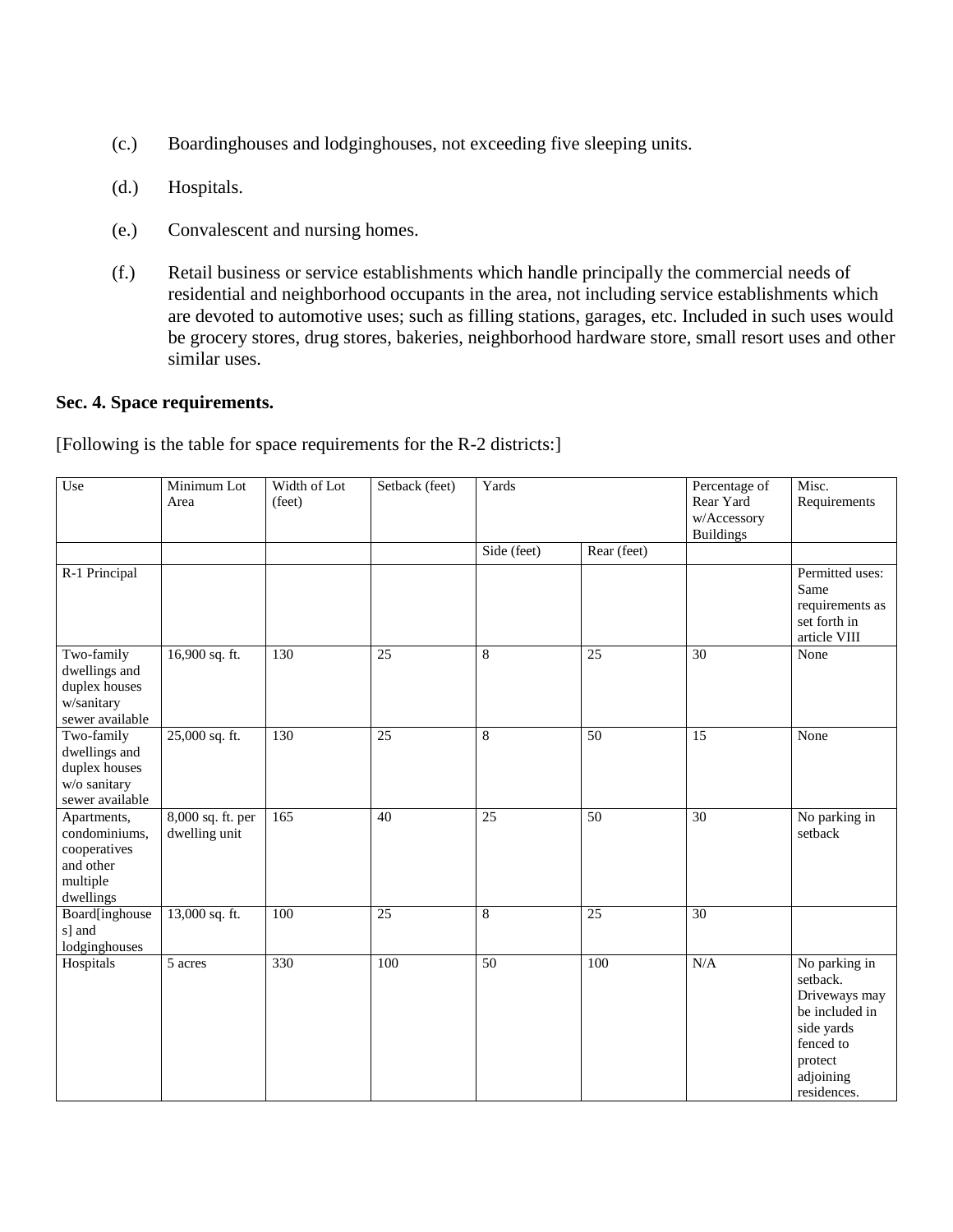- (c.) Boardinghouses and lodginghouses, not exceeding five sleeping units.
- (d.) Hospitals.
- (e.) Convalescent and nursing homes.
- (f.) Retail business or service establishments which handle principally the commercial needs of residential and neighborhood occupants in the area, not including service establishments which are devoted to automotive uses; such as filling stations, garages, etc. Included in such uses would be grocery stores, drug stores, bakeries, neighborhood hardware store, small resort uses and other similar uses.

### **Sec. 4. Space requirements.**

[Following is the table for space requirements for the R-2 districts:]

| Use                                                                                | Minimum Lot<br>Area                | Width of Lot<br>(feet) | Setback (feet)  | Yards           |                 | Percentage of<br>Rear Yard<br>w/Accessory<br><b>Buildings</b> | Misc.<br>Requirements                                                                                                          |
|------------------------------------------------------------------------------------|------------------------------------|------------------------|-----------------|-----------------|-----------------|---------------------------------------------------------------|--------------------------------------------------------------------------------------------------------------------------------|
|                                                                                    |                                    |                        |                 | Side (feet)     | Rear (feet)     |                                                               |                                                                                                                                |
| R-1 Principal                                                                      |                                    |                        |                 |                 |                 |                                                               | Permitted uses:<br>Same<br>requirements as<br>set forth in<br>article VIII                                                     |
| Two-family<br>dwellings and<br>duplex houses<br>w/sanitary<br>sewer available      | 16,900 sq. ft.                     | 130                    | 25              | $\overline{8}$  | 25              | 30                                                            | None                                                                                                                           |
| Two-family<br>dwellings and<br>duplex houses<br>w/o sanitary<br>sewer available    | 25,000 sq. ft.                     | 130                    | $\overline{25}$ | $\overline{8}$  | $\overline{50}$ | $\overline{15}$                                               | None                                                                                                                           |
| Apartments,<br>condominiums,<br>cooperatives<br>and other<br>multiple<br>dwellings | 8,000 sq. ft. per<br>dwelling unit | 165                    | 40              | $\overline{25}$ | $\overline{50}$ | $\overline{30}$                                               | No parking in<br>setback                                                                                                       |
| Board[inghouse<br>s] and<br>lodginghouses                                          | 13,000 sq. ft.                     | 100                    | 25              | 8               | 25              | 30                                                            |                                                                                                                                |
| Hospitals                                                                          | 5 acres                            | 330                    | 100             | 50              | 100             | $\rm N/A$                                                     | No parking in<br>setback.<br>Driveways may<br>be included in<br>side yards<br>fenced to<br>protect<br>adjoining<br>residences. |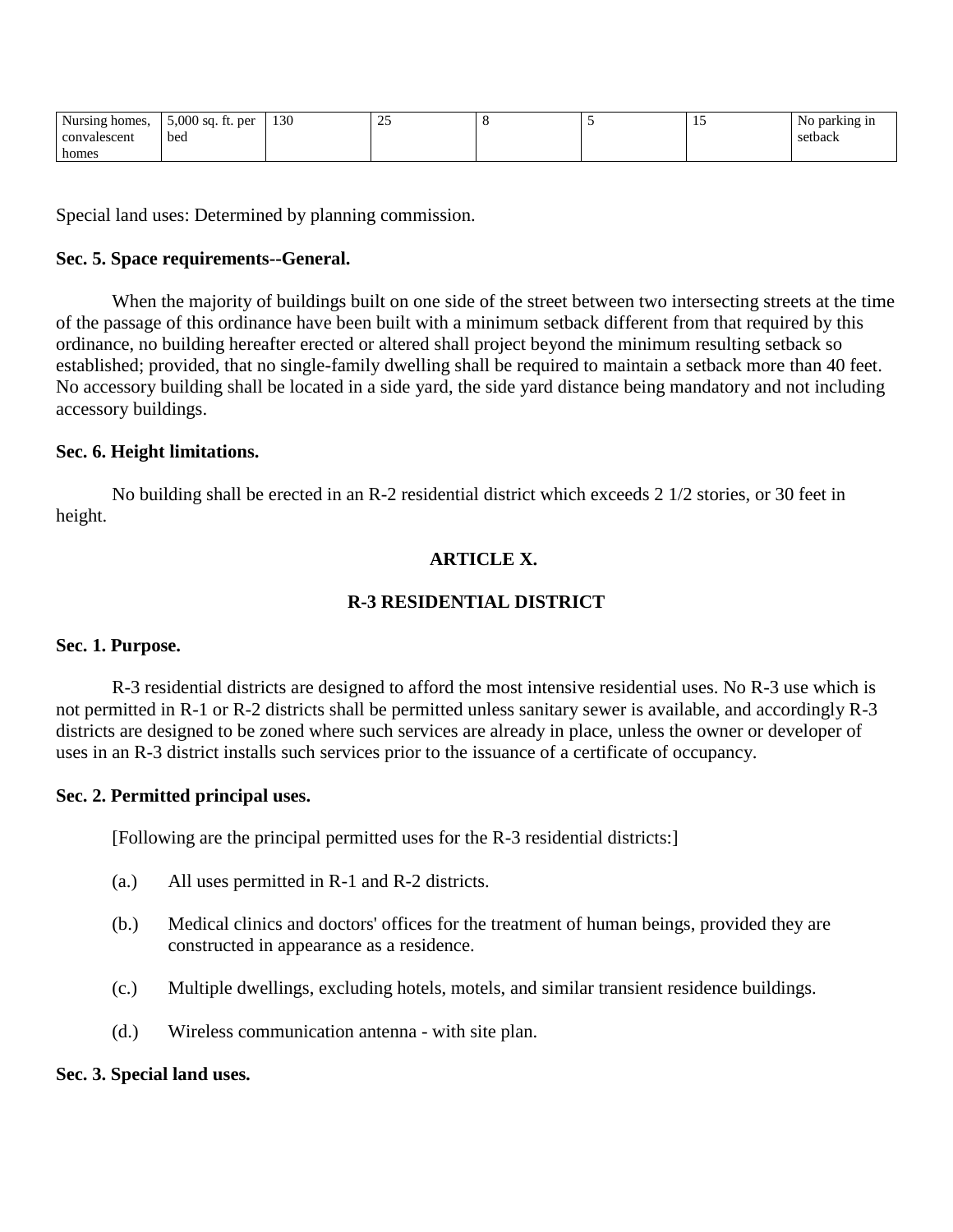| <b>Nursing</b><br>thomes. | $5,000$ sq. ft.<br>per        | 130 | $\sim$ $\sim$<br>$\overline{\phantom{a}}$ | . . |  | parking in<br>NO |
|---------------------------|-------------------------------|-----|-------------------------------------------|-----|--|------------------|
| convalescent              | bed<br>$\qquad \qquad \cdots$ |     |                                           |     |  | setback          |
| homes                     |                               |     |                                           |     |  |                  |

Special land uses: Determined by planning commission.

# **Sec. 5. Space requirements--General.**

When the majority of buildings built on one side of the street between two intersecting streets at the time of the passage of this ordinance have been built with a minimum setback different from that required by this ordinance, no building hereafter erected or altered shall project beyond the minimum resulting setback so established; provided, that no single-family dwelling shall be required to maintain a setback more than 40 feet. No accessory building shall be located in a side yard, the side yard distance being mandatory and not including accessory buildings.

## **Sec. 6. Height limitations.**

No building shall be erected in an R-2 residential district which exceeds 2 1/2 stories, or 30 feet in height.

# **ARTICLE X.**

# **R-3 RESIDENTIAL DISTRICT**

### **Sec. 1. Purpose.**

R-3 residential districts are designed to afford the most intensive residential uses. No R-3 use which is not permitted in R-1 or R-2 districts shall be permitted unless sanitary sewer is available, and accordingly R-3 districts are designed to be zoned where such services are already in place, unless the owner or developer of uses in an R-3 district installs such services prior to the issuance of a certificate of occupancy.

### **Sec. 2. Permitted principal uses.**

[Following are the principal permitted uses for the R-3 residential districts:]

- (a.) All uses permitted in R-1 and R-2 districts.
- (b.) Medical clinics and doctors' offices for the treatment of human beings, provided they are constructed in appearance as a residence.
- (c.) Multiple dwellings, excluding hotels, motels, and similar transient residence buildings.
- (d.) Wireless communication antenna with site plan.

## **Sec. 3. Special land uses.**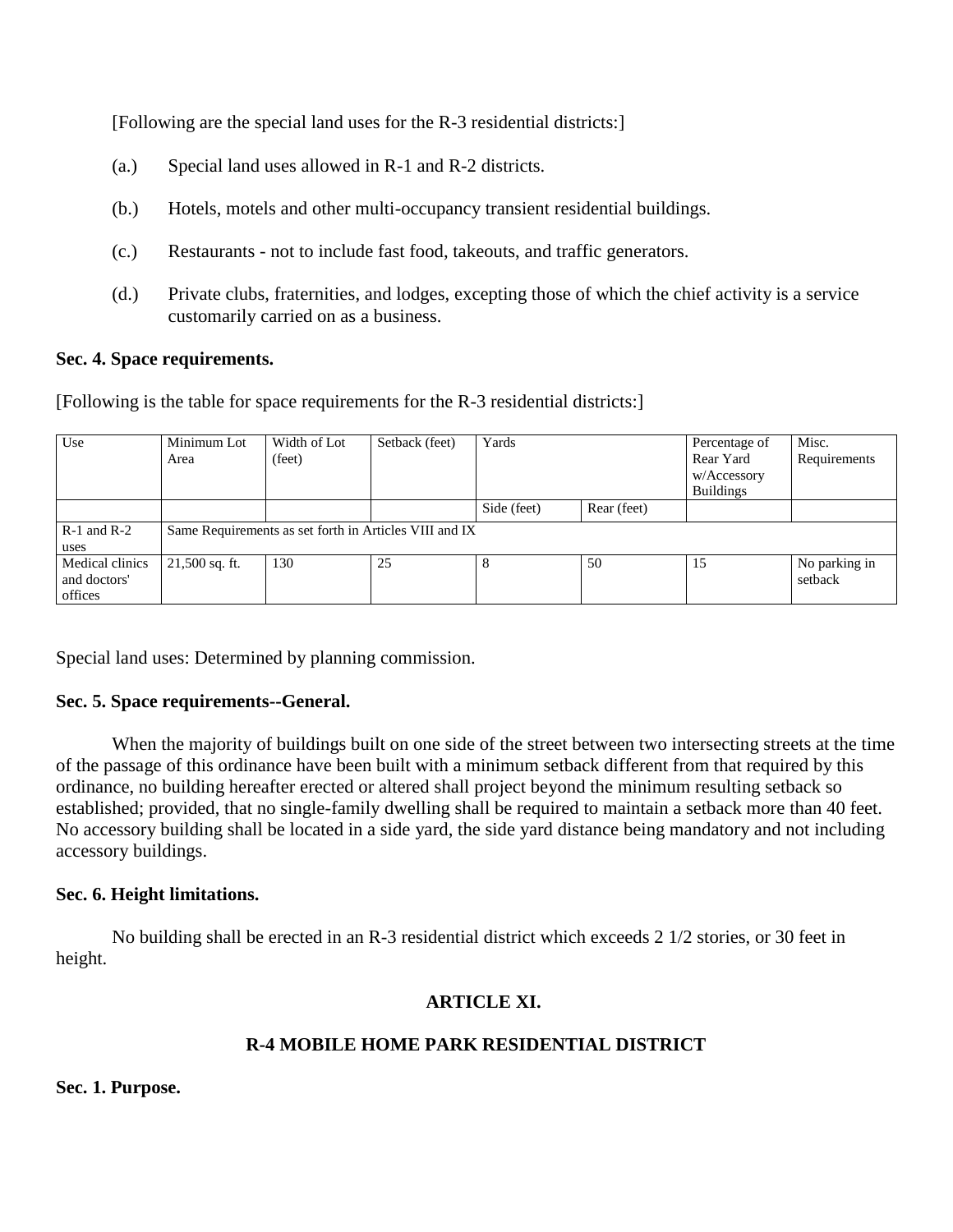[Following are the special land uses for the R-3 residential districts:]

- (a.) Special land uses allowed in R-1 and R-2 districts.
- (b.) Hotels, motels and other multi-occupancy transient residential buildings.
- (c.) Restaurants not to include fast food, takeouts, and traffic generators.
- (d.) Private clubs, fraternities, and lodges, excepting those of which the chief activity is a service customarily carried on as a business.

## **Sec. 4. Space requirements.**

[Following is the table for space requirements for the R-3 residential districts:]

| Use             | Minimum Lot                                            | Width of Lot | Setback (feet) | Yards       |             | Percentage of    | Misc.         |  |  |
|-----------------|--------------------------------------------------------|--------------|----------------|-------------|-------------|------------------|---------------|--|--|
|                 | Area                                                   | (feet)       |                |             |             | Rear Yard        | Requirements  |  |  |
|                 |                                                        |              |                |             |             | w/Accessory      |               |  |  |
|                 |                                                        |              |                |             |             | <b>Buildings</b> |               |  |  |
|                 |                                                        |              |                | Side (feet) | Rear (feet) |                  |               |  |  |
| $R-1$ and $R-2$ | Same Requirements as set forth in Articles VIII and IX |              |                |             |             |                  |               |  |  |
| uses            |                                                        |              |                |             |             |                  |               |  |  |
| Medical clinics | $21,500$ sq. ft.                                       | 130          | 25             |             | 50          | 15               | No parking in |  |  |
| and doctors'    |                                                        |              |                |             |             |                  | setback       |  |  |
| offices         |                                                        |              |                |             |             |                  |               |  |  |

Special land uses: Determined by planning commission.

# **Sec. 5. Space requirements--General.**

When the majority of buildings built on one side of the street between two intersecting streets at the time of the passage of this ordinance have been built with a minimum setback different from that required by this ordinance, no building hereafter erected or altered shall project beyond the minimum resulting setback so established; provided, that no single-family dwelling shall be required to maintain a setback more than 40 feet. No accessory building shall be located in a side yard, the side yard distance being mandatory and not including accessory buildings.

# **Sec. 6. Height limitations.**

No building shall be erected in an R-3 residential district which exceeds 2 1/2 stories, or 30 feet in height.

# **ARTICLE XI.**

# **R-4 MOBILE HOME PARK RESIDENTIAL DISTRICT**

**Sec. 1. Purpose.**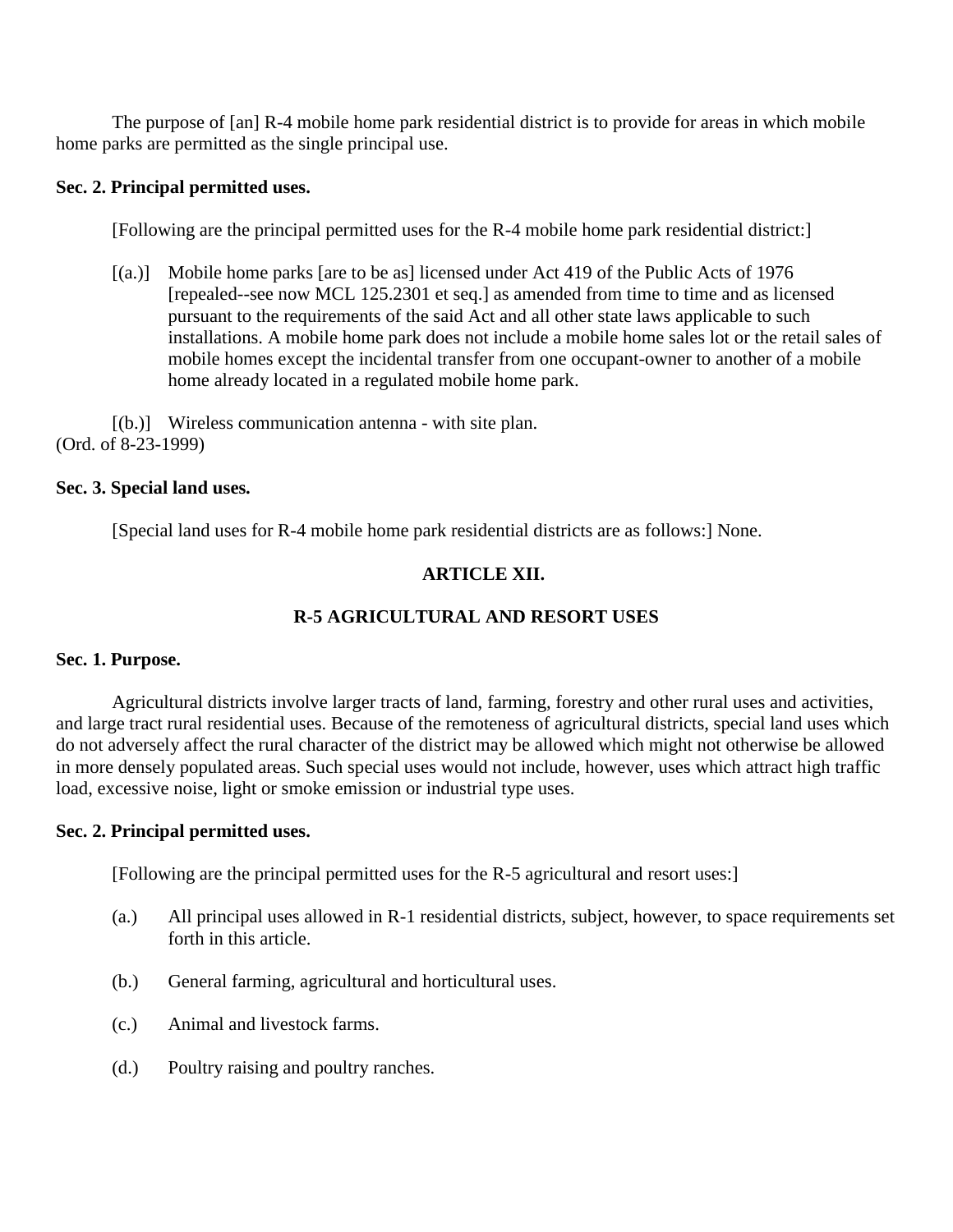The purpose of [an] R-4 mobile home park residential district is to provide for areas in which mobile home parks are permitted as the single principal use.

# **Sec. 2. Principal permitted uses.**

[Following are the principal permitted uses for the R-4 mobile home park residential district:]

[(a.)] Mobile home parks [are to be as] licensed under Act 419 of the Public Acts of 1976 [repealed--see now MCL 125.2301 et seq.] as amended from time to time and as licensed pursuant to the requirements of the said Act and all other state laws applicable to such installations. A mobile home park does not include a mobile home sales lot or the retail sales of mobile homes except the incidental transfer from one occupant-owner to another of a mobile home already located in a regulated mobile home park.

[(b.)] Wireless communication antenna - with site plan. (Ord. of 8-23-1999)

# **Sec. 3. Special land uses.**

[Special land uses for R-4 mobile home park residential districts are as follows:] None.

# **ARTICLE XII.**

# **R-5 AGRICULTURAL AND RESORT USES**

# **Sec. 1. Purpose.**

Agricultural districts involve larger tracts of land, farming, forestry and other rural uses and activities, and large tract rural residential uses. Because of the remoteness of agricultural districts, special land uses which do not adversely affect the rural character of the district may be allowed which might not otherwise be allowed in more densely populated areas. Such special uses would not include, however, uses which attract high traffic load, excessive noise, light or smoke emission or industrial type uses.

# **Sec. 2. Principal permitted uses.**

[Following are the principal permitted uses for the R-5 agricultural and resort uses:]

- (a.) All principal uses allowed in R-1 residential districts, subject, however, to space requirements set forth in this article.
- (b.) General farming, agricultural and horticultural uses.
- (c.) Animal and livestock farms.
- (d.) Poultry raising and poultry ranches.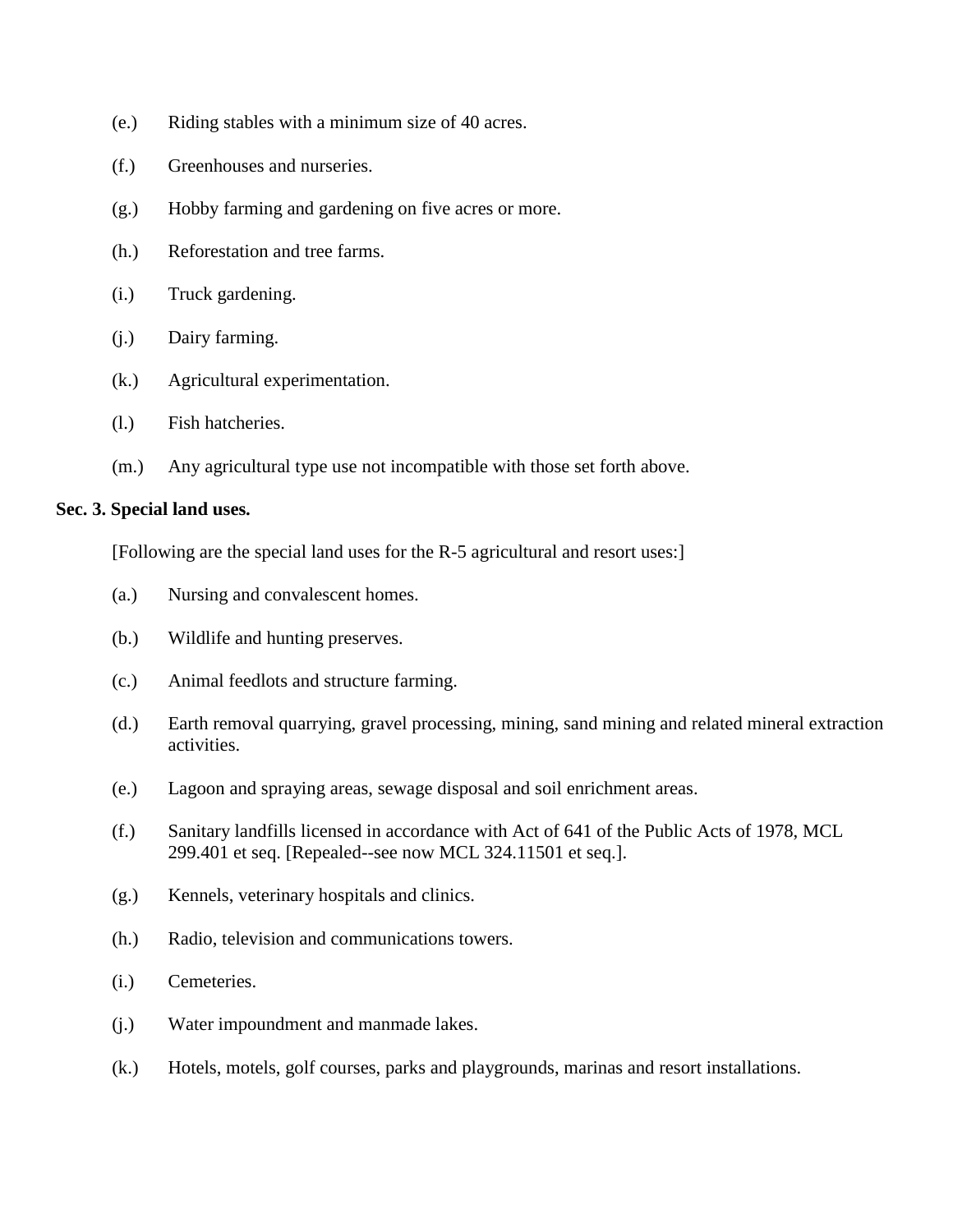- (e.) Riding stables with a minimum size of 40 acres.
- (f.) Greenhouses and nurseries.
- (g.) Hobby farming and gardening on five acres or more.
- (h.) Reforestation and tree farms.
- (i.) Truck gardening.
- (j.) Dairy farming.
- (k.) Agricultural experimentation.
- (l.) Fish hatcheries.
- (m.) Any agricultural type use not incompatible with those set forth above.

# **Sec. 3. Special land uses.**

[Following are the special land uses for the R-5 agricultural and resort uses:]

- (a.) Nursing and convalescent homes.
- (b.) Wildlife and hunting preserves.
- (c.) Animal feedlots and structure farming.
- (d.) Earth removal quarrying, gravel processing, mining, sand mining and related mineral extraction activities.
- (e.) Lagoon and spraying areas, sewage disposal and soil enrichment areas.
- (f.) Sanitary landfills licensed in accordance with Act of 641 of the Public Acts of 1978, MCL 299.401 et seq. [Repealed--see now MCL 324.11501 et seq.].
- (g.) Kennels, veterinary hospitals and clinics.
- (h.) Radio, television and communications towers.
- (i.) Cemeteries.
- (j.) Water impoundment and manmade lakes.
- (k.) Hotels, motels, golf courses, parks and playgrounds, marinas and resort installations.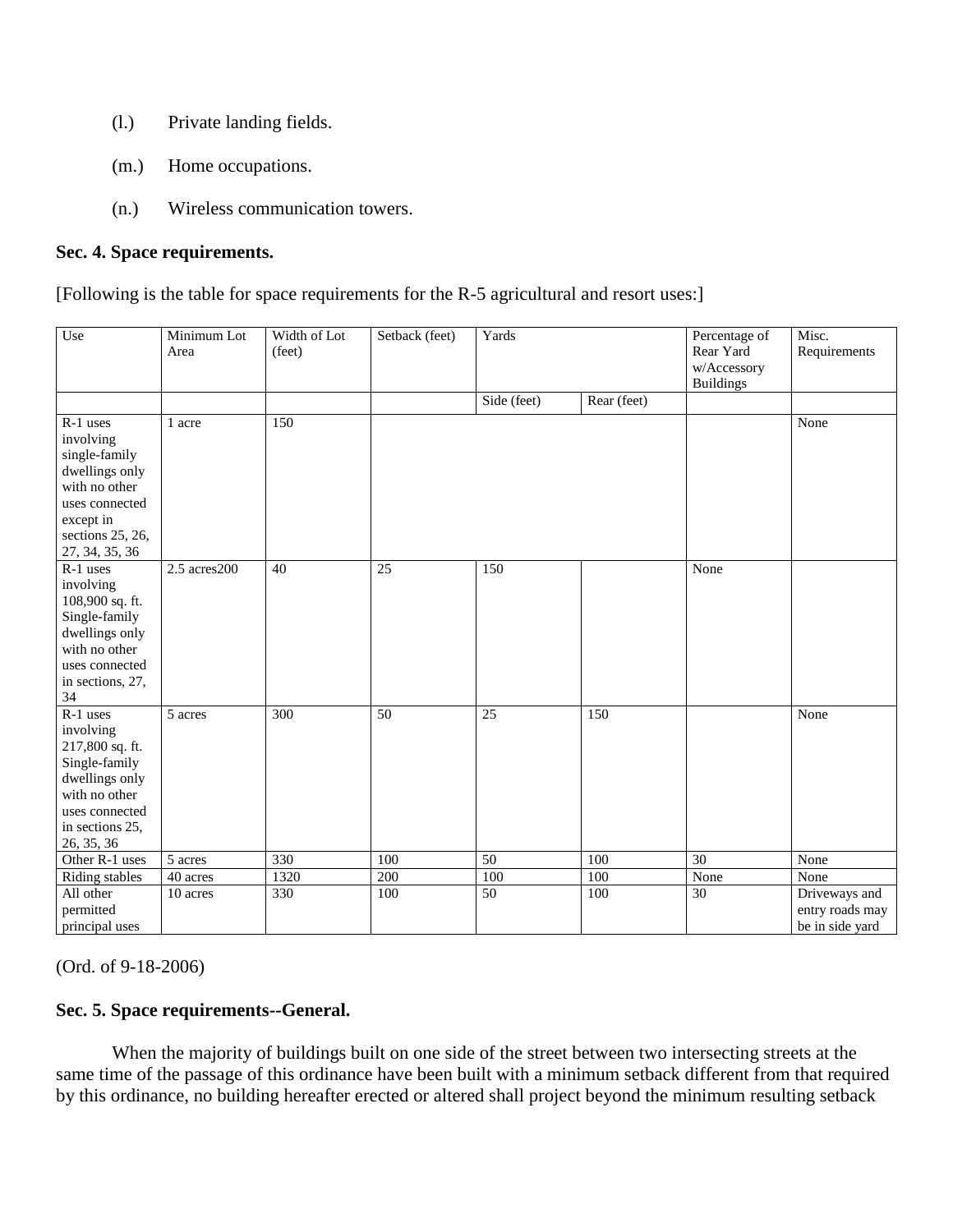- (l.) Private landing fields.
- (m.) Home occupations.
- (n.) Wireless communication towers.

# **Sec. 4. Space requirements.**

[Following is the table for space requirements for the R-5 agricultural and resort uses:]

| Use                                                                                                                                             | Minimum Lot<br>Area  | Width of Lot<br>(feet) | Setback (feet)  | Yards           |             | Percentage of<br>Rear Yard<br>w/Accessory<br><b>Buildings</b> | Misc.<br>Requirements                               |
|-------------------------------------------------------------------------------------------------------------------------------------------------|----------------------|------------------------|-----------------|-----------------|-------------|---------------------------------------------------------------|-----------------------------------------------------|
|                                                                                                                                                 |                      |                        |                 | Side (feet)     | Rear (feet) |                                                               |                                                     |
| R-1 uses<br>involving<br>single-family<br>dwellings only<br>with no other<br>uses connected<br>except in<br>sections 25, 26,<br>27, 34, 35, 36  | 1 acre               | 150                    |                 |                 |             |                                                               | None                                                |
| R-1 uses<br>involving<br>108,900 sq. ft.<br>Single-family<br>dwellings only<br>with no other<br>uses connected<br>in sections, 27,<br>34        | $2.5$ acres $200$    | $\overline{40}$        | $\overline{25}$ | 150             |             | None                                                          |                                                     |
| R-1 uses<br>involving<br>217,800 sq. ft.<br>Single-family<br>dwellings only<br>with no other<br>uses connected<br>in sections 25,<br>26, 35, 36 | $\overline{5}$ acres | 300                    | $\overline{50}$ | $\overline{25}$ | 150         |                                                               | None                                                |
| Other R-1 uses                                                                                                                                  | 5 acres              | 330                    | 100             | 50              | 100         | 30                                                            | None                                                |
| Riding stables                                                                                                                                  | 40 acres             | 1320                   | 200             | 100             | 100         | None                                                          | None                                                |
| All other<br>permitted<br>principal uses                                                                                                        | 10 acres             | 330                    | 100             | $\overline{50}$ | 100         | $\overline{30}$                                               | Driveways and<br>entry roads may<br>be in side yard |

(Ord. of 9-18-2006)

# **Sec. 5. Space requirements--General.**

When the majority of buildings built on one side of the street between two intersecting streets at the same time of the passage of this ordinance have been built with a minimum setback different from that required by this ordinance, no building hereafter erected or altered shall project beyond the minimum resulting setback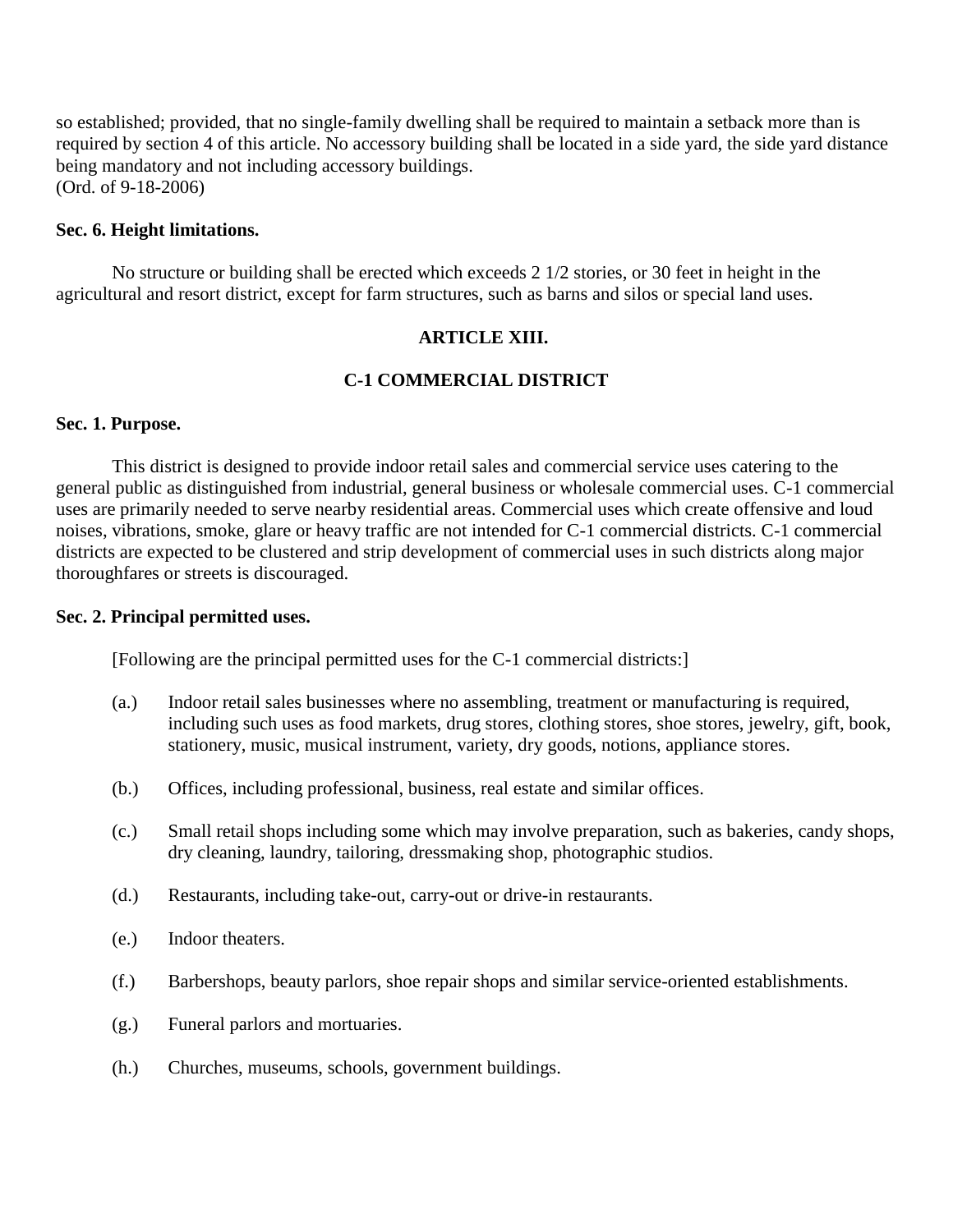so established; provided, that no single-family dwelling shall be required to maintain a setback more than is required by section 4 of this article. No accessory building shall be located in a side yard, the side yard distance being mandatory and not including accessory buildings. (Ord. of 9-18-2006)

## **Sec. 6. Height limitations.**

No structure or building shall be erected which exceeds 2 1/2 stories, or 30 feet in height in the agricultural and resort district, except for farm structures, such as barns and silos or special land uses.

# **ARTICLE XIII.**

# **C-1 COMMERCIAL DISTRICT**

### **Sec. 1. Purpose.**

This district is designed to provide indoor retail sales and commercial service uses catering to the general public as distinguished from industrial, general business or wholesale commercial uses. C-1 commercial uses are primarily needed to serve nearby residential areas. Commercial uses which create offensive and loud noises, vibrations, smoke, glare or heavy traffic are not intended for C-1 commercial districts. C-1 commercial districts are expected to be clustered and strip development of commercial uses in such districts along major thoroughfares or streets is discouraged.

### **Sec. 2. Principal permitted uses.**

[Following are the principal permitted uses for the C-1 commercial districts:]

- (a.) Indoor retail sales businesses where no assembling, treatment or manufacturing is required, including such uses as food markets, drug stores, clothing stores, shoe stores, jewelry, gift, book, stationery, music, musical instrument, variety, dry goods, notions, appliance stores.
- (b.) Offices, including professional, business, real estate and similar offices.
- (c.) Small retail shops including some which may involve preparation, such as bakeries, candy shops, dry cleaning, laundry, tailoring, dressmaking shop, photographic studios.
- (d.) Restaurants, including take-out, carry-out or drive-in restaurants.
- (e.) Indoor theaters.
- (f.) Barbershops, beauty parlors, shoe repair shops and similar service-oriented establishments.
- (g.) Funeral parlors and mortuaries.
- (h.) Churches, museums, schools, government buildings.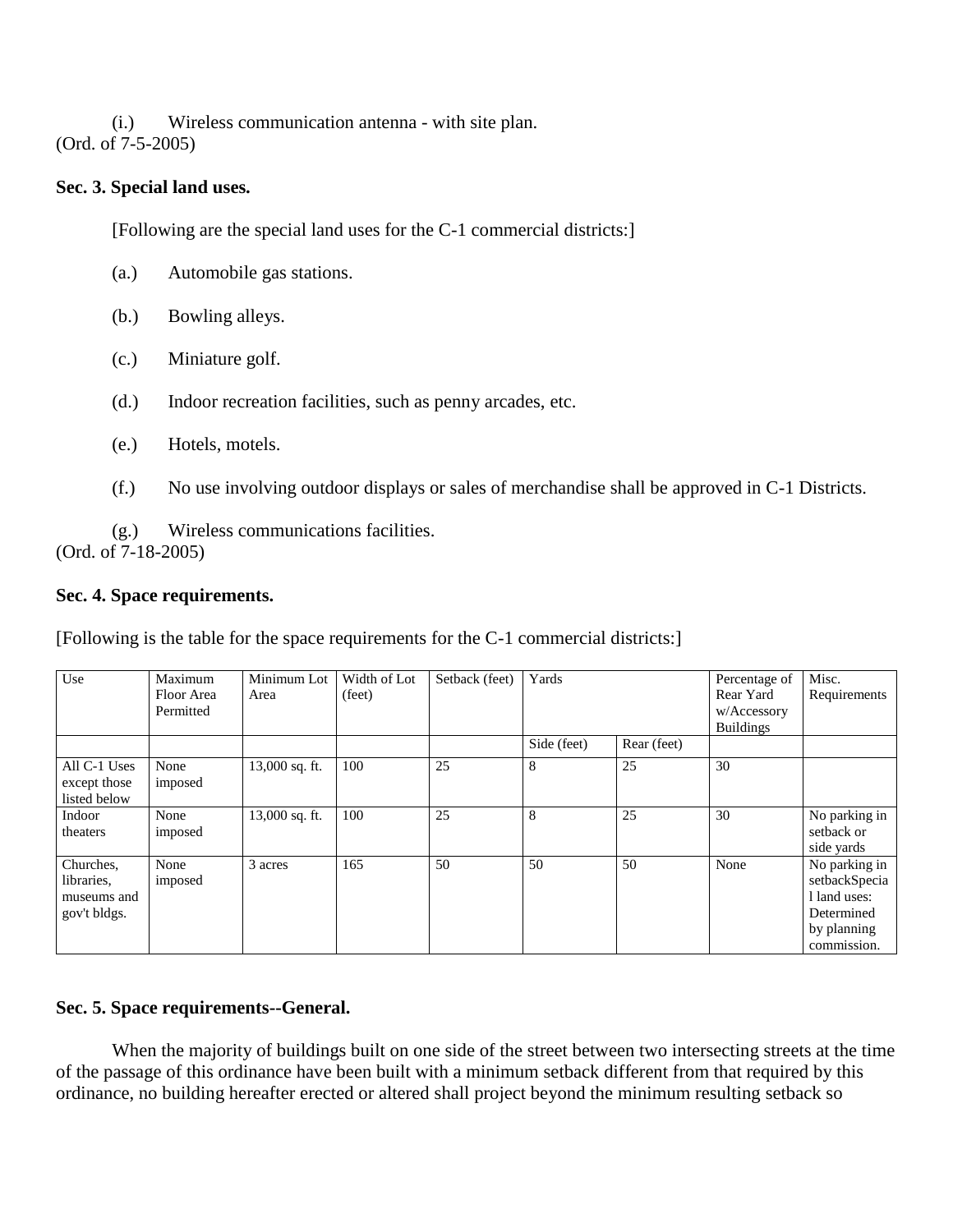(i.) Wireless communication antenna - with site plan. (Ord. of 7-5-2005)

# **Sec. 3. Special land uses.**

[Following are the special land uses for the C-1 commercial districts:]

- (a.) Automobile gas stations.
- (b.) Bowling alleys.
- (c.) Miniature golf.
- (d.) Indoor recreation facilities, such as penny arcades, etc.
- (e.) Hotels, motels.
- (f.) No use involving outdoor displays or sales of merchandise shall be approved in C-1 Districts.

(g.) Wireless communications facilities. (Ord. of 7-18-2005)

# **Sec. 4. Space requirements.**

[Following is the table for the space requirements for the C-1 commercial districts:]

| Use                                                    | Maximum<br>Floor Area<br>Permitted | Minimum Lot<br>Area | Width of Lot<br>(feet) | Setback (feet) | Yards       |             | Percentage of<br>Rear Yard<br>w/Accessory<br><b>Buildings</b> | Misc.<br>Requirements                                                                      |
|--------------------------------------------------------|------------------------------------|---------------------|------------------------|----------------|-------------|-------------|---------------------------------------------------------------|--------------------------------------------------------------------------------------------|
|                                                        |                                    |                     |                        |                | Side (feet) | Rear (feet) |                                                               |                                                                                            |
| All C-1 Uses<br>except those<br>listed below           | None<br>imposed                    | 13,000 sq. ft.      | 100                    | 25             | 8           | 25          | 30                                                            |                                                                                            |
| Indoor<br>theaters                                     | None<br>imposed                    | 13,000 sq. ft.      | 100                    | 25             | 8           | 25          | 30                                                            | No parking in<br>setback or<br>side yards                                                  |
| Churches,<br>libraries.<br>museums and<br>gov't bldgs. | None<br>imposed                    | 3 acres             | 165                    | 50             | 50          | 50          | None                                                          | No parking in<br>setbackSpecia<br>1 land uses:<br>Determined<br>by planning<br>commission. |

# **Sec. 5. Space requirements--General.**

When the majority of buildings built on one side of the street between two intersecting streets at the time of the passage of this ordinance have been built with a minimum setback different from that required by this ordinance, no building hereafter erected or altered shall project beyond the minimum resulting setback so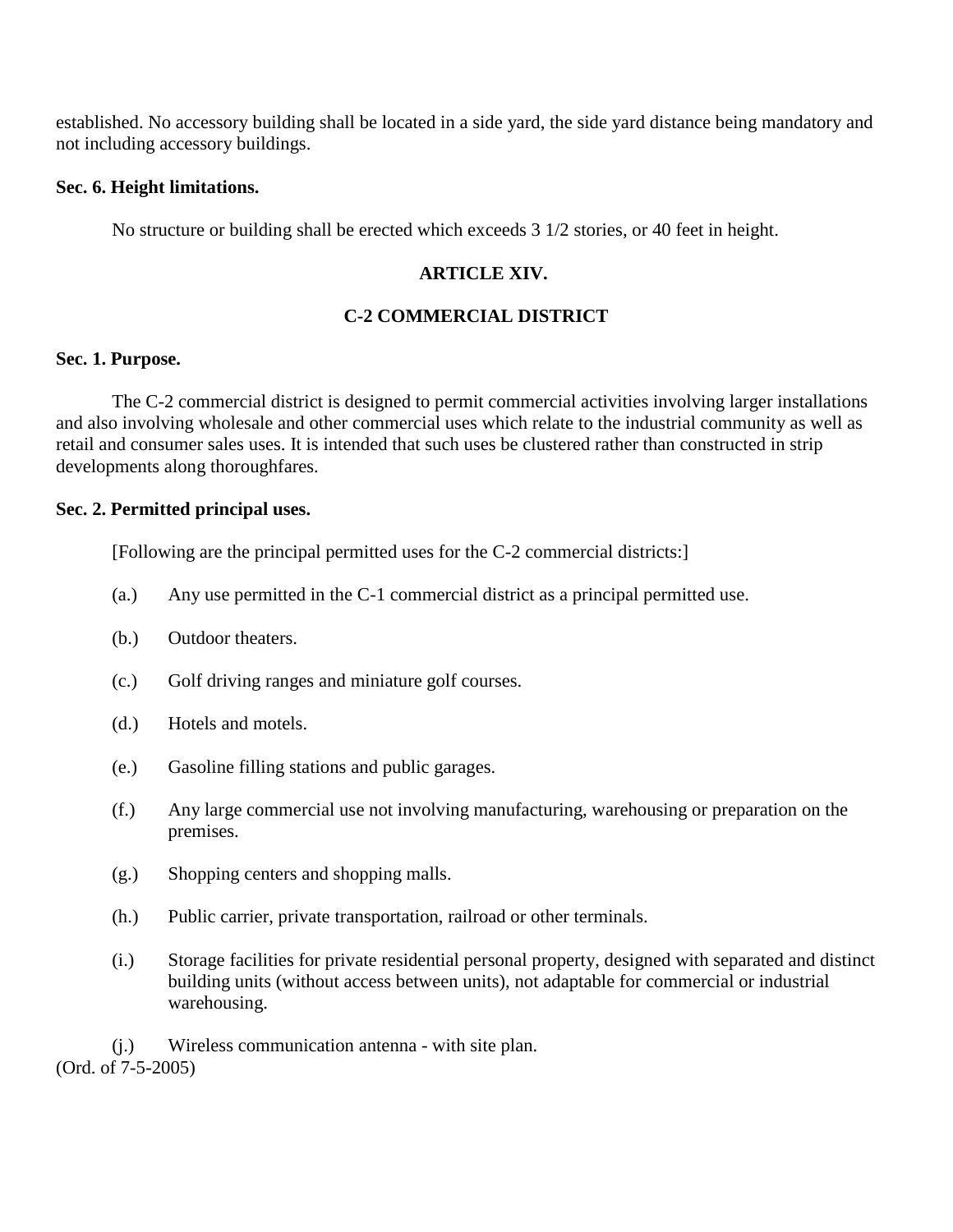established. No accessory building shall be located in a side yard, the side yard distance being mandatory and not including accessory buildings.

## **Sec. 6. Height limitations.**

No structure or building shall be erected which exceeds 3 1/2 stories, or 40 feet in height.

# **ARTICLE XIV.**

# **C-2 COMMERCIAL DISTRICT**

### **Sec. 1. Purpose.**

The C-2 commercial district is designed to permit commercial activities involving larger installations and also involving wholesale and other commercial uses which relate to the industrial community as well as retail and consumer sales uses. It is intended that such uses be clustered rather than constructed in strip developments along thoroughfares.

## **Sec. 2. Permitted principal uses.**

[Following are the principal permitted uses for the C-2 commercial districts:]

- (a.) Any use permitted in the C-1 commercial district as a principal permitted use.
- (b.) Outdoor theaters.
- (c.) Golf driving ranges and miniature golf courses.
- (d.) Hotels and motels.
- (e.) Gasoline filling stations and public garages.
- (f.) Any large commercial use not involving manufacturing, warehousing or preparation on the premises.
- (g.) Shopping centers and shopping malls.
- (h.) Public carrier, private transportation, railroad or other terminals.
- (i.) Storage facilities for private residential personal property, designed with separated and distinct building units (without access between units), not adaptable for commercial or industrial warehousing.

(j.) Wireless communication antenna - with site plan. (Ord. of 7-5-2005)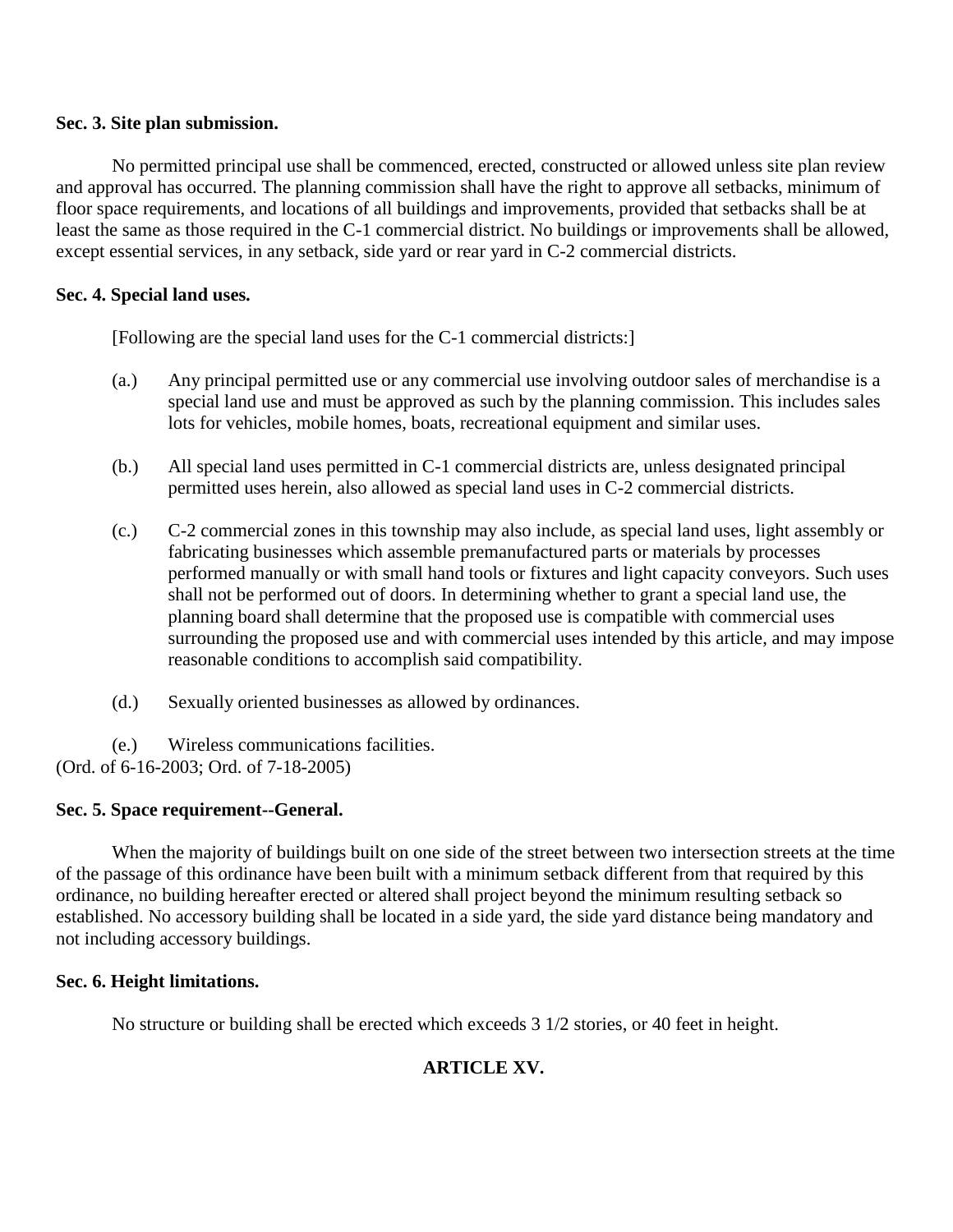## **Sec. 3. Site plan submission.**

No permitted principal use shall be commenced, erected, constructed or allowed unless site plan review and approval has occurred. The planning commission shall have the right to approve all setbacks, minimum of floor space requirements, and locations of all buildings and improvements, provided that setbacks shall be at least the same as those required in the C-1 commercial district. No buildings or improvements shall be allowed, except essential services, in any setback, side yard or rear yard in C-2 commercial districts.

# **Sec. 4. Special land uses.**

[Following are the special land uses for the C-1 commercial districts:]

- (a.) Any principal permitted use or any commercial use involving outdoor sales of merchandise is a special land use and must be approved as such by the planning commission. This includes sales lots for vehicles, mobile homes, boats, recreational equipment and similar uses.
- (b.) All special land uses permitted in C-1 commercial districts are, unless designated principal permitted uses herein, also allowed as special land uses in C-2 commercial districts.
- (c.) C-2 commercial zones in this township may also include, as special land uses, light assembly or fabricating businesses which assemble premanufactured parts or materials by processes performed manually or with small hand tools or fixtures and light capacity conveyors. Such uses shall not be performed out of doors. In determining whether to grant a special land use, the planning board shall determine that the proposed use is compatible with commercial uses surrounding the proposed use and with commercial uses intended by this article, and may impose reasonable conditions to accomplish said compatibility.
- (d.) Sexually oriented businesses as allowed by ordinances.

(e.) Wireless communications facilities. (Ord. of 6-16-2003; Ord. of 7-18-2005)

# **Sec. 5. Space requirement--General.**

When the majority of buildings built on one side of the street between two intersection streets at the time of the passage of this ordinance have been built with a minimum setback different from that required by this ordinance, no building hereafter erected or altered shall project beyond the minimum resulting setback so established. No accessory building shall be located in a side yard, the side yard distance being mandatory and not including accessory buildings.

# **Sec. 6. Height limitations.**

No structure or building shall be erected which exceeds 3 1/2 stories, or 40 feet in height.

# **ARTICLE XV.**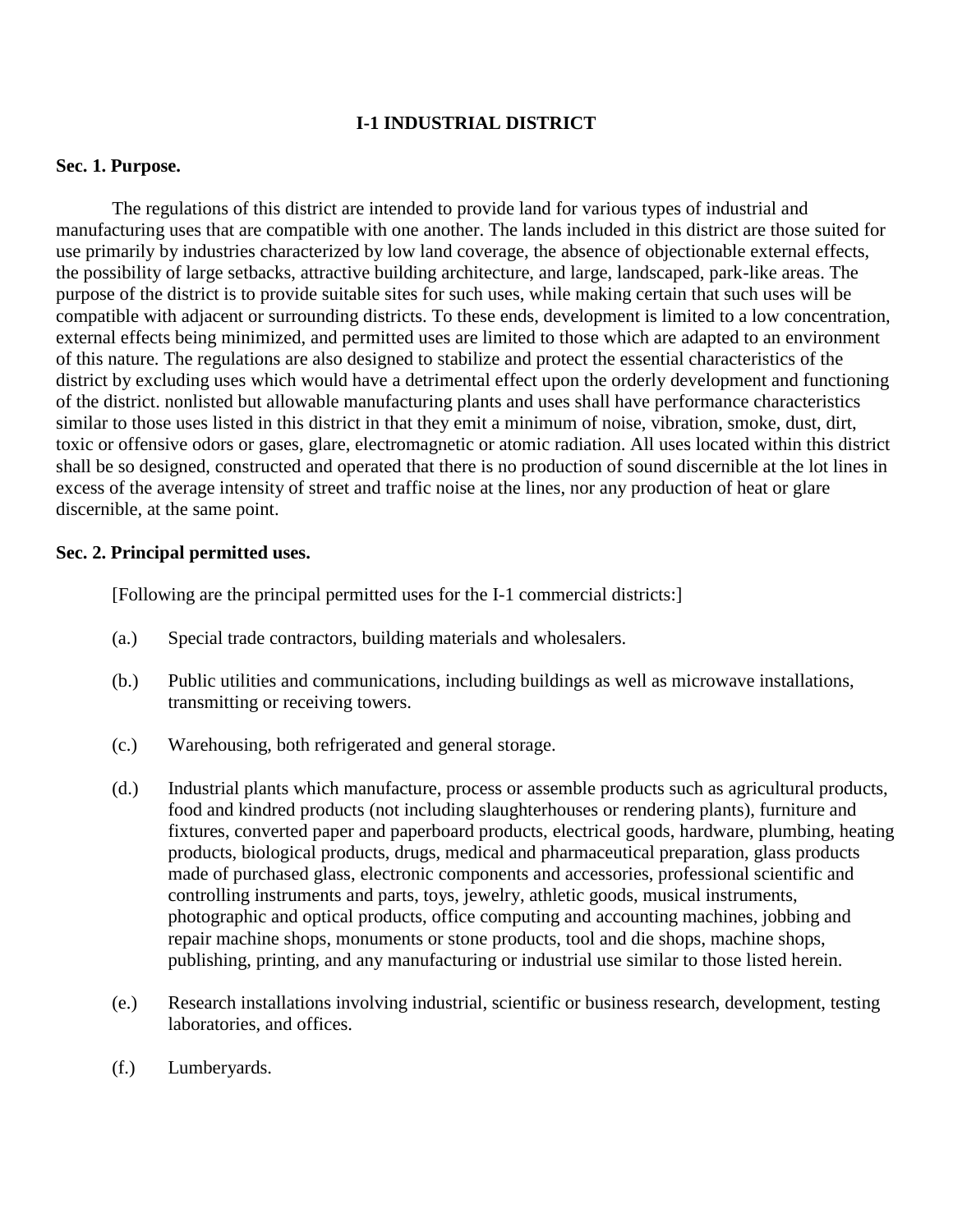# **I-1 INDUSTRIAL DISTRICT**

### **Sec. 1. Purpose.**

The regulations of this district are intended to provide land for various types of industrial and manufacturing uses that are compatible with one another. The lands included in this district are those suited for use primarily by industries characterized by low land coverage, the absence of objectionable external effects, the possibility of large setbacks, attractive building architecture, and large, landscaped, park-like areas. The purpose of the district is to provide suitable sites for such uses, while making certain that such uses will be compatible with adjacent or surrounding districts. To these ends, development is limited to a low concentration, external effects being minimized, and permitted uses are limited to those which are adapted to an environment of this nature. The regulations are also designed to stabilize and protect the essential characteristics of the district by excluding uses which would have a detrimental effect upon the orderly development and functioning of the district. nonlisted but allowable manufacturing plants and uses shall have performance characteristics similar to those uses listed in this district in that they emit a minimum of noise, vibration, smoke, dust, dirt, toxic or offensive odors or gases, glare, electromagnetic or atomic radiation. All uses located within this district shall be so designed, constructed and operated that there is no production of sound discernible at the lot lines in excess of the average intensity of street and traffic noise at the lines, nor any production of heat or glare discernible, at the same point.

# **Sec. 2. Principal permitted uses.**

[Following are the principal permitted uses for the I-1 commercial districts:]

- (a.) Special trade contractors, building materials and wholesalers.
- (b.) Public utilities and communications, including buildings as well as microwave installations, transmitting or receiving towers.
- (c.) Warehousing, both refrigerated and general storage.
- (d.) Industrial plants which manufacture, process or assemble products such as agricultural products, food and kindred products (not including slaughterhouses or rendering plants), furniture and fixtures, converted paper and paperboard products, electrical goods, hardware, plumbing, heating products, biological products, drugs, medical and pharmaceutical preparation, glass products made of purchased glass, electronic components and accessories, professional scientific and controlling instruments and parts, toys, jewelry, athletic goods, musical instruments, photographic and optical products, office computing and accounting machines, jobbing and repair machine shops, monuments or stone products, tool and die shops, machine shops, publishing, printing, and any manufacturing or industrial use similar to those listed herein.
- (e.) Research installations involving industrial, scientific or business research, development, testing laboratories, and offices.
- (f.) Lumberyards.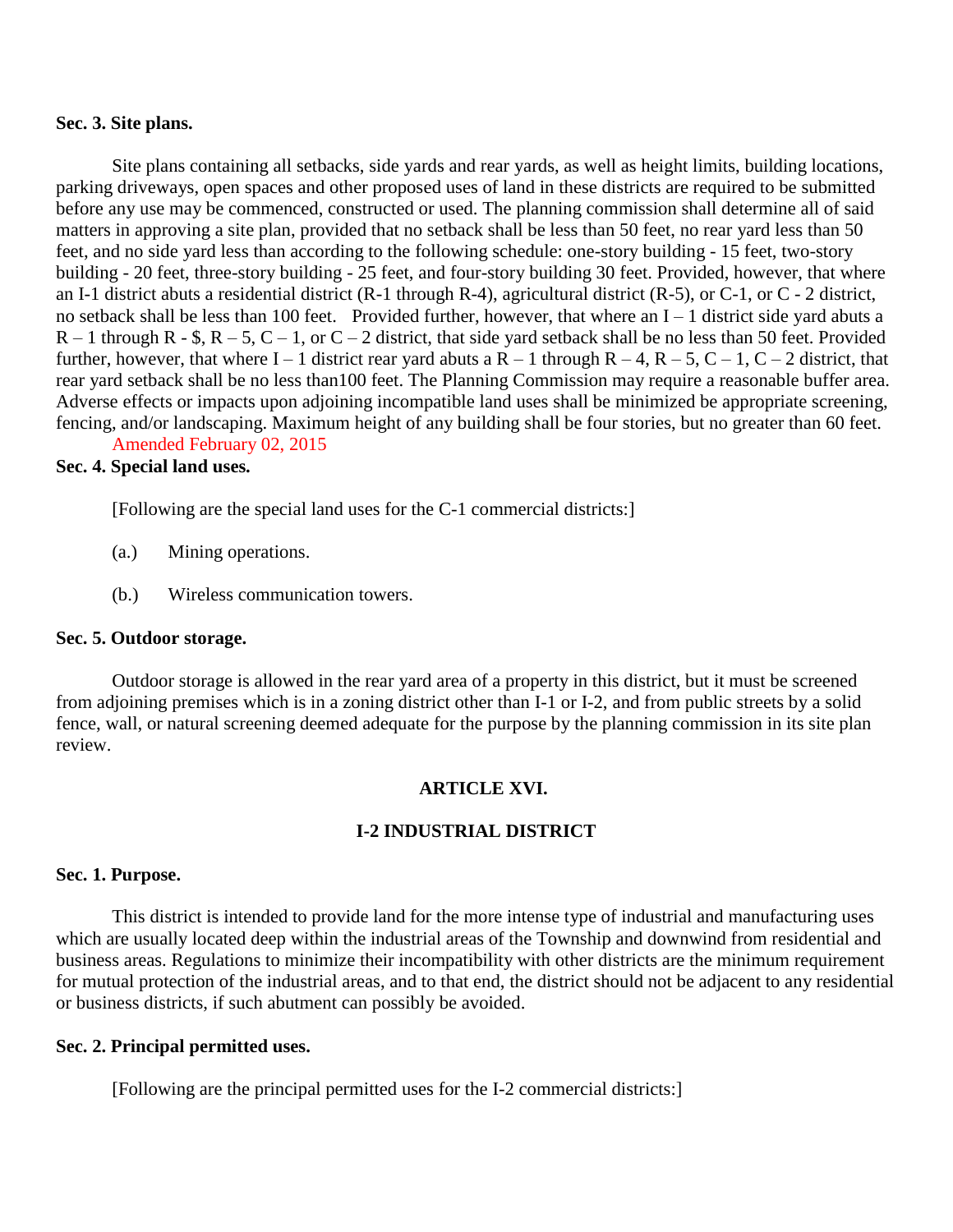#### **Sec. 3. Site plans.**

Site plans containing all setbacks, side yards and rear yards, as well as height limits, building locations, parking driveways, open spaces and other proposed uses of land in these districts are required to be submitted before any use may be commenced, constructed or used. The planning commission shall determine all of said matters in approving a site plan, provided that no setback shall be less than 50 feet, no rear yard less than 50 feet, and no side yard less than according to the following schedule: one-story building - 15 feet, two-story building - 20 feet, three-story building - 25 feet, and four-story building 30 feet. Provided, however, that where an I-1 district abuts a residential district (R-1 through R-4), agricultural district (R-5), or C-1, or C - 2 district, no setback shall be less than 100 feet. Provided further, however, that where an I – 1 district side yard abuts a  $R - 1$  through R - \$,  $R - 5$ ,  $C - 1$ , or  $C - 2$  district, that side yard setback shall be no less than 50 feet. Provided further, however, that where I – 1 district rear yard abuts a R – 1 through R – 4, R – 5, C – 1, C – 2 district, that rear yard setback shall be no less than100 feet. The Planning Commission may require a reasonable buffer area. Adverse effects or impacts upon adjoining incompatible land uses shall be minimized be appropriate screening, fencing, and/or landscaping. Maximum height of any building shall be four stories, but no greater than 60 feet.

Amended February 02, 2015

# **Sec. 4. Special land uses.**

[Following are the special land uses for the C-1 commercial districts:]

- (a.) Mining operations.
- (b.) Wireless communication towers.

#### **Sec. 5. Outdoor storage.**

Outdoor storage is allowed in the rear yard area of a property in this district, but it must be screened from adjoining premises which is in a zoning district other than I-1 or I-2, and from public streets by a solid fence, wall, or natural screening deemed adequate for the purpose by the planning commission in its site plan review.

### **ARTICLE XVI.**

# **I-2 INDUSTRIAL DISTRICT**

#### **Sec. 1. Purpose.**

This district is intended to provide land for the more intense type of industrial and manufacturing uses which are usually located deep within the industrial areas of the Township and downwind from residential and business areas. Regulations to minimize their incompatibility with other districts are the minimum requirement for mutual protection of the industrial areas, and to that end, the district should not be adjacent to any residential or business districts, if such abutment can possibly be avoided.

#### **Sec. 2. Principal permitted uses.**

[Following are the principal permitted uses for the I-2 commercial districts:]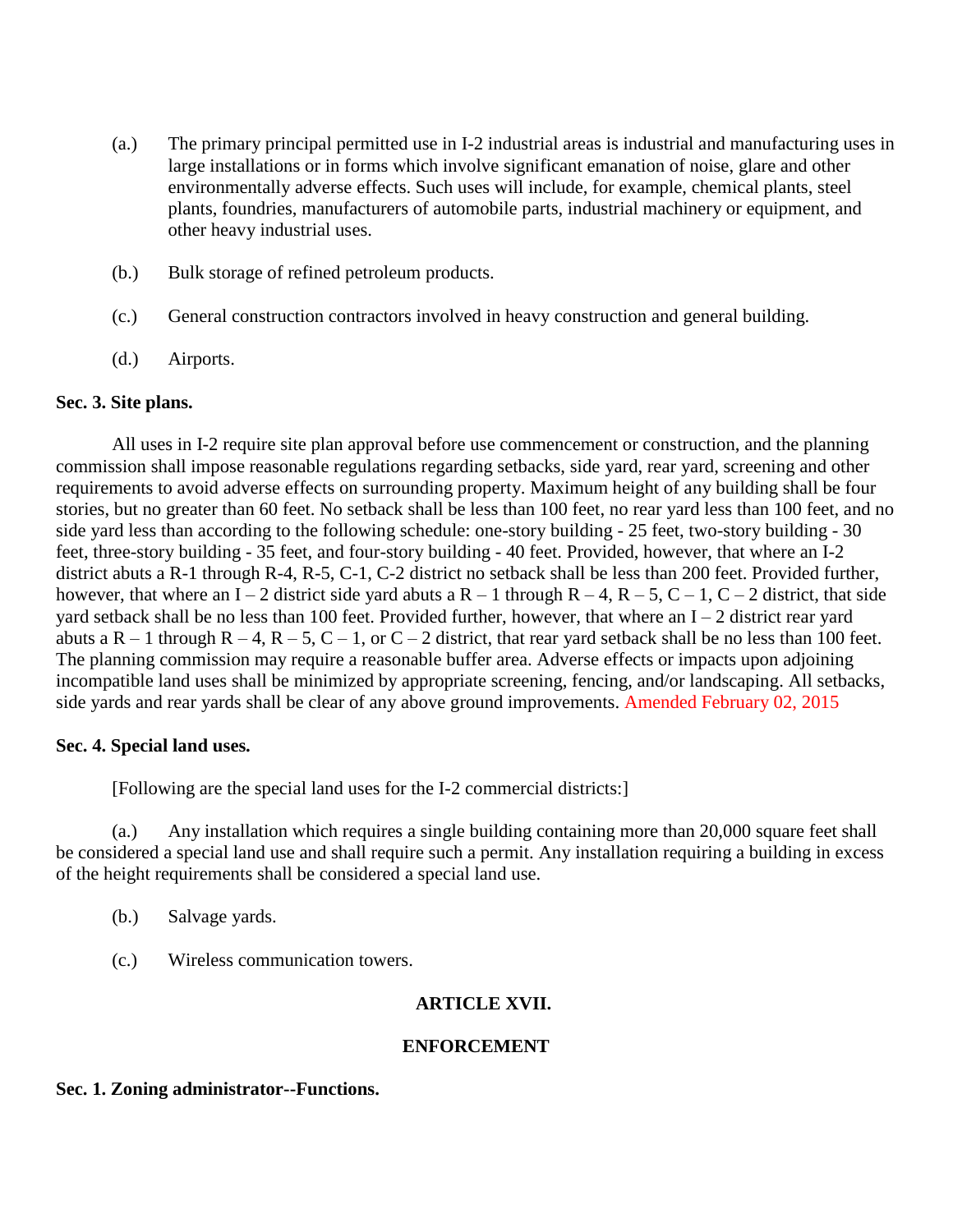- (a.) The primary principal permitted use in I-2 industrial areas is industrial and manufacturing uses in large installations or in forms which involve significant emanation of noise, glare and other environmentally adverse effects. Such uses will include, for example, chemical plants, steel plants, foundries, manufacturers of automobile parts, industrial machinery or equipment, and other heavy industrial uses.
- (b.) Bulk storage of refined petroleum products.
- (c.) General construction contractors involved in heavy construction and general building.
- (d.) Airports.

# **Sec. 3. Site plans.**

All uses in I-2 require site plan approval before use commencement or construction, and the planning commission shall impose reasonable regulations regarding setbacks, side yard, rear yard, screening and other requirements to avoid adverse effects on surrounding property. Maximum height of any building shall be four stories, but no greater than 60 feet. No setback shall be less than 100 feet, no rear yard less than 100 feet, and no side yard less than according to the following schedule: one-story building - 25 feet, two-story building - 30 feet, three-story building - 35 feet, and four-story building - 40 feet. Provided, however, that where an I-2 district abuts a R-1 through R-4, R-5, C-1, C-2 district no setback shall be less than 200 feet. Provided further, however, that where an I – 2 district side yard abuts a R – 1 through R – 4, R – 5, C – 1, C – 2 district, that side yard setback shall be no less than 100 feet. Provided further, however, that where an I – 2 district rear yard abuts a R – 1 through R – 4, R – 5, C – 1, or C – 2 district, that rear yard setback shall be no less than 100 feet. The planning commission may require a reasonable buffer area. Adverse effects or impacts upon adjoining incompatible land uses shall be minimized by appropriate screening, fencing, and/or landscaping. All setbacks, side yards and rear yards shall be clear of any above ground improvements. Amended February 02, 2015

# **Sec. 4. Special land uses.**

[Following are the special land uses for the I-2 commercial districts:]

(a.) Any installation which requires a single building containing more than 20,000 square feet shall be considered a special land use and shall require such a permit. Any installation requiring a building in excess of the height requirements shall be considered a special land use.

- (b.) Salvage yards.
- (c.) Wireless communication towers.

# **ARTICLE XVII.**

# **ENFORCEMENT**

# **Sec. 1. Zoning administrator--Functions.**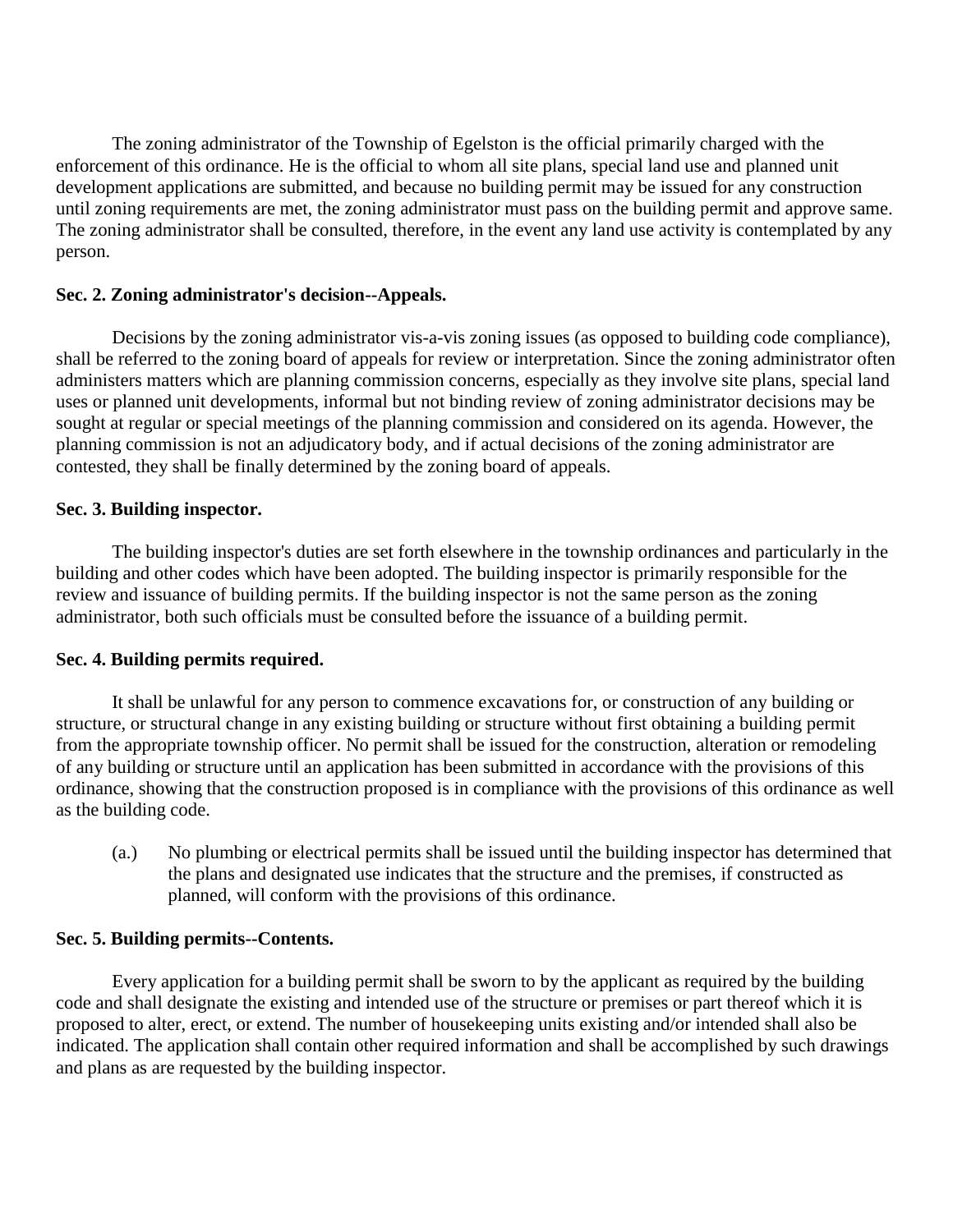The zoning administrator of the Township of Egelston is the official primarily charged with the enforcement of this ordinance. He is the official to whom all site plans, special land use and planned unit development applications are submitted, and because no building permit may be issued for any construction until zoning requirements are met, the zoning administrator must pass on the building permit and approve same. The zoning administrator shall be consulted, therefore, in the event any land use activity is contemplated by any person.

## **Sec. 2. Zoning administrator's decision--Appeals.**

Decisions by the zoning administrator vis-a-vis zoning issues (as opposed to building code compliance), shall be referred to the zoning board of appeals for review or interpretation. Since the zoning administrator often administers matters which are planning commission concerns, especially as they involve site plans, special land uses or planned unit developments, informal but not binding review of zoning administrator decisions may be sought at regular or special meetings of the planning commission and considered on its agenda. However, the planning commission is not an adjudicatory body, and if actual decisions of the zoning administrator are contested, they shall be finally determined by the zoning board of appeals.

### **Sec. 3. Building inspector.**

The building inspector's duties are set forth elsewhere in the township ordinances and particularly in the building and other codes which have been adopted. The building inspector is primarily responsible for the review and issuance of building permits. If the building inspector is not the same person as the zoning administrator, both such officials must be consulted before the issuance of a building permit.

### **Sec. 4. Building permits required.**

It shall be unlawful for any person to commence excavations for, or construction of any building or structure, or structural change in any existing building or structure without first obtaining a building permit from the appropriate township officer. No permit shall be issued for the construction, alteration or remodeling of any building or structure until an application has been submitted in accordance with the provisions of this ordinance, showing that the construction proposed is in compliance with the provisions of this ordinance as well as the building code.

(a.) No plumbing or electrical permits shall be issued until the building inspector has determined that the plans and designated use indicates that the structure and the premises, if constructed as planned, will conform with the provisions of this ordinance.

### **Sec. 5. Building permits--Contents.**

Every application for a building permit shall be sworn to by the applicant as required by the building code and shall designate the existing and intended use of the structure or premises or part thereof which it is proposed to alter, erect, or extend. The number of housekeeping units existing and/or intended shall also be indicated. The application shall contain other required information and shall be accomplished by such drawings and plans as are requested by the building inspector.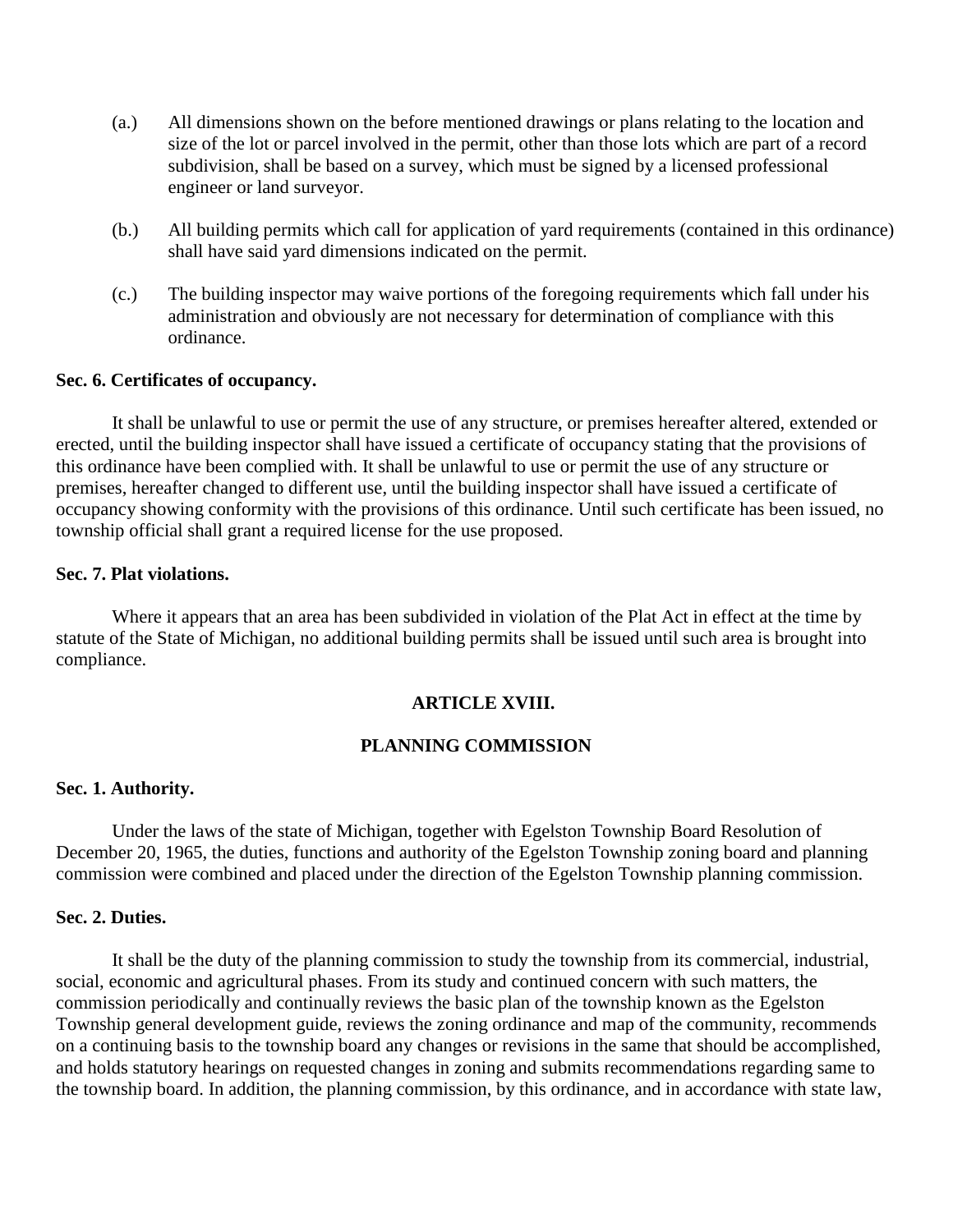- (a.) All dimensions shown on the before mentioned drawings or plans relating to the location and size of the lot or parcel involved in the permit, other than those lots which are part of a record subdivision, shall be based on a survey, which must be signed by a licensed professional engineer or land surveyor.
- (b.) All building permits which call for application of yard requirements (contained in this ordinance) shall have said yard dimensions indicated on the permit.
- (c.) The building inspector may waive portions of the foregoing requirements which fall under his administration and obviously are not necessary for determination of compliance with this ordinance.

### **Sec. 6. Certificates of occupancy.**

It shall be unlawful to use or permit the use of any structure, or premises hereafter altered, extended or erected, until the building inspector shall have issued a certificate of occupancy stating that the provisions of this ordinance have been complied with. It shall be unlawful to use or permit the use of any structure or premises, hereafter changed to different use, until the building inspector shall have issued a certificate of occupancy showing conformity with the provisions of this ordinance. Until such certificate has been issued, no township official shall grant a required license for the use proposed.

# **Sec. 7. Plat violations.**

Where it appears that an area has been subdivided in violation of the Plat Act in effect at the time by statute of the State of Michigan, no additional building permits shall be issued until such area is brought into compliance.

#### **ARTICLE XVIII.**

# **PLANNING COMMISSION**

#### **Sec. 1. Authority.**

Under the laws of the state of Michigan, together with Egelston Township Board Resolution of December 20, 1965, the duties, functions and authority of the Egelston Township zoning board and planning commission were combined and placed under the direction of the Egelston Township planning commission.

## **Sec. 2. Duties.**

It shall be the duty of the planning commission to study the township from its commercial, industrial, social, economic and agricultural phases. From its study and continued concern with such matters, the commission periodically and continually reviews the basic plan of the township known as the Egelston Township general development guide, reviews the zoning ordinance and map of the community, recommends on a continuing basis to the township board any changes or revisions in the same that should be accomplished, and holds statutory hearings on requested changes in zoning and submits recommendations regarding same to the township board. In addition, the planning commission, by this ordinance, and in accordance with state law,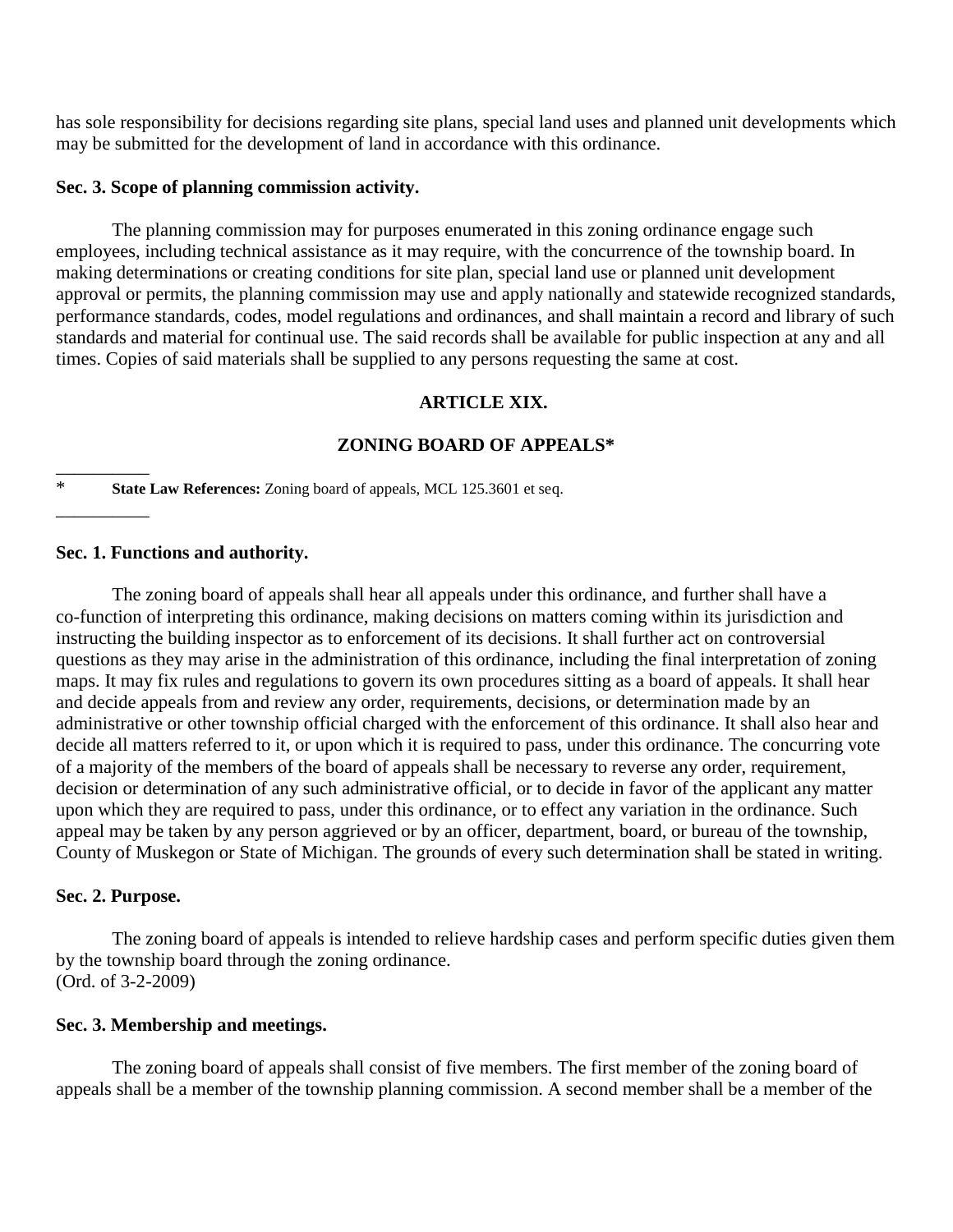has sole responsibility for decisions regarding site plans, special land uses and planned unit developments which may be submitted for the development of land in accordance with this ordinance.

### **Sec. 3. Scope of planning commission activity.**

The planning commission may for purposes enumerated in this zoning ordinance engage such employees, including technical assistance as it may require, with the concurrence of the township board. In making determinations or creating conditions for site plan, special land use or planned unit development approval or permits, the planning commission may use and apply nationally and statewide recognized standards, performance standards, codes, model regulations and ordinances, and shall maintain a record and library of such standards and material for continual use. The said records shall be available for public inspection at any and all times. Copies of said materials shall be supplied to any persons requesting the same at cost.

## **ARTICLE XIX.**

### **ZONING BOARD OF APPEALS\***

\* **State Law References:** Zoning board of appeals, MCL 125.3601 et seq.

### **Sec. 1. Functions and authority.**

 $\overline{\phantom{a}}$ 

\_\_\_\_\_\_\_\_\_\_

The zoning board of appeals shall hear all appeals under this ordinance, and further shall have a co-function of interpreting this ordinance, making decisions on matters coming within its jurisdiction and instructing the building inspector as to enforcement of its decisions. It shall further act on controversial questions as they may arise in the administration of this ordinance, including the final interpretation of zoning maps. It may fix rules and regulations to govern its own procedures sitting as a board of appeals. It shall hear and decide appeals from and review any order, requirements, decisions, or determination made by an administrative or other township official charged with the enforcement of this ordinance. It shall also hear and decide all matters referred to it, or upon which it is required to pass, under this ordinance. The concurring vote of a majority of the members of the board of appeals shall be necessary to reverse any order, requirement, decision or determination of any such administrative official, or to decide in favor of the applicant any matter upon which they are required to pass, under this ordinance, or to effect any variation in the ordinance. Such appeal may be taken by any person aggrieved or by an officer, department, board, or bureau of the township, County of Muskegon or State of Michigan. The grounds of every such determination shall be stated in writing.

#### **Sec. 2. Purpose.**

The zoning board of appeals is intended to relieve hardship cases and perform specific duties given them by the township board through the zoning ordinance. (Ord. of 3-2-2009)

### **Sec. 3. Membership and meetings.**

The zoning board of appeals shall consist of five members. The first member of the zoning board of appeals shall be a member of the township planning commission. A second member shall be a member of the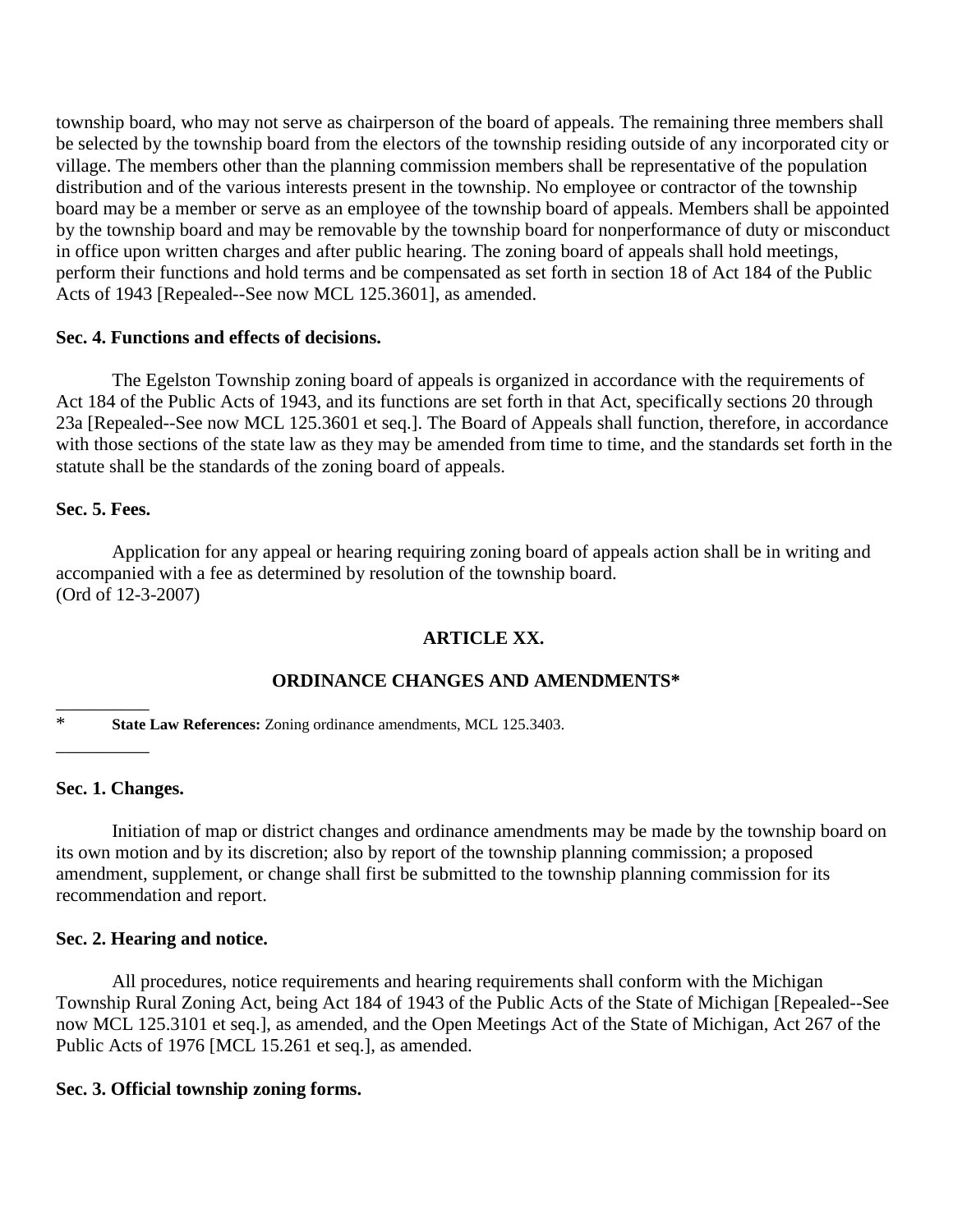township board, who may not serve as chairperson of the board of appeals. The remaining three members shall be selected by the township board from the electors of the township residing outside of any incorporated city or village. The members other than the planning commission members shall be representative of the population distribution and of the various interests present in the township. No employee or contractor of the township board may be a member or serve as an employee of the township board of appeals. Members shall be appointed by the township board and may be removable by the township board for nonperformance of duty or misconduct in office upon written charges and after public hearing. The zoning board of appeals shall hold meetings, perform their functions and hold terms and be compensated as set forth in section 18 of Act 184 of the Public Acts of 1943 [Repealed--See now MCL 125.3601], as amended.

## **Sec. 4. Functions and effects of decisions.**

The Egelston Township zoning board of appeals is organized in accordance with the requirements of Act 184 of the Public Acts of 1943, and its functions are set forth in that Act, specifically sections 20 through 23a [Repealed--See now MCL 125.3601 et seq.]. The Board of Appeals shall function, therefore, in accordance with those sections of the state law as they may be amended from time to time, and the standards set forth in the statute shall be the standards of the zoning board of appeals.

# **Sec. 5. Fees.**

Application for any appeal or hearing requiring zoning board of appeals action shall be in writing and accompanied with a fee as determined by resolution of the township board. (Ord of 12-3-2007)

# **ARTICLE XX.**

# **ORDINANCE CHANGES AND AMENDMENTS\***

\* **State Law References:** Zoning ordinance amendments, MCL 125.3403.

### **Sec. 1. Changes.**

 $\overline{\phantom{a}}$ 

\_\_\_\_\_\_\_\_\_\_

Initiation of map or district changes and ordinance amendments may be made by the township board on its own motion and by its discretion; also by report of the township planning commission; a proposed amendment, supplement, or change shall first be submitted to the township planning commission for its recommendation and report.

# **Sec. 2. Hearing and notice.**

All procedures, notice requirements and hearing requirements shall conform with the Michigan Township Rural Zoning Act, being Act 184 of 1943 of the Public Acts of the State of Michigan [Repealed--See now MCL 125.3101 et seq.], as amended, and the Open Meetings Act of the State of Michigan, Act 267 of the Public Acts of 1976 [MCL 15.261 et seq.], as amended.

# **Sec. 3. Official township zoning forms.**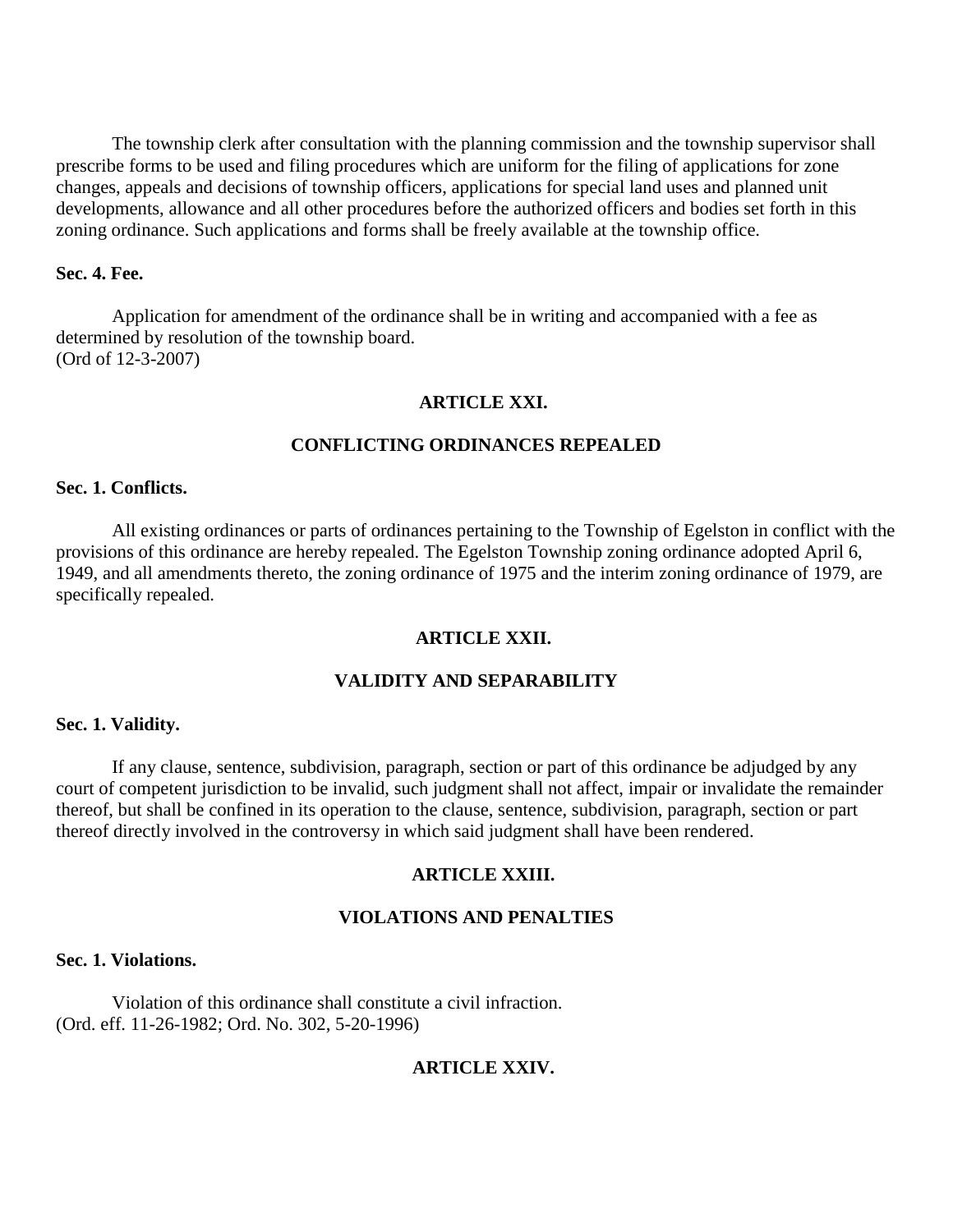The township clerk after consultation with the planning commission and the township supervisor shall prescribe forms to be used and filing procedures which are uniform for the filing of applications for zone changes, appeals and decisions of township officers, applications for special land uses and planned unit developments, allowance and all other procedures before the authorized officers and bodies set forth in this zoning ordinance. Such applications and forms shall be freely available at the township office.

# **Sec. 4. Fee.**

Application for amendment of the ordinance shall be in writing and accompanied with a fee as determined by resolution of the township board. (Ord of 12-3-2007)

### **ARTICLE XXI.**

### **CONFLICTING ORDINANCES REPEALED**

### **Sec. 1. Conflicts.**

All existing ordinances or parts of ordinances pertaining to the Township of Egelston in conflict with the provisions of this ordinance are hereby repealed. The Egelston Township zoning ordinance adopted April 6, 1949, and all amendments thereto, the zoning ordinance of 1975 and the interim zoning ordinance of 1979, are specifically repealed.

#### **ARTICLE XXII.**

# **VALIDITY AND SEPARABILITY**

#### **Sec. 1. Validity.**

If any clause, sentence, subdivision, paragraph, section or part of this ordinance be adjudged by any court of competent jurisdiction to be invalid, such judgment shall not affect, impair or invalidate the remainder thereof, but shall be confined in its operation to the clause, sentence, subdivision, paragraph, section or part thereof directly involved in the controversy in which said judgment shall have been rendered.

#### **ARTICLE XXIII.**

## **VIOLATIONS AND PENALTIES**

#### **Sec. 1. Violations.**

Violation of this ordinance shall constitute a civil infraction. (Ord. eff. 11-26-1982; Ord. No. 302, 5-20-1996)

### **ARTICLE XXIV.**